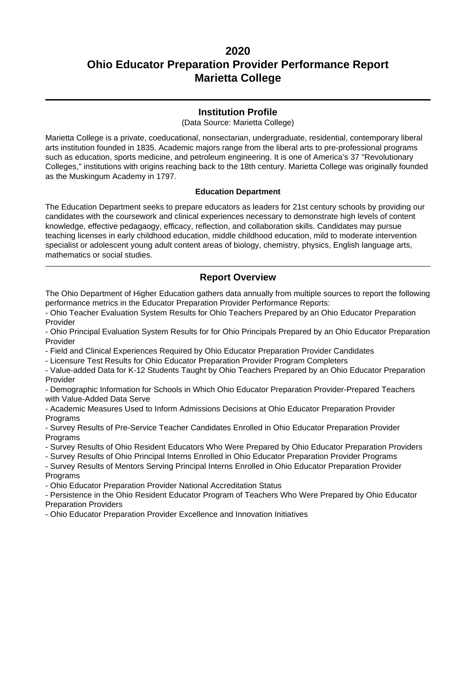### **Institution Profile**

(Data Source: Marietta College)

Marietta College is a private, coeducational, nonsectarian, undergraduate, residential, contemporary liberal arts institution founded in 1835. Academic majors range from the liberal arts to pre-professional programs such as education, sports medicine, and petroleum engineering. It is one of America's 37 "Revolutionary Colleges," institutions with origins reaching back to the 18th century. Marietta College was originally founded as the Muskingum Academy in 1797.

### **Education Department**

The Education Department seeks to prepare educators as leaders for 21st century schools by providing our candidates with the coursework and clinical experiences necessary to demonstrate high levels of content knowledge, effective pedagaogy, efficacy, reflection, and collaboration skills. Candidates may pursue teaching licenses in early childhood education, middle childhood education, mild to moderate intervention specialist or adolescent young adult content areas of biology, chemistry, physics, English language arts, mathematics or social studies.

### **Report Overview**

The Ohio Department of Higher Education gathers data annually from multiple sources to report the following performance metrics in the Educator Preparation Provider Performance Reports:

- Ohio Teacher Evaluation System Results for Ohio Teachers Prepared by an Ohio Educator Preparation Provider

- Ohio Principal Evaluation System Results for for Ohio Principals Prepared by an Ohio Educator Preparation Provider

- Field and Clinical Experiences Required by Ohio Educator Preparation Provider Candidates

- Licensure Test Results for Ohio Educator Preparation Provider Program Completers

- Value-added Data for K-12 Students Taught by Ohio Teachers Prepared by an Ohio Educator Preparation Provider

- Demographic Information for Schools in Which Ohio Educator Preparation Provider-Prepared Teachers with Value-Added Data Serve

- Academic Measures Used to Inform Admissions Decisions at Ohio Educator Preparation Provider **Programs** 

- Survey Results of Pre-Service Teacher Candidates Enrolled in Ohio Educator Preparation Provider **Programs** 

- Survey Results of Ohio Resident Educators Who Were Prepared by Ohio Educator Preparation Providers

- Survey Results of Ohio Principal Interns Enrolled in Ohio Educator Preparation Provider Programs

- Survey Results of Mentors Serving Principal Interns Enrolled in Ohio Educator Preparation Provider **Programs** 

- Ohio Educator Preparation Provider National Accreditation Status

- Persistence in the Ohio Resident Educator Program of Teachers Who Were Prepared by Ohio Educator Preparation Providers

- Ohio Educator Preparation Provider Excellence and Innovation Initiatives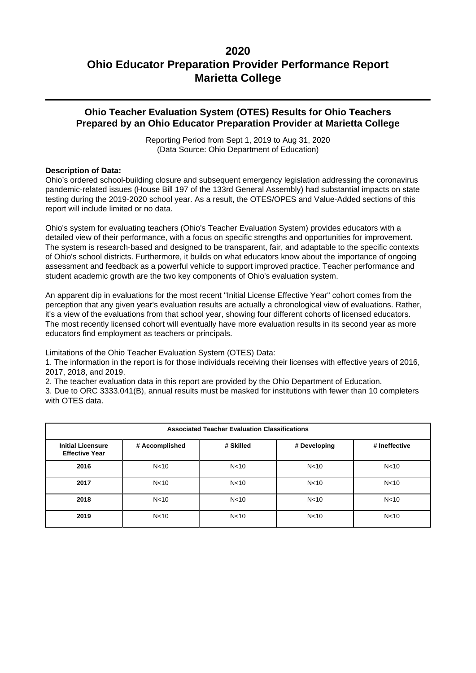### **Ohio Teacher Evaluation System (OTES) Results for Ohio Teachers Prepared by an Ohio Educator Preparation Provider at Marietta College**

Reporting Period from Sept 1, 2019 to Aug 31, 2020 (Data Source: Ohio Department of Education)

### **Description of Data:**

Ohio's ordered school-building closure and subsequent emergency legislation addressing the coronavirus pandemic-related issues (House Bill 197 of the 133rd General Assembly) had substantial impacts on state testing during the 2019-2020 school year. As a result, the OTES/OPES and Value-Added sections of this report will include limited or no data.

Ohio's system for evaluating teachers (Ohio's Teacher Evaluation System) provides educators with a detailed view of their performance, with a focus on specific strengths and opportunities for improvement. The system is research-based and designed to be transparent, fair, and adaptable to the specific contexts of Ohio's school districts. Furthermore, it builds on what educators know about the importance of ongoing assessment and feedback as a powerful vehicle to support improved practice. Teacher performance and student academic growth are the two key components of Ohio's evaluation system.

An apparent dip in evaluations for the most recent "Initial License Effective Year" cohort comes from the perception that any given year's evaluation results are actually a chronological view of evaluations. Rather, it's a view of the evaluations from that school year, showing four different cohorts of licensed educators. The most recently licensed cohort will eventually have more evaluation results in its second year as more educators find employment as teachers or principals.

Limitations of the Ohio Teacher Evaluation System (OTES) Data:

1. The information in the report is for those individuals receiving their licenses with effective years of 2016, 2017, 2018, and 2019.

2. The teacher evaluation data in this report are provided by the Ohio Department of Education.

3. Due to ORC 3333.041(B), annual results must be masked for institutions with fewer than 10 completers with OTES data.

| <b>Associated Teacher Evaluation Classifications</b> |                 |                 |                 |                 |  |  |
|------------------------------------------------------|-----------------|-----------------|-----------------|-----------------|--|--|
| <b>Initial Licensure</b><br><b>Effective Year</b>    | # Accomplished  | # Skilled       | # Developing    | # Ineffective   |  |  |
| 2016                                                 | N <sub>10</sub> | N <sub>10</sub> | N <sub>10</sub> | N <sub>10</sub> |  |  |
| 2017                                                 | N <sub>10</sub> | N <sub>10</sub> | N <sub>10</sub> | N <sub>10</sub> |  |  |
| 2018                                                 | N <sub>10</sub> | N <sub>10</sub> | N <sub>10</sub> | N <sub>10</sub> |  |  |
| 2019                                                 | N <sub>10</sub> | N <sub>10</sub> | N <sub>10</sub> | N <sub>10</sub> |  |  |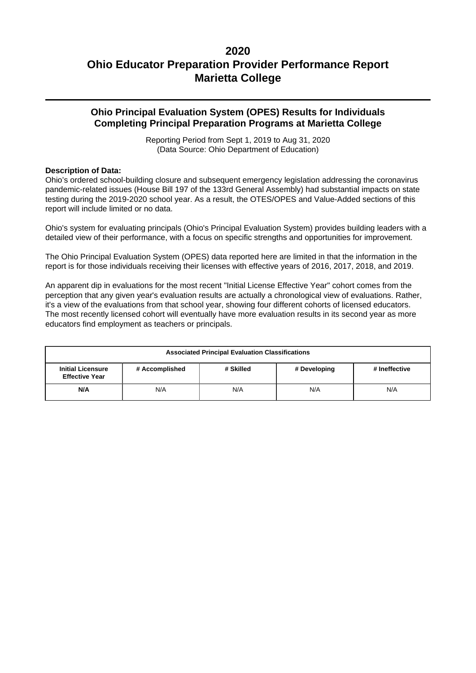### **Ohio Principal Evaluation System (OPES) Results for Individuals Completing Principal Preparation Programs at Marietta College**

Reporting Period from Sept 1, 2019 to Aug 31, 2020 (Data Source: Ohio Department of Education)

### **Description of Data:**

Ohio's ordered school-building closure and subsequent emergency legislation addressing the coronavirus pandemic-related issues (House Bill 197 of the 133rd General Assembly) had substantial impacts on state testing during the 2019-2020 school year. As a result, the OTES/OPES and Value-Added sections of this report will include limited or no data.

Ohio's system for evaluating principals (Ohio's Principal Evaluation System) provides building leaders with a detailed view of their performance, with a focus on specific strengths and opportunities for improvement.

The Ohio Principal Evaluation System (OPES) data reported here are limited in that the information in the report is for those individuals receiving their licenses with effective years of 2016, 2017, 2018, and 2019.

An apparent dip in evaluations for the most recent "Initial License Effective Year" cohort comes from the perception that any given year's evaluation results are actually a chronological view of evaluations. Rather, it's a view of the evaluations from that school year, showing four different cohorts of licensed educators. The most recently licensed cohort will eventually have more evaluation results in its second year as more educators find employment as teachers or principals.

| <b>Associated Principal Evaluation Classifications</b> |                                                              |  |  |  |  |  |  |
|--------------------------------------------------------|--------------------------------------------------------------|--|--|--|--|--|--|
| <b>Initial Licensure</b><br><b>Effective Year</b>      | # Accomplished<br># Developing<br># Ineffective<br># Skilled |  |  |  |  |  |  |
| N/A<br>N/A<br>N/A<br>N/A<br>N/A                        |                                                              |  |  |  |  |  |  |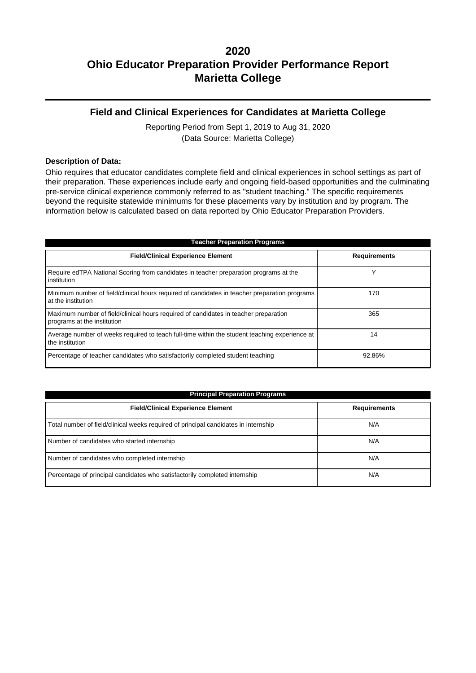### **Field and Clinical Experiences for Candidates at Marietta College**

Reporting Period from Sept 1, 2019 to Aug 31, 2020 (Data Source: Marietta College)

#### **Description of Data:**

Ohio requires that educator candidates complete field and clinical experiences in school settings as part of their preparation. These experiences include early and ongoing field-based opportunities and the culminating pre-service clinical experience commonly referred to as "student teaching." The specific requirements beyond the requisite statewide minimums for these placements vary by institution and by program. The information below is calculated based on data reported by Ohio Educator Preparation Providers.

| <b>Teacher Preparation Programs</b>                                                                                 |                     |  |  |  |  |
|---------------------------------------------------------------------------------------------------------------------|---------------------|--|--|--|--|
| <b>Field/Clinical Experience Element</b>                                                                            | <b>Requirements</b> |  |  |  |  |
| Require edTPA National Scoring from candidates in teacher preparation programs at the<br>institution                | ν                   |  |  |  |  |
| Minimum number of field/clinical hours required of candidates in teacher preparation programs<br>at the institution | 170                 |  |  |  |  |
| Maximum number of field/clinical hours required of candidates in teacher preparation<br>programs at the institution | 365                 |  |  |  |  |
| Average number of weeks required to teach full-time within the student teaching experience at<br>the institution    | 14                  |  |  |  |  |
| Percentage of teacher candidates who satisfactorily completed student teaching                                      | 92.86%              |  |  |  |  |

| <b>Principal Preparation Programs</b>                                               |                     |  |  |  |
|-------------------------------------------------------------------------------------|---------------------|--|--|--|
| <b>Field/Clinical Experience Element</b>                                            | <b>Requirements</b> |  |  |  |
| Total number of field/clinical weeks required of principal candidates in internship | N/A                 |  |  |  |
| Number of candidates who started internship                                         | N/A                 |  |  |  |
| Number of candidates who completed internship                                       | N/A                 |  |  |  |
| Percentage of principal candidates who satisfactorily completed internship          | N/A                 |  |  |  |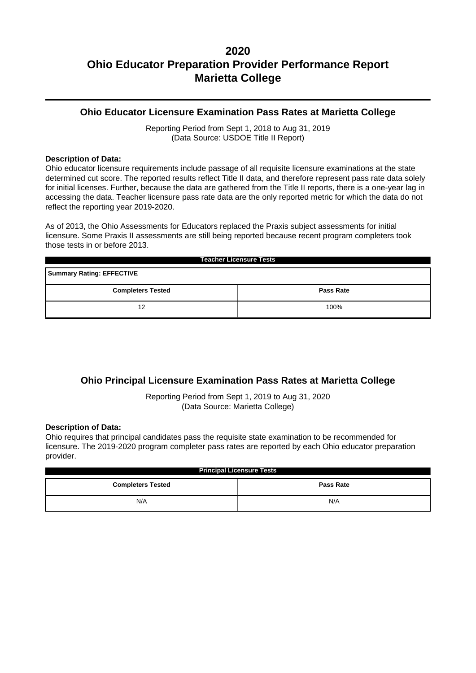### **Ohio Educator Licensure Examination Pass Rates at Marietta College**

Reporting Period from Sept 1, 2018 to Aug 31, 2019 (Data Source: USDOE Title II Report)

#### **Description of Data:**

Ohio educator licensure requirements include passage of all requisite licensure examinations at the state determined cut score. The reported results reflect Title II data, and therefore represent pass rate data solely for initial licenses. Further, because the data are gathered from the Title II reports, there is a one-year lag in accessing the data. Teacher licensure pass rate data are the only reported metric for which the data do not reflect the reporting year 2019-2020.

As of 2013, the Ohio Assessments for Educators replaced the Praxis subject assessments for initial licensure. Some Praxis II assessments are still being reported because recent program completers took those tests in or before 2013.

| <b>Teacher Licensure Tests</b>               |      |  |  |  |  |
|----------------------------------------------|------|--|--|--|--|
| <b>Summary Rating: EFFECTIVE</b>             |      |  |  |  |  |
| <b>Completers Tested</b><br><b>Pass Rate</b> |      |  |  |  |  |
| 12                                           | 100% |  |  |  |  |

### **Ohio Principal Licensure Examination Pass Rates at Marietta College**

Reporting Period from Sept 1, 2019 to Aug 31, 2020 (Data Source: Marietta College)

#### **Description of Data:**

Ohio requires that principal candidates pass the requisite state examination to be recommended for licensure. The 2019-2020 program completer pass rates are reported by each Ohio educator preparation provider.

| <b>Principal Licensure Tests</b>             |     |  |  |  |
|----------------------------------------------|-----|--|--|--|
| <b>Completers Tested</b><br><b>Pass Rate</b> |     |  |  |  |
| N/A                                          | N/A |  |  |  |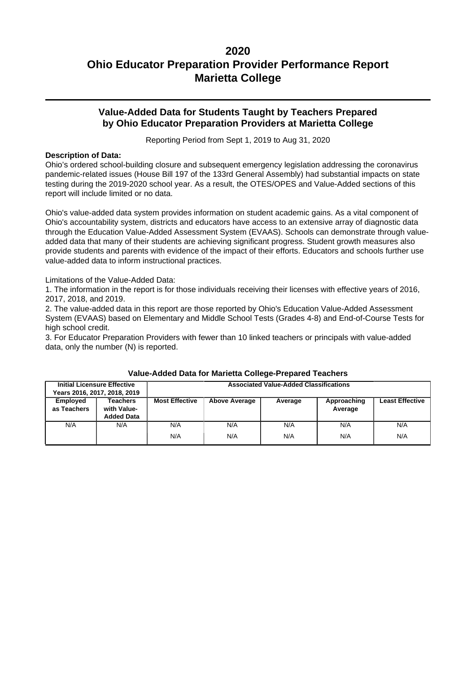### **Value-Added Data for Students Taught by Teachers Prepared by Ohio Educator Preparation Providers at Marietta College**

Reporting Period from Sept 1, 2019 to Aug 31, 2020

### **Description of Data:**

Ohio's ordered school-building closure and subsequent emergency legislation addressing the coronavirus pandemic-related issues (House Bill 197 of the 133rd General Assembly) had substantial impacts on state testing during the 2019-2020 school year. As a result, the OTES/OPES and Value-Added sections of this report will include limited or no data.

Ohio's value-added data system provides information on student academic gains. As a vital component of Ohio's accountability system, districts and educators have access to an extensive array of diagnostic data through the Education Value-Added Assessment System (EVAAS). Schools can demonstrate through valueadded data that many of their students are achieving significant progress. Student growth measures also provide students and parents with evidence of the impact of their efforts. Educators and schools further use value-added data to inform instructional practices.

Limitations of the Value-Added Data:

1. The information in the report is for those individuals receiving their licenses with effective years of 2016, 2017, 2018, and 2019.

2. The value-added data in this report are those reported by Ohio's Education Value-Added Assessment System (EVAAS) based on Elementary and Middle School Tests (Grades 4-8) and End-of-Course Tests for high school credit.

3. For Educator Preparation Providers with fewer than 10 linked teachers or principals with value-added data, only the number (N) is reported.

|                         | <b>Initial Licensure Effective</b><br>Years 2016, 2017, 2018, 2019 | <b>Associated Value-Added Classifications</b> |                      |         |                        |                        |
|-------------------------|--------------------------------------------------------------------|-----------------------------------------------|----------------------|---------|------------------------|------------------------|
| Employed<br>as Teachers | Teachers<br>with Value-<br><b>Added Data</b>                       | <b>Most Effective</b>                         | <b>Above Average</b> | Average | Approaching<br>Average | <b>Least Effective</b> |
| N/A                     | N/A                                                                | N/A                                           | N/A                  | N/A     | N/A                    | N/A                    |
|                         |                                                                    | N/A                                           | N/A                  | N/A     | N/A                    | N/A                    |

#### **Value-Added Data for Marietta College-Prepared Teachers**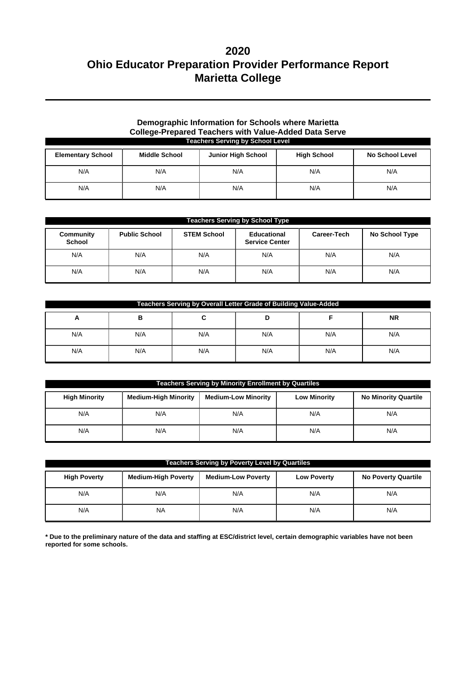### **Demographic Information for Schools where Marietta College-Prepared Teachers with Value-Added Data Serve Teachers Serving by School Level**

| <b>Elementary School</b> | <b>Middle School</b> | <b>Junior High School</b> | <b>High School</b> | <b>No School Level</b> |
|--------------------------|----------------------|---------------------------|--------------------|------------------------|
| N/A                      | N/A                  | N/A                       | N/A                | N/A                    |
| N/A                      | N/A                  | N/A                       | N/A                | N/A                    |

| <b>Teachers Serving by School Type</b> |                      |                    |                                      |             |                |  |
|----------------------------------------|----------------------|--------------------|--------------------------------------|-------------|----------------|--|
| Community<br><b>School</b>             | <b>Public School</b> | <b>STEM School</b> | Educational<br><b>Service Center</b> | Career-Tech | No School Type |  |
| N/A                                    | N/A                  | N/A                | N/A                                  | N/A         | N/A            |  |
| N/A                                    | N/A                  | N/A                | N/A                                  | N/A         | N/A            |  |

| Teachers Serving by Overall Letter Grade of Building Value-Added |     |     |     |     |           |  |
|------------------------------------------------------------------|-----|-----|-----|-----|-----------|--|
| A                                                                | в   |     |     |     | <b>NR</b> |  |
| N/A                                                              | N/A | N/A | N/A | N/A | N/A       |  |
| N/A                                                              | N/A | N/A | N/A | N/A | N/A       |  |

| <b>Teachers Serving by Minority Enrollment by Quartiles</b> |                             |                            |                     |                             |  |  |
|-------------------------------------------------------------|-----------------------------|----------------------------|---------------------|-----------------------------|--|--|
| <b>High Minority</b>                                        | <b>Medium-High Minority</b> | <b>Medium-Low Minority</b> | <b>Low Minority</b> | <b>No Minority Quartile</b> |  |  |
| N/A                                                         | N/A                         | N/A                        | N/A                 | N/A                         |  |  |
| N/A                                                         | N/A                         | N/A                        | N/A                 | N/A                         |  |  |

| <b>Teachers Serving by Poverty Level by Quartiles</b> |                            |                           |                    |                            |  |  |
|-------------------------------------------------------|----------------------------|---------------------------|--------------------|----------------------------|--|--|
| <b>High Poverty</b>                                   | <b>Medium-High Poverty</b> | <b>Medium-Low Poverty</b> | <b>Low Poverty</b> | <b>No Poverty Quartile</b> |  |  |
| N/A                                                   | N/A                        | N/A                       | N/A                | N/A                        |  |  |
| N/A                                                   | <b>NA</b>                  | N/A                       | N/A                | N/A                        |  |  |

**\* Due to the preliminary nature of the data and staffing at ESC/district level, certain demographic variables have not been reported for some schools.**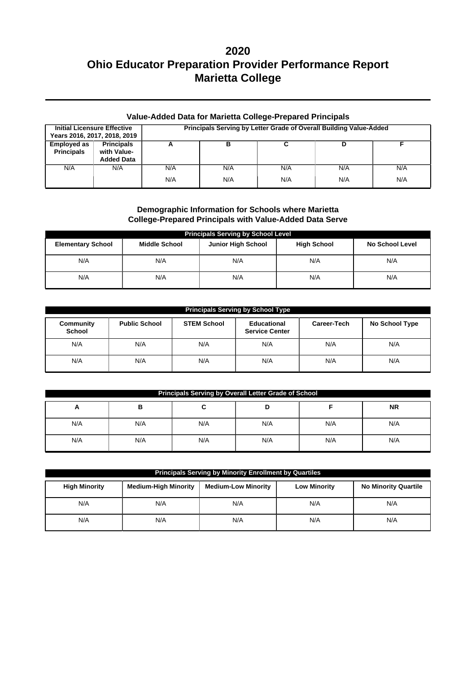| <b>Value-Added Data for Marietta College-Prepared Principals</b> |                                                       |                                                                    |     |     |     |     |  |
|------------------------------------------------------------------|-------------------------------------------------------|--------------------------------------------------------------------|-----|-----|-----|-----|--|
| <b>Initial Licensure Effective</b>                               | Years 2016, 2017, 2018, 2019                          | Principals Serving by Letter Grade of Overall Building Value-Added |     |     |     |     |  |
| <b>Employed as</b><br><b>Principals</b>                          | <b>Principals</b><br>with Value-<br><b>Added Data</b> | А                                                                  | в   |     | D   |     |  |
| N/A                                                              | N/A                                                   | N/A                                                                | N/A | N/A | N/A | N/A |  |
|                                                                  |                                                       | N/A                                                                | N/A | N/A | N/A | N/A |  |

### **Demographic Information for Schools where Marietta College-Prepared Principals with Value-Added Data Serve**

| <b>Principals Serving by School Level</b> |                      |                           |                    |                        |  |  |  |  |
|-------------------------------------------|----------------------|---------------------------|--------------------|------------------------|--|--|--|--|
| <b>Elementary School</b>                  | <b>Middle School</b> | <b>Junior High School</b> | <b>High School</b> | <b>No School Level</b> |  |  |  |  |
| N/A                                       | N/A                  | N/A                       | N/A                | N/A                    |  |  |  |  |
| N/A                                       | N/A                  | N/A                       | N/A                | N/A                    |  |  |  |  |

| <b>Principals Serving by School Type</b> |                      |                    |                                      |             |                |  |  |  |  |
|------------------------------------------|----------------------|--------------------|--------------------------------------|-------------|----------------|--|--|--|--|
| Community<br><b>School</b>               | <b>Public School</b> | <b>STEM School</b> | Educational<br><b>Service Center</b> | Career-Tech | No School Type |  |  |  |  |
| N/A                                      | N/A                  | N/A                | N/A                                  | N/A         | N/A            |  |  |  |  |
| N/A                                      | N/A                  | N/A                | N/A                                  | N/A         | N/A            |  |  |  |  |

| <b>Principals Serving by Overall Letter Grade of School</b> |     |     |     |     |     |  |  |  |
|-------------------------------------------------------------|-----|-----|-----|-----|-----|--|--|--|
| <b>NR</b><br>в<br>A                                         |     |     |     |     |     |  |  |  |
| N/A                                                         | N/A | N/A | N/A | N/A | N/A |  |  |  |
| N/A                                                         | N/A | N/A | N/A | N/A | N/A |  |  |  |

| Principals Serving by Minority Enrollment by Quartiles |                             |                            |                     |                             |  |  |  |  |
|--------------------------------------------------------|-----------------------------|----------------------------|---------------------|-----------------------------|--|--|--|--|
| <b>High Minority</b>                                   | <b>Medium-High Minority</b> | <b>Medium-Low Minority</b> | <b>Low Minority</b> | <b>No Minority Quartile</b> |  |  |  |  |
| N/A                                                    | N/A                         | N/A                        | N/A                 | N/A                         |  |  |  |  |
| N/A                                                    | N/A                         | N/A                        | N/A                 | N/A                         |  |  |  |  |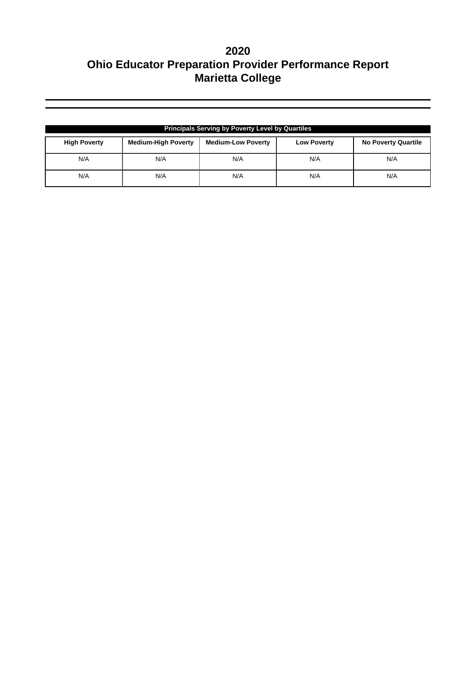| <b>Principals Serving by Poverty Level by Quartiles</b> |                            |                           |                    |                            |  |  |  |
|---------------------------------------------------------|----------------------------|---------------------------|--------------------|----------------------------|--|--|--|
| <b>High Poverty</b>                                     | <b>Medium-High Poverty</b> | <b>Medium-Low Poverty</b> | <b>Low Poverty</b> | <b>No Poverty Quartile</b> |  |  |  |
| N/A                                                     | N/A                        | N/A                       | N/A                | N/A                        |  |  |  |
| N/A                                                     | N/A                        | N/A                       | N/A                | N/A                        |  |  |  |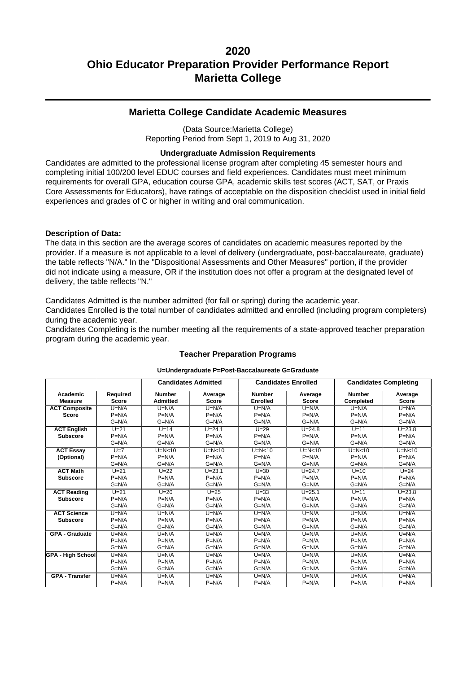### **Marietta College Candidate Academic Measures**

(Data Source:Marietta College) Reporting Period from Sept 1, 2019 to Aug 31, 2020

### **Undergraduate Admission Requirements**

Candidates are admitted to the professional license program after completing 45 semester hours and completing initial 100/200 level EDUC courses and field experiences. Candidates must meet minimum requirements for overall GPA, education course GPA, academic skills test scores (ACT, SAT, or Praxis Core Assessments for Educators), have ratings of acceptable on the disposition checklist used in initial field experiences and grades of C or higher in writing and oral communication.

### **Description of Data:**

The data in this section are the average scores of candidates on academic measures reported by the provider. If a measure is not applicable to a level of delivery (undergraduate, post-baccalaureate, graduate) the table reflects "N/A." In the "Dispositional Assessments and Other Measures" portion, if the provider did not indicate using a measure, OR if the institution does not offer a program at the designated level of delivery, the table reflects "N."

Candidates Admitted is the number admitted (for fall or spring) during the academic year. Candidates Enrolled is the total number of candidates admitted and enrolled (including program completers) during the academic year.

Candidates Completing is the number meeting all the requirements of a state-approved teacher preparation program during the academic year.

|                          |              | <b>Candidates Admitted</b> |              | <b>Candidates Enrolled</b> |            |               | <b>Candidates Completing</b> |
|--------------------------|--------------|----------------------------|--------------|----------------------------|------------|---------------|------------------------------|
| Academic                 | Required     | <b>Number</b>              | Average      | <b>Number</b>              | Average    | <b>Number</b> | Average                      |
| <b>Measure</b>           | <b>Score</b> | <b>Admitted</b>            | <b>Score</b> | <b>Enrolled</b>            | Score      | Completed     | <b>Score</b>                 |
| <b>ACT Composite</b>     | $U=N/A$      | $U=N/A$                    | $U=N/A$      | $U=N/A$                    | $U=N/A$    | $U=N/A$       | $U=N/A$                      |
| <b>Score</b>             | $P=N/A$      | $P=N/A$                    | $P=N/A$      | $P=N/A$                    | $P=N/A$    | $P=N/A$       | $P=N/A$                      |
|                          | $G=N/A$      | $G=N/A$                    | $G=N/A$      | $G=N/A$                    | $G=N/A$    | $G=N/A$       | $G=N/A$                      |
| <b>ACT English</b>       | $U=21$       | $U=14$                     | $U = 24.1$   | $U = 29$                   | $U = 24.8$ | $U=11$        | $U = 23.8$                   |
| <b>Subscore</b>          | $P=N/A$      | $P=N/A$                    | $P=N/A$      | $P=N/A$                    | $P=N/A$    | $P=N/A$       | $P=N/A$                      |
|                          | $G=N/A$      | $G=N/A$                    | $G=N/A$      | $G=N/A$                    | $G=N/A$    | $G=N/A$       | $G=N/A$                      |
| <b>ACT Essay</b>         | $1J=7$       | $U=N<10$                   | $U=N<10$     | $U=N<10$                   | $U=N<10$   | $U=N<10$      | $U=N<10$                     |
| (Optional)               | $P=N/A$      | $P=N/A$                    | $P=N/A$      | $P=N/A$                    | $P=N/A$    | $P=N/A$       | $P=N/A$                      |
|                          | $G=N/A$      | $G=N/A$                    | $G=N/A$      | $G=N/A$                    | $G=N/A$    | $G=N/A$       | $G=N/A$                      |
| <b>ACT Math</b>          | $U=21$       | $U=22$                     | $U = 23.1$   | $U = 30$                   | $U = 24.7$ | $U=10$        | $U=24$                       |
| <b>Subscore</b>          | $P=N/A$      | $P=N/A$                    | $P=N/A$      | $P=N/A$                    | $P=N/A$    | $P=N/A$       | $P=N/A$                      |
|                          | $G=N/A$      | $G=N/A$                    | $G=N/A$      | $G=N/A$                    | $G=N/A$    | $G=N/A$       | $G=N/A$                      |
| <b>ACT Reading</b>       | $U=21$       | $U=20$                     | $U = 25$     | $U=33$                     | $U = 25.1$ | $U=11$        | $U = 23.8$                   |
| <b>Subscore</b>          | $P=N/A$      | $P=N/A$                    | $P=N/A$      | $P=N/A$                    | $P=N/A$    | $P=N/A$       | $P=N/A$                      |
|                          | $G=N/A$      | $G=N/A$                    | $G=N/A$      | $G=N/A$                    | $G=N/A$    | $G=N/A$       | $G=N/A$                      |
| <b>ACT Science</b>       | $U=N/A$      | $U=N/A$                    | $U=N/A$      | $U=N/A$                    | $U=N/A$    | $U=N/A$       | $U=N/A$                      |
| <b>Subscore</b>          | $P=N/A$      | $P=N/A$                    | $P=N/A$      | $P=N/A$                    | $P=N/A$    | $P=N/A$       | $P=N/A$                      |
|                          | $G=N/A$      | $G=N/A$                    | $G=N/A$      | $G=N/A$                    | $G=N/A$    | $G=N/A$       | $G=N/A$                      |
| <b>GPA - Graduate</b>    | $U=N/A$      | $U=N/A$                    | $U=N/A$      | $U=N/A$                    | $U=N/A$    | $U=N/A$       | $U=N/A$                      |
|                          | $P=N/A$      | $P=N/A$                    | $P=N/A$      | $P=N/A$                    | $P=N/A$    | $P=N/A$       | $P=N/A$                      |
|                          | $G=N/A$      | $G=N/A$                    | $G=N/A$      | $G=N/A$                    | $G=N/A$    | $G=N/A$       | $G=N/A$                      |
| <b>GPA - High School</b> | $U=N/A$      | $U=N/A$                    | $U=N/A$      | $U=N/A$                    | $U=N/A$    | $U=N/A$       | $U=N/A$                      |
|                          | $P=N/A$      | $P=N/A$                    | $P=N/A$      | $P=N/A$                    | $P=N/A$    | $P=N/A$       | $P=N/A$                      |
|                          | $G=N/A$      | $G=N/A$                    | $G=N/A$      | $G=N/A$                    | $G=N/A$    | $G=N/A$       | $G=N/A$                      |
| <b>GPA - Transfer</b>    | $U=N/A$      | $U=N/A$                    | $U=N/A$      | $U=N/A$                    | $U=N/A$    | $U=N/A$       | $U=N/A$                      |
|                          | $P=N/A$      | $P=N/A$                    | $P=N/A$      | $P=N/A$                    | $P=N/A$    | $P=N/A$       | $P=N/A$                      |

## **Teacher Preparation Programs U=Undergraduate P=Post-Baccalaureate G=Graduate**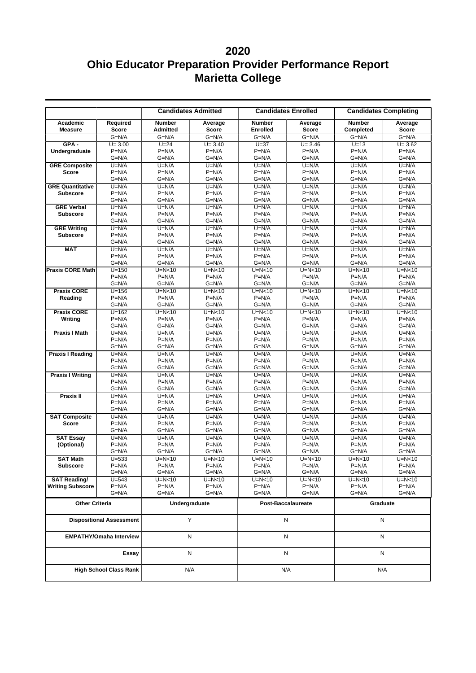|                                                |                                | <b>Candidates Admitted</b> |                     | <b>Candidates Enrolled</b> |                     | <b>Candidates Completing</b> |                      |
|------------------------------------------------|--------------------------------|----------------------------|---------------------|----------------------------|---------------------|------------------------------|----------------------|
| Academic                                       | Required                       | <b>Number</b>              | Average             | <b>Number</b>              | Average             | <b>Number</b>                | Average              |
| <b>Measure</b>                                 | <b>Score</b>                   | <b>Admitted</b>            | <b>Score</b>        | <b>Enrolled</b>            | <b>Score</b>        | Completed                    | Score                |
|                                                | $G=N/A$                        | $G=N/A$                    | $G=N/A$             | $G=N/A$                    | $G=N/A$             | $G=N/A$                      | $G=N/A$              |
| $GPA -$                                        | $U = 3.00$                     | $U=24$                     | $U = 3.40$          | $U=37$                     | $U = 3.46$          | $U=13$                       | $U = 3.62$           |
| Undergraduate                                  | $P=N/A$                        | $P=N/A$                    | $P=N/A$             | $P=N/A$                    | $P=N/A$             | $P=N/A$                      | $P=N/A$              |
|                                                | $G=N/A$                        | $G=N/A$                    | $G=N/A$             | $G=N/A$                    | $G=N/A$             | G=N/A                        | $G=N/A$              |
| <b>GRE Composite</b><br><b>Score</b>           | $U=N/A$<br>$P=N/A$             | $U=N/A$<br>$P=N/A$         | $U=N/A$<br>$P=N/A$  | $U=N/A$<br>$P=N/A$         | $U=N/A$<br>$P=N/A$  | $U=N/A$<br>$P=N/A$           | $U=N/A$<br>$P=N/A$   |
|                                                | $G=N/A$                        | G=N/A                      | $G=N/A$             | $G=N/A$                    | G=N/A               | $G=N/A$                      | $G=N/A$              |
| <b>GRE Quantitative</b>                        | $U=N/A$                        | $U=N/A$                    | $U=N/A$             | $U=N/A$                    | $U=N/A$             | $U=N/A$                      | $U=N/A$              |
| <b>Subscore</b>                                | $P=N/A$                        | $P=N/A$                    | $P=N/A$             | $P=N/A$                    | $P=N/A$             | $P=N/A$                      | $P=N/A$              |
|                                                | $G=N/A$                        | $G=N/A$                    | $G=N/A$             | $G=N/A$                    | $G=N/A$             | $G=N/A$                      | $G=N/A$              |
| <b>GRE Verbal</b>                              | $U=N/A$                        | $U=N/A$                    | $U=N/A$             | $U=N/A$                    | $U=N/A$             | $U=N/A$                      | $U=N/A$              |
| <b>Subscore</b>                                | $P=N/A$                        | $P=N/A$                    | $P=N/A$             | $P=N/A$                    | $P=N/A$             | $P=N/A$                      | $P=N/A$              |
|                                                | $G=N/A$                        | $G=N/A$                    | $G=N/A$             | $G=N/A$                    | $G=N/A$             | $G=N/A$                      | $G=N/A$              |
| <b>GRE Writing</b>                             | $U=N/A$                        | $U=N/A$                    | $U=N/A$             | $U=N/A$                    | $U=N/A$             | $U=N/A$                      | $U=N/A$              |
| <b>Subscore</b>                                | $P=N/A$                        | $P=N/A$                    | $P=N/A$             | $P=N/A$                    | $P=N/A$             | $P=N/A$                      | $P=N/A$              |
| <b>MAT</b>                                     | $G=N/A$<br>$U=N/A$             | $G=N/A$<br>$U=N/A$         | $G=N/A$<br>$U=N/A$  | $G=N/A$<br>$U=N/A$         | $G=N/A$<br>$U=N/A$  | $G=N/A$                      | $G=N/A$<br>$U=N/A$   |
|                                                | $P=N/A$                        | $P=N/A$                    | $P=N/A$             | $P=N/A$                    | $P=N/A$             | $U=N/A$<br>$P=N/A$           | $P=N/A$              |
|                                                | $G=N/A$                        | $G=N/A$                    | $G=N/A$             | $G=N/A$                    | $G=N/A$             | $G=N/A$                      | $G=N/A$              |
| <b>Praxis CORE Math</b>                        | $U = 150$                      | $U=N<10$                   | $U=N<10$            | $U=N<10$                   | $U=N<10$            | $U=N<10$                     | $\overline{U}$ =N<10 |
|                                                | $P=N/A$                        | $P=N/A$                    | $P=N/A$             | $P=N/A$                    | $P=N/A$             | $P=N/A$                      | $P=N/A$              |
|                                                | $G=N/A$                        | $G=N/A$                    | $G=N/A$             | $G=N/A$                    | $G=N/A$             | $G=N/A$                      | $G=N/A$              |
| <b>Praxis CORE</b>                             | $U = 156$                      | $U=N<10$                   | $U=N<10$            | $U=N<10$                   | $U=N<10$            | $U=N<10$                     | $U=N<10$             |
| Reading                                        | $P=N/A$                        | $P=N/A$                    | $P=N/A$             | $P=N/A$                    | $P=N/A$             | $P=N/A$                      | $P=N/A$              |
|                                                | $G=N/A$                        | $G=N/A$                    | $G=N/A$             | $G=N/A$                    | $G=N/A$             | $G=N/A$                      | $G=N/A$              |
| <b>Praxis CORE</b>                             | $U = 162$                      | $U=N<10$                   | $U=N<10$            | $U=N<10$                   | $U=N<10$            | $U=N<10$                     | $U=N<10$             |
| Writing                                        | $P=N/A$<br>$G=N/A$             | $P=N/A$<br>$G=N/A$         | $P=N/A$<br>$G=N/A$  | $P=N/A$<br>$G=N/A$         | $P=N/A$<br>$G=N/A$  | $P=N/A$<br>$G=N/A$           | $P=N/A$<br>$G=N/A$   |
| <b>Praxis I Math</b>                           | $U=N/A$                        | $U=N/A$                    | $U=N/A$             | $U=N/A$                    | $U=N/A$             | $U=N/A$                      | $U=N/A$              |
|                                                | $P=N/A$                        | $P=N/A$                    | $P=N/A$             | $P=N/A$                    | $P=N/A$             | $P=N/A$                      | $P=N/A$              |
|                                                | $G=N/A$                        | $G=N/A$                    | $G=N/A$             | $G=N/A$                    | G=N/A               | $G=N/A$                      | $G=N/A$              |
| <b>Praxis I Reading</b>                        | $U=N/A$                        | $U=N/A$                    | $U=N/A$             | $U=N/A$                    | $U=N/A$             | $U=N/A$                      | $U=N/A$              |
|                                                | $P=N/A$                        | $P=N/A$                    | $P=N/A$             | $P=N/A$                    | $P=N/A$             | $P=N/A$                      | $P=N/A$              |
|                                                | $G=N/A$                        | $G=N/A$                    | $G=N/A$             | $G=N/A$                    | $G=N/A$             | $G=N/A$                      | $G=N/A$              |
| <b>Praxis I Writing</b>                        | $U=N/A$                        | $U=N/A$                    | $U=N/A$             | $U=N/A$                    | $U=N/A$             | $U=N/A$                      | $U=N/A$              |
|                                                | $P=N/A$                        | $P=N/A$                    | $P=N/A$             | $P=N/A$                    | $P=N/A$             | $P=N/A$                      | $P=N/A$              |
|                                                | $G=N/A$                        | $G=N/A$                    | $G=N/A$             | $G=N/A$                    | $G=N/A$             | $G=N/A$                      | $G=N/A$              |
| Praxis II                                      | $U=N/A$<br>$P=N/A$             | $U=N/A$                    | $U=N/A$             | $U=N/A$<br>$P=N/A$         | $U=N/A$             | $U=N/A$<br>$P=N/A$           | $U=N/A$              |
|                                                | $G=N/A$                        | $P=N/A$<br>$G=N/A$         | $P=N/A$<br>$G=N/A$  | $G=N/A$                    | $P=N/A$<br>G=N/A    | $G=N/A$                      | $P=N/A$<br>$G=N/A$   |
| <b>SAT Composite</b>                           | $U=N/A$                        | $U=N/A$                    | $U=N/A$             | $U=N/A$                    | $U=N/A$             | $U=N/A$                      | $U=N/A$              |
| <b>Score</b>                                   | $P=N/A$                        | $P=N/A$                    | $P=N/A$             | $P=N/A$                    | $P=N/A$             | $P=N/A$                      | $P=N/A$              |
|                                                | $G=N/A$                        | $G=N/A$                    | $G=N/A$             | $G=N/A$                    | $G=N/A$             | $G=N/A$                      | $G=N/A$              |
| <b>SAT Essay</b>                               | $U=N/A$                        | $U=N/A$                    | $U=N/A$             | $U=N/A$                    | $U=N/A$             | $U=N/A$                      | $U=N/A$              |
| (Optional)                                     | $P=N/A$                        | $P=N/A$                    | $P=N/A$             | $P=N/A$                    | $P=N/A$             | $P=N/A$                      | $P=N/A$              |
|                                                | $G=N/A$                        | $G=N/A$                    | $G=N/A$             | $G=N/A$                    | $G=N/A$             | $G=N/A$                      | $G=N/A$              |
| <b>SAT Math</b>                                | $U = 533$                      | $U=N<10$                   | $U=N<10$            | $U=N<10$                   | $U=N<10$            | $U=N<10$                     | $U=N<10$             |
| <b>Subscore</b>                                | $P=N/A$                        | $P=N/A$                    | $P=N/A$             | $P=N/A$                    | $P=N/A$             | $P=N/A$                      | $P=N/A$              |
|                                                | G=N/A                          | G=N/A                      | $G=N/A$<br>$U=N<10$ | $G=N/A$                    | G=N/A               | $G=N/A$                      | $G=N/A$              |
| <b>SAT Reading/</b><br><b>Writing Subscore</b> | $U = 543$<br>$P=N/A$           | $U=N<10$<br>$P=N/A$        | $P=N/A$             | $U=N<10$<br>$P=N/A$        | $U=N<10$<br>$P=N/A$ | $U=N<10$<br>$P=N/A$          | $U=N<10$<br>$P=N/A$  |
|                                                | $G=N/A$                        | $G=N/A$                    | $G=N/A$             | $G=N/A$                    | G=N/A               | $G=N/A$                      | $G=N/A$              |
|                                                |                                |                            |                     |                            |                     |                              |                      |
| <b>Other Criteria</b>                          |                                |                            | Undergraduate       |                            | Post-Baccalaureate  | Graduate                     |                      |
| <b>Dispositional Assessment</b>                |                                |                            | Y                   |                            | N                   | N                            |                      |
|                                                | <b>EMPATHY/Omaha Interview</b> |                            | N                   | N                          |                     | N                            |                      |
|                                                | Essay                          |                            | N                   |                            | N                   | N                            |                      |
| <b>High School Class Rank</b>                  |                                |                            | N/A                 |                            | N/A                 |                              | N/A                  |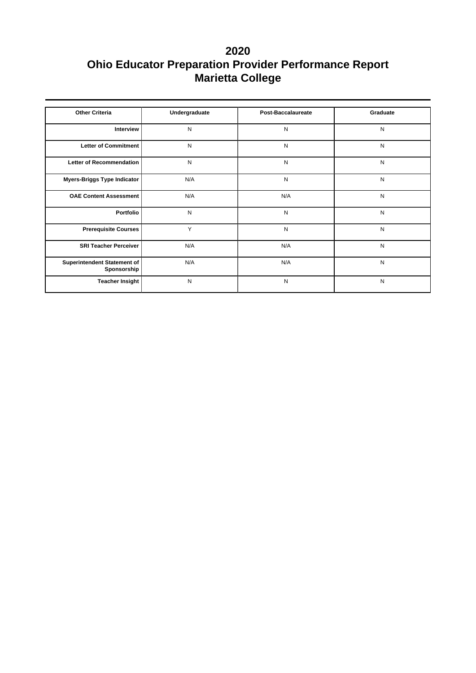| <b>Other Criteria</b>                      | Undergraduate | <b>Post-Baccalaureate</b> | Graduate  |
|--------------------------------------------|---------------|---------------------------|-----------|
| <b>Interview</b>                           | N             | N                         | N         |
| Letter of Commitment                       | N             | N                         | ${\sf N}$ |
| Letter of Recommendation                   | N             | N                         | ${\sf N}$ |
| Myers-Briggs Type Indicator                | N/A           | N                         | N         |
| <b>OAE Content Assessment</b>              | N/A           | N/A                       | ${\sf N}$ |
| Portfolio                                  | N             | N                         | ${\sf N}$ |
| <b>Prerequisite Courses</b>                | Y             | N                         | N         |
| <b>SRI Teacher Perceiver</b>               | N/A           | N/A                       | ${\sf N}$ |
| Superintendent Statement of<br>Sponsorship | N/A           | N/A                       | N         |
| <b>Teacher Insight</b>                     | N             | N                         | N         |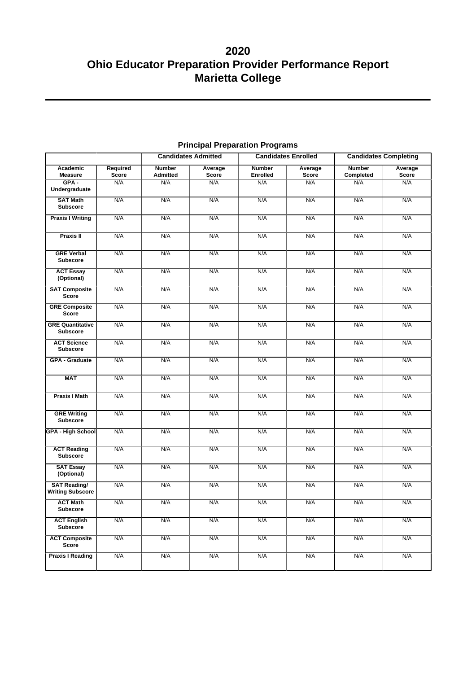|                                                |                   |                           | <b>Candidates Admitted</b> | <b>Candidates Enrolled</b> |                  | <b>Candidates Completing</b> |                  |
|------------------------------------------------|-------------------|---------------------------|----------------------------|----------------------------|------------------|------------------------------|------------------|
| Academic<br><b>Measure</b>                     | Required<br>Score | <b>Number</b><br>Admitted | Average<br>Score           | <b>Number</b><br>Enrolled  | Average<br>Score | <b>Number</b><br>Completed   | Average<br>Score |
| $GPA -$<br>Undergraduate                       | N/A               | N/A                       | N/A                        | N/A                        | N/A              | N/A                          | N/A              |
| <b>SAT Math</b><br><b>Subscore</b>             | N/A               | N/A                       | N/A                        | N/A                        | N/A              | N/A                          | N/A              |
| <b>Praxis I Writing</b>                        | N/A               | N/A                       | N/A                        | N/A                        | N/A              | N/A                          | N/A              |
| <b>Praxis II</b>                               | N/A               | N/A                       | N/A                        | N/A                        | N/A              | N/A                          | N/A              |
| <b>GRE Verbal</b><br><b>Subscore</b>           | N/A               | N/A                       | N/A                        | N/A                        | N/A              | N/A                          | N/A              |
| <b>ACT Essay</b><br>(Optional)                 | N/A               | N/A                       | N/A                        | N/A                        | N/A              | N/A                          | N/A              |
| <b>SAT Composite</b><br><b>Score</b>           | N/A               | N/A                       | N/A                        | N/A                        | N/A              | N/A                          | N/A              |
| <b>GRE Composite</b><br><b>Score</b>           | N/A               | N/A                       | N/A                        | N/A                        | N/A              | N/A                          | N/A              |
| <b>GRE Quantitative</b><br><b>Subscore</b>     | N/A               | N/A                       | N/A                        | N/A                        | N/A              | N/A                          | N/A              |
| <b>ACT Science</b><br><b>Subscore</b>          | N/A               | N/A                       | N/A                        | N/A                        | N/A              | N/A                          | N/A              |
| <b>GPA - Graduate</b>                          | N/A               | N/A                       | N/A                        | N/A                        | N/A              | N/A                          | N/A              |
| <b>MAT</b>                                     | N/A               | N/A                       | N/A                        | N/A                        | N/A              | N/A                          | N/A              |
| <b>Praxis I Math</b>                           | N/A               | N/A                       | N/A                        | N/A                        | N/A              | N/A                          | N/A              |
| <b>GRE Writing</b><br><b>Subscore</b>          | N/A               | N/A                       | N/A                        | N/A                        | N/A              | N/A                          | N/A              |
| <b>GPA - High School</b>                       | N/A               | N/A                       | N/A                        | N/A                        | N/A              | N/A                          | N/A              |
| <b>ACT Reading</b><br><b>Subscore</b>          | N/A               | N/A                       | N/A                        | N/A                        | N/A              | N/A                          | N/A              |
| <b>SAT Essay</b><br>(Optional)                 | N/A               | N/A                       | N/A                        | N/A                        | N/A              | N/A                          | N/A              |
| <b>SAT Reading/</b><br><b>Writing Subscore</b> | N/A               | N/A                       | N/A                        | N/A                        | N/A              | N/A                          | N/A              |
| <b>ACT Math</b><br>Subscore                    | N/A               | N/A                       | N/A                        | N/A                        | N/A              | N/A                          | N/A              |
| <b>ACT English</b><br>Subscore                 | N/A               | N/A                       | N/A                        | N/A                        | N/A              | N/A                          | N/A              |
| <b>ACT Composite</b><br>Score                  | N/A               | N/A                       | N/A                        | N/A                        | N/A              | N/A                          | N/A              |
| <b>Praxis I Reading</b>                        | N/A               | N/A                       | N/A                        | N/A                        | N/A              | N/A                          | N/A              |

## **Principal Preparation Programs**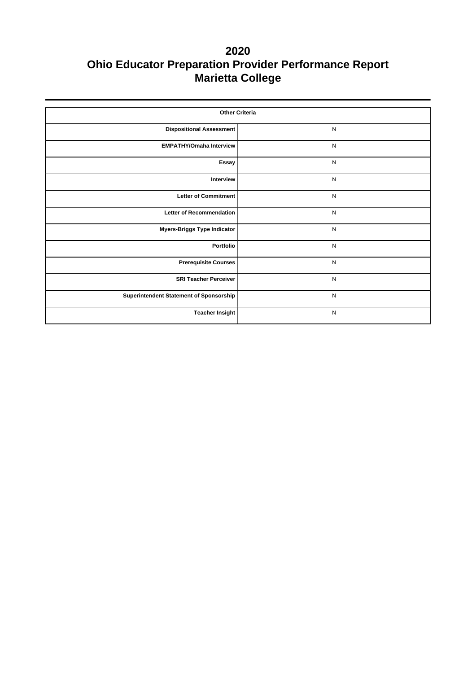| <b>Other Criteria</b>                   |              |  |  |  |  |  |
|-----------------------------------------|--------------|--|--|--|--|--|
| <b>Dispositional Assessment</b>         | $\mathsf{N}$ |  |  |  |  |  |
| <b>EMPATHY/Omaha Interview</b>          | $\mathsf{N}$ |  |  |  |  |  |
| Essay                                   | $\mathsf{N}$ |  |  |  |  |  |
| Interview                               | $\mathsf{N}$ |  |  |  |  |  |
| <b>Letter of Commitment</b>             | $\mathsf{N}$ |  |  |  |  |  |
| Letter of Recommendation                | $\mathsf{N}$ |  |  |  |  |  |
| <b>Myers-Briggs Type Indicator</b>      | $\mathsf{N}$ |  |  |  |  |  |
| Portfolio                               | $\mathsf{N}$ |  |  |  |  |  |
| <b>Prerequisite Courses</b>             | $\mathsf{N}$ |  |  |  |  |  |
| <b>SRI Teacher Perceiver</b>            | $\mathsf{N}$ |  |  |  |  |  |
| Superintendent Statement of Sponsorship | $\mathsf{N}$ |  |  |  |  |  |
| <b>Teacher Insight</b>                  | $\mathsf{N}$ |  |  |  |  |  |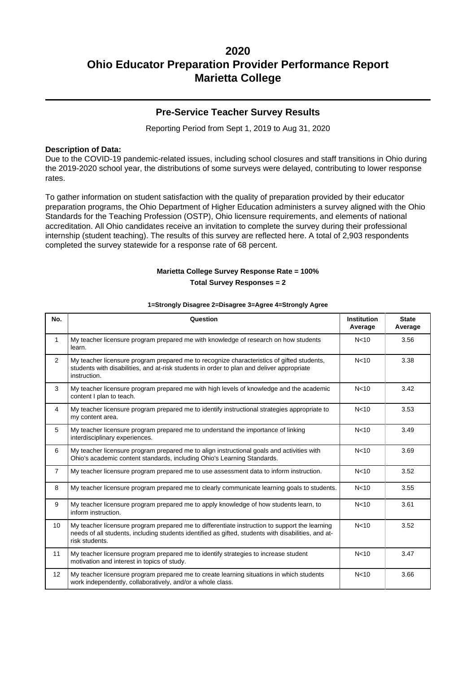### **Pre-Service Teacher Survey Results**

Reporting Period from Sept 1, 2019 to Aug 31, 2020

#### **Description of Data:**

Due to the COVID-19 pandemic-related issues, including school closures and staff transitions in Ohio during the 2019-2020 school year, the distributions of some surveys were delayed, contributing to lower response rates.

To gather information on student satisfaction with the quality of preparation provided by their educator preparation programs, the Ohio Department of Higher Education administers a survey aligned with the Ohio Standards for the Teaching Profession (OSTP), Ohio licensure requirements, and elements of national accreditation. All Ohio candidates receive an invitation to complete the survey during their professional internship (student teaching). The results of this survey are reflected here. A total of 2,903 respondents completed the survey statewide for a response rate of 68 percent.

### **Marietta College Survey Response Rate = 100% Total Survey Responses = 2**

| No.              | Question                                                                                                                                                                                                               | <b>Institution</b><br>Average | <b>State</b><br>Average |
|------------------|------------------------------------------------------------------------------------------------------------------------------------------------------------------------------------------------------------------------|-------------------------------|-------------------------|
| $\mathbf{1}$     | My teacher licensure program prepared me with knowledge of research on how students<br>learn.                                                                                                                          | N <sub>10</sub>               | 3.56                    |
| 2                | My teacher licensure program prepared me to recognize characteristics of gifted students,<br>students with disabilities, and at-risk students in order to plan and deliver appropriate<br>instruction.                 | N <sub>10</sub>               | 3.38                    |
| 3                | My teacher licensure program prepared me with high levels of knowledge and the academic<br>content I plan to teach.                                                                                                    | N <sub>10</sub>               | 3.42                    |
| $\overline{4}$   | My teacher licensure program prepared me to identify instructional strategies appropriate to<br>my content area.                                                                                                       | N <sub>10</sub>               | 3.53                    |
| 5                | My teacher licensure program prepared me to understand the importance of linking<br>interdisciplinary experiences.                                                                                                     | N <sub>10</sub>               | 3.49                    |
| 6                | My teacher licensure program prepared me to align instructional goals and activities with<br>Ohio's academic content standards, including Ohio's Learning Standards.                                                   | N <sub>10</sub>               | 3.69                    |
| $\overline{7}$   | My teacher licensure program prepared me to use assessment data to inform instruction.                                                                                                                                 | N <sub>10</sub>               | 3.52                    |
| 8                | My teacher licensure program prepared me to clearly communicate learning goals to students.                                                                                                                            | N <sub>10</sub>               | 3.55                    |
| 9                | My teacher licensure program prepared me to apply knowledge of how students learn, to<br>inform instruction.                                                                                                           | N <sub>10</sub>               | 3.61                    |
| 10 <sup>10</sup> | My teacher licensure program prepared me to differentiate instruction to support the learning<br>needs of all students, including students identified as gifted, students with disabilities, and at-<br>risk students. | N <sub>10</sub>               | 3.52                    |
| 11               | My teacher licensure program prepared me to identify strategies to increase student<br>motivation and interest in topics of study.                                                                                     | N <sub>10</sub>               | 3.47                    |
| 12               | My teacher licensure program prepared me to create learning situations in which students<br>work independently, collaboratively, and/or a whole class.                                                                 | N <sub>10</sub>               | 3.66                    |

#### **1=Strongly Disagree 2=Disagree 3=Agree 4=Strongly Agree**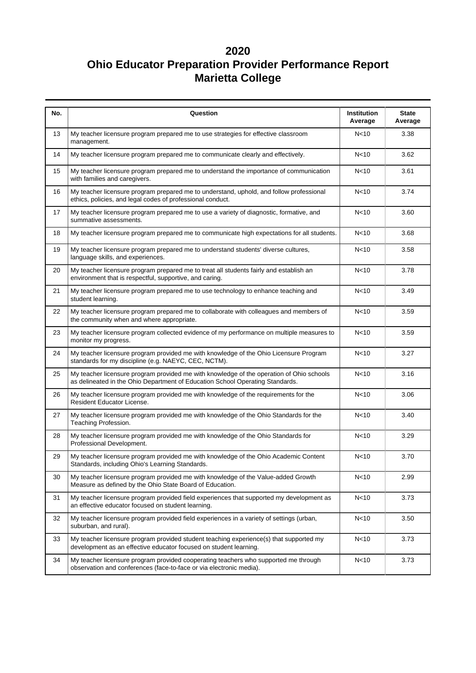| No. | Question                                                                                                                                                                  | Institution<br>Average | <b>State</b><br>Average |
|-----|---------------------------------------------------------------------------------------------------------------------------------------------------------------------------|------------------------|-------------------------|
| 13  | My teacher licensure program prepared me to use strategies for effective classroom<br>management.                                                                         | N <sub>10</sub>        | 3.38                    |
| 14  | My teacher licensure program prepared me to communicate clearly and effectively.                                                                                          | N <sub>10</sub>        | 3.62                    |
| 15  | My teacher licensure program prepared me to understand the importance of communication<br>with families and caregivers.                                                   | N <sub>10</sub>        | 3.61                    |
| 16  | My teacher licensure program prepared me to understand, uphold, and follow professional<br>ethics, policies, and legal codes of professional conduct.                     | N <sub>10</sub>        | 3.74                    |
| 17  | My teacher licensure program prepared me to use a variety of diagnostic, formative, and<br>summative assessments.                                                         | N <sub>10</sub>        | 3.60                    |
| 18  | My teacher licensure program prepared me to communicate high expectations for all students.                                                                               | N <sub>10</sub>        | 3.68                    |
| 19  | My teacher licensure program prepared me to understand students' diverse cultures,<br>language skills, and experiences.                                                   | N <sub>10</sub>        | 3.58                    |
| 20  | My teacher licensure program prepared me to treat all students fairly and establish an<br>environment that is respectful, supportive, and caring.                         | N <sub>10</sub>        | 3.78                    |
| 21  | My teacher licensure program prepared me to use technology to enhance teaching and<br>student learning.                                                                   | N <sub>10</sub>        | 3.49                    |
| 22  | My teacher licensure program prepared me to collaborate with colleagues and members of<br>the community when and where appropriate.                                       | N <sub>10</sub>        | 3.59                    |
| 23  | My teacher licensure program collected evidence of my performance on multiple measures to<br>monitor my progress.                                                         | N<10                   | 3.59                    |
| 24  | My teacher licensure program provided me with knowledge of the Ohio Licensure Program<br>standards for my discipline (e.g. NAEYC, CEC, NCTM).                             |                        | 3.27                    |
| 25  | My teacher licensure program provided me with knowledge of the operation of Ohio schools<br>as delineated in the Ohio Department of Education School Operating Standards. | N <sub>10</sub>        | 3.16                    |
| 26  | My teacher licensure program provided me with knowledge of the requirements for the<br>Resident Educator License.                                                         | N <sub>10</sub>        | 3.06                    |
| 27  | My teacher licensure program provided me with knowledge of the Ohio Standards for the<br>Teaching Profession.                                                             | N <sub>10</sub>        | 3.40                    |
| 28  | My teacher licensure program provided me with knowledge of the Ohio Standards for<br>Professional Development.                                                            | N <sub>10</sub>        | 3.29                    |
| 29  | My teacher licensure program provided me with knowledge of the Ohio Academic Content<br>Standards, including Ohio's Learning Standards.                                   | N <sub>10</sub>        | 3.70                    |
| 30  | My teacher licensure program provided me with knowledge of the Value-added Growth<br>Measure as defined by the Ohio State Board of Education.                             | N<10                   | 2.99                    |
| 31  | My teacher licensure program provided field experiences that supported my development as<br>an effective educator focused on student learning.                            | N <sub>10</sub>        | 3.73                    |
| 32  | My teacher licensure program provided field experiences in a variety of settings (urban,<br>suburban, and rural).                                                         | N <sub>10</sub>        | 3.50                    |
| 33  | My teacher licensure program provided student teaching experience(s) that supported my<br>development as an effective educator focused on student learning.               | N <sub>10</sub>        | 3.73                    |
| 34  | My teacher licensure program provided cooperating teachers who supported me through<br>observation and conferences (face-to-face or via electronic media).                | N<10                   | 3.73                    |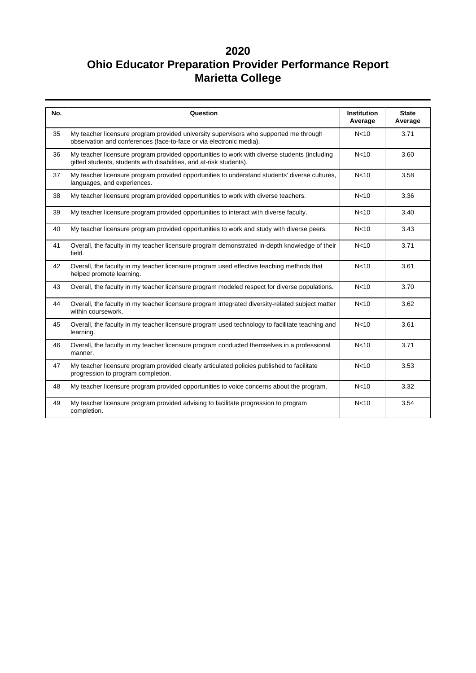| No. | Question                                                                                                                                                            | <b>Institution</b><br>Average | <b>State</b><br>Average |
|-----|---------------------------------------------------------------------------------------------------------------------------------------------------------------------|-------------------------------|-------------------------|
| 35  | My teacher licensure program provided university supervisors who supported me through<br>observation and conferences (face-to-face or via electronic media).        | N <sub>10</sub>               | 3.71                    |
| 36  | My teacher licensure program provided opportunities to work with diverse students (including<br>gifted students, students with disabilities, and at-risk students). | N <sub>10</sub>               | 3.60                    |
| 37  | My teacher licensure program provided opportunities to understand students' diverse cultures,<br>languages, and experiences.                                        | N <sub>10</sub>               | 3.58                    |
| 38  | My teacher licensure program provided opportunities to work with diverse teachers.                                                                                  | N <sub>10</sub>               | 3.36                    |
| 39  | My teacher licensure program provided opportunities to interact with diverse faculty.                                                                               | N <sub>10</sub>               | 3.40                    |
| 40  | My teacher licensure program provided opportunities to work and study with diverse peers.                                                                           | N <sub>10</sub>               | 3.43                    |
| 41  | Overall, the faculty in my teacher licensure program demonstrated in-depth knowledge of their<br>field.                                                             | N <sub>10</sub>               | 3.71                    |
| 42  | Overall, the faculty in my teacher licensure program used effective teaching methods that<br>helped promote learning.                                               | N <sub>10</sub>               | 3.61                    |
| 43  | Overall, the faculty in my teacher licensure program modeled respect for diverse populations.                                                                       | N <sub>10</sub>               | 3.70                    |
| 44  | Overall, the faculty in my teacher licensure program integrated diversity-related subject matter<br>within coursework.                                              | N <sub>10</sub>               | 3.62                    |
| 45  | Overall, the faculty in my teacher licensure program used technology to facilitate teaching and<br>learning.                                                        | N <sub>10</sub>               | 3.61                    |
| 46  | Overall, the faculty in my teacher licensure program conducted themselves in a professional<br>manner.                                                              | N <sub>10</sub>               | 3.71                    |
| 47  | My teacher licensure program provided clearly articulated policies published to facilitate<br>progression to program completion.                                    | N <sub>10</sub>               | 3.53                    |
| 48  | My teacher licensure program provided opportunities to voice concerns about the program.                                                                            | N <sub>10</sub>               | 3.32                    |
| 49  | My teacher licensure program provided advising to facilitate progression to program<br>completion.                                                                  | N <sub>10</sub>               | 3.54                    |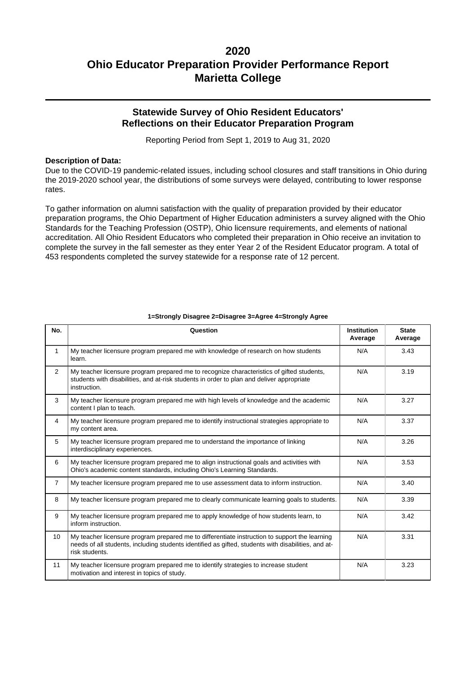### **Statewide Survey of Ohio Resident Educators' Reflections on their Educator Preparation Program**

Reporting Period from Sept 1, 2019 to Aug 31, 2020

#### **Description of Data:**

Due to the COVID-19 pandemic-related issues, including school closures and staff transitions in Ohio during the 2019-2020 school year, the distributions of some surveys were delayed, contributing to lower response rates.

To gather information on alumni satisfaction with the quality of preparation provided by their educator preparation programs, the Ohio Department of Higher Education administers a survey aligned with the Ohio Standards for the Teaching Profession (OSTP), Ohio licensure requirements, and elements of national accreditation. All Ohio Resident Educators who completed their preparation in Ohio receive an invitation to complete the survey in the fall semester as they enter Year 2 of the Resident Educator program. A total of 453 respondents completed the survey statewide for a response rate of 12 percent.

| No.            | Question                                                                                                                                                                                                               | <b>Institution</b><br>Average | <b>State</b><br>Average |
|----------------|------------------------------------------------------------------------------------------------------------------------------------------------------------------------------------------------------------------------|-------------------------------|-------------------------|
| $\mathbf{1}$   | My teacher licensure program prepared me with knowledge of research on how students<br>learn.                                                                                                                          | N/A                           | 3.43                    |
| $\overline{2}$ | My teacher licensure program prepared me to recognize characteristics of gifted students,<br>students with disabilities, and at-risk students in order to plan and deliver appropriate<br>instruction.                 | N/A                           | 3.19                    |
| 3              | My teacher licensure program prepared me with high levels of knowledge and the academic<br>content I plan to teach.                                                                                                    | N/A                           | 3.27                    |
| $\overline{4}$ | My teacher licensure program prepared me to identify instructional strategies appropriate to<br>my content area.                                                                                                       | N/A                           | 3.37                    |
| 5              | My teacher licensure program prepared me to understand the importance of linking<br>interdisciplinary experiences.                                                                                                     | N/A                           | 3.26                    |
| 6              | My teacher licensure program prepared me to align instructional goals and activities with<br>Ohio's academic content standards, including Ohio's Learning Standards.                                                   | N/A                           | 3.53                    |
| $\overline{7}$ | My teacher licensure program prepared me to use assessment data to inform instruction.                                                                                                                                 | N/A                           | 3.40                    |
| 8              | My teacher licensure program prepared me to clearly communicate learning goals to students.                                                                                                                            | N/A                           | 3.39                    |
| 9              | My teacher licensure program prepared me to apply knowledge of how students learn, to<br>inform instruction.                                                                                                           | N/A                           | 3.42                    |
| 10             | My teacher licensure program prepared me to differentiate instruction to support the learning<br>needs of all students, including students identified as gifted, students with disabilities, and at-<br>risk students. | N/A                           | 3.31                    |
| 11             | My teacher licensure program prepared me to identify strategies to increase student<br>motivation and interest in topics of study.                                                                                     | N/A                           | 3.23                    |

#### **1=Strongly Disagree 2=Disagree 3=Agree 4=Strongly Agree**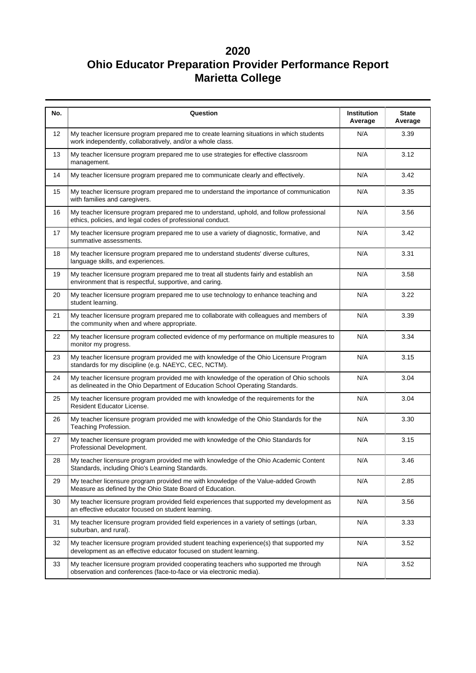| No. | Question                                                                                                                                                                  | Institution<br>Average | <b>State</b><br>Average |
|-----|---------------------------------------------------------------------------------------------------------------------------------------------------------------------------|------------------------|-------------------------|
| 12  | My teacher licensure program prepared me to create learning situations in which students<br>work independently, collaboratively, and/or a whole class.                    | N/A                    | 3.39                    |
| 13  | My teacher licensure program prepared me to use strategies for effective classroom<br>management.                                                                         | N/A                    | 3.12                    |
| 14  | My teacher licensure program prepared me to communicate clearly and effectively.                                                                                          | N/A                    | 3.42                    |
| 15  | My teacher licensure program prepared me to understand the importance of communication<br>with families and caregivers.                                                   | N/A                    | 3.35                    |
| 16  | My teacher licensure program prepared me to understand, uphold, and follow professional<br>ethics, policies, and legal codes of professional conduct.                     | N/A                    | 3.56                    |
| 17  | My teacher licensure program prepared me to use a variety of diagnostic, formative, and<br>summative assessments.                                                         | N/A                    | 3.42                    |
| 18  | My teacher licensure program prepared me to understand students' diverse cultures,<br>language skills, and experiences.                                                   | N/A                    | 3.31                    |
| 19  | My teacher licensure program prepared me to treat all students fairly and establish an<br>environment that is respectful, supportive, and caring.                         | N/A                    | 3.58                    |
| 20  | My teacher licensure program prepared me to use technology to enhance teaching and<br>student learning.                                                                   | N/A                    | 3.22                    |
| 21  | My teacher licensure program prepared me to collaborate with colleagues and members of<br>the community when and where appropriate.                                       | N/A                    | 3.39                    |
| 22  | My teacher licensure program collected evidence of my performance on multiple measures to<br>monitor my progress.                                                         | N/A                    | 3.34                    |
| 23  | My teacher licensure program provided me with knowledge of the Ohio Licensure Program<br>standards for my discipline (e.g. NAEYC, CEC, NCTM).                             | N/A                    | 3.15                    |
| 24  | My teacher licensure program provided me with knowledge of the operation of Ohio schools<br>as delineated in the Ohio Department of Education School Operating Standards. | N/A                    | 3.04                    |
| 25  | My teacher licensure program provided me with knowledge of the requirements for the<br>Resident Educator License.                                                         | N/A                    | 3.04                    |
| 26  | My teacher licensure program provided me with knowledge of the Ohio Standards for the<br>Teaching Profession.                                                             | N/A                    | 3.30                    |
| 27  | My teacher licensure program provided me with knowledge of the Ohio Standards for<br>Professional Development.                                                            | N/A                    | 3.15                    |
| 28  | My teacher licensure program provided me with knowledge of the Ohio Academic Content<br>Standards, including Ohio's Learning Standards.                                   | N/A                    | 3.46                    |
| 29  | My teacher licensure program provided me with knowledge of the Value-added Growth<br>Measure as defined by the Ohio State Board of Education.                             |                        | 2.85                    |
| 30  | My teacher licensure program provided field experiences that supported my development as<br>an effective educator focused on student learning.                            | N/A                    | 3.56                    |
| 31  | My teacher licensure program provided field experiences in a variety of settings (urban,<br>suburban, and rural).                                                         | N/A                    | 3.33                    |
| 32  | My teacher licensure program provided student teaching experience(s) that supported my<br>development as an effective educator focused on student learning.               | N/A                    | 3.52                    |
| 33  | My teacher licensure program provided cooperating teachers who supported me through<br>observation and conferences (face-to-face or via electronic media).                | N/A                    | 3.52                    |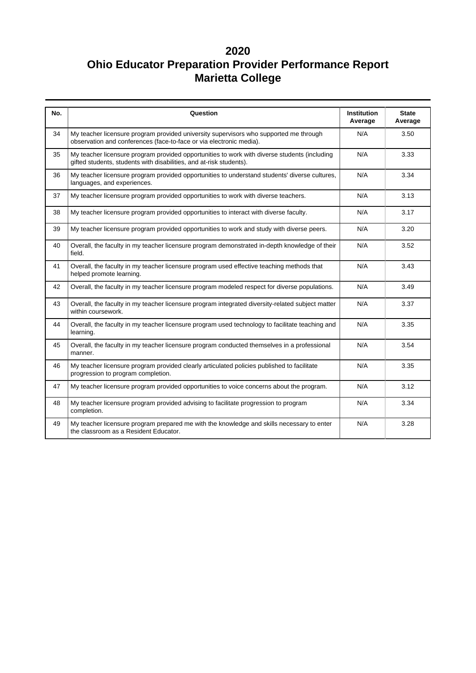| No. | Question                                                                                                                                                            | <b>Institution</b><br>Average | <b>State</b><br>Average |
|-----|---------------------------------------------------------------------------------------------------------------------------------------------------------------------|-------------------------------|-------------------------|
| 34  | My teacher licensure program provided university supervisors who supported me through<br>observation and conferences (face-to-face or via electronic media).        | N/A                           | 3.50                    |
| 35  | My teacher licensure program provided opportunities to work with diverse students (including<br>gifted students, students with disabilities, and at-risk students). | N/A                           | 3.33                    |
| 36  | My teacher licensure program provided opportunities to understand students' diverse cultures,<br>languages, and experiences.                                        | N/A                           | 3.34                    |
| 37  | My teacher licensure program provided opportunities to work with diverse teachers.                                                                                  | N/A                           | 3.13                    |
| 38  | My teacher licensure program provided opportunities to interact with diverse faculty.                                                                               | N/A                           | 3.17                    |
| 39  | My teacher licensure program provided opportunities to work and study with diverse peers.                                                                           | N/A                           | 3.20                    |
| 40  | Overall, the faculty in my teacher licensure program demonstrated in-depth knowledge of their<br>field.                                                             | N/A                           | 3.52                    |
| 41  | Overall, the faculty in my teacher licensure program used effective teaching methods that<br>helped promote learning.                                               |                               | 3.43                    |
| 42  | Overall, the faculty in my teacher licensure program modeled respect for diverse populations.                                                                       | N/A                           | 3.49                    |
| 43  | Overall, the faculty in my teacher licensure program integrated diversity-related subject matter<br>within coursework.                                              | N/A                           | 3.37                    |
| 44  | Overall, the faculty in my teacher licensure program used technology to facilitate teaching and<br>learning.                                                        | N/A                           | 3.35                    |
| 45  | Overall, the faculty in my teacher licensure program conducted themselves in a professional<br>manner.                                                              | N/A                           | 3.54                    |
| 46  | My teacher licensure program provided clearly articulated policies published to facilitate<br>progression to program completion.                                    | N/A                           | 3.35                    |
| 47  | My teacher licensure program provided opportunities to voice concerns about the program.                                                                            | N/A                           | 3.12                    |
| 48  | My teacher licensure program provided advising to facilitate progression to program<br>completion.                                                                  | N/A                           | 3.34                    |
| 49  | My teacher licensure program prepared me with the knowledge and skills necessary to enter<br>the classroom as a Resident Educator.                                  | N/A                           | 3.28                    |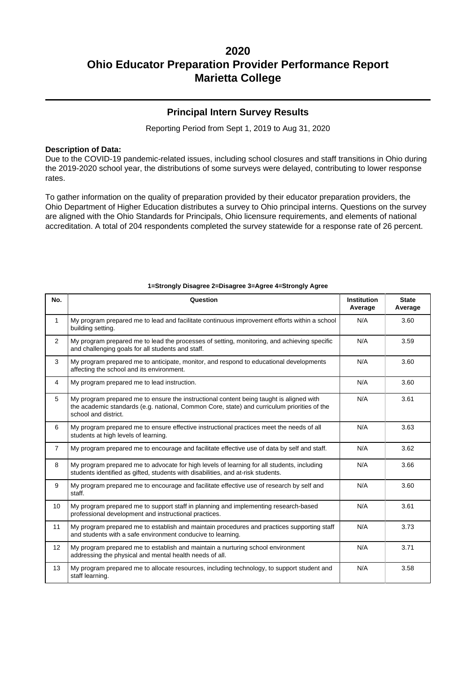### **Principal Intern Survey Results**

Reporting Period from Sept 1, 2019 to Aug 31, 2020

#### **Description of Data:**

Due to the COVID-19 pandemic-related issues, including school closures and staff transitions in Ohio during the 2019-2020 school year, the distributions of some surveys were delayed, contributing to lower response rates.

To gather information on the quality of preparation provided by their educator preparation providers, the Ohio Department of Higher Education distributes a survey to Ohio principal interns. Questions on the survey are aligned with the Ohio Standards for Principals, Ohio licensure requirements, and elements of national accreditation. A total of 204 respondents completed the survey statewide for a response rate of 26 percent.

| No.            | Question                                                                                                                                                                                                       | <b>Institution</b><br>Average | <b>State</b><br>Average |  |  |  |  |  |
|----------------|----------------------------------------------------------------------------------------------------------------------------------------------------------------------------------------------------------------|-------------------------------|-------------------------|--|--|--|--|--|
| 1              | My program prepared me to lead and facilitate continuous improvement efforts within a school<br>building setting.                                                                                              | N/A                           | 3.60                    |  |  |  |  |  |
| $\overline{2}$ | My program prepared me to lead the processes of setting, monitoring, and achieving specific<br>and challenging goals for all students and staff.                                                               | N/A                           | 3.59                    |  |  |  |  |  |
| 3              | My program prepared me to anticipate, monitor, and respond to educational developments<br>affecting the school and its environment.                                                                            | N/A                           | 3.60                    |  |  |  |  |  |
| 4              | My program prepared me to lead instruction.                                                                                                                                                                    | N/A                           | 3.60                    |  |  |  |  |  |
| 5              | My program prepared me to ensure the instructional content being taught is aligned with<br>the academic standards (e.g. national, Common Core, state) and curriculum priorities of the<br>school and district. | N/A                           | 3.61                    |  |  |  |  |  |
| 6              | My program prepared me to ensure effective instructional practices meet the needs of all<br>students at high levels of learning.                                                                               | N/A                           | 3.63                    |  |  |  |  |  |
| $\overline{7}$ | My program prepared me to encourage and facilitate effective use of data by self and staff.                                                                                                                    | N/A                           | 3.62                    |  |  |  |  |  |
| 8              | My program prepared me to advocate for high levels of learning for all students, including<br>students identified as gifted, students with disabilities, and at-risk students.                                 | N/A                           | 3.66                    |  |  |  |  |  |
| 9              | My program prepared me to encourage and facilitate effective use of research by self and<br>staff.                                                                                                             | N/A                           | 3.60                    |  |  |  |  |  |
| 10             | My program prepared me to support staff in planning and implementing research-based<br>professional development and instructional practices.                                                                   | N/A                           | 3.61                    |  |  |  |  |  |
| 11             | My program prepared me to establish and maintain procedures and practices supporting staff<br>and students with a safe environment conducive to learning.                                                      | N/A                           | 3.73                    |  |  |  |  |  |
| 12             | My program prepared me to establish and maintain a nurturing school environment<br>addressing the physical and mental health needs of all.                                                                     | N/A                           | 3.71                    |  |  |  |  |  |
| 13             | My program prepared me to allocate resources, including technology, to support student and<br>staff learning.                                                                                                  | N/A                           | 3.58                    |  |  |  |  |  |

#### **1=Strongly Disagree 2=Disagree 3=Agree 4=Strongly Agree**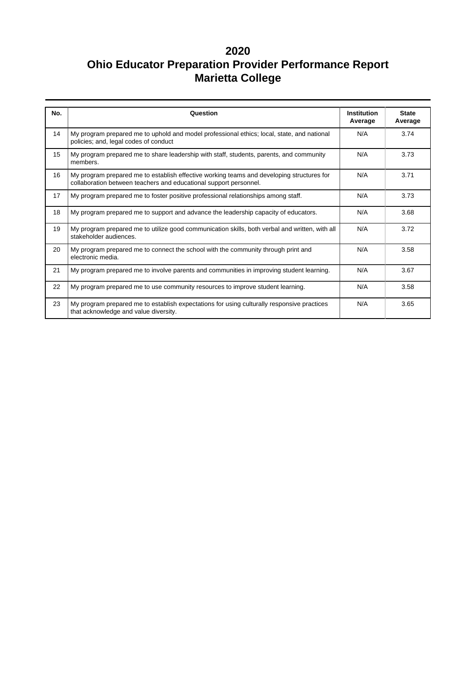| No. | Question                                                                                                                                                       | <b>Institution</b><br>Average | <b>State</b><br>Average |  |
|-----|----------------------------------------------------------------------------------------------------------------------------------------------------------------|-------------------------------|-------------------------|--|
| 14  | My program prepared me to uphold and model professional ethics; local, state, and national<br>policies; and, legal codes of conduct                            | N/A                           | 3.74                    |  |
| 15  | My program prepared me to share leadership with staff, students, parents, and community<br>members.                                                            | N/A                           | 3.73                    |  |
| 16  | My program prepared me to establish effective working teams and developing structures for<br>collaboration between teachers and educational support personnel. | N/A                           | 3.71                    |  |
| 17  | My program prepared me to foster positive professional relationships among staff.                                                                              | N/A                           | 3.73                    |  |
| 18  | My program prepared me to support and advance the leadership capacity of educators.                                                                            | N/A                           | 3.68                    |  |
| 19  | My program prepared me to utilize good communication skills, both verbal and written, with all<br>stakeholder audiences.                                       | N/A                           | 3.72                    |  |
| 20  | My program prepared me to connect the school with the community through print and<br>electronic media.                                                         | N/A                           | 3.58                    |  |
| 21  | My program prepared me to involve parents and communities in improving student learning.                                                                       | N/A                           | 3.67                    |  |
| 22  | My program prepared me to use community resources to improve student learning.                                                                                 | N/A                           | 3.58                    |  |
| 23  | My program prepared me to establish expectations for using culturally responsive practices<br>that acknowledge and value diversity.                            | N/A                           | 3.65                    |  |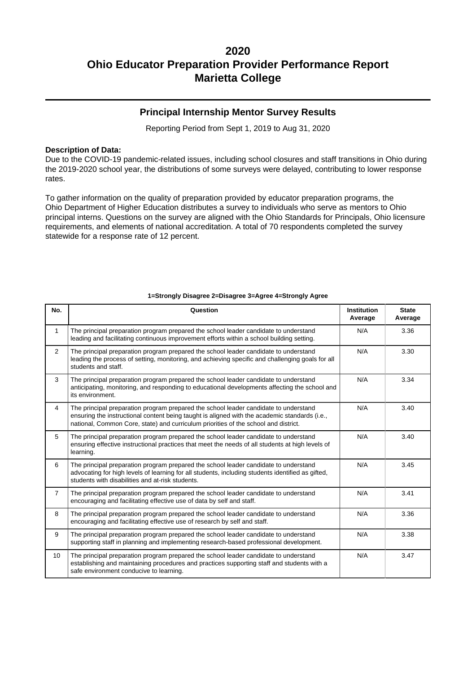### **Principal Internship Mentor Survey Results**

Reporting Period from Sept 1, 2019 to Aug 31, 2020

#### **Description of Data:**

Due to the COVID-19 pandemic-related issues, including school closures and staff transitions in Ohio during the 2019-2020 school year, the distributions of some surveys were delayed, contributing to lower response rates.

To gather information on the quality of preparation provided by educator preparation programs, the Ohio Department of Higher Education distributes a survey to individuals who serve as mentors to Ohio principal interns. Questions on the survey are aligned with the Ohio Standards for Principals, Ohio licensure requirements, and elements of national accreditation. A total of 70 respondents completed the survey statewide for a response rate of 12 percent.

| No.             | Question                                                                                                                                                                                                                                                                     | <b>Institution</b><br>Average | <b>State</b><br>Average |
|-----------------|------------------------------------------------------------------------------------------------------------------------------------------------------------------------------------------------------------------------------------------------------------------------------|-------------------------------|-------------------------|
| $\mathbf{1}$    | The principal preparation program prepared the school leader candidate to understand<br>leading and facilitating continuous improvement efforts within a school building setting.                                                                                            | N/A                           | 3.36                    |
| $\overline{2}$  | The principal preparation program prepared the school leader candidate to understand<br>leading the process of setting, monitoring, and achieving specific and challenging goals for all<br>students and staff.                                                              | N/A                           | 3.30                    |
| 3               | The principal preparation program prepared the school leader candidate to understand<br>anticipating, monitoring, and responding to educational developments affecting the school and<br>its environment.                                                                    | N/A                           | 3.34                    |
| $\overline{4}$  | The principal preparation program prepared the school leader candidate to understand<br>ensuring the instructional content being taught is aligned with the academic standards (i.e.,<br>national, Common Core, state) and curriculum priorities of the school and district. | N/A                           | 3.40                    |
| 5               | The principal preparation program prepared the school leader candidate to understand<br>ensuring effective instructional practices that meet the needs of all students at high levels of<br>learning.                                                                        | N/A                           | 3.40                    |
| 6               | The principal preparation program prepared the school leader candidate to understand<br>advocating for high levels of learning for all students, including students identified as gifted,<br>students with disabilities and at-risk students.                                | N/A                           | 3.45                    |
| $\overline{7}$  | The principal preparation program prepared the school leader candidate to understand<br>encouraging and facilitating effective use of data by self and staff.                                                                                                                | N/A                           | 3.41                    |
| 8               | The principal preparation program prepared the school leader candidate to understand<br>encouraging and facilitating effective use of research by self and staff.                                                                                                            | N/A                           | 3.36                    |
| 9               | The principal preparation program prepared the school leader candidate to understand<br>supporting staff in planning and implementing research-based professional development.                                                                                               | N/A                           | 3.38                    |
| 10 <sup>1</sup> | The principal preparation program prepared the school leader candidate to understand<br>establishing and maintaining procedures and practices supporting staff and students with a<br>safe environment conducive to learning.                                                | N/A                           | 3.47                    |

#### **1=Strongly Disagree 2=Disagree 3=Agree 4=Strongly Agree**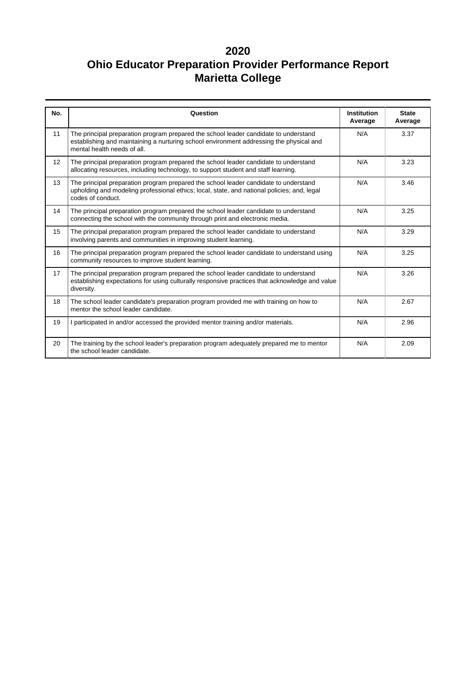| No. | Question                                                                                                                                                                                                       | <b>Institution</b><br>Average | <b>State</b><br>Average |
|-----|----------------------------------------------------------------------------------------------------------------------------------------------------------------------------------------------------------------|-------------------------------|-------------------------|
| 11  | The principal preparation program prepared the school leader candidate to understand<br>establishing and maintaining a nurturing school environment addressing the physical and<br>mental health needs of all. | N/A                           | 3.37                    |
| 12  | The principal preparation program prepared the school leader candidate to understand<br>allocating resources, including technology, to support student and staff learning.                                     | N/A                           | 3.23                    |
| 13  | The principal preparation program prepared the school leader candidate to understand<br>upholding and modeling professional ethics; local, state, and national policies; and, legal<br>codes of conduct.       | N/A                           | 3.46                    |
| 14  | The principal preparation program prepared the school leader candidate to understand<br>connecting the school with the community through print and electronic media.                                           | N/A                           | 3.25                    |
| 15  | The principal preparation program prepared the school leader candidate to understand<br>involving parents and communities in improving student learning.                                                       | N/A                           | 3.29                    |
| 16  | The principal preparation program prepared the school leader candidate to understand using<br>community resources to improve student learning.                                                                 | N/A                           | 3.25                    |
| 17  | The principal preparation program prepared the school leader candidate to understand<br>establishing expectations for using culturally responsive practices that acknowledge and value<br>diversity.           | N/A                           | 3.26                    |
| 18  | The school leader candidate's preparation program provided me with training on how to<br>mentor the school leader candidate.                                                                                   | N/A                           | 2.67                    |
| 19  | I participated in and/or accessed the provided mentor training and/or materials.                                                                                                                               | N/A                           | 2.96                    |
| 20  | The training by the school leader's preparation program adequately prepared me to mentor<br>the school leader candidate.                                                                                       | N/A                           | 2.09                    |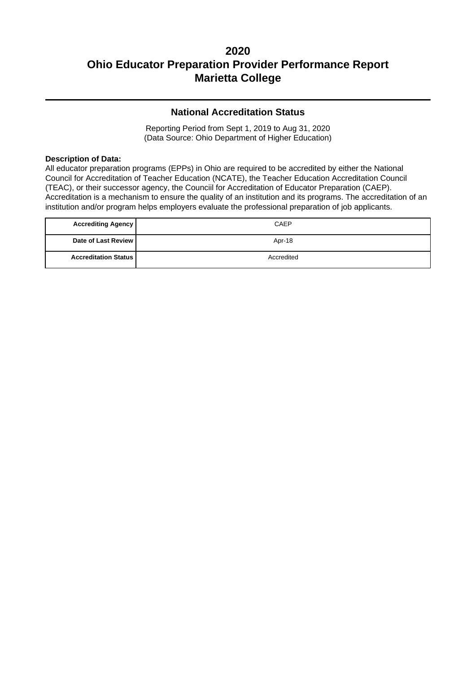### **National Accreditation Status**

Reporting Period from Sept 1, 2019 to Aug 31, 2020 (Data Source: Ohio Department of Higher Education)

### **Description of Data:**

All educator preparation programs (EPPs) in Ohio are required to be accredited by either the National Council for Accreditation of Teacher Education (NCATE), the Teacher Education Accreditation Council (TEAC), or their successor agency, the Counciil for Accreditation of Educator Preparation (CAEP). Accreditation is a mechanism to ensure the quality of an institution and its programs. The accreditation of an institution and/or program helps employers evaluate the professional preparation of job applicants.

| <b>Accrediting Agency</b>   | CAEP       |
|-----------------------------|------------|
| Date of Last Review         | Apr-18     |
| <b>Accreditation Status</b> | Accredited |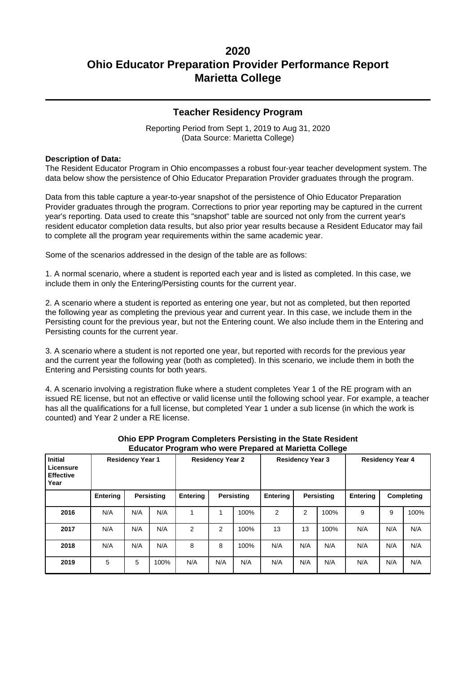### **Teacher Residency Program**

Reporting Period from Sept 1, 2019 to Aug 31, 2020 (Data Source: Marietta College)

#### **Description of Data:**

The Resident Educator Program in Ohio encompasses a robust four-year teacher development system. The data below show the persistence of Ohio Educator Preparation Provider graduates through the program.

Data from this table capture a year-to-year snapshot of the persistence of Ohio Educator Preparation Provider graduates through the program. Corrections to prior year reporting may be captured in the current year's reporting. Data used to create this "snapshot" table are sourced not only from the current year's resident educator completion data results, but also prior year results because a Resident Educator may fail to complete all the program year requirements within the same academic year.

Some of the scenarios addressed in the design of the table are as follows:

1. A normal scenario, where a student is reported each year and is listed as completed. In this case, we include them in only the Entering/Persisting counts for the current year.

2. A scenario where a student is reported as entering one year, but not as completed, but then reported the following year as completing the previous year and current year. In this case, we include them in the Persisting count for the previous year, but not the Entering count. We also include them in the Entering and Persisting counts for the current year.

3. A scenario where a student is not reported one year, but reported with records for the previous year and the current year the following year (both as completed). In this scenario, we include them in both the Entering and Persisting counts for both years.

4. A scenario involving a registration fluke where a student completes Year 1 of the RE program with an issued RE license, but not an effective or valid license until the following school year. For example, a teacher has all the qualifications for a full license, but completed Year 1 under a sub license (in which the work is counted) and Year 2 under a RE license.

| <b>Initial</b><br>Licensure<br><b>Effective</b><br>Year | <b>Residency Year 1</b> |     |            |                 | <b>Residency Year 2</b> |            | <b>Residency Year 3</b><br><b>Residency Year 4</b> |     |                   |          |     |            |
|---------------------------------------------------------|-------------------------|-----|------------|-----------------|-------------------------|------------|----------------------------------------------------|-----|-------------------|----------|-----|------------|
|                                                         | Entering                |     | Persisting | <b>Entering</b> |                         | Persisting | Entering                                           |     | <b>Persisting</b> | Entering |     | Completing |
| 2016                                                    | N/A                     | N/A | N/A        |                 |                         | 100%       | 2                                                  | 2   | 100%              | 9        | 9   | 100%       |
| 2017                                                    | N/A                     | N/A | N/A        | 2               | 2                       | 100%       | 13                                                 | 13  | 100%              | N/A      | N/A | N/A        |
| 2018                                                    | N/A                     | N/A | N/A        | 8               | 8                       | 100%       | N/A                                                | N/A | N/A               | N/A      | N/A | N/A        |
| 2019                                                    | 5                       | 5   | 100%       | N/A             | N/A                     | N/A        | N/A                                                | N/A | N/A               | N/A      | N/A | N/A        |

#### **Ohio EPP Program Completers Persisting in the State Resident Educator Program who were Prepared at Marietta College**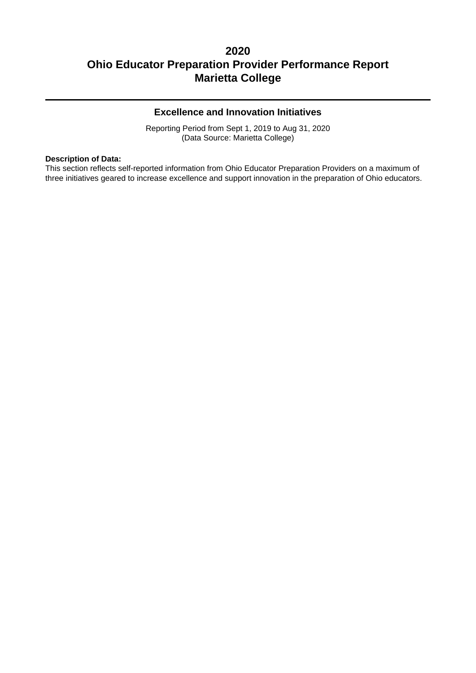### **Excellence and Innovation Initiatives**

Reporting Period from Sept 1, 2019 to Aug 31, 2020 (Data Source: Marietta College)

#### **Description of Data:**

This section reflects self-reported information from Ohio Educator Preparation Providers on a maximum of three initiatives geared to increase excellence and support innovation in the preparation of Ohio educators.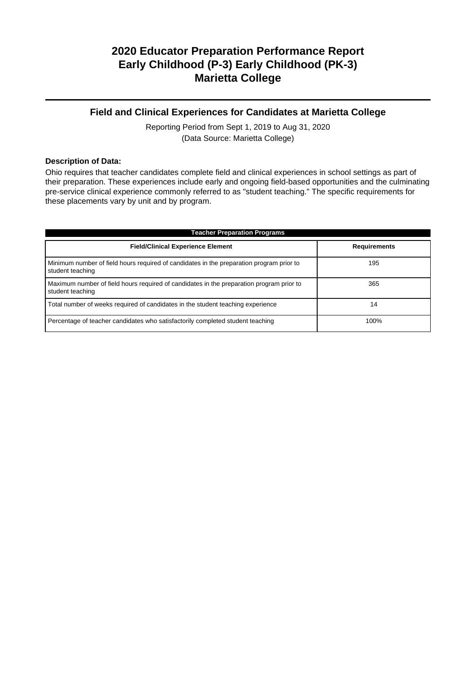### **Field and Clinical Experiences for Candidates at Marietta College**

Reporting Period from Sept 1, 2019 to Aug 31, 2020 (Data Source: Marietta College)

#### **Description of Data:**

Ohio requires that teacher candidates complete field and clinical experiences in school settings as part of their preparation. These experiences include early and ongoing field-based opportunities and the culminating pre-service clinical experience commonly referred to as "student teaching." The specific requirements for these placements vary by unit and by program.

| <b>Teacher Preparation Programs</b>                                                                          |                     |  |  |  |  |  |
|--------------------------------------------------------------------------------------------------------------|---------------------|--|--|--|--|--|
| <b>Field/Clinical Experience Element</b>                                                                     | <b>Requirements</b> |  |  |  |  |  |
| Minimum number of field hours required of candidates in the preparation program prior to<br>student teaching | 195                 |  |  |  |  |  |
| Maximum number of field hours required of candidates in the preparation program prior to<br>student teaching | 365                 |  |  |  |  |  |
| Total number of weeks required of candidates in the student teaching experience                              | 14                  |  |  |  |  |  |
| Percentage of teacher candidates who satisfactorily completed student teaching                               | 100%                |  |  |  |  |  |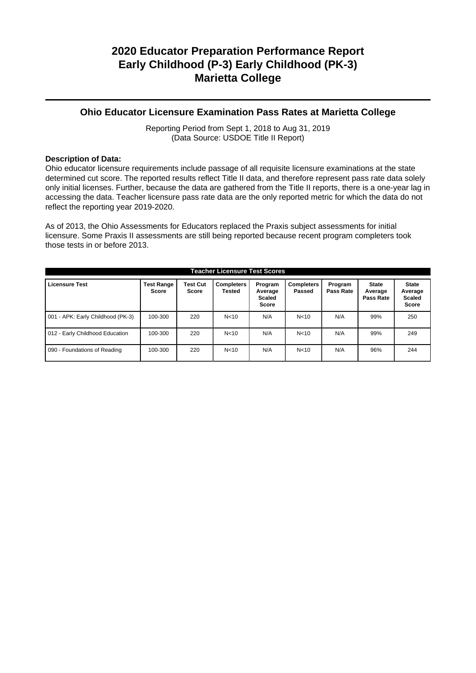### **Ohio Educator Licensure Examination Pass Rates at Marietta College**

Reporting Period from Sept 1, 2018 to Aug 31, 2019 (Data Source: USDOE Title II Report)

### **Description of Data:**

Ohio educator licensure requirements include passage of all requisite licensure examinations at the state determined cut score. The reported results reflect Title II data, and therefore represent pass rate data solely only initial licenses. Further, because the data are gathered from the Title II reports, there is a one-year lag in accessing the data. Teacher licensure pass rate data are the only reported metric for which the data do not reflect the reporting year 2019-2020.

As of 2013, the Ohio Assessments for Educators replaced the Praxis subject assessments for initial licensure. Some Praxis II assessments are still being reported because recent program completers took those tests in or before 2013.

| <b>Teacher Licensure Test Scores</b> |                                   |                          |                             |                                              |                             |                      |                                      |                                                          |
|--------------------------------------|-----------------------------------|--------------------------|-----------------------------|----------------------------------------------|-----------------------------|----------------------|--------------------------------------|----------------------------------------------------------|
| <b>Licensure Test</b>                | <b>Test Range</b><br><b>Score</b> | <b>Test Cut</b><br>Score | <b>Completers</b><br>Tested | Program<br>Average<br>Scaled<br><b>Score</b> | <b>Completers</b><br>Passed | Program<br>Pass Rate | <b>State</b><br>Average<br>Pass Rate | <b>State</b><br>Average<br><b>Scaled</b><br><b>Score</b> |
| 001 - APK: Early Childhood (PK-3)    | 100-300                           | 220                      | N <sub>10</sub>             | N/A                                          | N <sub>10</sub>             | N/A                  | 99%                                  | 250                                                      |
| 012 - Early Childhood Education      | 100-300                           | 220                      | N <sub>10</sub>             | N/A                                          | N <sub>10</sub>             | N/A                  | 99%                                  | 249                                                      |
| 090 - Foundations of Reading         | 100-300                           | 220                      | N <sub>10</sub>             | N/A                                          | N <sub>10</sub>             | N/A                  | 96%                                  | 244                                                      |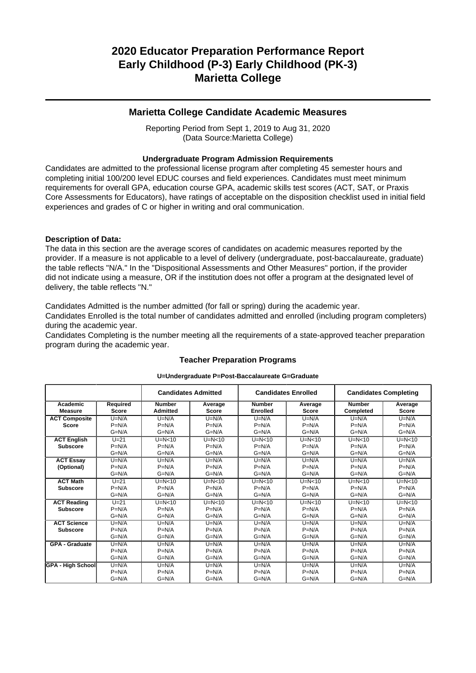### **Marietta College Candidate Academic Measures**

Reporting Period from Sept 1, 2019 to Aug 31, 2020 (Data Source:Marietta College)

#### **Undergraduate Program Admission Requirements**

Candidates are admitted to the professional license program after completing 45 semester hours and completing initial 100/200 level EDUC courses and field experiences. Candidates must meet minimum requirements for overall GPA, education course GPA, academic skills test scores (ACT, SAT, or Praxis Core Assessments for Educators), have ratings of acceptable on the disposition checklist used in initial field experiences and grades of C or higher in writing and oral communication.

#### **Description of Data:**

The data in this section are the average scores of candidates on academic measures reported by the provider. If a measure is not applicable to a level of delivery (undergraduate, post-baccalaureate, graduate) the table reflects "N/A." In the "Dispositional Assessments and Other Measures" portion, if the provider did not indicate using a measure, OR if the institution does not offer a program at the designated level of delivery, the table reflects "N."

Candidates Admitted is the number admitted (for fall or spring) during the academic year.

Candidates Enrolled is the total number of candidates admitted and enrolled (including program completers) during the academic year.

Candidates Completing is the number meeting all the requirements of a state-approved teacher preparation program during the academic year.

|                          |              | <b>Candidates Admitted</b> |              | <b>Candidates Enrolled</b> |              | <b>Candidates Completing</b> |              |
|--------------------------|--------------|----------------------------|--------------|----------------------------|--------------|------------------------------|--------------|
| Academic                 | Required     | <b>Number</b>              | Average      | <b>Number</b>              | Average      | <b>Number</b>                | Average      |
| <b>Measure</b>           | <b>Score</b> | <b>Admitted</b>            | <b>Score</b> | <b>Enrolled</b>            | <b>Score</b> | Completed                    | <b>Score</b> |
| <b>ACT Composite</b>     | $U=N/A$      | $U=N/A$                    | $U=N/A$      | $U=N/A$                    | $U=N/A$      | $U=N/A$                      | $U=N/A$      |
| Score                    | $P=N/A$      | $P=N/A$                    | $P=N/A$      | $P=N/A$                    | $P=N/A$      | $P=N/A$                      | $P=N/A$      |
|                          | $G=N/A$      | $G=N/A$                    | $G=N/A$      | $G=N/A$                    | $G=N/A$      | $G=N/A$                      | $G=N/A$      |
| <b>ACT English</b>       | $U=21$       | $U=N<10$                   | $U=N<10$     | $U=N<10$                   | $U=N<10$     | $U=N<10$                     | $U=N<10$     |
| <b>Subscore</b>          | $P=N/A$      | $P=N/A$                    | $P=N/A$      | $P=N/A$                    | $P=N/A$      | $P=N/A$                      | $P=N/A$      |
|                          | $G=N/A$      | $G=N/A$                    | $G=N/A$      | $G=N/A$                    | $G=N/A$      | $G=N/A$                      | $G=N/A$      |
| <b>ACT Essay</b>         | $U=N/A$      | $U=N/A$                    | $U=N/A$      | $U=N/A$                    | $U=N/A$      | $U=N/A$                      | $U=N/A$      |
| (Optional)               | $P=N/A$      | $P=N/A$                    | $P=N/A$      | $P=N/A$                    | $P=N/A$      | $P=N/A$                      | $P=N/A$      |
|                          | $G=N/A$      | $G=N/A$                    | $G=N/A$      | $G=N/A$                    | $G=N/A$      | $G=N/A$                      | $G=N/A$      |
| <b>ACT Math</b>          | $U=21$       | $U=N<10$                   | $U=N<10$     | $U=N<10$                   | $U=N<10$     | $U=N<10$                     | $U=N<10$     |
| <b>Subscore</b>          | $P=N/A$      | $P=N/A$                    | $P=N/A$      | $P=N/A$                    | $P=N/A$      | $P=N/A$                      | $P=N/A$      |
|                          | $G=N/A$      | $G=N/A$                    | $G=N/A$      | $G=N/A$                    | $G=N/A$      | $G=N/A$                      | $G=N/A$      |
| <b>ACT Reading</b>       | $U=21$       | $U=N<10$                   | $U=N<10$     | $U=N<10$                   | $U=N<10$     | $U=N<10$                     | $U=N<10$     |
| <b>Subscore</b>          | $P=N/A$      | $P=N/A$                    | $P=N/A$      | $P=N/A$                    | $P=N/A$      | $P=N/A$                      | $P=N/A$      |
|                          | $G=N/A$      | $G=N/A$                    | $G=N/A$      | $G=N/A$                    | $G=N/A$      | $G=N/A$                      | $G=N/A$      |
| <b>ACT Science</b>       | $U=N/A$      | $U=N/A$                    | $U=N/A$      | $U=N/A$                    | $U=N/A$      | $U=N/A$                      | $U=N/A$      |
| <b>Subscore</b>          | $P=N/A$      | $P=N/A$                    | $P=N/A$      | $P=N/A$                    | $P=N/A$      | $P=N/A$                      | $P=N/A$      |
|                          | $G=N/A$      | $G=N/A$                    | $G=N/A$      | $G=N/A$                    | $G=N/A$      | $G=N/A$                      | $G=N/A$      |
| <b>GPA - Graduate</b>    | $U=N/A$      | $U=N/A$                    | $U=N/A$      | $U=N/A$                    | $U=N/A$      | $U=N/A$                      | $U=N/A$      |
|                          | $P=N/A$      | $P=N/A$                    | $P=N/A$      | $P=N/A$                    | $P=N/A$      | $P=N/A$                      | $P=N/A$      |
|                          | $G=N/A$      | $G=N/A$                    | $G=N/A$      | $G=N/A$                    | $G=N/A$      | $G=N/A$                      | $G=N/A$      |
| <b>GPA - High School</b> | $U=N/A$      | $U=N/A$                    | $U=N/A$      | $U=N/A$                    | $U=N/A$      | $U=N/A$                      | $U=N/A$      |
|                          | $P=N/A$      | $P=N/A$                    | $P=N/A$      | $P=N/A$                    | $P=N/A$      | $P=N/A$                      | $P=N/A$      |
|                          | $G=N/A$      | $G=N/A$                    | $G=N/A$      | $G=N/A$                    | $G=N/A$      | $G=N/A$                      | $G=N/A$      |

## **Teacher Preparation Programs U=Undergraduate P=Post-Baccalaureate G=Graduate**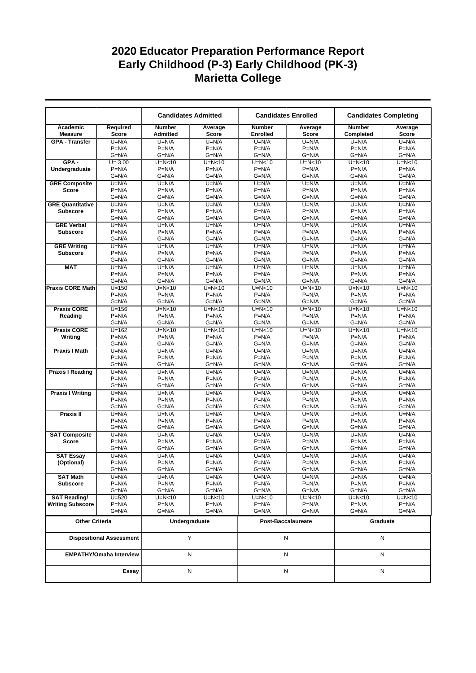|                                    |                                |                                  | <b>Candidates Admitted</b> |                                  | <b>Candidates Enrolled</b> | <b>Candidates Completing</b> |                     |  |
|------------------------------------|--------------------------------|----------------------------------|----------------------------|----------------------------------|----------------------------|------------------------------|---------------------|--|
| Academic<br><b>Measure</b>         | Required<br><b>Score</b>       | <b>Number</b><br><b>Admitted</b> | Average<br><b>Score</b>    | <b>Number</b><br><b>Enrolled</b> | Average<br><b>Score</b>    | <b>Number</b><br>Completed   | Average<br>Score    |  |
| <b>GPA - Transfer</b>              | $U=N/A$                        | $U=N/A$                          | $U=N/A$                    | $U=N/A$                          | $U=N/A$                    | $U=N/A$                      | $U=N/A$             |  |
|                                    | $P=N/A$                        | $P=N/A$                          | $P=N/A$                    | $P=N/A$                          | $P=N/A$                    | $P=N/A$                      | $P=N/A$             |  |
|                                    | $G=N/A$                        | $G=N/A$                          | $G=N/A$                    | $G=N/A$                          | $G=N/A$                    | $G=N/A$                      | $G=N/A$             |  |
| $GPA -$                            | $U = 3.00$                     | $U=N<10$                         | $U=N<10$                   | $U=N<10$                         | $U=N<10$                   | $U=N<10$                     | $U=N<10$            |  |
| Undergraduate                      | $P=N/A$                        | $P=N/A$                          | $P=N/A$                    | $P=N/A$                          | $P=N/A$                    | $P=N/A$                      | $P=N/A$             |  |
|                                    | $G=N/A$                        | $G=N/A$                          | $G=N/A$                    | $G=N/A$                          | $G=N/A$                    | $G=N/A$                      | $G=N/A$             |  |
| <b>GRE Composite</b>               | $U=N/A$<br>$P=N/A$             | $U=N/A$<br>$P=N/A$               | $U=N/A$<br>$P=N/A$         | $U=N/A$<br>$P=N/A$               | $U=N/A$<br>$P=N/A$         | $U=N/A$<br>$P=N/A$           | $U=N/A$<br>$P=N/A$  |  |
| <b>Score</b>                       | $G=N/A$                        | $G=N/A$                          | $G=N/A$                    | $G=N/A$                          | $G=N/A$                    | $G=N/A$                      | $G=N/A$             |  |
| <b>GRE Quantitative</b>            | $U=N/A$                        | $U=N/A$                          | $U=N/A$                    | $U=N/A$                          | $U=N/A$                    | $U=N/A$                      | $U=N/A$             |  |
| <b>Subscore</b>                    | $P=N/A$                        | $P=N/A$                          | $P=N/A$                    | $P=N/A$                          | $P=N/A$                    | $P=N/A$                      | $P=N/A$             |  |
|                                    | $G=N/A$                        | $G=N/A$                          | $G=N/A$                    | $G=N/A$                          | G=N/A                      | $G=N/A$                      | $G=N/A$             |  |
| <b>GRE Verbal</b>                  | $U=N/A$                        | $U=N/A$                          | $U=N/A$                    | $U=N/A$                          | $U=N/A$                    | $U=N/A$                      | $U=N/A$             |  |
| <b>Subscore</b>                    | $P=N/A$                        | $P=N/A$                          | $P=N/A$                    | $P=N/A$                          | $P=N/A$                    | $P=N/A$                      | $P=N/A$             |  |
|                                    | $G=N/A$                        | $G=N/A$                          | $G=N/A$                    | $G=N/A$                          | $G=N/A$                    | $G=N/A$                      | $G=N/A$             |  |
| <b>GRE Writing</b>                 | $U=N/A$                        | $U=N/A$                          | $U=N/A$                    | $U=N/A$                          | $U=N/A$                    | $U=N/A$                      | $U=N/A$             |  |
| <b>Subscore</b>                    | $P=N/A$                        | $P=N/A$                          | $P=N/A$                    | $P=N/A$                          | $P=N/A$                    | $P=N/A$                      | $P=N/A$             |  |
|                                    | $G=N/A$                        | $G=N/A$                          | $G=N/A$                    | $G=N/A$                          | $G=N/A$                    | $G=N/A$                      | $G=N/A$             |  |
| <b>MAT</b>                         | $U=N/A$                        | $U=N/A$                          | $U=N/A$                    | $U=N/A$                          | $U=N/A$                    | $U=N/A$                      | $U=N/A$             |  |
|                                    | $P=N/A$                        | $P=N/A$                          | $P=N/A$                    | $P=N/A$                          | $P=N/A$                    | $P=N/A$                      | $P=N/A$             |  |
|                                    | $G=N/A$<br>$U = 150$           | $G=N/A$                          | $G=N/A$<br>$U=N<10$        | $G=N/A$<br>$U=N<10$              | $G=N/A$                    | $G=N/A$<br>$U=N<10$          | $G=N/A$<br>$U=N<10$ |  |
| <b>Praxis CORE Math</b>            | $P=N/A$                        | $U=N<10$<br>$P=N/A$              | $P=N/A$                    | $P=N/A$                          | $U=N<10$<br>$P=N/A$        | $P=N/A$                      | $P=N/A$             |  |
|                                    | $G=N/A$                        | $G=N/A$                          | $G=N/A$                    | $G=N/A$                          | $G=N/A$                    | $G=N/A$                      | $G=N/A$             |  |
| <b>Praxis CORE</b>                 | $U = 156$                      | $U=N<10$                         | $U=N<10$                   | $U=N<10$                         | $U=N<10$                   | $U=N<10$                     | $U=N<10$            |  |
| Reading                            | $P=N/A$                        | $P=N/A$                          | $P=N/A$                    | $P=N/A$                          | $P=N/A$                    | $P=N/A$                      | $P=N/A$             |  |
|                                    | $G=N/A$                        | $G=N/A$                          | $G=N/A$                    | $G=N/A$                          | $G=N/A$                    | $G=N/A$                      | $G=N/A$             |  |
| <b>Praxis CORE</b>                 | $U = 162$                      | $U=N<10$                         | $U=N<10$                   | $U=N<10$                         | $U=N<10$                   | $U=N<10$                     | $U=N10$             |  |
| Writing                            | $P=N/A$                        | $P=N/A$                          | $P=N/A$                    | $P=N/A$                          | $P=N/A$                    | $P=N/A$                      | $P=N/A$             |  |
|                                    | $G=N/A$                        | $G=N/A$                          | $G=N/A$                    | $G=N/A$                          | $G=N/A$                    | $G=N/A$                      | $G=N/A$             |  |
| <b>Praxis I Math</b>               | $U=N/A$                        | $U=N/A$                          | $U=N/A$                    | $U=N/A$                          | $U=N/A$                    | $U=N/A$                      | $U=N/A$             |  |
|                                    | $P=N/A$                        | $P=N/A$                          | $P=N/A$                    | $P=N/A$                          | $P=N/A$                    | $P=N/A$                      | $P=N/A$             |  |
|                                    | $G=N/A$                        | $G=N/A$                          | $G=N/A$                    | $G=N/A$                          | $G=N/A$                    | $G=N/A$                      | $G=N/A$             |  |
| <b>Praxis I Reading</b>            | $U=N/A$                        | $U=N/A$                          | $U=N/A$                    | $U=N/A$                          | $U=N/A$                    | $U=N/A$                      | $U=N/A$             |  |
|                                    | $P=N/A$<br>$G=N/A$             | $P=N/A$<br>G=N/A                 | $P=N/A$<br>$G=N/A$         | $P=N/A$<br>$G=N/A$               | $P=N/A$<br>G=N/A           | $P=N/A$<br>$G=N/A$           | $P=N/A$<br>$G=N/A$  |  |
| <b>Praxis I Writing</b>            | $U=N/A$                        | $U=N/A$                          | $U=N/A$                    | $U=N/A$                          | $U=N/A$                    | $U=N/A$                      | $U=N/A$             |  |
|                                    | $P=N/A$                        | $P=N/A$                          | $P=N/A$                    | $P=N/A$                          | $P=N/A$                    | $P=N/A$                      | $P=N/A$             |  |
|                                    | $G=N/A$                        | G=N/A                            | $G=N/A$                    | $G=N/A$                          | $G=N/A$                    | $G=N/A$                      | $G=N/A$             |  |
| Praxis II                          | $U=N/A$                        | $U=N/A$                          | $U=N/A$                    | $U=N/A$                          | $U=N/A$                    | $U=N/A$                      | $U=N/A$             |  |
|                                    | $P=N/A$                        | $P=N/A$                          | $P=N/A$                    | $P=N/A$                          | $P=N/A$                    | $P=N/A$                      | $P=N/A$             |  |
|                                    | $G=N/A$                        | $G=N/A$                          | $G=N/A$                    | $G=N/A$                          | $G=N/A$                    | G=N/A                        | $G=N/A$             |  |
| <b>SAT Composite</b>               | $U=N/A$                        | $U=N/A$                          | $U=N/A$                    | $U=N/A$                          | $U=N/A$                    | $U=N/A$                      | $U=N/A$             |  |
| <b>Score</b>                       | $P=N/A$                        | $P=N/A$                          | $P=N/A$                    | $P=N/A$                          | $P=N/A$                    | $P=N/A$                      | $P=N/A$             |  |
|                                    | $G=N/A$                        | $G=N/A$                          | $G=N/A$                    | $G=N/A$                          | G=N/A                      | $G=N/A$                      | $G=N/A$             |  |
| <b>SAT Essay</b>                   | $U=N/A$                        | $U=N/A$                          | $U=N/A$                    | $U=N/A$                          | $U=N/A$                    | $U=N/A$                      | $U=N/A$             |  |
| (Optional)                         | $P=N/A$                        | $P=N/A$                          | $P=N/A$                    | $P=N/A$                          | $P=N/A$                    | $P=N/A$                      | $P=N/A$             |  |
|                                    | G=N/A                          | $G=N/A$                          | $G=N/A$                    | G=N/A                            | $G=N/A$                    | $G=N/A$                      | $G=N/A$             |  |
| <b>SAT Math</b><br><b>Subscore</b> | $U=N/A$<br>$P=N/A$             | $U=N/A$<br>$P=N/A$               | $U=N/A$<br>$P=N/A$         | $U=N/A$<br>$P=N/A$               | $U=N/A$<br>$P=N/A$         | $U=N/A$<br>$P=N/A$           | $U=N/A$<br>$P=N/A$  |  |
|                                    | G=N/A                          | $G=N/A$                          | $G=N/A$                    | $G=N/A$                          | $G=N/A$                    | $G=N/A$                      | $G=N/A$             |  |
| <b>SAT Reading/</b>                | $U = 520$                      | $U=N<10$                         | $U=N<10$                   | $U=N<10$                         | $U=N<10$                   | $U=N<10$                     | $U=N<10$            |  |
| <b>Writing Subscore</b>            | $P=N/A$                        | $P=N/A$                          | $P=N/A$                    | $P=N/A$                          | $P=N/A$                    | $P=N/A$                      | $P=N/A$             |  |
|                                    | $G=N/A$                        | G=N/A                            | $G=N/A$                    | $G=N/A$                          | G=N/A                      | G=N/A                        | $G=N/A$             |  |
| <b>Other Criteria</b>              |                                | Undergraduate                    |                            | Post-Baccalaureate               |                            | Graduate                     |                     |  |
| <b>Dispositional Assessment</b>    |                                | Y                                |                            | N                                |                            | N                            |                     |  |
|                                    | <b>EMPATHY/Omaha Interview</b> | N                                |                            | N                                |                            | Ν                            |                     |  |
|                                    | Essay                          | N                                |                            | N                                |                            | N                            |                     |  |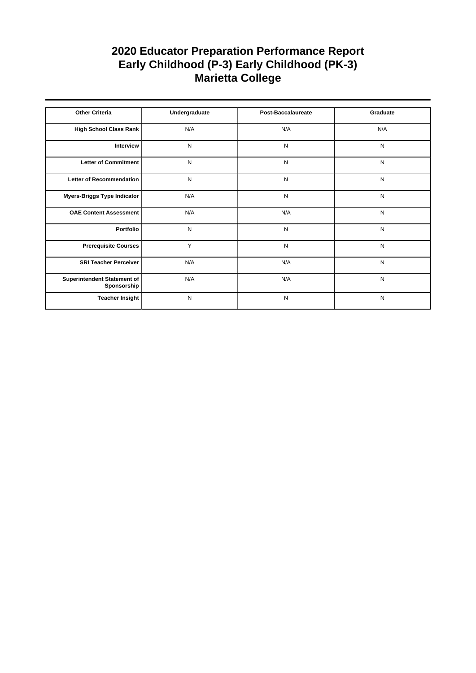| <b>Other Criteria</b>                      | Undergraduate | <b>Post-Baccalaureate</b> | Graduate  |
|--------------------------------------------|---------------|---------------------------|-----------|
|                                            |               |                           |           |
| High School Class Rank                     | N/A           | N/A                       | N/A       |
| Interview                                  | N             | N                         | N         |
| Letter of Commitment                       | N             | N                         | N         |
| Letter of Recommendation                   | N             | N                         | N         |
| Myers-Briggs Type Indicator                | N/A           | N                         | N         |
| <b>OAE Content Assessment</b>              | N/A           | N/A                       | ${\sf N}$ |
| Portfolio                                  | N             | N                         | N         |
| <b>Prerequisite Courses</b>                | Y             | N                         | N         |
| <b>SRI Teacher Perceiver</b>               | N/A           | N/A                       | N         |
| Superintendent Statement of<br>Sponsorship | N/A           | N/A                       | ${\sf N}$ |
| <b>Teacher Insight</b>                     | N             | N                         | N         |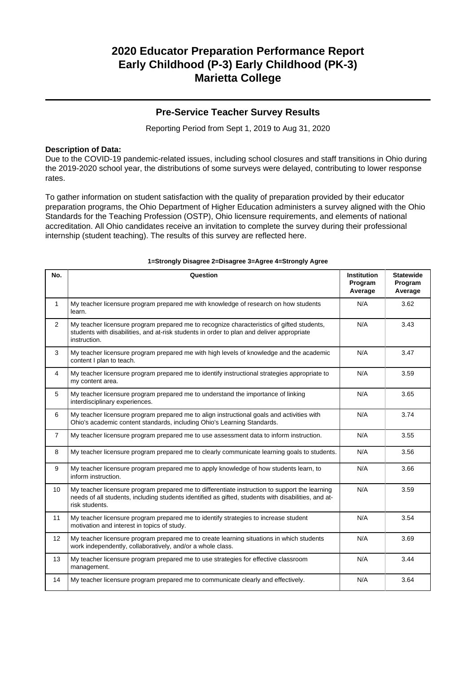### **Pre-Service Teacher Survey Results**

Reporting Period from Sept 1, 2019 to Aug 31, 2020

### **Description of Data:**

Due to the COVID-19 pandemic-related issues, including school closures and staff transitions in Ohio during the 2019-2020 school year, the distributions of some surveys were delayed, contributing to lower response rates.

To gather information on student satisfaction with the quality of preparation provided by their educator preparation programs, the Ohio Department of Higher Education administers a survey aligned with the Ohio Standards for the Teaching Profession (OSTP), Ohio licensure requirements, and elements of national accreditation. All Ohio candidates receive an invitation to complete the survey during their professional internship (student teaching). The results of this survey are reflected here.

| No.            | Question                                                                                                                                                                                                               | <b>Institution</b><br>Program<br>Average | <b>Statewide</b><br>Program<br>Average |
|----------------|------------------------------------------------------------------------------------------------------------------------------------------------------------------------------------------------------------------------|------------------------------------------|----------------------------------------|
| $\mathbf{1}$   | My teacher licensure program prepared me with knowledge of research on how students<br>learn.                                                                                                                          | N/A                                      | 3.62                                   |
| $\overline{2}$ | My teacher licensure program prepared me to recognize characteristics of gifted students,<br>students with disabilities, and at-risk students in order to plan and deliver appropriate<br>instruction.                 | N/A                                      | 3.43                                   |
| 3              | My teacher licensure program prepared me with high levels of knowledge and the academic<br>content I plan to teach.                                                                                                    | N/A                                      | 3.47                                   |
| 4              | My teacher licensure program prepared me to identify instructional strategies appropriate to<br>my content area.                                                                                                       | N/A                                      | 3.59                                   |
| 5              | My teacher licensure program prepared me to understand the importance of linking<br>interdisciplinary experiences.                                                                                                     | N/A                                      | 3.65                                   |
| 6              | My teacher licensure program prepared me to align instructional goals and activities with<br>Ohio's academic content standards, including Ohio's Learning Standards.                                                   | N/A                                      | 3.74                                   |
| $\overline{7}$ | My teacher licensure program prepared me to use assessment data to inform instruction.                                                                                                                                 | N/A                                      | 3.55                                   |
| 8              | My teacher licensure program prepared me to clearly communicate learning goals to students.                                                                                                                            | N/A                                      | 3.56                                   |
| 9              | My teacher licensure program prepared me to apply knowledge of how students learn, to<br>inform instruction.                                                                                                           | N/A                                      | 3.66                                   |
| 10             | My teacher licensure program prepared me to differentiate instruction to support the learning<br>needs of all students, including students identified as gifted, students with disabilities, and at-<br>risk students. | N/A                                      | 3.59                                   |
| 11             | My teacher licensure program prepared me to identify strategies to increase student<br>motivation and interest in topics of study.                                                                                     | N/A                                      | 3.54                                   |
| 12             | My teacher licensure program prepared me to create learning situations in which students<br>work independently, collaboratively, and/or a whole class.                                                                 | N/A                                      | 3.69                                   |
| 13             | My teacher licensure program prepared me to use strategies for effective classroom<br>management.                                                                                                                      | N/A                                      | 3.44                                   |
| 14             | My teacher licensure program prepared me to communicate clearly and effectively.                                                                                                                                       | N/A                                      | 3.64                                   |

#### **1=Strongly Disagree 2=Disagree 3=Agree 4=Strongly Agree**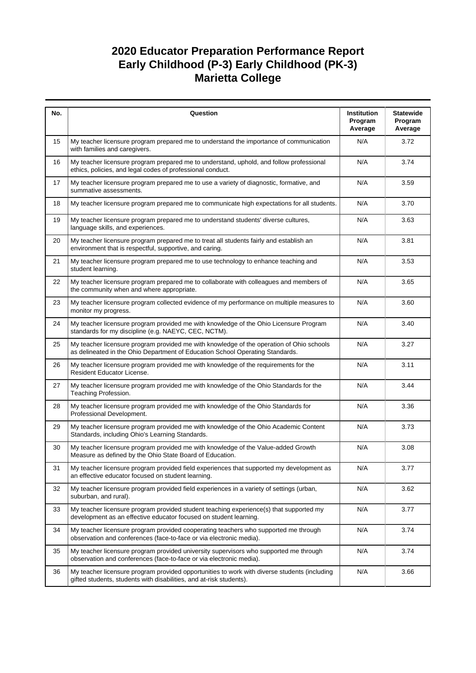| No. | Question                                                                                                                                                                  | Institution<br>Program<br>Average | <b>Statewide</b><br>Program<br>Average |
|-----|---------------------------------------------------------------------------------------------------------------------------------------------------------------------------|-----------------------------------|----------------------------------------|
| 15  | My teacher licensure program prepared me to understand the importance of communication<br>with families and caregivers.                                                   | N/A                               | 3.72                                   |
| 16  | My teacher licensure program prepared me to understand, uphold, and follow professional<br>ethics, policies, and legal codes of professional conduct.                     | N/A                               | 3.74                                   |
| 17  | My teacher licensure program prepared me to use a variety of diagnostic, formative, and<br>summative assessments.                                                         | N/A                               | 3.59                                   |
| 18  | My teacher licensure program prepared me to communicate high expectations for all students.                                                                               | N/A                               | 3.70                                   |
| 19  | My teacher licensure program prepared me to understand students' diverse cultures,<br>language skills, and experiences.                                                   | N/A                               | 3.63                                   |
| 20  | My teacher licensure program prepared me to treat all students fairly and establish an<br>environment that is respectful, supportive, and caring.                         | N/A                               | 3.81                                   |
| 21  | My teacher licensure program prepared me to use technology to enhance teaching and<br>student learning.                                                                   | N/A                               | 3.53                                   |
| 22  | My teacher licensure program prepared me to collaborate with colleagues and members of<br>the community when and where appropriate.                                       | N/A                               | 3.65                                   |
| 23  | My teacher licensure program collected evidence of my performance on multiple measures to<br>monitor my progress.                                                         | N/A                               | 3.60                                   |
| 24  | My teacher licensure program provided me with knowledge of the Ohio Licensure Program<br>standards for my discipline (e.g. NAEYC, CEC, NCTM).                             | N/A                               | 3.40                                   |
| 25  | My teacher licensure program provided me with knowledge of the operation of Ohio schools<br>as delineated in the Ohio Department of Education School Operating Standards. | N/A                               | 3.27                                   |
| 26  | My teacher licensure program provided me with knowledge of the requirements for the<br>Resident Educator License.                                                         | N/A                               | 3.11                                   |
| 27  | My teacher licensure program provided me with knowledge of the Ohio Standards for the<br>Teaching Profession.                                                             | N/A                               | 3.44                                   |
| 28  | My teacher licensure program provided me with knowledge of the Ohio Standards for<br>Professional Development.                                                            | N/A                               | 3.36                                   |
| 29  | My teacher licensure program provided me with knowledge of the Ohio Academic Content<br>Standards, including Ohio's Learning Standards.                                   | N/A                               | 3.73                                   |
| 30  | My teacher licensure program provided me with knowledge of the Value-added Growth<br>Measure as defined by the Ohio State Board of Education.                             | N/A                               | 3.08                                   |
| 31  | My teacher licensure program provided field experiences that supported my development as<br>an effective educator focused on student learning.                            | N/A                               | 3.77                                   |
| 32  | My teacher licensure program provided field experiences in a variety of settings (urban,<br>suburban, and rural).                                                         | N/A                               | 3.62                                   |
| 33  | My teacher licensure program provided student teaching experience(s) that supported my<br>development as an effective educator focused on student learning.               | N/A                               | 3.77                                   |
| 34  | My teacher licensure program provided cooperating teachers who supported me through<br>observation and conferences (face-to-face or via electronic media).                | N/A                               | 3.74                                   |
| 35  | My teacher licensure program provided university supervisors who supported me through<br>observation and conferences (face-to-face or via electronic media).              | N/A                               | 3.74                                   |
| 36  | My teacher licensure program provided opportunities to work with diverse students (including<br>gifted students, students with disabilities, and at-risk students).       | N/A                               | 3.66                                   |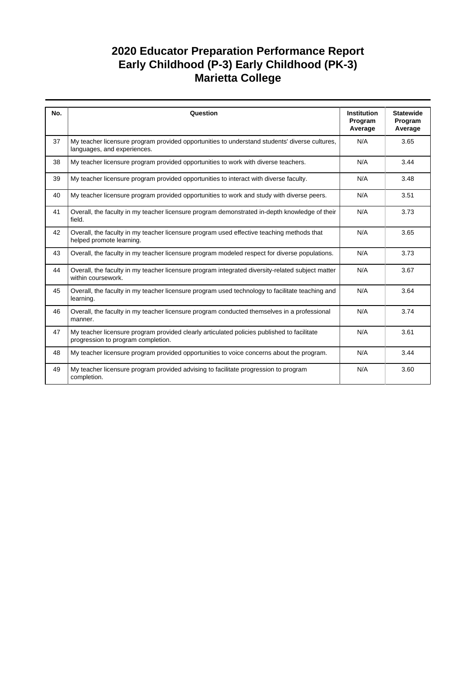| No. | Question                                                                                                                         | <b>Institution</b><br>Program<br>Average | <b>Statewide</b><br>Program<br>Average |
|-----|----------------------------------------------------------------------------------------------------------------------------------|------------------------------------------|----------------------------------------|
| 37  | My teacher licensure program provided opportunities to understand students' diverse cultures,<br>languages, and experiences.     | N/A                                      | 3.65                                   |
| 38  | My teacher licensure program provided opportunities to work with diverse teachers.                                               | N/A                                      | 3.44                                   |
| 39  | My teacher licensure program provided opportunities to interact with diverse faculty.                                            | N/A                                      | 3.48                                   |
| 40  | My teacher licensure program provided opportunities to work and study with diverse peers.                                        | N/A                                      | 3.51                                   |
| 41  | Overall, the faculty in my teacher licensure program demonstrated in-depth knowledge of their<br>field.                          | N/A                                      | 3.73                                   |
| 42  | Overall, the faculty in my teacher licensure program used effective teaching methods that<br>helped promote learning.            | N/A                                      | 3.65                                   |
| 43  | Overall, the faculty in my teacher licensure program modeled respect for diverse populations.                                    | N/A                                      | 3.73                                   |
| 44  | Overall, the faculty in my teacher licensure program integrated diversity-related subject matter<br>within coursework.           | N/A                                      | 3.67                                   |
| 45  | Overall, the faculty in my teacher licensure program used technology to facilitate teaching and<br>learning.                     | N/A                                      | 3.64                                   |
| 46  | Overall, the faculty in my teacher licensure program conducted themselves in a professional<br>manner.                           | N/A                                      | 3.74                                   |
| 47  | My teacher licensure program provided clearly articulated policies published to facilitate<br>progression to program completion. | N/A                                      | 3.61                                   |
| 48  | My teacher licensure program provided opportunities to voice concerns about the program.                                         | N/A                                      | 3.44                                   |
| 49  | My teacher licensure program provided advising to facilitate progression to program<br>completion.                               | N/A                                      | 3.60                                   |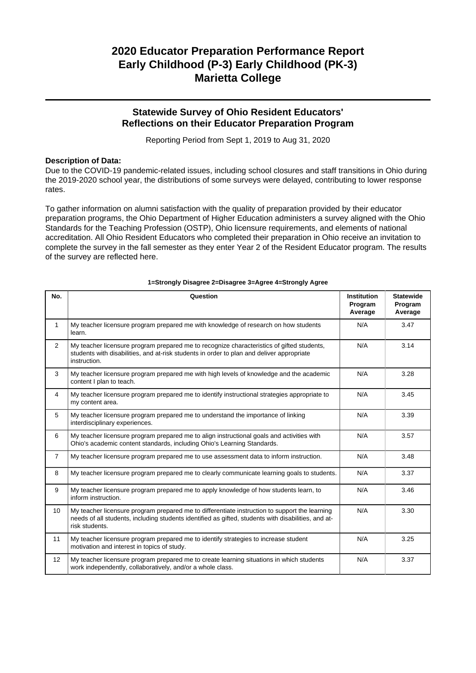# **2020 Educator Preparation Performance Report Early Childhood (P-3) Early Childhood (PK-3) Marietta College**

### **Statewide Survey of Ohio Resident Educators' Reflections on their Educator Preparation Program**

Reporting Period from Sept 1, 2019 to Aug 31, 2020

### **Description of Data:**

Due to the COVID-19 pandemic-related issues, including school closures and staff transitions in Ohio during the 2019-2020 school year, the distributions of some surveys were delayed, contributing to lower response rates.

To gather information on alumni satisfaction with the quality of preparation provided by their educator preparation programs, the Ohio Department of Higher Education administers a survey aligned with the Ohio Standards for the Teaching Profession (OSTP), Ohio licensure requirements, and elements of national accreditation. All Ohio Resident Educators who completed their preparation in Ohio receive an invitation to complete the survey in the fall semester as they enter Year 2 of the Resident Educator program. The results of the survey are reflected here.

| No.            | Question                                                                                                                                                                                                               | <b>Institution</b><br>Program<br>Average | <b>Statewide</b><br>Program<br>Average |
|----------------|------------------------------------------------------------------------------------------------------------------------------------------------------------------------------------------------------------------------|------------------------------------------|----------------------------------------|
| $\mathbf{1}$   | My teacher licensure program prepared me with knowledge of research on how students<br>learn.                                                                                                                          | N/A                                      | 3.47                                   |
| 2              | My teacher licensure program prepared me to recognize characteristics of gifted students,<br>students with disabilities, and at-risk students in order to plan and deliver appropriate<br>instruction.                 | N/A                                      | 3.14                                   |
| 3              | My teacher licensure program prepared me with high levels of knowledge and the academic<br>content I plan to teach.                                                                                                    | N/A                                      | 3.28                                   |
| $\overline{4}$ | My teacher licensure program prepared me to identify instructional strategies appropriate to<br>my content area.                                                                                                       | N/A                                      | 3.45                                   |
| 5              | My teacher licensure program prepared me to understand the importance of linking<br>interdisciplinary experiences.                                                                                                     | N/A                                      | 3.39                                   |
| 6              | My teacher licensure program prepared me to align instructional goals and activities with<br>Ohio's academic content standards, including Ohio's Learning Standards.                                                   | N/A                                      | 3.57                                   |
| $\overline{7}$ | My teacher licensure program prepared me to use assessment data to inform instruction.                                                                                                                                 | N/A                                      | 3.48                                   |
| 8              | My teacher licensure program prepared me to clearly communicate learning goals to students.                                                                                                                            | N/A                                      | 3.37                                   |
| 9              | My teacher licensure program prepared me to apply knowledge of how students learn, to<br>inform instruction.                                                                                                           | N/A                                      | 3.46                                   |
| 10             | My teacher licensure program prepared me to differentiate instruction to support the learning<br>needs of all students, including students identified as gifted, students with disabilities, and at-<br>risk students. | N/A                                      | 3.30                                   |
| 11             | My teacher licensure program prepared me to identify strategies to increase student<br>motivation and interest in topics of study.                                                                                     | N/A                                      | 3.25                                   |
| 12             | My teacher licensure program prepared me to create learning situations in which students<br>work independently, collaboratively, and/or a whole class.                                                                 | N/A                                      | 3.37                                   |

#### **1=Strongly Disagree 2=Disagree 3=Agree 4=Strongly Agree**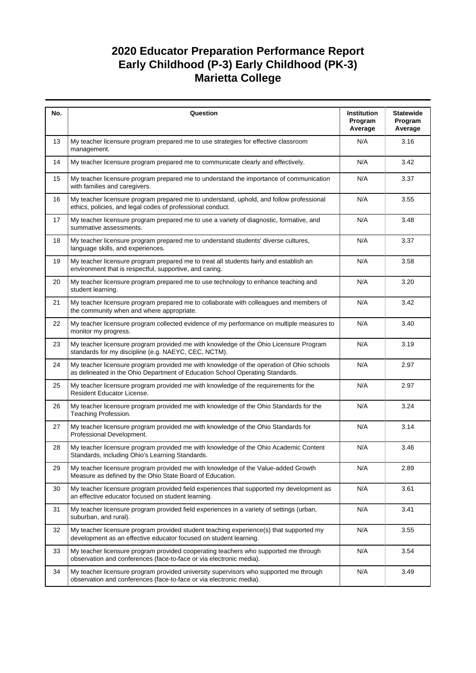# **2020 Educator Preparation Performance Report Early Childhood (P-3) Early Childhood (PK-3) Marietta College**

| No. | Question                                                                                                                                                                  | Institution<br>Program<br>Average | <b>Statewide</b><br>Program<br>Average |
|-----|---------------------------------------------------------------------------------------------------------------------------------------------------------------------------|-----------------------------------|----------------------------------------|
| 13  | My teacher licensure program prepared me to use strategies for effective classroom<br>management.                                                                         | N/A                               | 3.16                                   |
| 14  | My teacher licensure program prepared me to communicate clearly and effectively.                                                                                          | N/A                               | 3.42                                   |
| 15  | My teacher licensure program prepared me to understand the importance of communication<br>with families and caregivers.                                                   | N/A                               | 3.37                                   |
| 16  | My teacher licensure program prepared me to understand, uphold, and follow professional<br>ethics, policies, and legal codes of professional conduct.                     | N/A                               | 3.55                                   |
| 17  | My teacher licensure program prepared me to use a variety of diagnostic, formative, and<br>summative assessments.                                                         | N/A                               | 3.48                                   |
| 18  | My teacher licensure program prepared me to understand students' diverse cultures,<br>language skills, and experiences.                                                   | N/A                               | 3.37                                   |
| 19  | My teacher licensure program prepared me to treat all students fairly and establish an<br>environment that is respectful, supportive, and caring.                         | N/A                               | 3.58                                   |
| 20  | My teacher licensure program prepared me to use technology to enhance teaching and<br>student learning.                                                                   | N/A                               | 3.20                                   |
| 21  | My teacher licensure program prepared me to collaborate with colleagues and members of<br>the community when and where appropriate.                                       | N/A                               | 3.42                                   |
| 22  | My teacher licensure program collected evidence of my performance on multiple measures to<br>monitor my progress.                                                         | N/A                               | 3.40                                   |
| 23  | My teacher licensure program provided me with knowledge of the Ohio Licensure Program<br>standards for my discipline (e.g. NAEYC, CEC, NCTM).                             | N/A                               | 3.19                                   |
| 24  | My teacher licensure program provided me with knowledge of the operation of Ohio schools<br>as delineated in the Ohio Department of Education School Operating Standards. | N/A                               | 2.97                                   |
| 25  | My teacher licensure program provided me with knowledge of the requirements for the<br>Resident Educator License.                                                         | N/A                               | 2.97                                   |
| 26  | My teacher licensure program provided me with knowledge of the Ohio Standards for the<br>Teaching Profession.                                                             | N/A                               | 3.24                                   |
| 27  | My teacher licensure program provided me with knowledge of the Ohio Standards for<br>Professional Development.                                                            | N/A                               | 3.14                                   |
| 28  | My teacher licensure program provided me with knowledge of the Ohio Academic Content<br>Standards, including Ohio's Learning Standards.                                   | N/A                               | 3.46                                   |
| 29  | My teacher licensure program provided me with knowledge of the Value-added Growth<br>Measure as defined by the Ohio State Board of Education.                             | N/A                               | 2.89                                   |
| 30  | My teacher licensure program provided field experiences that supported my development as<br>an effective educator focused on student learning.                            | N/A                               | 3.61                                   |
| 31  | My teacher licensure program provided field experiences in a variety of settings (urban,<br>suburban, and rural).                                                         | N/A                               | 3.41                                   |
| 32  | My teacher licensure program provided student teaching experience(s) that supported my<br>development as an effective educator focused on student learning.               | N/A                               | 3.55                                   |
| 33  | My teacher licensure program provided cooperating teachers who supported me through<br>observation and conferences (face-to-face or via electronic media).                | N/A                               | 3.54                                   |
| 34  | My teacher licensure program provided university supervisors who supported me through<br>observation and conferences (face-to-face or via electronic media).              | N/A                               | 3.49                                   |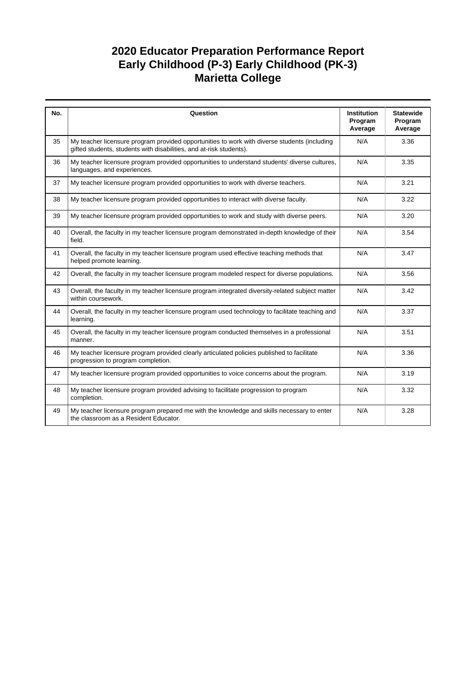# **2020 Educator Preparation Performance Report Early Childhood (P-3) Early Childhood (PK-3) Marietta College**

| No. | Question                                                                                                                                                            | <b>Institution</b><br>Program<br>Average | <b>Statewide</b><br>Program<br>Average |
|-----|---------------------------------------------------------------------------------------------------------------------------------------------------------------------|------------------------------------------|----------------------------------------|
| 35  | My teacher licensure program provided opportunities to work with diverse students (including<br>gifted students, students with disabilities, and at-risk students). | N/A                                      | 3.36                                   |
| 36  | My teacher licensure program provided opportunities to understand students' diverse cultures,<br>languages, and experiences.                                        | N/A                                      | 3.35                                   |
| 37  | My teacher licensure program provided opportunities to work with diverse teachers.                                                                                  | N/A                                      | 3.21                                   |
| 38  | My teacher licensure program provided opportunities to interact with diverse faculty.                                                                               | N/A                                      | 3.22                                   |
| 39  | My teacher licensure program provided opportunities to work and study with diverse peers.                                                                           | N/A                                      | 3.20                                   |
| 40  | Overall, the faculty in my teacher licensure program demonstrated in-depth knowledge of their<br>field.                                                             | N/A                                      | 3.54                                   |
| 41  | Overall, the faculty in my teacher licensure program used effective teaching methods that<br>helped promote learning.                                               | N/A                                      | 3.47                                   |
| 42  | Overall, the faculty in my teacher licensure program modeled respect for diverse populations.                                                                       | N/A                                      | 3.56                                   |
| 43  | Overall, the faculty in my teacher licensure program integrated diversity-related subject matter<br>within coursework.                                              | N/A                                      | 3.42                                   |
| 44  | Overall, the faculty in my teacher licensure program used technology to facilitate teaching and<br>learning.                                                        | N/A                                      | 3.37                                   |
| 45  | Overall, the faculty in my teacher licensure program conducted themselves in a professional<br>manner.                                                              | N/A                                      | 3.51                                   |
| 46  | My teacher licensure program provided clearly articulated policies published to facilitate<br>progression to program completion.                                    | N/A                                      | 3.36                                   |
| 47  | My teacher licensure program provided opportunities to voice concerns about the program.                                                                            | N/A                                      | 3.19                                   |
| 48  | My teacher licensure program provided advising to facilitate progression to program<br>completion.                                                                  | N/A                                      | 3.32                                   |
| 49  | My teacher licensure program prepared me with the knowledge and skills necessary to enter<br>the classroom as a Resident Educator.                                  | N/A                                      | 3.28                                   |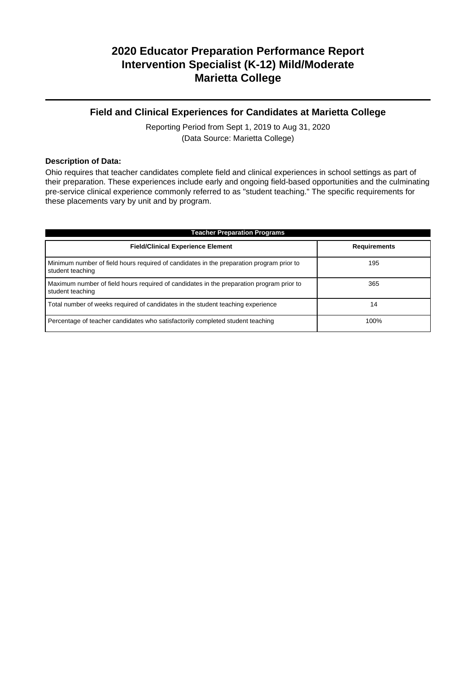### **Field and Clinical Experiences for Candidates at Marietta College**

Reporting Period from Sept 1, 2019 to Aug 31, 2020 (Data Source: Marietta College)

#### **Description of Data:**

Ohio requires that teacher candidates complete field and clinical experiences in school settings as part of their preparation. These experiences include early and ongoing field-based opportunities and the culminating pre-service clinical experience commonly referred to as "student teaching." The specific requirements for these placements vary by unit and by program.

| <b>Teacher Preparation Programs</b>                                                                          |                     |  |  |  |
|--------------------------------------------------------------------------------------------------------------|---------------------|--|--|--|
| <b>Field/Clinical Experience Element</b>                                                                     | <b>Requirements</b> |  |  |  |
| Minimum number of field hours required of candidates in the preparation program prior to<br>student teaching | 195                 |  |  |  |
| Maximum number of field hours required of candidates in the preparation program prior to<br>student teaching | 365                 |  |  |  |
| Total number of weeks required of candidates in the student teaching experience                              | 14                  |  |  |  |
| Percentage of teacher candidates who satisfactorily completed student teaching                               | 100%                |  |  |  |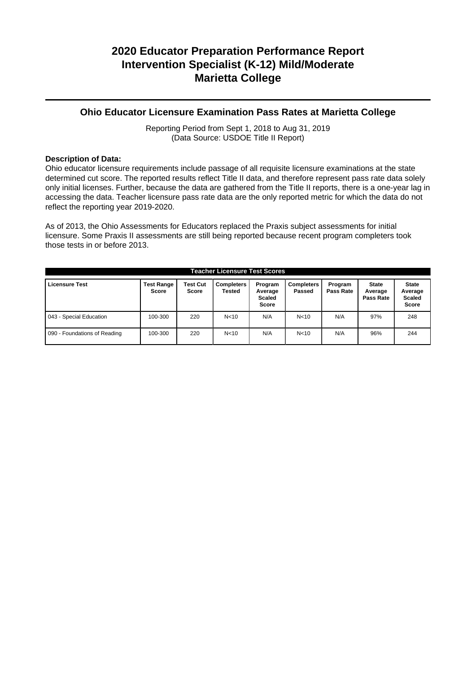### **Ohio Educator Licensure Examination Pass Rates at Marietta College**

Reporting Period from Sept 1, 2018 to Aug 31, 2019 (Data Source: USDOE Title II Report)

### **Description of Data:**

Ohio educator licensure requirements include passage of all requisite licensure examinations at the state determined cut score. The reported results reflect Title II data, and therefore represent pass rate data solely only initial licenses. Further, because the data are gathered from the Title II reports, there is a one-year lag in accessing the data. Teacher licensure pass rate data are the only reported metric for which the data do not reflect the reporting year 2019-2020.

As of 2013, the Ohio Assessments for Educators replaced the Praxis subject assessments for initial licensure. Some Praxis II assessments are still being reported because recent program completers took those tests in or before 2013.

| <b>Teacher Licensure Test Scores</b> |                                   |                                 |                      |                                                     |                             |                      |                                      |                                                          |
|--------------------------------------|-----------------------------------|---------------------------------|----------------------|-----------------------------------------------------|-----------------------------|----------------------|--------------------------------------|----------------------------------------------------------|
| <b>Licensure Test</b>                | <b>Test Range</b><br><b>Score</b> | <b>Test Cut</b><br><b>Score</b> | Completers<br>Tested | Program<br>Average<br><b>Scaled</b><br><b>Score</b> | <b>Completers</b><br>Passed | Program<br>Pass Rate | <b>State</b><br>Average<br>Pass Rate | <b>State</b><br>Average<br><b>Scaled</b><br><b>Score</b> |
| 043 - Special Education              | 100-300                           | 220                             | N < 10               | N/A                                                 | N <sub>10</sub>             | N/A                  | 97%                                  | 248                                                      |
| 090 - Foundations of Reading         | 100-300                           | 220                             | N <sub>10</sub>      | N/A                                                 | N <sub>10</sub>             | N/A                  | 96%                                  | 244                                                      |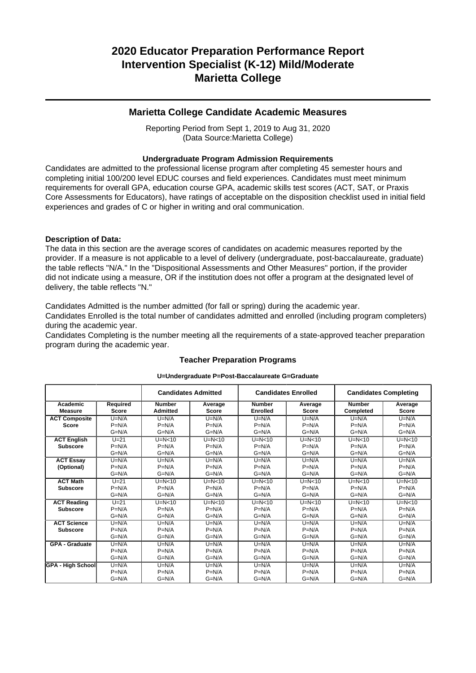### **Marietta College Candidate Academic Measures**

Reporting Period from Sept 1, 2019 to Aug 31, 2020 (Data Source:Marietta College)

### **Undergraduate Program Admission Requirements**

Candidates are admitted to the professional license program after completing 45 semester hours and completing initial 100/200 level EDUC courses and field experiences. Candidates must meet minimum requirements for overall GPA, education course GPA, academic skills test scores (ACT, SAT, or Praxis Core Assessments for Educators), have ratings of acceptable on the disposition checklist used in initial field experiences and grades of C or higher in writing and oral communication.

### **Description of Data:**

The data in this section are the average scores of candidates on academic measures reported by the provider. If a measure is not applicable to a level of delivery (undergraduate, post-baccalaureate, graduate) the table reflects "N/A." In the "Dispositional Assessments and Other Measures" portion, if the provider did not indicate using a measure, OR if the institution does not offer a program at the designated level of delivery, the table reflects "N."

Candidates Admitted is the number admitted (for fall or spring) during the academic year.

Candidates Enrolled is the total number of candidates admitted and enrolled (including program completers) during the academic year.

Candidates Completing is the number meeting all the requirements of a state-approved teacher preparation program during the academic year.

|                            |                          | <b>Candidates Admitted</b>       |                         |                                  | <b>Candidates Enrolled</b> |                            | <b>Candidates Completing</b> |
|----------------------------|--------------------------|----------------------------------|-------------------------|----------------------------------|----------------------------|----------------------------|------------------------------|
| Academic<br><b>Measure</b> | Required<br><b>Score</b> | <b>Number</b><br><b>Admitted</b> | Average<br><b>Score</b> | <b>Number</b><br><b>Enrolled</b> | Average<br><b>Score</b>    | <b>Number</b><br>Completed | Average<br><b>Score</b>      |
| <b>ACT Composite</b>       | $U=N/A$                  | $U=N/A$                          | $U=N/A$                 | $U=N/A$                          | $U=N/A$                    | $U=N/A$                    | $U=N/A$                      |
| <b>Score</b>               | $P=N/A$                  | $P=N/A$                          | $P=N/A$                 | $P=N/A$                          | $P=N/A$                    | $P=N/A$                    | $P=N/A$                      |
|                            | $G=N/A$                  | $G=N/A$                          | $G=N/A$                 | $G=N/A$                          | $G=N/A$                    | $G=N/A$                    | $G=N/A$                      |
| <b>ACT English</b>         | $U=21$                   | $U=N<10$                         | $U=N<10$                | $U=N<10$                         | $U=N<10$                   | $U=N<10$                   | $U=N<10$                     |
| <b>Subscore</b>            | $P=N/A$                  | $P=N/A$                          | $P=N/A$                 | $P=N/A$                          | $P=N/A$                    | $P=N/A$                    | $P=N/A$                      |
|                            | $G=N/A$                  | $G=N/A$                          | $G=N/A$                 | $G=N/A$                          | $G=N/A$                    | $G=N/A$                    | $G=N/A$                      |
| <b>ACT Essay</b>           | $U=N/A$                  | $U=N/A$                          | $U=N/A$                 | $U=N/A$                          | $U=N/A$                    | $U=N/A$                    | $U=N/A$                      |
| (Optional)                 | $P=N/A$                  | $P=N/A$                          | $P=N/A$                 | $P=N/A$                          | $P=N/A$                    | $P=N/A$                    | $P=N/A$                      |
|                            | $G=N/A$                  | $G=N/A$                          | $G=N/A$                 | $G=N/A$                          | $G=N/A$                    | $G=N/A$                    | $G=N/A$                      |
| <b>ACT Math</b>            | $U = 21$                 | $U=N<10$                         | $U=N<10$                | $U=N<10$                         | $U=N<10$                   | $U=N<10$                   | $U=N<10$                     |
| <b>Subscore</b>            | $P=N/A$                  | $P=N/A$                          | $P=N/A$                 | $P=N/A$                          | $P=N/A$                    | $P=N/A$                    | $P=N/A$                      |
|                            | $G=N/A$                  | $G=N/A$                          | $G=N/A$                 | $G=N/A$                          | $G=N/A$                    | $G=N/A$                    | $G=N/A$                      |
| <b>ACT Reading</b>         | $U=21$                   | $U=N<10$                         | $U=N<10$                | $U=N<10$                         | $U=N<10$                   | $U=N<10$                   | $U=N<10$                     |
| <b>Subscore</b>            | $P=N/A$                  | $P=N/A$                          | $P=N/A$                 | $P=N/A$                          | $P=N/A$                    | $P=N/A$                    | $P=N/A$                      |
|                            | $G=N/A$                  | $G=N/A$                          | $G=N/A$                 | $G=N/A$                          | $G=N/A$                    | $G=N/A$                    | $G=N/A$                      |
| <b>ACT Science</b>         | $U=N/A$                  | $U=N/A$                          | $U=N/A$                 | $U=N/A$                          | $U=N/A$                    | $U=N/A$                    | $U=N/A$                      |
| <b>Subscore</b>            | $P=N/A$                  | $P=N/A$                          | $P=N/A$                 | $P=N/A$                          | $P=N/A$                    | $P=N/A$                    | $P=N/A$                      |
|                            | $G=N/A$                  | $G=N/A$                          | $G=N/A$                 | $G=N/A$                          | $G=N/A$                    | $G=N/A$                    | $G=N/A$                      |
| <b>GPA - Graduate</b>      | $U=N/A$                  | $U=N/A$                          | $U=N/A$                 | $U=N/A$                          | $U=N/A$                    | $U=N/A$                    | $U=N/A$                      |
|                            | $P=N/A$                  | $P=N/A$                          | $P=N/A$                 | $P=N/A$                          | $P=N/A$                    | $P=N/A$                    | $P=N/A$                      |
|                            | $G=N/A$                  | $G=N/A$                          | $G=N/A$                 | $G=N/A$                          | $G=N/A$                    | $G=N/A$                    | $G=N/A$                      |
| <b>GPA - High School</b>   | $U=N/A$                  | $U=N/A$                          | $U=N/A$                 | $U=N/A$                          | $U=N/A$                    | $U=N/A$                    | $U=N/A$                      |
|                            | $P=N/A$                  | $P=N/A$                          | $P=N/A$                 | $P=N/A$                          | $P=N/A$                    | $P=N/A$                    | $P=N/A$                      |
|                            | $G=N/A$                  | $G=N/A$                          | $G=N/A$                 | $G=N/A$                          | $G=N/A$                    | $G=N/A$                    | $G=N/A$                      |

## **Teacher Preparation Programs U=Undergraduate P=Post-Baccalaureate G=Graduate**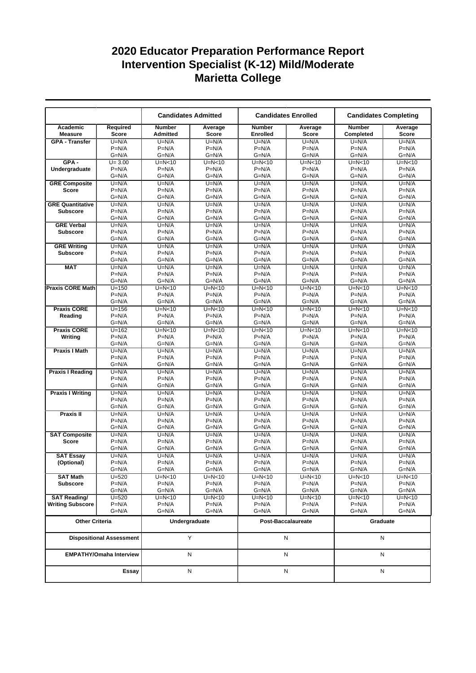|                                    |                                 |                                  | <b>Candidates Admitted</b> |                                  | <b>Candidates Enrolled</b> |                            | <b>Candidates Completing</b> |
|------------------------------------|---------------------------------|----------------------------------|----------------------------|----------------------------------|----------------------------|----------------------------|------------------------------|
| Academic<br><b>Measure</b>         | Required<br><b>Score</b>        | <b>Number</b><br><b>Admitted</b> | Average<br><b>Score</b>    | <b>Number</b><br><b>Enrolled</b> | Average<br><b>Score</b>    | <b>Number</b><br>Completed | Average<br>Score             |
| <b>GPA - Transfer</b>              | $U=N/A$                         | $U=N/A$                          | $U=N/A$                    | $U=N/A$                          | $U=N/A$                    | $U=N/A$                    | $U=N/A$                      |
|                                    | $P=N/A$                         | $P=N/A$                          | $P=N/A$                    | $P=N/A$                          | $P=N/A$                    | $P=N/A$                    | $P=N/A$                      |
|                                    | $G=N/A$                         | G=N/A                            | $G=N/A$                    | $G=N/A$                          | $G=N/A$                    | $G=N/A$                    | $G=N/A$                      |
| $GPA -$                            | $U = 3.00$                      | $U=N<10$                         | $U=N<10$                   | $U=N<10$                         | $U=N<10$                   | $U=N<10$                   | $U=N10$                      |
| Undergraduate                      | $P=N/A$                         | $P=N/A$                          | $P=N/A$                    | $P=N/A$                          | $P=N/A$                    | $P=N/A$                    | $P=N/A$                      |
| <b>GRE Composite</b>               | $G=N/A$<br>$U=N/A$              | $G=N/A$<br>$U=N/A$               | $G=N/A$<br>$U=N/A$         | $G=N/A$<br>$U=N/A$               | $G=N/A$<br>$U=N/A$         | $G=N/A$<br>$U=N/A$         | $G=N/A$<br>$U=N/A$           |
| Score                              | $P=N/A$                         | $P=N/A$                          | $P=N/A$                    | $P=N/A$                          | $P=N/A$                    | $P=N/A$                    | $P=N/A$                      |
|                                    | $G=N/A$                         | $G=N/A$                          | $G=N/A$                    | $G=N/A$                          | $G=N/A$                    | $G=N/A$                    | $G=N/A$                      |
| <b>GRE Quantitative</b>            | $U=N/A$                         | $U=N/A$                          | $U=N/A$                    | $U=N/A$                          | $U=N/A$                    | $U=N/A$                    | $U=N/A$                      |
| <b>Subscore</b>                    | $P=N/A$                         | $P=N/A$                          | $P=N/A$                    | $P=N/A$                          | $P=N/A$                    | $P=N/A$                    | $P=N/A$                      |
|                                    | $G=N/A$                         | G=N/A                            | $G=N/A$                    | $G=N/A$                          | G=N/A                      | $G=N/A$                    | $G=N/A$                      |
| <b>GRE Verbal</b>                  | $U=N/A$                         | $U=N/A$                          | $U=N/A$                    | $U=N/A$                          | $U=N/A$                    | $U=N/A$                    | $U=N/A$                      |
| <b>Subscore</b>                    | $P=N/A$                         | $P=N/A$                          | $P=N/A$                    | $P=N/A$                          | $P=N/A$                    | $P=N/A$                    | $P=N/A$                      |
|                                    | $G=N/A$                         | $G=N/A$                          | $G=N/A$                    | $G=N/A$                          | $G=N/A$                    | $G=N/A$                    | $G=N/A$                      |
| <b>GRE Writing</b>                 | $U=N/A$                         | $U=N/A$                          | $U=N/A$                    | $U=N/A$                          | $U=N/A$                    | $U=N/A$                    | $U=N/A$                      |
| <b>Subscore</b>                    | $P=N/A$                         | $P=N/A$                          | $P=N/A$                    | $P=N/A$                          | $P=N/A$                    | $P=N/A$                    | $P=N/A$                      |
|                                    | $G=N/A$                         | $G=N/A$                          | $G=N/A$                    | $G=N/A$                          | $G=N/A$                    | $G=N/A$                    | $G=N/A$                      |
| <b>MAT</b>                         | $U=N/A$                         | $U=N/A$                          | $U=N/A$                    | $\overline{U}$ =N/A              | $U=N/A$                    | $U=N/A$                    | $\overline{U}$ =N/A          |
|                                    | $P=N/A$                         | $P=N/A$                          | $P=N/A$                    | $P=N/A$                          | $P=N/A$                    | $P=N/A$                    | $P=N/A$                      |
|                                    | $G=N/A$<br>$U = 150$            | $G=N/A$<br>$U=N<10$              | $G=N/A$<br>$U=N<10$        | $G=N/A$<br>$U=N<10$              | $G=N/A$<br>$U=N<10$        | $G=N/A$<br>$U=N<10$        | $G=N/A$<br>$U=N<10$          |
| <b>Praxis CORE Math</b>            | $P=N/A$                         | $P=N/A$                          | $P=N/A$                    | $P=N/A$                          | $P=N/A$                    | $P=N/A$                    | $P=N/A$                      |
|                                    | $G=N/A$                         | $G=N/A$                          | $G=N/A$                    | $G=N/A$                          | $G=N/A$                    | $G=N/A$                    | $G=N/A$                      |
| <b>Praxis CORE</b>                 | $U = 156$                       | $U=N<10$                         | $U=N<10$                   | $U=N<10$                         | $U=N<10$                   | $U=N<10$                   | $U=N<10$                     |
| Reading                            | $P=N/A$                         | $P=N/A$                          | $P=N/A$                    | $P=N/A$                          | $P=N/A$                    | $P=N/A$                    | $P=N/A$                      |
|                                    | $G=N/A$                         | $G=N/A$                          | $G=N/A$                    | $G=N/A$                          | $G=N/A$                    | $G=N/A$                    | $G=N/A$                      |
| <b>Praxis CORE</b>                 | $U = 162$                       | $U=N<10$                         | $U=N<10$                   | $U=N<10$                         | $U=N<10$                   | $U=N<10$                   | $U=N<10$                     |
| Writing                            | $P=N/A$                         | $P=N/A$                          | $P=N/A$                    | $P=N/A$                          | $P=N/A$                    | $P=N/A$                    | $P=N/A$                      |
|                                    | $G=N/A$                         | $G=N/A$                          | $G=N/A$                    | $G=N/A$                          | $G=N/A$                    | $G=N/A$                    | $G=N/A$                      |
| <b>Praxis I Math</b>               | $U=N/A$                         | $U=N/A$                          | $U=N/A$                    | $U=N/A$                          | $U=N/A$                    | $U=N/A$                    | $U=N/A$                      |
|                                    | $P=N/A$                         | $P=N/A$                          | $P=N/A$                    | $P=N/A$                          | $P=N/A$                    | $P=N/A$                    | $P=N/A$                      |
|                                    | $G=N/A$                         | $G=N/A$                          | $G=N/A$                    | $G=N/A$                          | $G=N/A$                    | $G=N/A$                    | $G=N/A$                      |
| <b>Praxis I Reading</b>            | $U=N/A$                         | $U=N/A$                          | $U=N/A$                    | $U=N/A$                          | $U=N/A$                    | $U=N/A$                    | $U=N/A$                      |
|                                    | $P=N/A$<br>$G=N/A$              | $P=N/A$<br>$G=N/A$               | $P=N/A$<br>$G=N/A$         | $P=N/A$<br>$G=N/A$               | $P=N/A$<br>$G=N/A$         | $P=N/A$<br>$G=N/A$         | $P=N/A$<br>$G=N/A$           |
| <b>Praxis I Writing</b>            | $U=N/A$                         | $U=N/A$                          | $U=N/A$                    | $U=N/A$                          | $U=N/A$                    | $U=N/A$                    | $U=N/A$                      |
|                                    | $P=N/A$                         | $P=N/A$                          | $P=N/A$                    | $P=N/A$                          | $P=N/A$                    | $P=N/A$                    | $P=N/A$                      |
|                                    | G=N/A                           | $G=N/A$                          | $G=N/A$                    | $G=N/A$                          | $G=N/A$                    | $G=N/A$                    | $G=N/A$                      |
| Praxis II                          | $U=N/A$                         | $U=N/A$                          | $U=N/A$                    | $U=N/A$                          | $U=N/A$                    | $U=N/A$                    | $U=N/A$                      |
|                                    | $P=N/A$                         | $P=N/A$                          | $P=N/A$                    | $P=N/A$                          | $P=N/A$                    | $P=N/A$                    | $P=N/A$                      |
|                                    | $G=N/A$                         | $G=N/A$                          | $G=N/A$                    | $G=N/A$                          | $G=N/A$                    | $G=N/A$                    | $G=N/A$                      |
| <b>SAT Composite</b>               | $U=N/A$                         | $U=N/A$                          | $U=N/A$                    | $U=N/A$                          | $U=N/A$                    | $U=N/A$                    | $U=N/A$                      |
| <b>Score</b>                       | $P=N/A$                         | $P=N/A$                          | $P=N/A$                    | $P=N/A$                          | $P=N/A$                    | $P=N/A$                    | $P=N/A$                      |
|                                    | $G=N/A$                         | $G=N/A$                          | $G=N/A$                    | $G=N/A$                          | $G=N/A$                    | $G=N/A$                    | $G=N/A$                      |
| <b>SAT Essay</b>                   | $U=N/A$                         | $U=N/A$                          | $U=N/A$                    | $U=N/A$                          | $U=N/A$                    | $U=N/A$                    | $U=N/A$                      |
| (Optional)                         | $P=N/A$                         | $P=N/A$                          | $P=N/A$                    | $P=N/A$                          | $P=N/A$                    | $P=N/A$                    | $P=N/A$                      |
|                                    | G=N/A                           | $G=N/A$                          | $G=N/A$                    | $G=N/A$                          | $G=N/A$                    | $G=N/A$                    | $G=N/A$                      |
| <b>SAT Math</b><br><b>Subscore</b> | $U = 520$<br>$P=N/A$            | $U=N<10$<br>$P=N/A$              | U=N<10<br>$P=N/A$          | $U=N<10$<br>$P=N/A$              | $U=N<10$<br>$P=N/A$        | U=N<10<br>$P=N/A$          | $U=N<10$<br>$P=N/A$          |
|                                    | G=N/A                           | G=N/A                            | $G=N/A$                    | $G=N/A$                          | $G=N/A$                    | $G=N/A$                    | $G=N/A$                      |
| <b>SAT Reading/</b>                | $U = 520$                       | $U=N<10$                         | U=N<10                     | $U=N<10$                         | $U=N<10$                   | U=N<10                     | $U=N<10$                     |
| <b>Writing Subscore</b>            | $P=N/A$                         | $P=N/A$                          | $P=N/A$                    | $P=N/A$                          | $P=N/A$                    | $P=N/A$                    | $P=N/A$                      |
|                                    | G=N/A                           | G=N/A                            | $G=N/A$                    | $G=N/A$                          | $G=N/A$                    | $G=N/A$                    | $G=N/A$                      |
| <b>Other Criteria</b>              |                                 |                                  | Undergraduate              |                                  | Post-Baccalaureate         | Graduate                   |                              |
|                                    | <b>Dispositional Assessment</b> |                                  | Y                          |                                  | N                          |                            | N                            |
|                                    | <b>EMPATHY/Omaha Interview</b>  |                                  | N                          |                                  | N                          |                            | N                            |
| Essay                              |                                 |                                  | N                          |                                  | N                          |                            | N                            |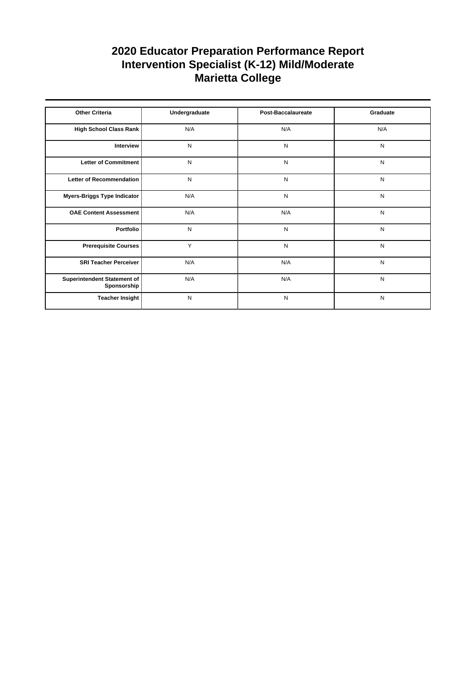| <b>Other Criteria</b>                      | Undergraduate | <b>Post-Baccalaureate</b> | Graduate  |
|--------------------------------------------|---------------|---------------------------|-----------|
| High School Class Rank                     | N/A           | N/A                       | N/A       |
| Interview                                  | N             | N                         | N         |
| Letter of Commitment                       | N             | N                         | ${\sf N}$ |
| Letter of Recommendation                   | N             | N                         | N         |
| Myers-Briggs Type Indicator                | N/A           | N                         | N         |
| <b>OAE Content Assessment</b>              | N/A           | N/A                       | N         |
| Portfolio                                  | N             | N                         | ${\sf N}$ |
| <b>Prerequisite Courses</b>                | Y             | N                         | N         |
| <b>SRI Teacher Perceiver</b>               | N/A           | N/A                       | ${\sf N}$ |
| Superintendent Statement of<br>Sponsorship | N/A           | N/A                       | N         |
| <b>Teacher Insight</b>                     | N             | N                         | N         |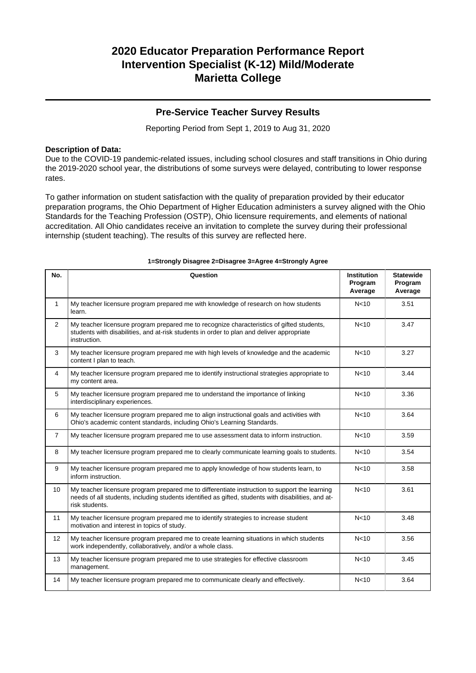### **Pre-Service Teacher Survey Results**

Reporting Period from Sept 1, 2019 to Aug 31, 2020

### **Description of Data:**

Due to the COVID-19 pandemic-related issues, including school closures and staff transitions in Ohio during the 2019-2020 school year, the distributions of some surveys were delayed, contributing to lower response rates.

To gather information on student satisfaction with the quality of preparation provided by their educator preparation programs, the Ohio Department of Higher Education administers a survey aligned with the Ohio Standards for the Teaching Profession (OSTP), Ohio licensure requirements, and elements of national accreditation. All Ohio candidates receive an invitation to complete the survey during their professional internship (student teaching). The results of this survey are reflected here.

| No.            | Question                                                                                                                                                                                                               | <b>Institution</b><br>Program<br>Average | <b>Statewide</b><br>Program<br>Average |
|----------------|------------------------------------------------------------------------------------------------------------------------------------------------------------------------------------------------------------------------|------------------------------------------|----------------------------------------|
| $\mathbf{1}$   | My teacher licensure program prepared me with knowledge of research on how students<br>learn.                                                                                                                          | N <sub>10</sub>                          | 3.51                                   |
| $\overline{2}$ | My teacher licensure program prepared me to recognize characteristics of gifted students,<br>students with disabilities, and at-risk students in order to plan and deliver appropriate<br>instruction.                 | N <sub>10</sub>                          | 3.47                                   |
| 3              | My teacher licensure program prepared me with high levels of knowledge and the academic<br>content I plan to teach.                                                                                                    | N <sub>10</sub>                          | 3.27                                   |
| 4              | My teacher licensure program prepared me to identify instructional strategies appropriate to<br>my content area.                                                                                                       | N <sub>10</sub>                          | 3.44                                   |
| 5              | My teacher licensure program prepared me to understand the importance of linking<br>interdisciplinary experiences.                                                                                                     | N <sub>10</sub>                          | 3.36                                   |
| 6              | My teacher licensure program prepared me to align instructional goals and activities with<br>Ohio's academic content standards, including Ohio's Learning Standards.                                                   | N <sub>10</sub>                          | 3.64                                   |
| $\overline{7}$ | My teacher licensure program prepared me to use assessment data to inform instruction.                                                                                                                                 | N <sub>10</sub>                          | 3.59                                   |
| 8              | My teacher licensure program prepared me to clearly communicate learning goals to students.                                                                                                                            | N <sub>10</sub>                          | 3.54                                   |
| 9              | My teacher licensure program prepared me to apply knowledge of how students learn, to<br>inform instruction.                                                                                                           | N <sub>10</sub>                          | 3.58                                   |
| 10             | My teacher licensure program prepared me to differentiate instruction to support the learning<br>needs of all students, including students identified as gifted, students with disabilities, and at-<br>risk students. | N <sub>10</sub>                          | 3.61                                   |
| 11             | My teacher licensure program prepared me to identify strategies to increase student<br>motivation and interest in topics of study.                                                                                     | N<10                                     | 3.48                                   |
| 12             | My teacher licensure program prepared me to create learning situations in which students<br>work independently, collaboratively, and/or a whole class.                                                                 | N <sub>10</sub>                          | 3.56                                   |
| 13             | My teacher licensure program prepared me to use strategies for effective classroom<br>management.                                                                                                                      | N <sub>10</sub>                          | 3.45                                   |
| 14             | My teacher licensure program prepared me to communicate clearly and effectively.                                                                                                                                       | N <sub>10</sub>                          | 3.64                                   |

#### **1=Strongly Disagree 2=Disagree 3=Agree 4=Strongly Agree**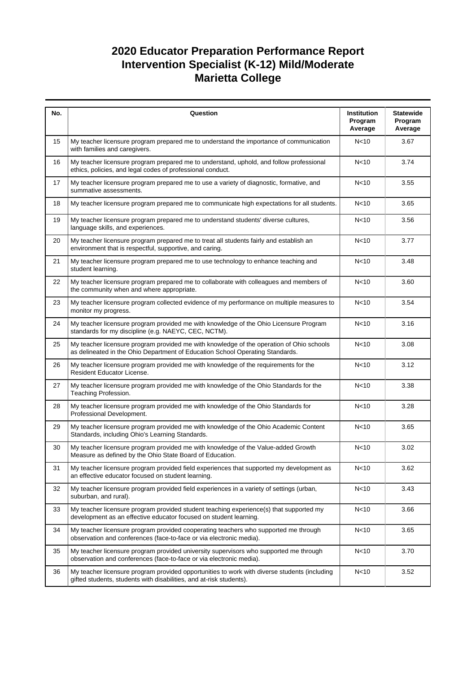| No. | Question                                                                                                                                                                  | Institution<br>Program<br>Average | <b>Statewide</b><br>Program<br>Average |
|-----|---------------------------------------------------------------------------------------------------------------------------------------------------------------------------|-----------------------------------|----------------------------------------|
| 15  | My teacher licensure program prepared me to understand the importance of communication<br>with families and caregivers.                                                   | N <sub>10</sub>                   | 3.67                                   |
| 16  | My teacher licensure program prepared me to understand, uphold, and follow professional<br>ethics, policies, and legal codes of professional conduct.                     | N<10                              | 3.74                                   |
| 17  | My teacher licensure program prepared me to use a variety of diagnostic, formative, and<br>summative assessments.                                                         | N <sub>10</sub>                   | 3.55                                   |
| 18  | My teacher licensure program prepared me to communicate high expectations for all students.                                                                               | N <sub>10</sub>                   | 3.65                                   |
| 19  | My teacher licensure program prepared me to understand students' diverse cultures,<br>language skills, and experiences.                                                   | N <sub>10</sub>                   | 3.56                                   |
| 20  | My teacher licensure program prepared me to treat all students fairly and establish an<br>environment that is respectful, supportive, and caring.                         | N <sub>10</sub>                   | 3.77                                   |
| 21  | My teacher licensure program prepared me to use technology to enhance teaching and<br>student learning.                                                                   | N <sub>10</sub>                   | 3.48                                   |
| 22  | My teacher licensure program prepared me to collaborate with colleagues and members of<br>the community when and where appropriate.                                       | N <sub>10</sub>                   | 3.60                                   |
| 23  | My teacher licensure program collected evidence of my performance on multiple measures to<br>monitor my progress.                                                         | N <sub>10</sub>                   | 3.54                                   |
| 24  | My teacher licensure program provided me with knowledge of the Ohio Licensure Program<br>standards for my discipline (e.g. NAEYC, CEC, NCTM).                             | N <sub>10</sub>                   | 3.16                                   |
| 25  | My teacher licensure program provided me with knowledge of the operation of Ohio schools<br>as delineated in the Ohio Department of Education School Operating Standards. | N<10                              | 3.08                                   |
| 26  | My teacher licensure program provided me with knowledge of the requirements for the<br>Resident Educator License.                                                         | N <sub>10</sub>                   | 3.12                                   |
| 27  | My teacher licensure program provided me with knowledge of the Ohio Standards for the<br>Teaching Profession.                                                             | N <sub>10</sub>                   | 3.38                                   |
| 28  | My teacher licensure program provided me with knowledge of the Ohio Standards for<br>Professional Development.                                                            | N <sub>10</sub>                   | 3.28                                   |
| 29  | My teacher licensure program provided me with knowledge of the Ohio Academic Content<br>Standards, including Ohio's Learning Standards.                                   | N <sub>10</sub>                   | 3.65                                   |
| 30  | My teacher licensure program provided me with knowledge of the Value-added Growth<br>Measure as defined by the Ohio State Board of Education.                             | N <sub>10</sub>                   | 3.02                                   |
| 31  | My teacher licensure program provided field experiences that supported my development as<br>an effective educator focused on student learning.                            | N <sub>10</sub>                   | 3.62                                   |
| 32  | My teacher licensure program provided field experiences in a variety of settings (urban,<br>suburban, and rural).                                                         | N <sub>10</sub>                   | 3.43                                   |
| 33  | My teacher licensure program provided student teaching experience(s) that supported my<br>development as an effective educator focused on student learning.               | N <sub>10</sub>                   | 3.66                                   |
| 34  | My teacher licensure program provided cooperating teachers who supported me through<br>observation and conferences (face-to-face or via electronic media).                | N <sub>10</sub>                   | 3.65                                   |
| 35  | My teacher licensure program provided university supervisors who supported me through<br>observation and conferences (face-to-face or via electronic media).              | N<10                              | 3.70                                   |
| 36  | My teacher licensure program provided opportunities to work with diverse students (including<br>gifted students, students with disabilities, and at-risk students).       | N <sub>10</sub>                   | 3.52                                   |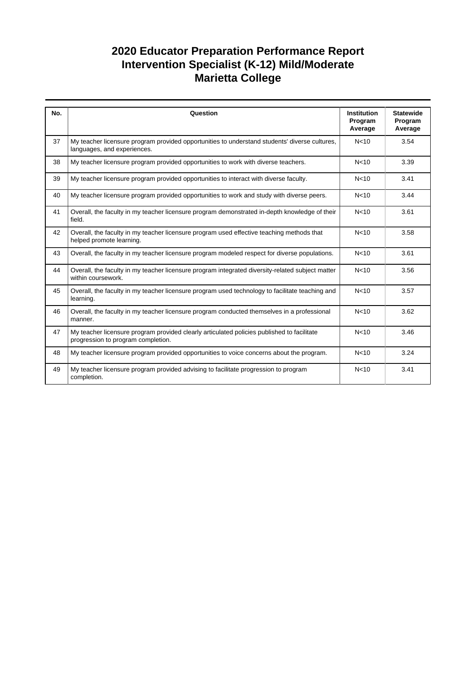| No. | Question                                                                                                                         | <b>Institution</b> | <b>Statewide</b>   |
|-----|----------------------------------------------------------------------------------------------------------------------------------|--------------------|--------------------|
|     |                                                                                                                                  | Program<br>Average | Program<br>Average |
| 37  | My teacher licensure program provided opportunities to understand students' diverse cultures,<br>languages, and experiences.     | N <sub>10</sub>    | 3.54               |
| 38  | My teacher licensure program provided opportunities to work with diverse teachers.                                               | N <sub>10</sub>    | 3.39               |
| 39  | My teacher licensure program provided opportunities to interact with diverse faculty.                                            | N <sub>10</sub>    | 3.41               |
| 40  | My teacher licensure program provided opportunities to work and study with diverse peers.                                        | N <sub>10</sub>    | 3.44               |
| 41  | Overall, the faculty in my teacher licensure program demonstrated in-depth knowledge of their<br>field.                          | N <sub>10</sub>    | 3.61               |
| 42  | Overall, the faculty in my teacher licensure program used effective teaching methods that<br>helped promote learning.            | N <sub>10</sub>    | 3.58               |
| 43  | Overall, the faculty in my teacher licensure program modeled respect for diverse populations.                                    | N <sub>10</sub>    | 3.61               |
| 44  | Overall, the faculty in my teacher licensure program integrated diversity-related subject matter<br>within coursework.           | N <sub>10</sub>    | 3.56               |
| 45  | Overall, the faculty in my teacher licensure program used technology to facilitate teaching and<br>learning.                     | N <sub>10</sub>    | 3.57               |
| 46  | Overall, the faculty in my teacher licensure program conducted themselves in a professional<br>manner.                           | N <sub>10</sub>    | 3.62               |
| 47  | My teacher licensure program provided clearly articulated policies published to facilitate<br>progression to program completion. | N <sub>10</sub>    | 3.46               |
| 48  | My teacher licensure program provided opportunities to voice concerns about the program.                                         | N <sub>10</sub>    | 3.24               |
| 49  | My teacher licensure program provided advising to facilitate progression to program<br>completion.                               | N <sub>10</sub>    | 3.41               |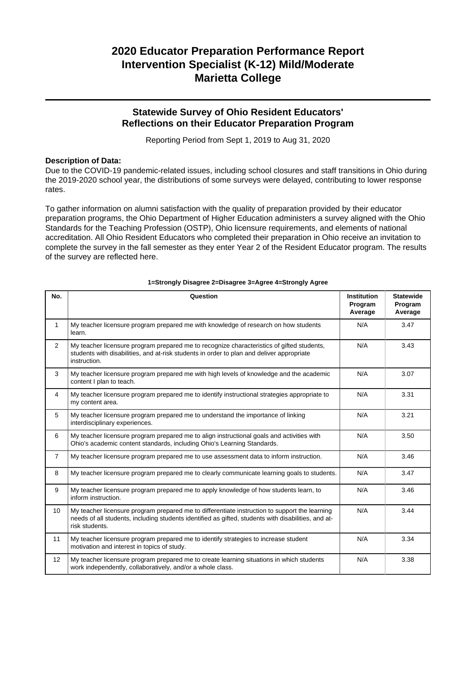### **Statewide Survey of Ohio Resident Educators' Reflections on their Educator Preparation Program**

Reporting Period from Sept 1, 2019 to Aug 31, 2020

### **Description of Data:**

Due to the COVID-19 pandemic-related issues, including school closures and staff transitions in Ohio during the 2019-2020 school year, the distributions of some surveys were delayed, contributing to lower response rates.

To gather information on alumni satisfaction with the quality of preparation provided by their educator preparation programs, the Ohio Department of Higher Education administers a survey aligned with the Ohio Standards for the Teaching Profession (OSTP), Ohio licensure requirements, and elements of national accreditation. All Ohio Resident Educators who completed their preparation in Ohio receive an invitation to complete the survey in the fall semester as they enter Year 2 of the Resident Educator program. The results of the survey are reflected here.

| No.            | Question                                                                                                                                                                                                               | <b>Institution</b><br>Program<br>Average | <b>Statewide</b><br>Program<br>Average |
|----------------|------------------------------------------------------------------------------------------------------------------------------------------------------------------------------------------------------------------------|------------------------------------------|----------------------------------------|
| 1              | My teacher licensure program prepared me with knowledge of research on how students<br>learn.                                                                                                                          | N/A                                      | 3.47                                   |
| $\overline{2}$ | My teacher licensure program prepared me to recognize characteristics of gifted students,<br>students with disabilities, and at-risk students in order to plan and deliver appropriate<br>instruction.                 | N/A                                      | 3.43                                   |
| 3              | My teacher licensure program prepared me with high levels of knowledge and the academic<br>content I plan to teach.                                                                                                    | N/A                                      | 3.07                                   |
| $\overline{4}$ | My teacher licensure program prepared me to identify instructional strategies appropriate to<br>my content area.                                                                                                       | N/A                                      | 3.31                                   |
| 5              | My teacher licensure program prepared me to understand the importance of linking<br>interdisciplinary experiences.                                                                                                     | N/A                                      | 3.21                                   |
| 6              | My teacher licensure program prepared me to align instructional goals and activities with<br>Ohio's academic content standards, including Ohio's Learning Standards.                                                   | N/A                                      | 3.50                                   |
| $\overline{7}$ | My teacher licensure program prepared me to use assessment data to inform instruction.                                                                                                                                 | N/A                                      | 3.46                                   |
| 8              | My teacher licensure program prepared me to clearly communicate learning goals to students.                                                                                                                            | N/A                                      | 3.47                                   |
| 9              | My teacher licensure program prepared me to apply knowledge of how students learn, to<br>inform instruction.                                                                                                           | N/A                                      | 3.46                                   |
| 10             | My teacher licensure program prepared me to differentiate instruction to support the learning<br>needs of all students, including students identified as gifted, students with disabilities, and at-<br>risk students. | N/A                                      | 3.44                                   |
| 11             | My teacher licensure program prepared me to identify strategies to increase student<br>motivation and interest in topics of study.                                                                                     | N/A                                      | 3.34                                   |
| 12             | My teacher licensure program prepared me to create learning situations in which students<br>work independently, collaboratively, and/or a whole class.                                                                 | N/A                                      | 3.38                                   |

#### **1=Strongly Disagree 2=Disagree 3=Agree 4=Strongly Agree**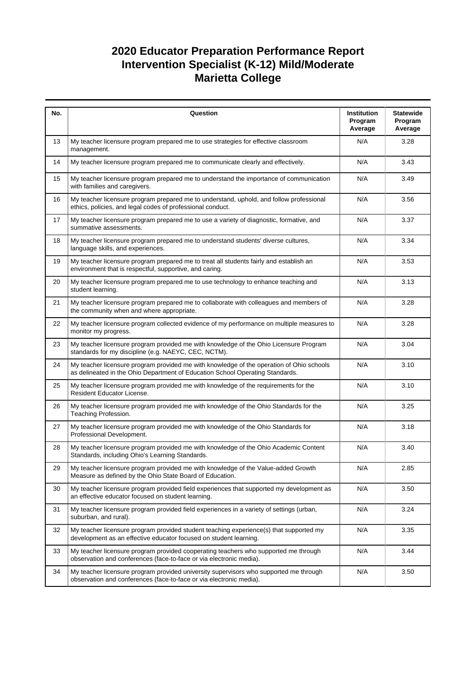| No. | Question                                                                                                                                                                  | Institution<br>Program<br>Average | <b>Statewide</b><br>Program<br>Average |
|-----|---------------------------------------------------------------------------------------------------------------------------------------------------------------------------|-----------------------------------|----------------------------------------|
| 13  | My teacher licensure program prepared me to use strategies for effective classroom<br>management.                                                                         | N/A                               | 3.28                                   |
| 14  | My teacher licensure program prepared me to communicate clearly and effectively.                                                                                          | N/A                               | 3.43                                   |
| 15  | My teacher licensure program prepared me to understand the importance of communication<br>with families and caregivers.                                                   | N/A                               | 3.49                                   |
| 16  | My teacher licensure program prepared me to understand, uphold, and follow professional<br>ethics, policies, and legal codes of professional conduct.                     | N/A                               | 3.56                                   |
| 17  | My teacher licensure program prepared me to use a variety of diagnostic, formative, and<br>summative assessments.                                                         | N/A                               | 3.37                                   |
| 18  | My teacher licensure program prepared me to understand students' diverse cultures,<br>language skills, and experiences.                                                   | N/A                               | 3.34                                   |
| 19  | My teacher licensure program prepared me to treat all students fairly and establish an<br>environment that is respectful, supportive, and caring.                         | N/A                               | 3.53                                   |
| 20  | My teacher licensure program prepared me to use technology to enhance teaching and<br>student learning.                                                                   | N/A                               | 3.13                                   |
| 21  | My teacher licensure program prepared me to collaborate with colleagues and members of<br>the community when and where appropriate.                                       | N/A                               | 3.28                                   |
| 22  | My teacher licensure program collected evidence of my performance on multiple measures to<br>monitor my progress.                                                         | N/A                               | 3.28                                   |
| 23  | My teacher licensure program provided me with knowledge of the Ohio Licensure Program<br>standards for my discipline (e.g. NAEYC, CEC, NCTM).                             | N/A                               | 3.04                                   |
| 24  | My teacher licensure program provided me with knowledge of the operation of Ohio schools<br>as delineated in the Ohio Department of Education School Operating Standards. | N/A                               | 3.10                                   |
| 25  | My teacher licensure program provided me with knowledge of the requirements for the<br>Resident Educator License.                                                         | N/A                               | 3.10                                   |
| 26  | My teacher licensure program provided me with knowledge of the Ohio Standards for the<br>Teaching Profession.                                                             | N/A                               | 3.25                                   |
| 27  | My teacher licensure program provided me with knowledge of the Ohio Standards for<br>Professional Development.                                                            | N/A                               | 3.18                                   |
| 28  | My teacher licensure program provided me with knowledge of the Ohio Academic Content<br>Standards, including Ohio's Learning Standards.                                   | N/A                               | 3.40                                   |
| 29  | My teacher licensure program provided me with knowledge of the Value-added Growth<br>Measure as defined by the Ohio State Board of Education.                             | N/A                               | 2.85                                   |
| 30  | My teacher licensure program provided field experiences that supported my development as<br>an effective educator focused on student learning.                            | N/A                               | 3.50                                   |
| 31  | My teacher licensure program provided field experiences in a variety of settings (urban,<br>suburban, and rural).                                                         | N/A                               | 3.24                                   |
| 32  | My teacher licensure program provided student teaching experience(s) that supported my<br>development as an effective educator focused on student learning.               | N/A                               | 3.35                                   |
| 33  | My teacher licensure program provided cooperating teachers who supported me through<br>observation and conferences (face-to-face or via electronic media).                | N/A                               | 3.44                                   |
| 34  | My teacher licensure program provided university supervisors who supported me through<br>observation and conferences (face-to-face or via electronic media).              | N/A                               | 3.50                                   |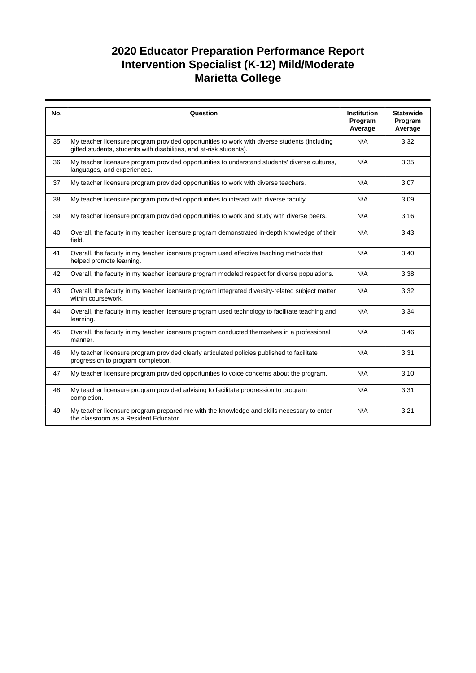| No. | Question                                                                                                                                                            | <b>Institution</b><br>Program<br>Average | <b>Statewide</b><br>Program<br>Average |
|-----|---------------------------------------------------------------------------------------------------------------------------------------------------------------------|------------------------------------------|----------------------------------------|
| 35  | My teacher licensure program provided opportunities to work with diverse students (including<br>gifted students, students with disabilities, and at-risk students). | N/A                                      | 3.32                                   |
| 36  | My teacher licensure program provided opportunities to understand students' diverse cultures,<br>languages, and experiences.                                        | N/A                                      | 3.35                                   |
| 37  | My teacher licensure program provided opportunities to work with diverse teachers.                                                                                  | N/A                                      | 3.07                                   |
| 38  | My teacher licensure program provided opportunities to interact with diverse faculty.                                                                               | N/A                                      | 3.09                                   |
| 39  | My teacher licensure program provided opportunities to work and study with diverse peers.                                                                           | N/A                                      | 3.16                                   |
| 40  | Overall, the faculty in my teacher licensure program demonstrated in-depth knowledge of their<br>field.                                                             | N/A                                      | 3.43                                   |
| 41  | Overall, the faculty in my teacher licensure program used effective teaching methods that<br>helped promote learning.                                               | N/A                                      | 3.40                                   |
| 42  | Overall, the faculty in my teacher licensure program modeled respect for diverse populations.                                                                       | N/A                                      | 3.38                                   |
| 43  | Overall, the faculty in my teacher licensure program integrated diversity-related subject matter<br>within coursework.                                              | N/A                                      | 3.32                                   |
| 44  | Overall, the faculty in my teacher licensure program used technology to facilitate teaching and<br>learning.                                                        | N/A                                      | 3.34                                   |
| 45  | Overall, the faculty in my teacher licensure program conducted themselves in a professional<br>manner.                                                              | N/A                                      | 3.46                                   |
| 46  | My teacher licensure program provided clearly articulated policies published to facilitate<br>progression to program completion.                                    | N/A                                      | 3.31                                   |
| 47  | My teacher licensure program provided opportunities to voice concerns about the program.                                                                            | N/A                                      | 3.10                                   |
| 48  | My teacher licensure program provided advising to facilitate progression to program<br>completion.                                                                  | N/A                                      | 3.31                                   |
| 49  | My teacher licensure program prepared me with the knowledge and skills necessary to enter<br>the classroom as a Resident Educator.                                  | N/A                                      | 3.21                                   |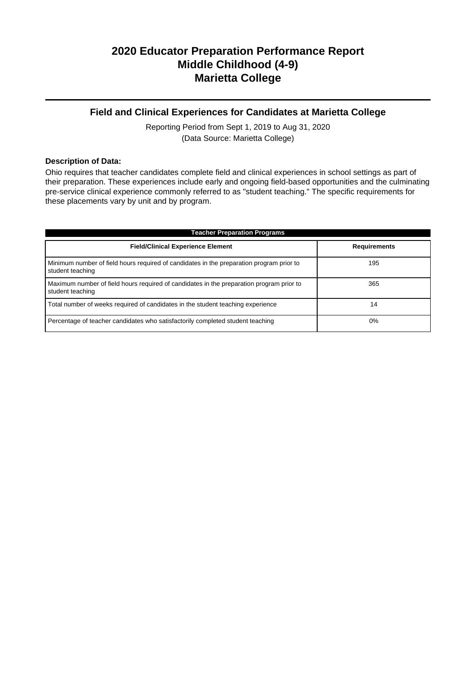### **Field and Clinical Experiences for Candidates at Marietta College**

Reporting Period from Sept 1, 2019 to Aug 31, 2020 (Data Source: Marietta College)

#### **Description of Data:**

Ohio requires that teacher candidates complete field and clinical experiences in school settings as part of their preparation. These experiences include early and ongoing field-based opportunities and the culminating pre-service clinical experience commonly referred to as "student teaching." The specific requirements for these placements vary by unit and by program.

| <b>Teacher Preparation Programs</b>                                                                          |                     |  |  |  |
|--------------------------------------------------------------------------------------------------------------|---------------------|--|--|--|
| <b>Field/Clinical Experience Element</b>                                                                     | <b>Requirements</b> |  |  |  |
| Minimum number of field hours required of candidates in the preparation program prior to<br>student teaching | 195                 |  |  |  |
| Maximum number of field hours required of candidates in the preparation program prior to<br>student teaching | 365                 |  |  |  |
| Total number of weeks required of candidates in the student teaching experience                              | 14                  |  |  |  |
| Percentage of teacher candidates who satisfactorily completed student teaching                               | 0%                  |  |  |  |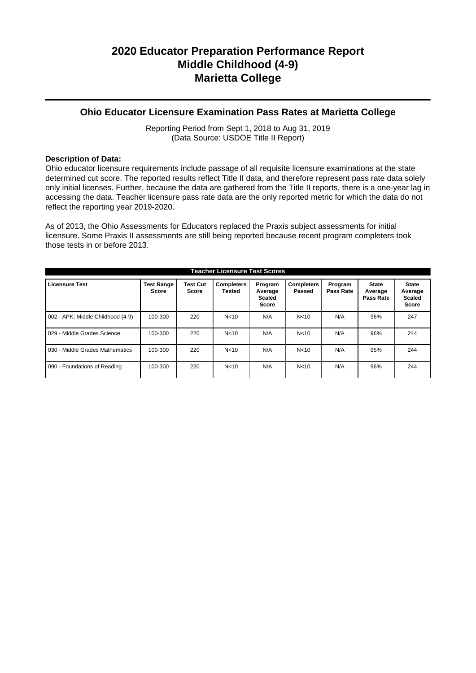### **Ohio Educator Licensure Examination Pass Rates at Marietta College**

Reporting Period from Sept 1, 2018 to Aug 31, 2019 (Data Source: USDOE Title II Report)

### **Description of Data:**

Ohio educator licensure requirements include passage of all requisite licensure examinations at the state determined cut score. The reported results reflect Title II data, and therefore represent pass rate data solely only initial licenses. Further, because the data are gathered from the Title II reports, there is a one-year lag in accessing the data. Teacher licensure pass rate data are the only reported metric for which the data do not reflect the reporting year 2019-2020.

As of 2013, the Ohio Assessments for Educators replaced the Praxis subject assessments for initial licensure. Some Praxis II assessments are still being reported because recent program completers took those tests in or before 2013.

| <b>Teacher Licensure Test Scores</b> |                                   |                          |                             |                                              |                             |                      |                                      |                                                          |
|--------------------------------------|-----------------------------------|--------------------------|-----------------------------|----------------------------------------------|-----------------------------|----------------------|--------------------------------------|----------------------------------------------------------|
| <b>Licensure Test</b>                | <b>Test Range</b><br><b>Score</b> | <b>Test Cut</b><br>Score | <b>Completers</b><br>Tested | Program<br>Average<br>Scaled<br><b>Score</b> | <b>Completers</b><br>Passed | Program<br>Pass Rate | <b>State</b><br>Average<br>Pass Rate | <b>State</b><br>Average<br><b>Scaled</b><br><b>Score</b> |
| 002 - APK: Middle Childhood (4-9)    | 100-300                           | 220                      | N < 10                      | N/A                                          | N <sub>10</sub>             | N/A                  | 96%                                  | 247                                                      |
| 029 - Middle Grades Science          | 100-300                           | 220                      | N <sub>10</sub>             | N/A                                          | N <sub>10</sub>             | N/A                  | 96%                                  | 244                                                      |
| 030 - Middle Grades Mathematics      | 100-300                           | 220                      | N <sub>10</sub>             | N/A                                          | N <sub>10</sub>             | N/A                  | 95%                                  | 244                                                      |
| 090 - Foundations of Reading         | 100-300                           | 220                      | N <sub>10</sub>             | N/A                                          | N <sub>10</sub>             | N/A                  | 96%                                  | 244                                                      |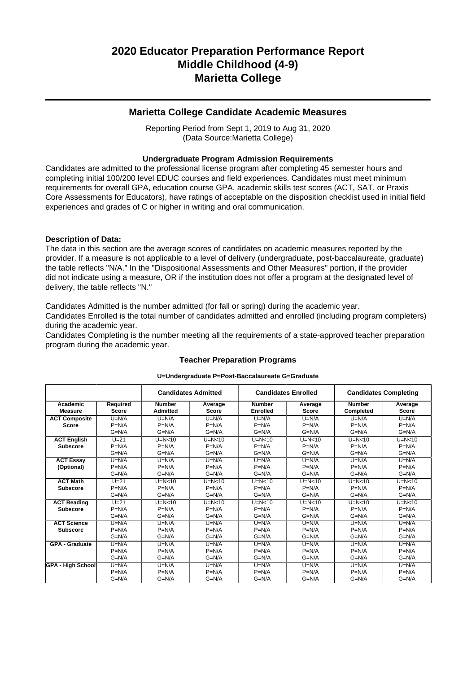### **Marietta College Candidate Academic Measures**

Reporting Period from Sept 1, 2019 to Aug 31, 2020 (Data Source:Marietta College)

### **Undergraduate Program Admission Requirements**

Candidates are admitted to the professional license program after completing 45 semester hours and completing initial 100/200 level EDUC courses and field experiences. Candidates must meet minimum requirements for overall GPA, education course GPA, academic skills test scores (ACT, SAT, or Praxis Core Assessments for Educators), have ratings of acceptable on the disposition checklist used in initial field experiences and grades of C or higher in writing and oral communication.

### **Description of Data:**

The data in this section are the average scores of candidates on academic measures reported by the provider. If a measure is not applicable to a level of delivery (undergraduate, post-baccalaureate, graduate) the table reflects "N/A." In the "Dispositional Assessments and Other Measures" portion, if the provider did not indicate using a measure, OR if the institution does not offer a program at the designated level of delivery, the table reflects "N."

Candidates Admitted is the number admitted (for fall or spring) during the academic year.

Candidates Enrolled is the total number of candidates admitted and enrolled (including program completers) during the academic year.

Candidates Completing is the number meeting all the requirements of a state-approved teacher preparation program during the academic year.

|                            |                          | <b>Candidates Admitted</b>       |                         | <b>Candidates Enrolled</b>       |                         |                            | <b>Candidates Completing</b> |
|----------------------------|--------------------------|----------------------------------|-------------------------|----------------------------------|-------------------------|----------------------------|------------------------------|
| Academic<br><b>Measure</b> | Required<br><b>Score</b> | <b>Number</b><br><b>Admitted</b> | Average<br><b>Score</b> | <b>Number</b><br><b>Enrolled</b> | Average<br><b>Score</b> | <b>Number</b><br>Completed | Average<br>Score             |
| <b>ACT Composite</b>       | $U=N/A$                  | $U=N/A$                          | $U=N/A$                 | $U=N/A$                          | $U=N/A$                 | $U=N/A$                    | $U=N/A$                      |
| <b>Score</b>               | $P=N/A$                  | $P=N/A$                          | $P=N/A$                 | $P=N/A$                          | $P=N/A$                 | $P=N/A$                    | $P=N/A$                      |
|                            | $G=N/A$                  | $G=N/A$                          | $G=N/A$                 | $G=N/A$                          | $G=N/A$                 | $G=N/A$                    | $G=N/A$                      |
| <b>ACT English</b>         | $U=21$                   | $U=N<10$                         | $U=N<10$                | $U=N<10$                         | $U=N<10$                | $U=N<10$                   | $U=N<10$                     |
| <b>Subscore</b>            | $P=N/A$                  | $P=N/A$                          | $P=N/A$                 | $P=N/A$                          | $P=N/A$                 | $P=N/A$                    | $P=N/A$                      |
|                            | $G=N/A$                  | $G=N/A$                          | $G=N/A$                 | $G=N/A$                          | $G=N/A$                 | $G=N/A$                    | $G=N/A$                      |
| <b>ACT Essay</b>           | $U=N/A$                  | $U=N/A$                          | $U=N/A$                 | $U=N/A$                          | $U=N/A$                 | $U=N/A$                    | $U=N/A$                      |
| (Optional)                 | $P=N/A$                  | $P=N/A$                          | $P=N/A$                 | $P=N/A$                          | $P=N/A$                 | $P=N/A$                    | $P=N/A$                      |
|                            | $G=N/A$                  | $G=N/A$                          | $G=N/A$                 | $G=N/A$                          | $G=N/A$                 | $G=N/A$                    | $G=N/A$                      |
| <b>ACT Math</b>            | $U=21$                   | $U=N<10$                         | $U=N<10$                | $U=N<10$                         | $U=N<10$                | $U=N<10$                   | $U=N<10$                     |
| <b>Subscore</b>            | $P=N/A$                  | $P=N/A$                          | $P=N/A$                 | $P=N/A$                          | $P=N/A$                 | $P=N/A$                    | $P=N/A$                      |
|                            | $G=N/A$                  | $G=N/A$                          | $G=N/A$                 | $G=N/A$                          | $G=N/A$                 | $G=N/A$                    | $G=N/A$                      |
| <b>ACT Reading</b>         | $U=21$                   | $U=N<10$                         | $U=N<10$                | $U=N<10$                         | $U=N<10$                | $U=N<10$                   | $U=N<10$                     |
| <b>Subscore</b>            | $P=N/A$                  | $P=N/A$                          | $P=N/A$                 | $P=N/A$                          | $P=N/A$                 | $P=N/A$                    | $P=N/A$                      |
|                            | $G=N/A$                  | $G=N/A$                          | $G=N/A$                 | $G=N/A$                          | $G=N/A$                 | $G=N/A$                    | $G=N/A$                      |
| <b>ACT Science</b>         | $U=N/A$                  | $U=N/A$                          | $U=N/A$                 | $U=N/A$                          | $U=N/A$                 | $U=N/A$                    | $U=N/A$                      |
| <b>Subscore</b>            | $P=N/A$                  | $P=N/A$                          | $P=N/A$                 | $P=N/A$                          | $P=N/A$                 | $P=N/A$                    | $P=N/A$                      |
|                            | $G=N/A$                  | $G=N/A$                          | $G=N/A$                 | $G=N/A$                          | $G=N/A$                 | $G=N/A$                    | $G=N/A$                      |
| <b>GPA - Graduate</b>      | $U=N/A$                  | $U=N/A$                          | $U=N/A$                 | $U=N/A$                          | $U=N/A$                 | $U=N/A$                    | $U=N/A$                      |
|                            | $P=N/A$                  | $P=N/A$                          | $P=N/A$                 | $P=N/A$                          | $P=N/A$                 | $P=N/A$                    | $P=N/A$                      |
|                            | $G=N/A$                  | $G=N/A$                          | $G=N/A$                 | $G=N/A$                          | $G=N/A$                 | $G=N/A$                    | $G=N/A$                      |
| <b>GPA - High School</b>   | $U=N/A$                  | $U=N/A$                          | $U=N/A$                 | $U=N/A$                          | $U=N/A$                 | $U=N/A$                    | $U=N/A$                      |
|                            | $P=N/A$                  | $P=N/A$                          | $P=N/A$                 | $P=N/A$                          | $P=N/A$                 | $P=N/A$                    | $P=N/A$                      |
|                            | $G=N/A$                  | $G=N/A$                          | $G=N/A$                 | $G=N/A$                          | $G=N/A$                 | $G=N/A$                    | $G=N/A$                      |

## **Teacher Preparation Programs U=Undergraduate P=Post-Baccalaureate G=Graduate**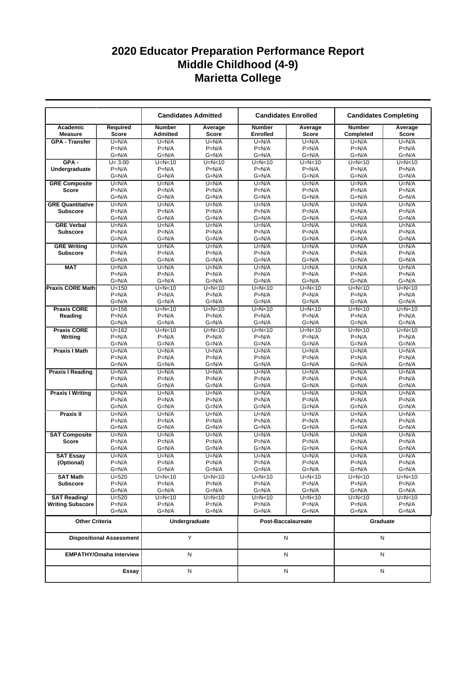|                                      |                                 |                                  | <b>Candidates Admitted</b> |                           | <b>Candidates Enrolled</b> |                            | <b>Candidates Completing</b> |
|--------------------------------------|---------------------------------|----------------------------------|----------------------------|---------------------------|----------------------------|----------------------------|------------------------------|
| Academic<br><b>Measure</b>           | Required<br><b>Score</b>        | <b>Number</b><br><b>Admitted</b> | Average<br><b>Score</b>    | <b>Number</b><br>Enrolled | Average<br><b>Score</b>    | <b>Number</b><br>Completed | Average<br><b>Score</b>      |
| <b>GPA - Transfer</b>                | $U=N/A$                         | $U=N/A$                          | $U=N/A$                    | $U=N/A$                   | $U=N/A$                    | $U=N/A$                    | $U=N/A$                      |
|                                      | $P=N/A$                         | $P=N/A$                          | $P=N/A$                    | $P=N/A$                   | $P=N/A$                    | $P=N/A$                    | $P=N/A$                      |
|                                      | $G=N/A$                         | $G=N/A$                          | $G=N/A$                    | $G=N/A$                   | G=N/A                      | $G=N/A$                    | $G=N/A$                      |
| $GPA -$                              | $U = 3.00$                      | $U=N<10$                         | $U=N<10$                   | $U=N<10$                  | $U=N<10$                   | $U=N<10$                   | $U=N10$                      |
| Undergraduate                        | $P=N/A$                         | $P=N/A$                          | $P=N/A$                    | $P=N/A$                   | $P=N/A$                    | $P=N/A$                    | $P=N/A$                      |
|                                      | $G=N/A$                         | $G=N/A$                          | $G=N/A$                    | $G=N/A$                   | $G=N/A$                    | $G=N/A$                    | $G=N/A$                      |
| <b>GRE Composite</b>                 | $U=N/A$                         | $U=N/A$                          | $U=N/A$<br>$P=N/A$         | $U=N/A$                   | $U=N/A$                    | $U=N/A$                    | $U=N/A$<br>$P=N/A$           |
| <b>Score</b>                         | $P=N/A$<br>$G=N/A$              | $P=N/A$<br>$G=N/A$               | $G=N/A$                    | $P=N/A$<br>$G=N/A$        | $P=N/A$<br>$G=N/A$         | $P=N/A$<br>$G=N/A$         | $G=N/A$                      |
| <b>GRE Quantitative</b>              | $U=N/A$                         | $U=N/A$                          | $U=N/A$                    | $U=N/A$                   | $U=N/A$                    | $U=N/A$                    | $U=N/A$                      |
| <b>Subscore</b>                      | $P=N/A$                         | $P=N/A$                          | $P=N/A$                    | $P=N/A$                   | $P=N/A$                    | $P=N/A$                    | $P=N/A$                      |
|                                      | $G=N/A$                         | $G=N/A$                          | $G=N/A$                    | $G=N/A$                   | G=N/A                      | $G=N/A$                    | $G=N/A$                      |
| <b>GRE Verbal</b>                    | $U=N/A$                         | $U=N/A$                          | $U=N/A$                    | $U=N/A$                   | $U=N/A$                    | $U=N/A$                    | $U=N/A$                      |
| <b>Subscore</b>                      | $P=N/A$                         | $P=N/A$                          | $P=N/A$                    | $P=N/A$                   | $P=N/A$                    | $P=N/A$                    | $P=N/A$                      |
|                                      | $G=N/A$                         | $G=N/A$                          | $G=N/A$                    | $G=N/A$                   | $G=N/A$                    | $G=N/A$                    | $G=N/A$                      |
| <b>GRE Writing</b>                   | $U=N/A$                         | $U=N/A$                          | $U=N/A$                    | $U=N/A$                   | $U=N/A$                    | $U=N/A$                    | $U=N/A$                      |
| <b>Subscore</b>                      | $P=N/A$                         | $P=N/A$                          | $P=N/A$                    | $P=N/A$                   | $P=N/A$                    | $P=N/A$                    | $P=N/A$                      |
|                                      | $G=N/A$                         | $G=N/A$                          | $G=N/A$                    | $G=N/A$                   | $G=N/A$                    | $G=N/A$                    | $G=N/A$                      |
| <b>MAT</b>                           | $U=N/A$                         | $U=N/A$                          | $U=N/A$                    | $U=N/A$                   | $U=N/A$                    | $U=N/A$                    | $U=N/A$                      |
|                                      | $P=N/A$                         | $P=N/A$                          | $P=N/A$                    | $P=N/A$                   | $P=N/A$                    | $P=N/A$                    | $P=N/A$                      |
|                                      | $G=N/A$                         | $G=N/A$                          | $G=N/A$                    | $G=N/A$                   | $G=N/A$                    | $G=N/A$                    | $G=N/A$                      |
| <b>Praxis CORE Math</b>              | $U = 150$                       | $U=N<10$                         | $U=N<10$                   | $U=N<10$                  | $U=N<10$                   | $U=N<10$                   | $U=N<10$                     |
|                                      | $P=N/A$                         | $P=N/A$                          | $P=N/A$                    | $P=N/A$                   | $P=N/A$                    | $P=N/A$                    | $P=N/A$                      |
|                                      | $G=N/A$                         | $G=N/A$                          | $G=N/A$                    | $G=N/A$                   | $G=N/A$                    | $G=N/A$                    | $G=N/A$                      |
| <b>Praxis CORE</b>                   | $U = 156$                       | $U=N<10$                         | $U=N<10$                   | $U=N<10$                  | $U=N<10$                   | $U=N<10$                   | $U=N<10$                     |
| Reading                              | $P=N/A$<br>$G=N/A$              | $P=N/A$<br>$G=N/A$               | $P=N/A$<br>$G=N/A$         | $P=N/A$<br>$G=N/A$        | $P=N/A$<br>$G=N/A$         | $P=N/A$<br>$G=N/A$         | $P=N/A$<br>$G=N/A$           |
| <b>Praxis CORE</b>                   | $U = 162$                       | $U=N<10$                         | $U=N<10$                   | $U=N<10$                  | $U=N<10$                   | $U=N<10$                   | $U=N<10$                     |
| Writing                              | $P=N/A$                         | $P=N/A$                          | $P=N/A$                    | $P=N/A$                   | $P=N/A$                    | $P=N/A$                    | $P=N/A$                      |
|                                      | $G=N/A$                         | $G=N/A$                          | $G=N/A$                    | $G=N/A$                   | $G=N/A$                    | $G=N/A$                    | $G=N/A$                      |
| <b>Praxis I Math</b>                 | $U=N/A$                         | $U=N/A$                          | $U=N/A$                    | $U=N/A$                   | $U=N/A$                    | $U=N/A$                    | $U=N/A$                      |
|                                      | $P=N/A$                         | $P=N/A$                          | $P=N/A$                    | $P=N/A$                   | $P=N/A$                    | $P=N/A$                    | $P=N/A$                      |
|                                      | $G=N/A$                         | $G=N/A$                          | $G=N/A$                    | $G=N/A$                   | $G=N/A$                    | $G=N/A$                    | $G=N/A$                      |
| <b>Praxis I Reading</b>              | $U=N/A$                         | $U=N/A$                          | $U=N/A$                    | $U=N/A$                   | $U=N/A$                    | $U=N/A$                    | $U=N/A$                      |
|                                      | $P=N/A$                         | $P=N/A$                          | $P=N/A$                    | $P=N/A$                   | $P=N/A$                    | $P=N/A$                    | $P=N/A$                      |
|                                      | $G=N/A$                         | G=N/A                            | $G=N/A$                    | $G=N/A$                   | G=N/A                      | $G=N/A$                    | $G=N/A$                      |
| <b>Praxis I Writing</b>              | $U=N/A$                         | $U=N/A$                          | $U=N/A$                    | $U=N/A$                   | $U=N/A$                    | $U=N/A$                    | $U=N/A$                      |
|                                      | $P=N/A$                         | $P=N/A$                          | $P=N/A$                    | $P=N/A$                   | $P=N/A$                    | $P=N/A$                    | $P=N/A$                      |
|                                      | $G=N/A$                         | $G=N/A$                          | $G=N/A$                    | $G=N/A$                   | $G=N/A$                    | $G=N/A$                    | $G=N/A$                      |
| Praxis II                            | $U=N/A$                         | $U=N/A$                          | $U=N/A$                    | $U=N/A$                   | $U=N/A$                    | $U=N/A$                    | $U=N/A$                      |
|                                      | $P=N/A$                         | $P=N/A$                          | $P=N/A$                    | $P=N/A$                   | $P=N/A$                    | $P=N/A$                    | $P=N/A$                      |
|                                      | $G=N/A$<br>$U=N/A$              | $G=N/A$<br>$U=N/A$               | $G=N/A$<br>$U=N/A$         | $G=N/A$<br>$U=N/A$        | $G=N/A$<br>$U=N/A$         | $G=N/A$<br>$U=N/A$         | $G=N/A$<br>$U=N/A$           |
| <b>SAT Composite</b><br><b>Score</b> | $P=N/A$                         | $P=N/A$                          | $P=N/A$                    | $P=N/A$                   | $P=N/A$                    | $P=N/A$                    | $P=N/A$                      |
|                                      | $G=N/A$                         | $G=N/A$                          | $G=N/A$                    | $G=N/A$                   | $G=N/A$                    | $G=N/A$                    | $G=N/A$                      |
| <b>SAT Essay</b>                     | $U=N/A$                         | $U=N/A$                          | $U=N/A$                    | $U=N/A$                   | $U=N/A$                    | $U=N/A$                    | $U=N/A$                      |
| (Optional)                           | $P=N/A$                         | $P=N/A$                          | $P=N/A$                    | $P=N/A$                   | $P=N/A$                    | $P=N/A$                    | $P=N/A$                      |
|                                      | $G=N/A$                         | $G=N/A$                          | $G=N/A$                    | $G=N/A$                   | $G=N/A$                    | $G=N/A$                    | $G=N/A$                      |
| <b>SAT Math</b>                      | $U = 520$                       | $U=N<10$                         | $U=N<10$                   | $U=N<10$                  | $U=N<10$                   | $U=N<10$                   | $U=N<10$                     |
| <b>Subscore</b>                      | $P=N/A$                         | $P=N/A$                          | $P=N/A$                    | $P=N/A$                   | $P=N/A$                    | $P=N/A$                    | $P=N/A$                      |
|                                      | $G=N/A$                         | $G=N/A$                          | $G=N/A$                    | $G=N/A$                   | $G=N/A$                    | $G=N/A$                    | $G=N/A$                      |
| <b>SAT Reading/</b>                  | $U = 520$                       | $U=N<10$                         | $U=N<10$                   | $U=N<10$                  | $U=N<10$                   | $U=N<10$                   | $U=N<10$                     |
| <b>Writing Subscore</b>              | $P=N/A$                         | $P=N/A$                          | $P=N/A$                    | $P=N/A$                   | $P=N/A$                    | $P=N/A$                    | $P=N/A$                      |
|                                      | G=N/A                           | G=N/A                            | $G=N/A$                    | $G=N/A$                   | G=N/A                      | G=N/A                      | $G=N/A$                      |
| <b>Other Criteria</b>                |                                 |                                  | Undergraduate              |                           | Post-Baccalaureate         | Graduate                   |                              |
|                                      | <b>Dispositional Assessment</b> |                                  | Υ                          |                           | N                          | N                          |                              |
|                                      | <b>EMPATHY/Omaha Interview</b>  |                                  | N                          |                           | N                          | N                          |                              |
|                                      | Essay                           |                                  | N                          |                           | N                          |                            | N                            |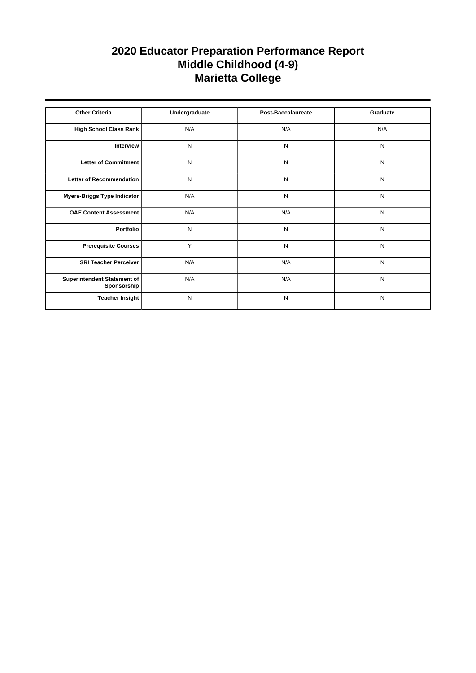| <b>Other Criteria</b>                      | Undergraduate | Post-Baccalaureate | Graduate  |
|--------------------------------------------|---------------|--------------------|-----------|
| High School Class Rank                     | N/A           | N/A                | N/A       |
| Interview                                  | N             | N                  | N         |
| Letter of Commitment                       | N             | N                  | N         |
| <b>Letter of Recommendation</b>            | N             | N                  | N         |
| Myers-Briggs Type Indicator                | N/A           | N                  | N         |
| <b>OAE Content Assessment</b>              | N/A           | N/A                | ${\sf N}$ |
| Portfolio                                  | N             | N                  | N         |
| <b>Prerequisite Courses</b>                | Y             | N                  | N         |
| <b>SRI Teacher Perceiver</b>               | N/A           | N/A                | N         |
| Superintendent Statement of<br>Sponsorship | N/A           | N/A                | N         |
| <b>Teacher Insight</b>                     | N             | N                  | N         |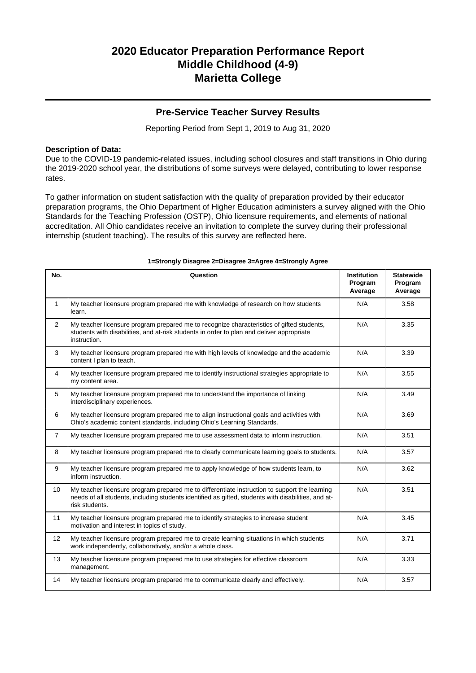### **Pre-Service Teacher Survey Results**

Reporting Period from Sept 1, 2019 to Aug 31, 2020

### **Description of Data:**

Due to the COVID-19 pandemic-related issues, including school closures and staff transitions in Ohio during the 2019-2020 school year, the distributions of some surveys were delayed, contributing to lower response rates.

To gather information on student satisfaction with the quality of preparation provided by their educator preparation programs, the Ohio Department of Higher Education administers a survey aligned with the Ohio Standards for the Teaching Profession (OSTP), Ohio licensure requirements, and elements of national accreditation. All Ohio candidates receive an invitation to complete the survey during their professional internship (student teaching). The results of this survey are reflected here.

| No.            | Question                                                                                                                                                                                                               | <b>Institution</b><br>Program<br>Average | <b>Statewide</b><br>Program<br>Average |
|----------------|------------------------------------------------------------------------------------------------------------------------------------------------------------------------------------------------------------------------|------------------------------------------|----------------------------------------|
| $\mathbf{1}$   | My teacher licensure program prepared me with knowledge of research on how students<br>learn.                                                                                                                          | N/A                                      | 3.58                                   |
| $\overline{2}$ | My teacher licensure program prepared me to recognize characteristics of gifted students,<br>students with disabilities, and at-risk students in order to plan and deliver appropriate<br>instruction.                 | N/A                                      | 3.35                                   |
| 3              | My teacher licensure program prepared me with high levels of knowledge and the academic<br>content I plan to teach.                                                                                                    | N/A                                      | 3.39                                   |
| 4              | My teacher licensure program prepared me to identify instructional strategies appropriate to<br>my content area.                                                                                                       | N/A                                      | 3.55                                   |
| 5              | My teacher licensure program prepared me to understand the importance of linking<br>interdisciplinary experiences.                                                                                                     | N/A                                      | 3.49                                   |
| 6              | My teacher licensure program prepared me to align instructional goals and activities with<br>Ohio's academic content standards, including Ohio's Learning Standards.                                                   | N/A                                      | 3.69                                   |
| $\overline{7}$ | My teacher licensure program prepared me to use assessment data to inform instruction.                                                                                                                                 | N/A                                      | 3.51                                   |
| 8              | My teacher licensure program prepared me to clearly communicate learning goals to students.                                                                                                                            | N/A                                      | 3.57                                   |
| 9              | My teacher licensure program prepared me to apply knowledge of how students learn, to<br>inform instruction.                                                                                                           | N/A                                      | 3.62                                   |
| 10             | My teacher licensure program prepared me to differentiate instruction to support the learning<br>needs of all students, including students identified as gifted, students with disabilities, and at-<br>risk students. | N/A                                      | 3.51                                   |
| 11             | My teacher licensure program prepared me to identify strategies to increase student<br>motivation and interest in topics of study.                                                                                     | N/A                                      | 3.45                                   |
| 12             | My teacher licensure program prepared me to create learning situations in which students<br>work independently, collaboratively, and/or a whole class.                                                                 | N/A                                      | 3.71                                   |
| 13             | My teacher licensure program prepared me to use strategies for effective classroom<br>management.                                                                                                                      | N/A                                      | 3.33                                   |
| 14             | My teacher licensure program prepared me to communicate clearly and effectively.                                                                                                                                       | N/A                                      | 3.57                                   |

#### **1=Strongly Disagree 2=Disagree 3=Agree 4=Strongly Agree**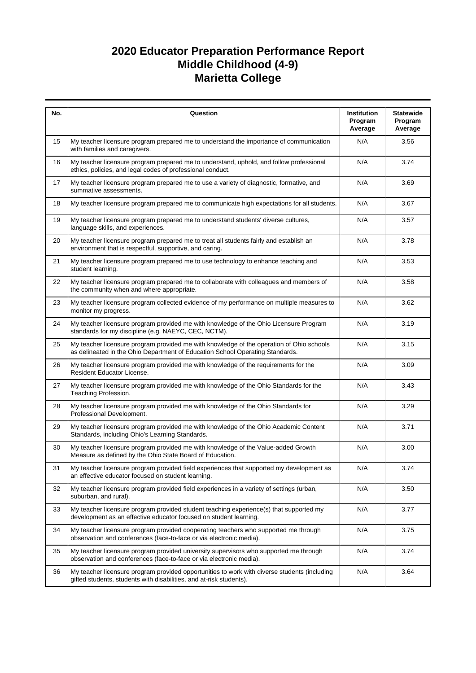| No. | Question                                                                                                                                                                  | Institution<br>Program<br>Average | <b>Statewide</b><br>Program<br>Average |
|-----|---------------------------------------------------------------------------------------------------------------------------------------------------------------------------|-----------------------------------|----------------------------------------|
| 15  | My teacher licensure program prepared me to understand the importance of communication<br>with families and caregivers.                                                   | N/A                               | 3.56                                   |
| 16  | My teacher licensure program prepared me to understand, uphold, and follow professional<br>ethics, policies, and legal codes of professional conduct.                     | N/A                               | 3.74                                   |
| 17  | My teacher licensure program prepared me to use a variety of diagnostic, formative, and<br>summative assessments.                                                         | N/A                               | 3.69                                   |
| 18  | My teacher licensure program prepared me to communicate high expectations for all students.                                                                               | N/A                               | 3.67                                   |
| 19  | My teacher licensure program prepared me to understand students' diverse cultures,<br>language skills, and experiences.                                                   | N/A                               | 3.57                                   |
| 20  | My teacher licensure program prepared me to treat all students fairly and establish an<br>environment that is respectful, supportive, and caring.                         | N/A                               | 3.78                                   |
| 21  | My teacher licensure program prepared me to use technology to enhance teaching and<br>student learning.                                                                   | N/A                               | 3.53                                   |
| 22  | My teacher licensure program prepared me to collaborate with colleagues and members of<br>the community when and where appropriate.                                       | N/A                               | 3.58                                   |
| 23  | My teacher licensure program collected evidence of my performance on multiple measures to<br>monitor my progress.                                                         | N/A                               | 3.62                                   |
| 24  | My teacher licensure program provided me with knowledge of the Ohio Licensure Program<br>standards for my discipline (e.g. NAEYC, CEC, NCTM).                             | N/A                               | 3.19                                   |
| 25  | My teacher licensure program provided me with knowledge of the operation of Ohio schools<br>as delineated in the Ohio Department of Education School Operating Standards. | N/A                               | 3.15                                   |
| 26  | My teacher licensure program provided me with knowledge of the requirements for the<br>Resident Educator License.                                                         | N/A                               | 3.09                                   |
| 27  | My teacher licensure program provided me with knowledge of the Ohio Standards for the<br>Teaching Profession.                                                             | N/A                               | 3.43                                   |
| 28  | My teacher licensure program provided me with knowledge of the Ohio Standards for<br>Professional Development.                                                            | N/A                               | 3.29                                   |
| 29  | My teacher licensure program provided me with knowledge of the Ohio Academic Content<br>Standards, including Ohio's Learning Standards.                                   | N/A                               | 3.71                                   |
| 30  | My teacher licensure program provided me with knowledge of the Value-added Growth<br>Measure as defined by the Ohio State Board of Education.                             | N/A                               | 3.00                                   |
| 31  | My teacher licensure program provided field experiences that supported my development as<br>an effective educator focused on student learning.                            | N/A                               | 3.74                                   |
| 32  | My teacher licensure program provided field experiences in a variety of settings (urban,<br>suburban, and rural).                                                         | N/A                               | 3.50                                   |
| 33  | My teacher licensure program provided student teaching experience(s) that supported my<br>development as an effective educator focused on student learning.               | N/A                               | 3.77                                   |
| 34  | My teacher licensure program provided cooperating teachers who supported me through<br>observation and conferences (face-to-face or via electronic media).                | N/A                               | 3.75                                   |
| 35  | My teacher licensure program provided university supervisors who supported me through<br>observation and conferences (face-to-face or via electronic media).              | N/A                               | 3.74                                   |
| 36  | My teacher licensure program provided opportunities to work with diverse students (including<br>gifted students, students with disabilities, and at-risk students).       | N/A                               | 3.64                                   |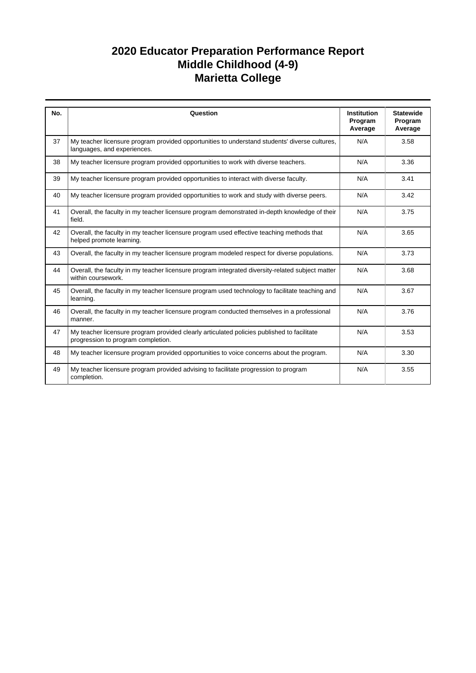| No. | Question                                                                                                                         | <b>Institution</b> | <b>Statewide</b>   |
|-----|----------------------------------------------------------------------------------------------------------------------------------|--------------------|--------------------|
|     |                                                                                                                                  | Program<br>Average | Program<br>Average |
| 37  | My teacher licensure program provided opportunities to understand students' diverse cultures,<br>languages, and experiences.     | N/A                | 3.58               |
| 38  | My teacher licensure program provided opportunities to work with diverse teachers.                                               | N/A                | 3.36               |
| 39  | My teacher licensure program provided opportunities to interact with diverse faculty.                                            | N/A                | 3.41               |
| 40  | My teacher licensure program provided opportunities to work and study with diverse peers.                                        | N/A                | 3.42               |
| 41  | Overall, the faculty in my teacher licensure program demonstrated in-depth knowledge of their<br>field.                          | N/A                | 3.75               |
| 42  | Overall, the faculty in my teacher licensure program used effective teaching methods that<br>helped promote learning.            | N/A                | 3.65               |
| 43  | Overall, the faculty in my teacher licensure program modeled respect for diverse populations.                                    | N/A                | 3.73               |
| 44  | Overall, the faculty in my teacher licensure program integrated diversity-related subject matter<br>within coursework.           | N/A                | 3.68               |
| 45  | Overall, the faculty in my teacher licensure program used technology to facilitate teaching and<br>learning.                     | N/A                | 3.67               |
| 46  | Overall, the faculty in my teacher licensure program conducted themselves in a professional<br>manner.                           | N/A                | 3.76               |
| 47  | My teacher licensure program provided clearly articulated policies published to facilitate<br>progression to program completion. | N/A                | 3.53               |
| 48  | My teacher licensure program provided opportunities to voice concerns about the program.                                         | N/A                | 3.30               |
| 49  | My teacher licensure program provided advising to facilitate progression to program<br>completion.                               | N/A                | 3.55               |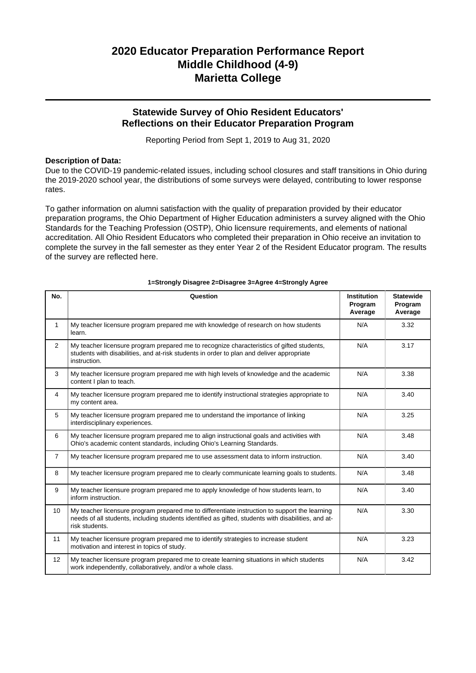### **Statewide Survey of Ohio Resident Educators' Reflections on their Educator Preparation Program**

Reporting Period from Sept 1, 2019 to Aug 31, 2020

### **Description of Data:**

Due to the COVID-19 pandemic-related issues, including school closures and staff transitions in Ohio during the 2019-2020 school year, the distributions of some surveys were delayed, contributing to lower response rates.

To gather information on alumni satisfaction with the quality of preparation provided by their educator preparation programs, the Ohio Department of Higher Education administers a survey aligned with the Ohio Standards for the Teaching Profession (OSTP), Ohio licensure requirements, and elements of national accreditation. All Ohio Resident Educators who completed their preparation in Ohio receive an invitation to complete the survey in the fall semester as they enter Year 2 of the Resident Educator program. The results of the survey are reflected here.

| No.              | Question                                                                                                                                                                                                               | <b>Institution</b><br>Program<br>Average | <b>Statewide</b><br>Program<br>Average |
|------------------|------------------------------------------------------------------------------------------------------------------------------------------------------------------------------------------------------------------------|------------------------------------------|----------------------------------------|
| 1                | My teacher licensure program prepared me with knowledge of research on how students<br>learn.                                                                                                                          | N/A                                      | 3.32                                   |
| 2                | My teacher licensure program prepared me to recognize characteristics of gifted students,<br>students with disabilities, and at-risk students in order to plan and deliver appropriate<br>instruction.                 | N/A                                      | 3.17                                   |
| 3                | My teacher licensure program prepared me with high levels of knowledge and the academic<br>content I plan to teach.                                                                                                    | N/A                                      | 3.38                                   |
| $\overline{4}$   | My teacher licensure program prepared me to identify instructional strategies appropriate to<br>my content area.                                                                                                       | N/A                                      | 3.40                                   |
| 5                | My teacher licensure program prepared me to understand the importance of linking<br>interdisciplinary experiences.                                                                                                     | N/A                                      | 3.25                                   |
| 6                | My teacher licensure program prepared me to align instructional goals and activities with<br>Ohio's academic content standards, including Ohio's Learning Standards.                                                   | N/A                                      | 3.48                                   |
| $\overline{7}$   | My teacher licensure program prepared me to use assessment data to inform instruction.                                                                                                                                 | N/A                                      | 3.40                                   |
| 8                | My teacher licensure program prepared me to clearly communicate learning goals to students.                                                                                                                            | N/A                                      | 3.48                                   |
| 9                | My teacher licensure program prepared me to apply knowledge of how students learn, to<br>inform instruction.                                                                                                           | N/A                                      | 3.40                                   |
| 10 <sup>10</sup> | My teacher licensure program prepared me to differentiate instruction to support the learning<br>needs of all students, including students identified as gifted, students with disabilities, and at-<br>risk students. | N/A                                      | 3.30                                   |
| 11               | My teacher licensure program prepared me to identify strategies to increase student<br>motivation and interest in topics of study.                                                                                     | N/A                                      | 3.23                                   |
| 12               | My teacher licensure program prepared me to create learning situations in which students<br>work independently, collaboratively, and/or a whole class.                                                                 | N/A                                      | 3.42                                   |

#### **1=Strongly Disagree 2=Disagree 3=Agree 4=Strongly Agree**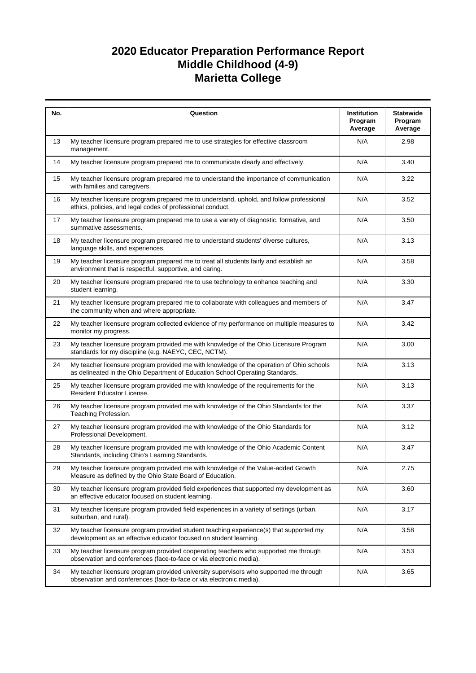| No. | Question                                                                                                                                                                  | Institution<br>Program<br>Average | <b>Statewide</b><br>Program<br>Average |
|-----|---------------------------------------------------------------------------------------------------------------------------------------------------------------------------|-----------------------------------|----------------------------------------|
| 13  | My teacher licensure program prepared me to use strategies for effective classroom<br>management.                                                                         | N/A                               | 2.98                                   |
| 14  | My teacher licensure program prepared me to communicate clearly and effectively.                                                                                          | N/A                               | 3.40                                   |
| 15  | My teacher licensure program prepared me to understand the importance of communication<br>with families and caregivers.                                                   | N/A                               | 3.22                                   |
| 16  | My teacher licensure program prepared me to understand, uphold, and follow professional<br>ethics, policies, and legal codes of professional conduct.                     | N/A                               | 3.52                                   |
| 17  | My teacher licensure program prepared me to use a variety of diagnostic, formative, and<br>summative assessments.                                                         | N/A                               | 3.50                                   |
| 18  | My teacher licensure program prepared me to understand students' diverse cultures,<br>language skills, and experiences.                                                   | N/A                               | 3.13                                   |
| 19  | My teacher licensure program prepared me to treat all students fairly and establish an<br>environment that is respectful, supportive, and caring.                         | N/A                               | 3.58                                   |
| 20  | My teacher licensure program prepared me to use technology to enhance teaching and<br>student learning.                                                                   | N/A                               | 3.30                                   |
| 21  | My teacher licensure program prepared me to collaborate with colleagues and members of<br>the community when and where appropriate.                                       | N/A                               | 3.47                                   |
| 22  | My teacher licensure program collected evidence of my performance on multiple measures to<br>monitor my progress.                                                         | N/A                               | 3.42                                   |
| 23  | My teacher licensure program provided me with knowledge of the Ohio Licensure Program<br>standards for my discipline (e.g. NAEYC, CEC, NCTM).                             | N/A                               | 3.00                                   |
| 24  | My teacher licensure program provided me with knowledge of the operation of Ohio schools<br>as delineated in the Ohio Department of Education School Operating Standards. | N/A                               | 3.13                                   |
| 25  | My teacher licensure program provided me with knowledge of the requirements for the<br>Resident Educator License.                                                         | N/A                               | 3.13                                   |
| 26  | My teacher licensure program provided me with knowledge of the Ohio Standards for the<br>Teaching Profession.                                                             | N/A                               | 3.37                                   |
| 27  | My teacher licensure program provided me with knowledge of the Ohio Standards for<br>Professional Development.                                                            | N/A                               | 3.12                                   |
| 28  | My teacher licensure program provided me with knowledge of the Ohio Academic Content<br>Standards, including Ohio's Learning Standards.                                   | N/A                               | 3.47                                   |
| 29  | My teacher licensure program provided me with knowledge of the Value-added Growth<br>Measure as defined by the Ohio State Board of Education.                             | N/A                               | 2.75                                   |
| 30  | My teacher licensure program provided field experiences that supported my development as<br>an effective educator focused on student learning.                            | N/A                               | 3.60                                   |
| 31  | My teacher licensure program provided field experiences in a variety of settings (urban,<br>suburban, and rural).                                                         | N/A                               | 3.17                                   |
| 32  | My teacher licensure program provided student teaching experience(s) that supported my<br>development as an effective educator focused on student learning.               | N/A                               | 3.58                                   |
| 33  | My teacher licensure program provided cooperating teachers who supported me through<br>observation and conferences (face-to-face or via electronic media).                | N/A                               | 3.53                                   |
| 34  | My teacher licensure program provided university supervisors who supported me through<br>observation and conferences (face-to-face or via electronic media).              | N/A                               | 3.65                                   |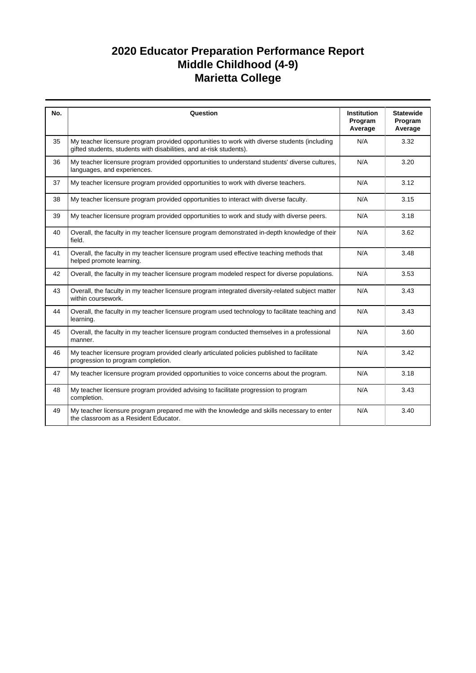| No. | Question                                                                                                                                                            | <b>Institution</b><br>Program<br>Average | <b>Statewide</b><br>Program<br>Average |
|-----|---------------------------------------------------------------------------------------------------------------------------------------------------------------------|------------------------------------------|----------------------------------------|
| 35  | My teacher licensure program provided opportunities to work with diverse students (including<br>gifted students, students with disabilities, and at-risk students). | N/A                                      | 3.32                                   |
| 36  | My teacher licensure program provided opportunities to understand students' diverse cultures,<br>languages, and experiences.                                        | N/A                                      | 3.20                                   |
| 37  | My teacher licensure program provided opportunities to work with diverse teachers.                                                                                  | N/A                                      | 3.12                                   |
| 38  | My teacher licensure program provided opportunities to interact with diverse faculty.                                                                               | N/A                                      | 3.15                                   |
| 39  | My teacher licensure program provided opportunities to work and study with diverse peers.                                                                           | N/A                                      | 3.18                                   |
| 40  | Overall, the faculty in my teacher licensure program demonstrated in-depth knowledge of their<br>field.                                                             | N/A                                      | 3.62                                   |
| 41  | Overall, the faculty in my teacher licensure program used effective teaching methods that<br>helped promote learning.                                               | N/A                                      | 3.48                                   |
| 42  | Overall, the faculty in my teacher licensure program modeled respect for diverse populations.                                                                       | N/A                                      | 3.53                                   |
| 43  | Overall, the faculty in my teacher licensure program integrated diversity-related subject matter<br>within coursework.                                              | N/A                                      | 3.43                                   |
| 44  | Overall, the faculty in my teacher licensure program used technology to facilitate teaching and<br>learning.                                                        | N/A                                      | 3.43                                   |
| 45  | Overall, the faculty in my teacher licensure program conducted themselves in a professional<br>manner.                                                              | N/A                                      | 3.60                                   |
| 46  | My teacher licensure program provided clearly articulated policies published to facilitate<br>progression to program completion.                                    | N/A                                      | 3.42                                   |
| 47  | My teacher licensure program provided opportunities to voice concerns about the program.                                                                            | N/A                                      | 3.18                                   |
| 48  | My teacher licensure program provided advising to facilitate progression to program<br>completion.                                                                  | N/A                                      | 3.43                                   |
| 49  | My teacher licensure program prepared me with the knowledge and skills necessary to enter<br>the classroom as a Resident Educator.                                  | N/A                                      | 3.40                                   |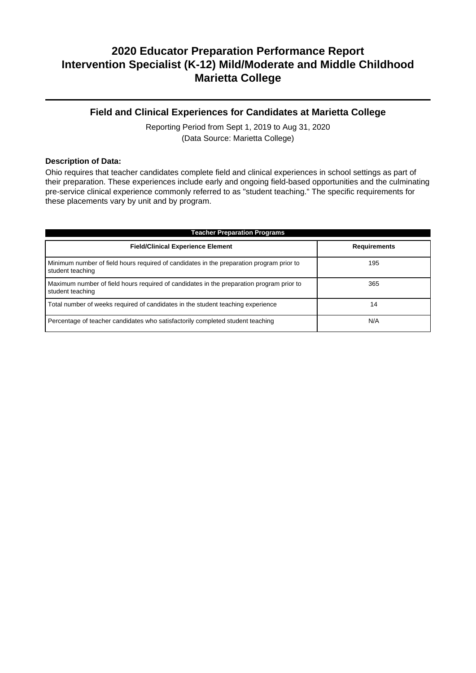### **Field and Clinical Experiences for Candidates at Marietta College**

Reporting Period from Sept 1, 2019 to Aug 31, 2020 (Data Source: Marietta College)

#### **Description of Data:**

Ohio requires that teacher candidates complete field and clinical experiences in school settings as part of their preparation. These experiences include early and ongoing field-based opportunities and the culminating pre-service clinical experience commonly referred to as "student teaching." The specific requirements for these placements vary by unit and by program.

| <b>Teacher Preparation Programs</b>                                                                          |                     |  |  |  |
|--------------------------------------------------------------------------------------------------------------|---------------------|--|--|--|
| <b>Field/Clinical Experience Element</b>                                                                     | <b>Requirements</b> |  |  |  |
| Minimum number of field hours required of candidates in the preparation program prior to<br>student teaching | 195                 |  |  |  |
| Maximum number of field hours required of candidates in the preparation program prior to<br>student teaching | 365                 |  |  |  |
| Total number of weeks required of candidates in the student teaching experience                              | 14                  |  |  |  |
| Percentage of teacher candidates who satisfactorily completed student teaching                               | N/A                 |  |  |  |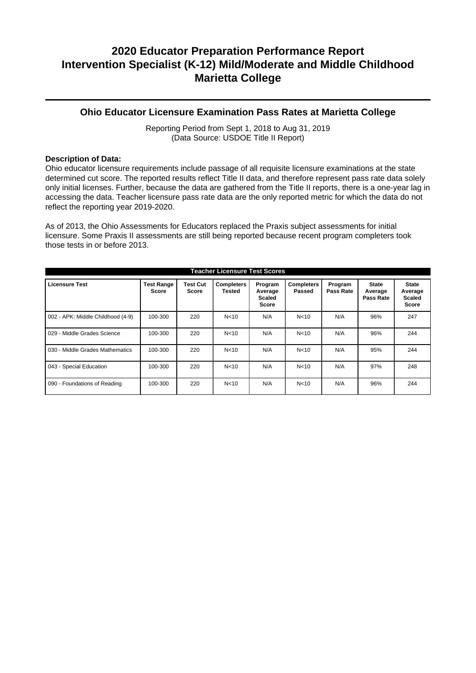### **Ohio Educator Licensure Examination Pass Rates at Marietta College**

Reporting Period from Sept 1, 2018 to Aug 31, 2019 (Data Source: USDOE Title II Report)

### **Description of Data:**

Ohio educator licensure requirements include passage of all requisite licensure examinations at the state determined cut score. The reported results reflect Title II data, and therefore represent pass rate data solely only initial licenses. Further, because the data are gathered from the Title II reports, there is a one-year lag in accessing the data. Teacher licensure pass rate data are the only reported metric for which the data do not reflect the reporting year 2019-2020.

As of 2013, the Ohio Assessments for Educators replaced the Praxis subject assessments for initial licensure. Some Praxis II assessments are still being reported because recent program completers took those tests in or before 2013.

| <b>Teacher Licensure Test Scores</b> |                            |                   |                                    |                                                     |                             |                      |                                      |                                                          |
|--------------------------------------|----------------------------|-------------------|------------------------------------|-----------------------------------------------------|-----------------------------|----------------------|--------------------------------------|----------------------------------------------------------|
| <b>Licensure Test</b>                | <b>Test Range</b><br>Score | Test Cut<br>Score | <b>Completers</b><br><b>Tested</b> | Program<br>Average<br><b>Scaled</b><br><b>Score</b> | <b>Completers</b><br>Passed | Program<br>Pass Rate | <b>State</b><br>Average<br>Pass Rate | <b>State</b><br>Average<br><b>Scaled</b><br><b>Score</b> |
| 002 - APK: Middle Childhood (4-9)    | 100-300                    | 220               | N <sub>10</sub>                    | N/A                                                 | N <sub>10</sub>             | N/A                  | 96%                                  | 247                                                      |
| 029 - Middle Grades Science          | 100-300                    | 220               | N <sub>10</sub>                    | N/A                                                 | N <sub>10</sub>             | N/A                  | 96%                                  | 244                                                      |
| 030 - Middle Grades Mathematics      | 100-300                    | 220               | N <sub>10</sub>                    | N/A                                                 | N <sub>10</sub>             | N/A                  | 95%                                  | 244                                                      |
| 043 - Special Education              | 100-300                    | 220               | N <sub>10</sub>                    | N/A                                                 | N <sub>10</sub>             | N/A                  | 97%                                  | 248                                                      |
| 090 - Foundations of Reading         | 100-300                    | 220               | N <sub>10</sub>                    | N/A                                                 | N <sub>10</sub>             | N/A                  | 96%                                  | 244                                                      |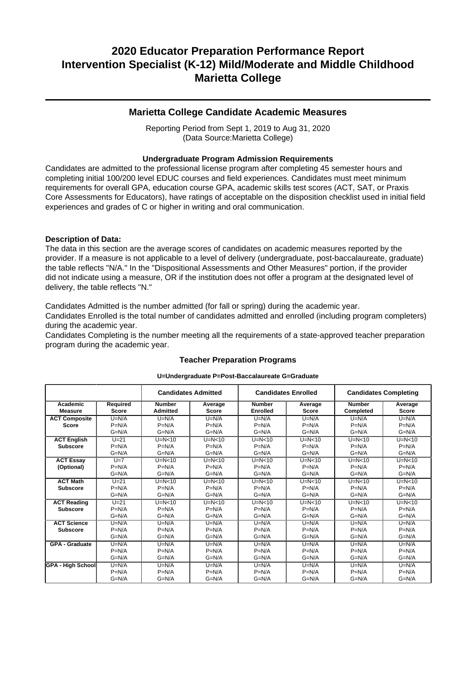### **Marietta College Candidate Academic Measures**

Reporting Period from Sept 1, 2019 to Aug 31, 2020 (Data Source:Marietta College)

### **Undergraduate Program Admission Requirements**

Candidates are admitted to the professional license program after completing 45 semester hours and completing initial 100/200 level EDUC courses and field experiences. Candidates must meet minimum requirements for overall GPA, education course GPA, academic skills test scores (ACT, SAT, or Praxis Core Assessments for Educators), have ratings of acceptable on the disposition checklist used in initial field experiences and grades of C or higher in writing and oral communication.

### **Description of Data:**

The data in this section are the average scores of candidates on academic measures reported by the provider. If a measure is not applicable to a level of delivery (undergraduate, post-baccalaureate, graduate) the table reflects "N/A." In the "Dispositional Assessments and Other Measures" portion, if the provider did not indicate using a measure, OR if the institution does not offer a program at the designated level of delivery, the table reflects "N."

Candidates Admitted is the number admitted (for fall or spring) during the academic year.

Candidates Enrolled is the total number of candidates admitted and enrolled (including program completers) during the academic year.

Candidates Completing is the number meeting all the requirements of a state-approved teacher preparation program during the academic year.

|                            | <b>Candidates Admitted</b><br><b>Candidates Enrolled</b> |                                  |                         | <b>Candidates Completing</b>     |                         |                            |                         |
|----------------------------|----------------------------------------------------------|----------------------------------|-------------------------|----------------------------------|-------------------------|----------------------------|-------------------------|
| Academic<br><b>Measure</b> | Required<br><b>Score</b>                                 | <b>Number</b><br><b>Admitted</b> | Average<br><b>Score</b> | <b>Number</b><br><b>Enrolled</b> | Average<br><b>Score</b> | <b>Number</b><br>Completed | Average<br><b>Score</b> |
|                            |                                                          |                                  |                         |                                  |                         |                            |                         |
| <b>ACT Composite</b>       | $U=N/A$                                                  | $U=N/A$                          | $U=N/A$                 | $U=N/A$                          | $U=N/A$                 | $U=N/A$                    | $U=N/A$                 |
| <b>Score</b>               | $P=N/A$                                                  | $P=N/A$                          | $P=N/A$                 | $P=N/A$                          | $P=N/A$                 | $P=N/A$                    | $P=N/A$                 |
|                            | $G=N/A$                                                  | $G=N/A$                          | $G=N/A$                 | $G=N/A$                          | $G=N/A$                 | $G=N/A$                    | $G=N/A$                 |
| <b>ACT English</b>         | $U=21$                                                   | $U=N<10$                         | $U=N<10$                | $U=N<10$                         | $U=N<10$                | $U=N<10$                   | $U=N<10$                |
| <b>Subscore</b>            | $P=N/A$                                                  | $P=N/A$                          | $P=N/A$                 | $P=N/A$                          | $P=N/A$                 | $P=N/A$                    | $P=N/A$                 |
|                            | $G=N/A$                                                  | $G=N/A$                          | $G=N/A$                 | $G=N/A$                          | $G=N/A$                 | $G=N/A$                    | $G=N/A$                 |
| <b>ACT Essay</b>           | $U=7$                                                    | $U=N<10$                         | $U=N<10$                | $U=N<10$                         | $U=N<10$                | $U=N<10$                   | $U=N<10$                |
| (Optional)                 | $P=N/A$                                                  | $P=N/A$                          | $P=N/A$                 | $P=N/A$                          | $P=N/A$                 | $P=N/A$                    | $P=N/A$                 |
|                            | $G=N/A$                                                  | $G=N/A$                          | $G=N/A$                 | $G=N/A$                          | $G=N/A$                 | $G=N/A$                    | $G=N/A$                 |
| <b>ACT Math</b>            | $U=21$                                                   | $U=N<10$                         | $U=N<10$                | $U=N<10$                         | $U=N<10$                | $U=N<10$                   | $U=N<10$                |
| <b>Subscore</b>            | $P=N/A$                                                  | $P=N/A$                          | $P=N/A$                 | $P=N/A$                          | $P=N/A$                 | $P=N/A$                    | $P=N/A$                 |
|                            | $G=N/A$                                                  | $G=N/A$                          | $G=N/A$                 | $G=N/A$                          | $G=N/A$                 | $G=N/A$                    | $G=N/A$                 |
| <b>ACT Reading</b>         | $U=21$                                                   | $U=N<10$                         | $U=N<10$                | $U=N<10$                         | $U=N<10$                | $U=N<10$                   | $U=N<10$                |
| <b>Subscore</b>            | $P=N/A$                                                  | $P=N/A$                          | $P=N/A$                 | $P=N/A$                          | $P=N/A$                 | $P=N/A$                    | $P=N/A$                 |
|                            | $G=N/A$                                                  | $G=N/A$                          | $G=N/A$                 | $G=N/A$                          | $G=N/A$                 | $G=N/A$                    | $G=N/A$                 |
| <b>ACT Science</b>         | $U=N/A$                                                  | $U=N/A$                          | $U=N/A$                 | $U=N/A$                          | $U=N/A$                 | $U=N/A$                    | $U=N/A$                 |
| <b>Subscore</b>            | $P=N/A$                                                  | $P=N/A$                          | $P=N/A$                 | $P=N/A$                          | $P=N/A$                 | $P=N/A$                    | $P=N/A$                 |
|                            | $G=N/A$                                                  | $G=N/A$                          | $G=N/A$                 | $G=N/A$                          | $G=N/A$                 | $G=N/A$                    | $G=N/A$                 |
| <b>GPA - Graduate</b>      | $U=N/A$                                                  | $U=N/A$                          | $U=N/A$                 | $U=N/A$                          | $U=N/A$                 | $U=N/A$                    | $U=N/A$                 |
|                            | $P=N/A$                                                  | $P=N/A$                          | $P=N/A$                 | $P=N/A$                          | $P=N/A$                 | $P=N/A$                    | $P=N/A$                 |
|                            | $G=N/A$                                                  | $G=N/A$                          | $G=N/A$                 | $G=N/A$                          | $G=N/A$                 | $G=N/A$                    | $G=N/A$                 |
| <b>GPA - High School</b>   | $U=N/A$                                                  | $U=N/A$                          | $U=N/A$                 | $U=N/A$                          | $U=N/A$                 | $U=N/A$                    | $U=N/A$                 |
|                            | $P=N/A$                                                  | $P=N/A$                          | $P=N/A$                 | $P=N/A$                          | $P=N/A$                 | $P=N/A$                    | $P=N/A$                 |
|                            | $G=N/A$                                                  | $G=N/A$                          | $G=N/A$                 | $G=N/A$                          | $G=N/A$                 | $G=N/A$                    | $G=N/A$                 |

## **Teacher Preparation Programs U=Undergraduate P=Post-Baccalaureate G=Graduate**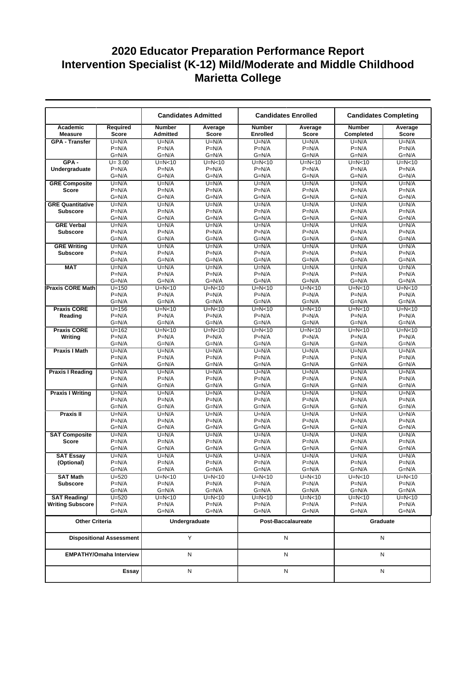|                            |                                 |                                  | <b>Candidates Admitted</b> |                           | <b>Candidates Enrolled</b> |                            | <b>Candidates Completing</b> |
|----------------------------|---------------------------------|----------------------------------|----------------------------|---------------------------|----------------------------|----------------------------|------------------------------|
| Academic<br><b>Measure</b> | Required<br><b>Score</b>        | <b>Number</b><br><b>Admitted</b> | Average<br><b>Score</b>    | <b>Number</b><br>Enrolled | Average<br><b>Score</b>    | <b>Number</b><br>Completed | Average<br>Score             |
| <b>GPA - Transfer</b>      | $U=N/A$                         | $U=N/A$                          | $U=N/A$                    | $U=N/A$                   | $U=N/A$                    | $U=N/A$                    | $U=N/A$                      |
|                            | $P=N/A$                         | $P=N/A$                          | $P=N/A$                    | $P=N/A$                   | $P=N/A$                    | $P=N/A$                    | $P=N/A$                      |
|                            | $G=N/A$                         | $G=N/A$                          | $G=N/A$                    | $G=N/A$                   | $G=N/A$                    | $G=N/A$                    | $G=N/A$                      |
| $GPA -$                    | $U = 3.00$                      | $U=N<10$                         | $U=N<10$                   | $U=N<10$                  | $U=N<10$                   | $U=N<10$                   | $U=N<10$                     |
| Undergraduate              | $P=N/A$                         | $P=N/A$                          | $P=N/A$                    | $P=N/A$                   | $P=N/A$                    | $P=N/A$                    | $P=N/A$                      |
|                            | $G=N/A$                         | $G=N/A$                          | $G=N/A$                    | $G=N/A$                   | $G=N/A$                    | $G=N/A$                    | $G=N/A$                      |
| <b>GRE Composite</b>       | $U=N/A$                         | $U=N/A$                          | $U=N/A$                    | $U=N/A$                   | $U=N/A$                    | $U=N/A$                    | $U=N/A$                      |
| <b>Score</b>               | $P=N/A$<br>$G=N/A$              | $P=N/A$                          | $P=N/A$                    | $P=N/A$<br>$G=N/A$        | $P=N/A$<br>$G=N/A$         | $P=N/A$<br>$G=N/A$         | $P=N/A$<br>$G=N/A$           |
| <b>GRE Quantitative</b>    | $U=N/A$                         | $G=N/A$<br>$U=N/A$               | $G=N/A$<br>$U=N/A$         | $U=N/A$                   | $U=N/A$                    | $U=N/A$                    | $U=N/A$                      |
| <b>Subscore</b>            | $P=N/A$                         | $P=N/A$                          | $P=N/A$                    | $P=N/A$                   | $P=N/A$                    | $P=N/A$                    | $P=N/A$                      |
|                            | $G=N/A$                         | $G=N/A$                          | $G=N/A$                    | $G=N/A$                   | $G=N/A$                    | $G=N/A$                    | $G=N/A$                      |
| <b>GRE Verbal</b>          | $U=N/A$                         | $U=N/A$                          | $U=N/A$                    | $U=N/A$                   | $U=N/A$                    | $U=N/A$                    | $U=N/A$                      |
| <b>Subscore</b>            | $P=N/A$                         | $P=N/A$                          | $P=N/A$                    | $P=N/A$                   | $P=N/A$                    | $P=N/A$                    | $P=N/A$                      |
|                            | $G=N/A$                         | $G=N/A$                          | $G=N/A$                    | $G=N/A$                   | $G=N/A$                    | $G=N/A$                    | $G=N/A$                      |
| <b>GRE Writing</b>         | $U=N/A$                         | $U=N/A$                          | $U=N/A$                    | $U=N/A$                   | $U=N/A$                    | $U=N/A$                    | $U=N/A$                      |
| <b>Subscore</b>            | $P=N/A$                         | $P=N/A$                          | $P=N/A$                    | $P=N/A$                   | $P=N/A$                    | $P=N/A$                    | $P=N/A$                      |
|                            | $G=N/A$                         | $G=N/A$                          | $G=N/A$                    | $G=N/A$                   | $G=N/A$                    | $G=N/A$                    | $G=N/A$                      |
| <b>MAT</b>                 | $U=N/A$                         | $U=N/A$                          | $U=N/A$                    | $U=N/A$                   | $U=N/A$                    | $U=N/A$                    | $U=N/A$                      |
|                            | $P=N/A$                         | $P=N/A$                          | $P=N/A$                    | $P=N/A$                   | $P=N/A$                    | $P=N/A$                    | $P=N/A$                      |
|                            | $G=N/A$                         | $G=N/A$                          | $G=N/A$                    | $G=N/A$                   | $G=N/A$                    | $G=N/A$                    | $G=N/A$                      |
| <b>Praxis CORE Math</b>    | $U = 150$<br>$P=N/A$            | $U=N<10$<br>$P=N/A$              | $U=N<10$<br>$P=N/A$        | $U=N<10$<br>$P=N/A$       | $U=N<10$<br>$P=N/A$        | $U=N<10$<br>$P=N/A$        | $U=N<10$<br>$P=N/A$          |
|                            | $G=N/A$                         | $G=N/A$                          | $G=N/A$                    | $G=N/A$                   | $G=N/A$                    | $G=N/A$                    | $G=N/A$                      |
| <b>Praxis CORE</b>         | $U = 156$                       | $U=N<10$                         | $\overline{U}$ =N<10       | $U=N<10$                  | $U=N<10$                   | $U=N<10$                   | $U=N<10$                     |
| Reading                    | $P=N/A$                         | $P=N/A$                          | $P=N/A$                    | $P=N/A$                   | $P=N/A$                    | $P=N/A$                    | $P=N/A$                      |
|                            | $G=N/A$                         | $G=N/A$                          | $G=N/A$                    | $G=N/A$                   | $G=N/A$                    | $G=N/A$                    | $G=N/A$                      |
| <b>Praxis CORE</b>         | $U = 162$                       | $U=N<10$                         | $U=N<10$                   | $U=N<10$                  | $U=N<10$                   | $U=N<10$                   | $U=N<10$                     |
| Writing                    | $P=N/A$                         | $P=N/A$                          | $P=N/A$                    | $P=N/A$                   | $P=N/A$                    | $P=N/A$                    | $P=N/A$                      |
|                            | $G=N/A$                         | $G=N/A$                          | $G=N/A$                    | $G=N/A$                   | G=N/A                      | $G=N/A$                    | $G=N/A$                      |
| <b>Praxis I Math</b>       | $U=N/A$                         | $U=N/A$                          | $U=N/A$                    | $U=N/A$                   | $U=N/A$                    | $U=N/A$                    | $U=N/A$                      |
|                            | $P=N/A$                         | $P=N/A$                          | $P=N/A$                    | $P=N/A$                   | $P=N/A$                    | $P=N/A$                    | $P=N/A$                      |
|                            | $G=N/A$                         | $G=N/A$                          | $G=N/A$<br>$U=N/A$         | $G=N/A$<br>$U=N/A$        | $G=N/A$                    | $G=N/A$<br>$U=N/A$         | $G=N/A$<br>$U=N/A$           |
| <b>Praxis I Reading</b>    | $U=N/A$<br>$P=N/A$              | $U=N/A$<br>$P=N/A$               | $P=N/A$                    | $P=N/A$                   | $U=N/A$<br>$P=N/A$         | $P=N/A$                    | $P=N/A$                      |
|                            | $G=N/A$                         | $G=N/A$                          | $G=N/A$                    | $G=N/A$                   | G=N/A                      | $G=N/A$                    | $G=N/A$                      |
| <b>Praxis I Writing</b>    | $U=N/A$                         | $U=N/A$                          | $U=N/A$                    | $U=N/A$                   | $U=N/A$                    | $U=N/A$                    | $U=N/A$                      |
|                            | $P=N/A$                         | $P=N/A$                          | $P=N/A$                    | $P=N/A$                   | $P=N/A$                    | $P=N/A$                    | $P=N/A$                      |
|                            | $G=N/A$                         | $G=N/A$                          | $G=N/A$                    | $G=N/A$                   | $G=N/A$                    | $G=N/A$                    | $G=N/A$                      |
| Praxis II                  | $U=N/A$                         | $U=N/A$                          | $U=N/A$                    | $U=N/A$                   | $U=N/A$                    | $U=N/A$                    | $U=N/A$                      |
|                            | $P=N/A$                         | $P=N/A$                          | $P=N/A$                    | $P=N/A$                   | $P=N/A$                    | $P=N/A$                    | $P=N/A$                      |
|                            | $G=N/A$                         | $G=N/A$                          | $G=N/A$                    | $G=N/A$                   | $G=N/A$                    | $G=N/A$                    | $G=N/A$                      |
| <b>SAT Composite</b>       | $U=N/A$                         | $U=N/A$                          | $U=N/A$                    | $U=N/A$                   | $U=N/A$                    | $U=N/A$                    | $U=N/A$                      |
| <b>Score</b>               | $P=N/A$                         | $P=N/A$                          | $P=N/A$                    | $P=N/A$                   | $P=N/A$                    | $P=N/A$                    | $P=N/A$                      |
| <b>SAT Essay</b>           | $G=N/A$                         | $G=N/A$                          | $G=N/A$<br>$U=N/A$         | $G=N/A$<br>$U=N/A$        | G=N/A                      | $G=N/A$                    | $G=N/A$<br>$U=N/A$           |
| (Optional)                 | $U=N/A$<br>$P=N/A$              | $U=N/A$<br>$P=N/A$               | $P=N/A$                    | $P=N/A$                   | $U=N/A$<br>$P=N/A$         | $U=N/A$<br>$P=N/A$         | $P=N/A$                      |
|                            | $G=N/A$                         | $G=N/A$                          | $G=N/A$                    | $G=N/A$                   | $G=N/A$                    | $G=N/A$                    | $G=N/A$                      |
| <b>SAT Math</b>            | $U = 520$                       | $U=N<10$                         | U=N<10                     | $U=N<10$                  | $U=N<10$                   | $U=N<10$                   | $U=N<10$                     |
| <b>Subscore</b>            | $P=N/A$                         | $P=N/A$                          | $P=N/A$                    | $P=N/A$                   | $P=N/A$                    | $P=N/A$                    | $P=N/A$                      |
|                            | $G=N/A$                         | $G=N/A$                          | G=N/A                      | $G=N/A$                   | G=N/A                      | $G=N/A$                    | $G=N/A$                      |
| <b>SAT Reading/</b>        | $U = 520$                       | $U=N<10$                         | U=N<10                     | $U=N<10$                  | $U=N<10$                   | U=N<10                     | $U=N<10$                     |
| <b>Writing Subscore</b>    | $P=N/A$                         | $P=N/A$                          | $P=N/A$                    | $P=N/A$                   | $P=N/A$                    | $P=N/A$                    | $P=N/A$                      |
|                            | G=N/A                           | $G=N/A$                          | $G=N/A$                    | $G=N/A$                   | G=N/A                      | $G=N/A$                    | $G=N/A$                      |
| <b>Other Criteria</b>      |                                 |                                  | Undergraduate              |                           | Post-Baccalaureate         | Graduate                   |                              |
|                            | <b>Dispositional Assessment</b> |                                  | Y                          |                           | N                          |                            | Ν                            |
|                            | <b>EMPATHY/Omaha Interview</b>  |                                  | Ν                          |                           | N                          |                            | N                            |
|                            | Essay                           |                                  | N                          |                           | N                          |                            | N                            |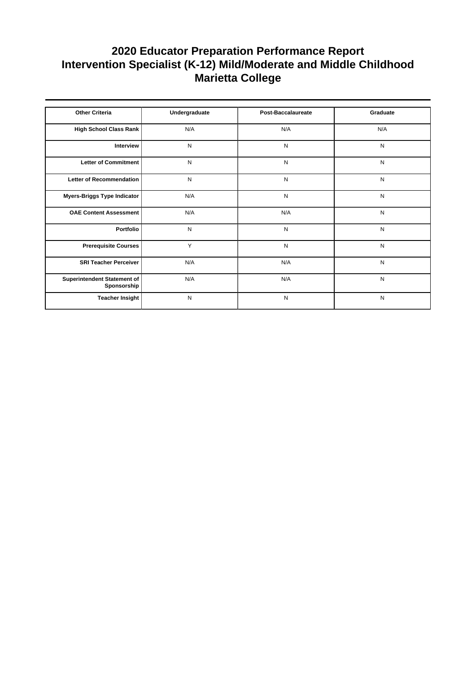| <b>Other Criteria</b>                      | Undergraduate | Post-Baccalaureate | Graduate  |
|--------------------------------------------|---------------|--------------------|-----------|
| High School Class Rank                     | N/A           | N/A                | N/A       |
| Interview                                  | N             | N                  | N         |
| Letter of Commitment                       | N             | N                  | N         |
| Letter of Recommendation                   | N             | N                  | N         |
| Myers-Briggs Type Indicator                | N/A           | N                  | N         |
| <b>OAE Content Assessment</b>              | N/A           | N/A                | N         |
| Portfolio                                  | N             | N                  | N         |
| <b>Prerequisite Courses</b>                | Y             | N                  | ${\sf N}$ |
| <b>SRI Teacher Perceiver</b>               | N/A           | N/A                | N         |
| Superintendent Statement of<br>Sponsorship | N/A           | N/A                | N         |
| Teacher Insight                            | N             | N                  | N         |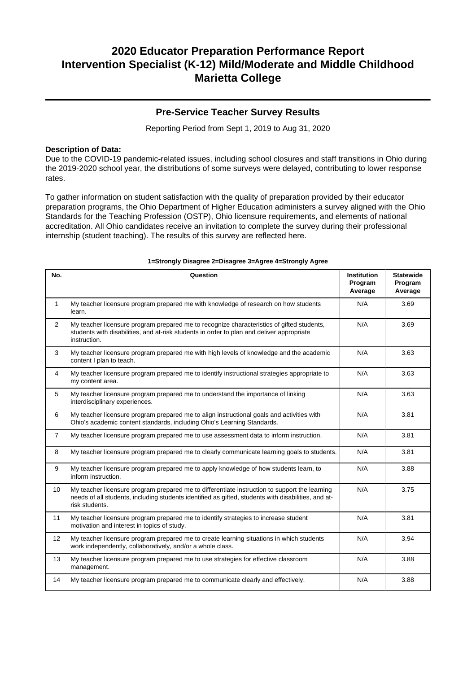### **Pre-Service Teacher Survey Results**

Reporting Period from Sept 1, 2019 to Aug 31, 2020

### **Description of Data:**

Due to the COVID-19 pandemic-related issues, including school closures and staff transitions in Ohio during the 2019-2020 school year, the distributions of some surveys were delayed, contributing to lower response rates.

To gather information on student satisfaction with the quality of preparation provided by their educator preparation programs, the Ohio Department of Higher Education administers a survey aligned with the Ohio Standards for the Teaching Profession (OSTP), Ohio licensure requirements, and elements of national accreditation. All Ohio candidates receive an invitation to complete the survey during their professional internship (student teaching). The results of this survey are reflected here.

| No.            | Question                                                                                                                                                                                                               | <b>Institution</b><br>Program<br>Average | <b>Statewide</b><br>Program<br>Average |
|----------------|------------------------------------------------------------------------------------------------------------------------------------------------------------------------------------------------------------------------|------------------------------------------|----------------------------------------|
| $\mathbf{1}$   | My teacher licensure program prepared me with knowledge of research on how students<br>learn.                                                                                                                          | N/A                                      | 3.69                                   |
| $\overline{2}$ | My teacher licensure program prepared me to recognize characteristics of gifted students,<br>students with disabilities, and at-risk students in order to plan and deliver appropriate<br>instruction.                 | N/A                                      | 3.69                                   |
| 3              | My teacher licensure program prepared me with high levels of knowledge and the academic<br>content I plan to teach.                                                                                                    | N/A                                      | 3.63                                   |
| 4              | My teacher licensure program prepared me to identify instructional strategies appropriate to<br>my content area.                                                                                                       | N/A                                      | 3.63                                   |
| 5              | My teacher licensure program prepared me to understand the importance of linking<br>interdisciplinary experiences.                                                                                                     | N/A                                      | 3.63                                   |
| 6              | My teacher licensure program prepared me to align instructional goals and activities with<br>Ohio's academic content standards, including Ohio's Learning Standards.                                                   | N/A                                      | 3.81                                   |
| $\overline{7}$ | My teacher licensure program prepared me to use assessment data to inform instruction.                                                                                                                                 | N/A                                      | 3.81                                   |
| 8              | My teacher licensure program prepared me to clearly communicate learning goals to students.                                                                                                                            | N/A                                      | 3.81                                   |
| 9              | My teacher licensure program prepared me to apply knowledge of how students learn, to<br>inform instruction.                                                                                                           | N/A                                      | 3.88                                   |
| 10             | My teacher licensure program prepared me to differentiate instruction to support the learning<br>needs of all students, including students identified as gifted, students with disabilities, and at-<br>risk students. | N/A                                      | 3.75                                   |
| 11             | My teacher licensure program prepared me to identify strategies to increase student<br>motivation and interest in topics of study.                                                                                     | N/A                                      | 3.81                                   |
| 12             | My teacher licensure program prepared me to create learning situations in which students<br>work independently, collaboratively, and/or a whole class.                                                                 | N/A                                      | 3.94                                   |
| 13             | My teacher licensure program prepared me to use strategies for effective classroom<br>management.                                                                                                                      | N/A                                      | 3.88                                   |
| 14             | My teacher licensure program prepared me to communicate clearly and effectively.                                                                                                                                       | N/A                                      | 3.88                                   |

#### **1=Strongly Disagree 2=Disagree 3=Agree 4=Strongly Agree**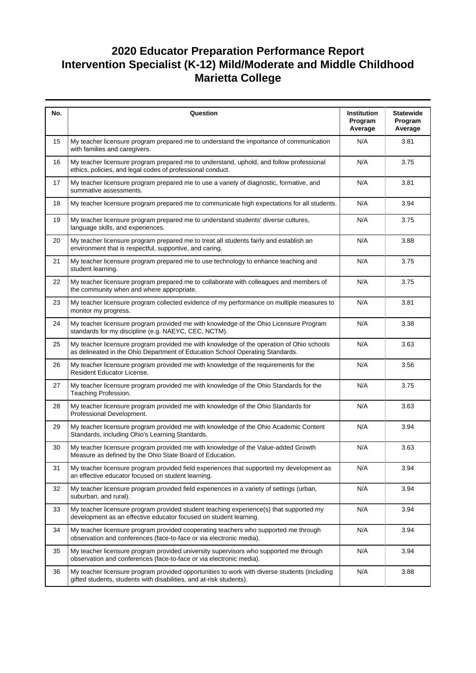| No. | Question                                                                                                                                                                  | <b>Institution</b><br>Program<br>Average | <b>Statewide</b><br>Program<br>Average |
|-----|---------------------------------------------------------------------------------------------------------------------------------------------------------------------------|------------------------------------------|----------------------------------------|
| 15  | My teacher licensure program prepared me to understand the importance of communication<br>with families and caregivers.                                                   | N/A                                      | 3.81                                   |
| 16  | My teacher licensure program prepared me to understand, uphold, and follow professional<br>ethics, policies, and legal codes of professional conduct.                     | N/A                                      | 3.75                                   |
| 17  | My teacher licensure program prepared me to use a variety of diagnostic, formative, and<br>summative assessments.                                                         | N/A                                      | 3.81                                   |
| 18  | My teacher licensure program prepared me to communicate high expectations for all students.                                                                               | N/A                                      | 3.94                                   |
| 19  | My teacher licensure program prepared me to understand students' diverse cultures,<br>language skills, and experiences.                                                   | N/A                                      | 3.75                                   |
| 20  | My teacher licensure program prepared me to treat all students fairly and establish an<br>environment that is respectful, supportive, and caring.                         | N/A                                      | 3.88                                   |
| 21  | My teacher licensure program prepared me to use technology to enhance teaching and<br>student learning.                                                                   | N/A                                      | 3.75                                   |
| 22  | My teacher licensure program prepared me to collaborate with colleagues and members of<br>the community when and where appropriate.                                       | N/A                                      | 3.75                                   |
| 23  | My teacher licensure program collected evidence of my performance on multiple measures to<br>monitor my progress.                                                         | N/A                                      | 3.81                                   |
| 24  | My teacher licensure program provided me with knowledge of the Ohio Licensure Program<br>standards for my discipline (e.g. NAEYC, CEC, NCTM).                             | N/A                                      | 3.38                                   |
| 25  | My teacher licensure program provided me with knowledge of the operation of Ohio schools<br>as delineated in the Ohio Department of Education School Operating Standards. | N/A                                      | 3.63                                   |
| 26  | My teacher licensure program provided me with knowledge of the requirements for the<br>Resident Educator License.                                                         | N/A                                      | 3.56                                   |
| 27  | My teacher licensure program provided me with knowledge of the Ohio Standards for the<br>Teaching Profession.                                                             | N/A                                      | 3.75                                   |
| 28  | My teacher licensure program provided me with knowledge of the Ohio Standards for<br>Professional Development.                                                            | N/A                                      | 3.63                                   |
| 29  | My teacher licensure program provided me with knowledge of the Ohio Academic Content<br>Standards, including Ohio's Learning Standards.                                   | N/A                                      | 3.94                                   |
| 30  | My teacher licensure program provided me with knowledge of the Value-added Growth<br>Measure as defined by the Ohio State Board of Education.                             | N/A                                      | 3.63                                   |
| 31  | My teacher licensure program provided field experiences that supported my development as<br>an effective educator focused on student learning.                            | N/A                                      | 3.94                                   |
| 32  | My teacher licensure program provided field experiences in a variety of settings (urban,<br>suburban, and rural).                                                         | N/A                                      | 3.94                                   |
| 33  | My teacher licensure program provided student teaching experience(s) that supported my<br>development as an effective educator focused on student learning.               | N/A                                      | 3.94                                   |
| 34  | My teacher licensure program provided cooperating teachers who supported me through<br>observation and conferences (face-to-face or via electronic media).                | N/A                                      | 3.94                                   |
| 35  | My teacher licensure program provided university supervisors who supported me through<br>observation and conferences (face-to-face or via electronic media).              | N/A                                      | 3.94                                   |
| 36  | My teacher licensure program provided opportunities to work with diverse students (including<br>gifted students, students with disabilities, and at-risk students).       | N/A                                      | 3.88                                   |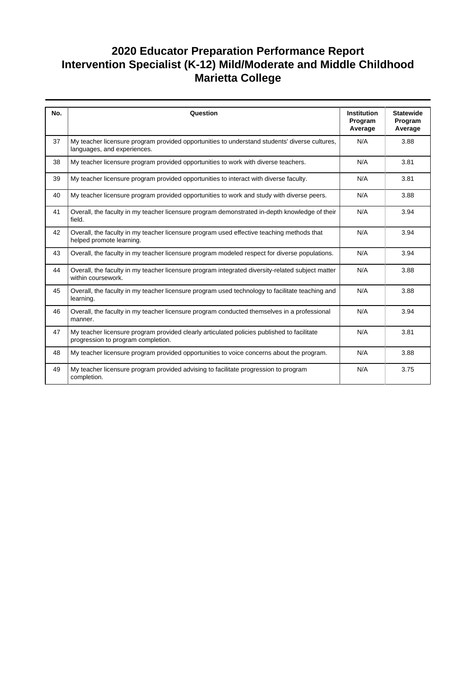| No. | Question                                                                                                                         | <b>Institution</b><br>Program<br>Average | <b>Statewide</b><br>Program<br>Average |
|-----|----------------------------------------------------------------------------------------------------------------------------------|------------------------------------------|----------------------------------------|
| 37  | My teacher licensure program provided opportunities to understand students' diverse cultures,<br>languages, and experiences.     | N/A                                      | 3.88                                   |
| 38  | My teacher licensure program provided opportunities to work with diverse teachers.                                               | N/A                                      | 3.81                                   |
| 39  | My teacher licensure program provided opportunities to interact with diverse faculty.                                            | N/A                                      | 3.81                                   |
| 40  | My teacher licensure program provided opportunities to work and study with diverse peers.                                        | N/A                                      | 3.88                                   |
| 41  | Overall, the faculty in my teacher licensure program demonstrated in-depth knowledge of their<br>field.                          | N/A                                      | 3.94                                   |
| 42  | Overall, the faculty in my teacher licensure program used effective teaching methods that<br>helped promote learning.            | N/A                                      | 3.94                                   |
| 43  | Overall, the faculty in my teacher licensure program modeled respect for diverse populations.                                    | N/A                                      | 3.94                                   |
| 44  | Overall, the faculty in my teacher licensure program integrated diversity-related subject matter<br>within coursework.           | N/A                                      | 3.88                                   |
| 45  | Overall, the faculty in my teacher licensure program used technology to facilitate teaching and<br>learning.                     | N/A                                      | 3.88                                   |
| 46  | Overall, the faculty in my teacher licensure program conducted themselves in a professional<br>manner.                           | N/A                                      | 3.94                                   |
| 47  | My teacher licensure program provided clearly articulated policies published to facilitate<br>progression to program completion. | N/A                                      | 3.81                                   |
| 48  | My teacher licensure program provided opportunities to voice concerns about the program.                                         | N/A                                      | 3.88                                   |
| 49  | My teacher licensure program provided advising to facilitate progression to program<br>completion.                               | N/A                                      | 3.75                                   |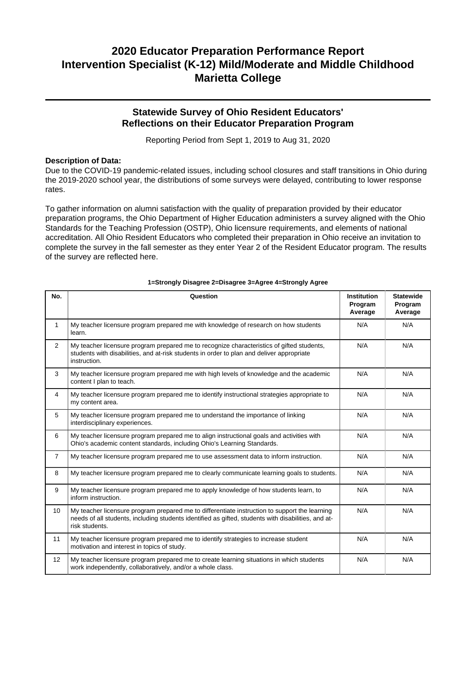### **Statewide Survey of Ohio Resident Educators' Reflections on their Educator Preparation Program**

Reporting Period from Sept 1, 2019 to Aug 31, 2020

### **Description of Data:**

Due to the COVID-19 pandemic-related issues, including school closures and staff transitions in Ohio during the 2019-2020 school year, the distributions of some surveys were delayed, contributing to lower response rates.

To gather information on alumni satisfaction with the quality of preparation provided by their educator preparation programs, the Ohio Department of Higher Education administers a survey aligned with the Ohio Standards for the Teaching Profession (OSTP), Ohio licensure requirements, and elements of national accreditation. All Ohio Resident Educators who completed their preparation in Ohio receive an invitation to complete the survey in the fall semester as they enter Year 2 of the Resident Educator program. The results of the survey are reflected here.

| No.            | Question                                                                                                                                                                                                               | <b>Institution</b><br>Program<br>Average | <b>Statewide</b><br>Program<br>Average |
|----------------|------------------------------------------------------------------------------------------------------------------------------------------------------------------------------------------------------------------------|------------------------------------------|----------------------------------------|
| 1              | My teacher licensure program prepared me with knowledge of research on how students<br>learn.                                                                                                                          | N/A                                      | N/A                                    |
| $\overline{2}$ | My teacher licensure program prepared me to recognize characteristics of gifted students,<br>students with disabilities, and at-risk students in order to plan and deliver appropriate<br>instruction.                 | N/A                                      | N/A                                    |
| 3              | My teacher licensure program prepared me with high levels of knowledge and the academic<br>content I plan to teach.                                                                                                    | N/A                                      | N/A                                    |
| $\overline{4}$ | My teacher licensure program prepared me to identify instructional strategies appropriate to<br>my content area.                                                                                                       | N/A                                      | N/A                                    |
| 5              | My teacher licensure program prepared me to understand the importance of linking<br>interdisciplinary experiences.                                                                                                     | N/A                                      | N/A                                    |
| 6              | My teacher licensure program prepared me to align instructional goals and activities with<br>Ohio's academic content standards, including Ohio's Learning Standards.                                                   | N/A                                      | N/A                                    |
| $\overline{7}$ | My teacher licensure program prepared me to use assessment data to inform instruction.                                                                                                                                 | N/A                                      | N/A                                    |
| 8              | My teacher licensure program prepared me to clearly communicate learning goals to students.                                                                                                                            | N/A                                      | N/A                                    |
| 9              | My teacher licensure program prepared me to apply knowledge of how students learn, to<br>inform instruction.                                                                                                           | N/A                                      | N/A                                    |
| 10             | My teacher licensure program prepared me to differentiate instruction to support the learning<br>needs of all students, including students identified as gifted, students with disabilities, and at-<br>risk students. | N/A                                      | N/A                                    |
| 11             | My teacher licensure program prepared me to identify strategies to increase student<br>motivation and interest in topics of study.                                                                                     | N/A                                      | N/A                                    |
| 12             | My teacher licensure program prepared me to create learning situations in which students<br>work independently, collaboratively, and/or a whole class.                                                                 | N/A                                      | N/A                                    |

#### **1=Strongly Disagree 2=Disagree 3=Agree 4=Strongly Agree**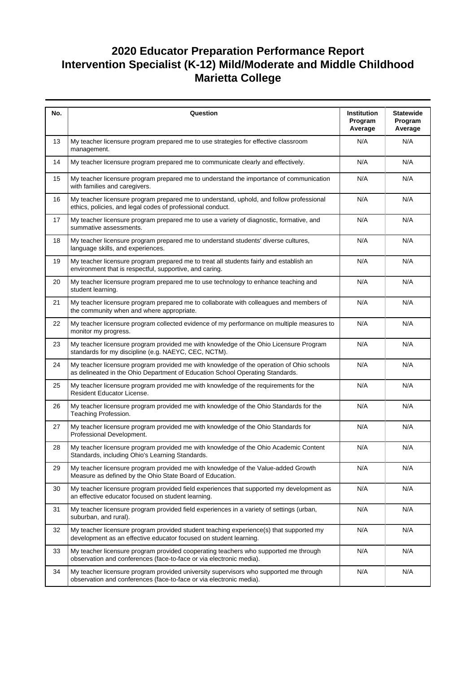| No. | Question                                                                                                                                                                  | <b>Institution</b><br>Program<br>Average | <b>Statewide</b><br>Program<br>Average |
|-----|---------------------------------------------------------------------------------------------------------------------------------------------------------------------------|------------------------------------------|----------------------------------------|
| 13  | My teacher licensure program prepared me to use strategies for effective classroom<br>management.                                                                         | N/A                                      | N/A                                    |
| 14  | My teacher licensure program prepared me to communicate clearly and effectively.                                                                                          | N/A                                      | N/A                                    |
| 15  | My teacher licensure program prepared me to understand the importance of communication<br>with families and caregivers.                                                   | N/A                                      | N/A                                    |
| 16  | My teacher licensure program prepared me to understand, uphold, and follow professional<br>ethics, policies, and legal codes of professional conduct.                     | N/A                                      | N/A                                    |
| 17  | My teacher licensure program prepared me to use a variety of diagnostic, formative, and<br>summative assessments.                                                         | N/A                                      | N/A                                    |
| 18  | My teacher licensure program prepared me to understand students' diverse cultures,<br>language skills, and experiences.                                                   | N/A                                      | N/A                                    |
| 19  | My teacher licensure program prepared me to treat all students fairly and establish an<br>environment that is respectful, supportive, and caring.                         | N/A                                      | N/A                                    |
| 20  | My teacher licensure program prepared me to use technology to enhance teaching and<br>student learning.                                                                   | N/A                                      | N/A                                    |
| 21  | My teacher licensure program prepared me to collaborate with colleagues and members of<br>the community when and where appropriate.                                       | N/A                                      | N/A                                    |
| 22  | My teacher licensure program collected evidence of my performance on multiple measures to<br>monitor my progress.                                                         | N/A                                      | N/A                                    |
| 23  | My teacher licensure program provided me with knowledge of the Ohio Licensure Program<br>standards for my discipline (e.g. NAEYC, CEC, NCTM).                             | N/A                                      | N/A                                    |
| 24  | My teacher licensure program provided me with knowledge of the operation of Ohio schools<br>as delineated in the Ohio Department of Education School Operating Standards. | N/A                                      | N/A                                    |
| 25  | My teacher licensure program provided me with knowledge of the requirements for the<br>Resident Educator License.                                                         | N/A                                      | N/A                                    |
| 26  | My teacher licensure program provided me with knowledge of the Ohio Standards for the<br>Teaching Profession.                                                             | N/A                                      | N/A                                    |
| 27  | My teacher licensure program provided me with knowledge of the Ohio Standards for<br>Professional Development.                                                            | N/A                                      | N/A                                    |
| 28  | My teacher licensure program provided me with knowledge of the Ohio Academic Content<br>Standards, including Ohio's Learning Standards.                                   | N/A                                      | N/A                                    |
| 29  | My teacher licensure program provided me with knowledge of the Value-added Growth<br>Measure as defined by the Ohio State Board of Education.                             | N/A                                      | N/A                                    |
| 30  | My teacher licensure program provided field experiences that supported my development as<br>an effective educator focused on student learning.                            | N/A                                      | N/A                                    |
| 31  | My teacher licensure program provided field experiences in a variety of settings (urban,<br>suburban, and rural).                                                         | N/A                                      | N/A                                    |
| 32  | My teacher licensure program provided student teaching experience(s) that supported my<br>development as an effective educator focused on student learning.               | N/A                                      | N/A                                    |
| 33  | My teacher licensure program provided cooperating teachers who supported me through<br>observation and conferences (face-to-face or via electronic media).                | N/A                                      | N/A                                    |
| 34  | My teacher licensure program provided university supervisors who supported me through<br>observation and conferences (face-to-face or via electronic media).              | N/A                                      | N/A                                    |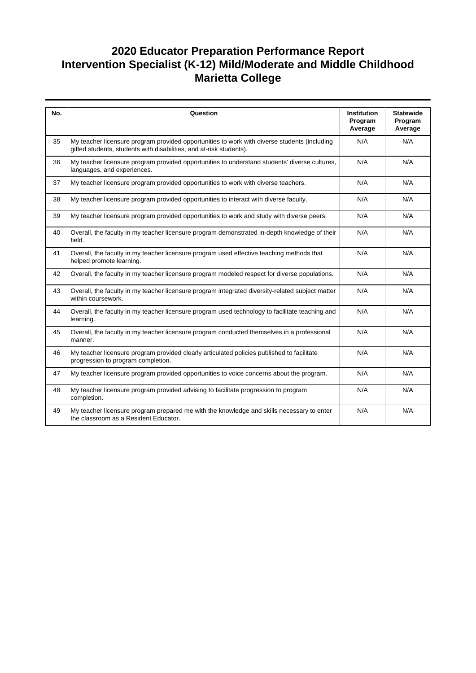| No. | Question                                                                                                                                                            | <b>Institution</b><br>Program<br>Average | <b>Statewide</b><br>Program<br>Average |
|-----|---------------------------------------------------------------------------------------------------------------------------------------------------------------------|------------------------------------------|----------------------------------------|
| 35  | My teacher licensure program provided opportunities to work with diverse students (including<br>gifted students, students with disabilities, and at-risk students). | N/A                                      | N/A                                    |
| 36  | My teacher licensure program provided opportunities to understand students' diverse cultures,<br>languages, and experiences.                                        | N/A                                      | N/A                                    |
| 37  | My teacher licensure program provided opportunities to work with diverse teachers.                                                                                  | N/A                                      | N/A                                    |
| 38  | My teacher licensure program provided opportunities to interact with diverse faculty.                                                                               | N/A                                      | N/A                                    |
| 39  | My teacher licensure program provided opportunities to work and study with diverse peers.                                                                           | N/A                                      | N/A                                    |
| 40  | Overall, the faculty in my teacher licensure program demonstrated in-depth knowledge of their<br>field.                                                             | N/A                                      | N/A                                    |
| 41  | Overall, the faculty in my teacher licensure program used effective teaching methods that<br>helped promote learning.                                               | N/A                                      | N/A                                    |
| 42  | Overall, the faculty in my teacher licensure program modeled respect for diverse populations.                                                                       | N/A                                      | N/A                                    |
| 43  | Overall, the faculty in my teacher licensure program integrated diversity-related subject matter<br>within coursework.                                              | N/A                                      | N/A                                    |
| 44  | Overall, the faculty in my teacher licensure program used technology to facilitate teaching and<br>learning.                                                        | N/A                                      | N/A                                    |
| 45  | Overall, the faculty in my teacher licensure program conducted themselves in a professional<br>manner.                                                              | N/A                                      | N/A                                    |
| 46  | My teacher licensure program provided clearly articulated policies published to facilitate<br>progression to program completion.                                    | N/A                                      | N/A                                    |
| 47  | My teacher licensure program provided opportunities to voice concerns about the program.                                                                            | N/A                                      | N/A                                    |
| 48  | My teacher licensure program provided advising to facilitate progression to program<br>completion.                                                                  | N/A                                      | N/A                                    |
| 49  | My teacher licensure program prepared me with the knowledge and skills necessary to enter<br>the classroom as a Resident Educator.                                  | N/A                                      | N/A                                    |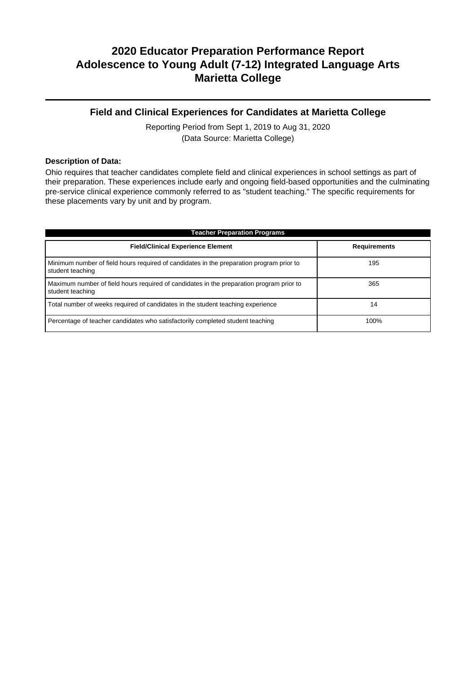## **Field and Clinical Experiences for Candidates at Marietta College**

Reporting Period from Sept 1, 2019 to Aug 31, 2020 (Data Source: Marietta College)

### **Description of Data:**

Ohio requires that teacher candidates complete field and clinical experiences in school settings as part of their preparation. These experiences include early and ongoing field-based opportunities and the culminating pre-service clinical experience commonly referred to as "student teaching." The specific requirements for these placements vary by unit and by program.

| <b>Teacher Preparation Programs</b>                                                                          |                     |  |  |  |  |
|--------------------------------------------------------------------------------------------------------------|---------------------|--|--|--|--|
| <b>Field/Clinical Experience Element</b>                                                                     | <b>Requirements</b> |  |  |  |  |
| Minimum number of field hours required of candidates in the preparation program prior to<br>student teaching | 195                 |  |  |  |  |
| Maximum number of field hours required of candidates in the preparation program prior to<br>student teaching | 365                 |  |  |  |  |
| Total number of weeks required of candidates in the student teaching experience                              | 14                  |  |  |  |  |
| Percentage of teacher candidates who satisfactorily completed student teaching                               | 100%                |  |  |  |  |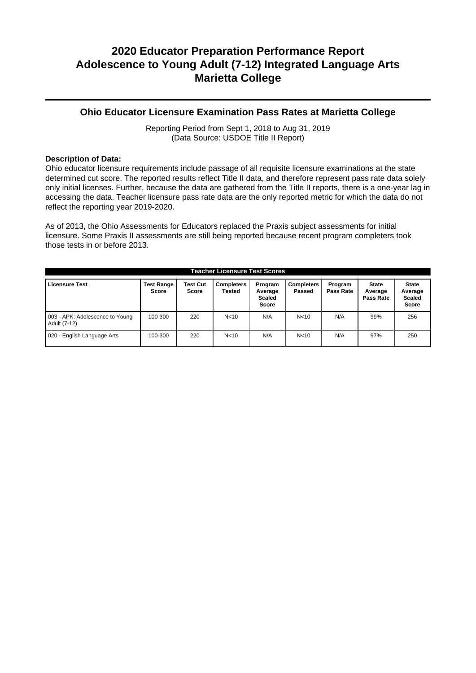### **Ohio Educator Licensure Examination Pass Rates at Marietta College**

Reporting Period from Sept 1, 2018 to Aug 31, 2019 (Data Source: USDOE Title II Report)

### **Description of Data:**

Ohio educator licensure requirements include passage of all requisite licensure examinations at the state determined cut score. The reported results reflect Title II data, and therefore represent pass rate data solely only initial licenses. Further, because the data are gathered from the Title II reports, there is a one-year lag in accessing the data. Teacher licensure pass rate data are the only reported metric for which the data do not reflect the reporting year 2019-2020.

As of 2013, the Ohio Assessments for Educators replaced the Praxis subject assessments for initial licensure. Some Praxis II assessments are still being reported because recent program completers took those tests in or before 2013.

| <b>Teacher Licensure Test Scores</b>            |                                   |                                 |                      |                                                     |                             |                      |                                      |                                                          |
|-------------------------------------------------|-----------------------------------|---------------------------------|----------------------|-----------------------------------------------------|-----------------------------|----------------------|--------------------------------------|----------------------------------------------------------|
| <b>Licensure Test</b>                           | <b>Test Range</b><br><b>Score</b> | <b>Test Cut</b><br><b>Score</b> | Completers<br>Tested | Program<br>Average<br><b>Scaled</b><br><b>Score</b> | <b>Completers</b><br>Passed | Program<br>Pass Rate | <b>State</b><br>Average<br>Pass Rate | <b>State</b><br>Average<br><b>Scaled</b><br><b>Score</b> |
| 003 - APK: Adolescence to Young<br>Adult (7-12) | 100-300                           | 220                             | N <sub>10</sub>      | N/A                                                 | N <sub>10</sub>             | N/A                  | 99%                                  | 256                                                      |
| 020 - English Language Arts                     | 100-300                           | 220                             | N <sub>10</sub>      | N/A                                                 | N <sub>10</sub>             | N/A                  | 97%                                  | 250                                                      |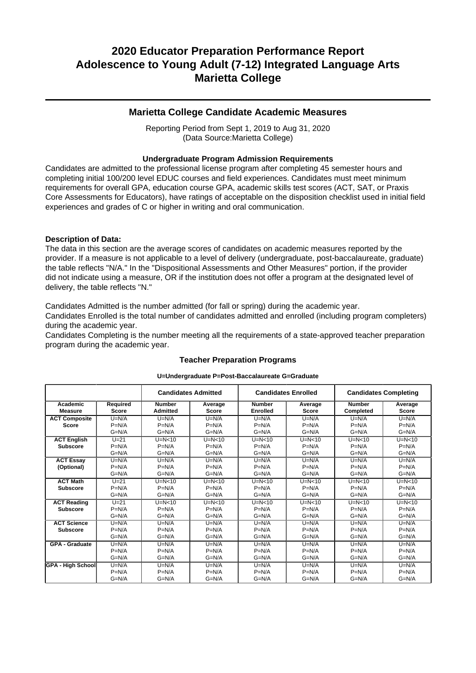### **Marietta College Candidate Academic Measures**

Reporting Period from Sept 1, 2019 to Aug 31, 2020 (Data Source:Marietta College)

### **Undergraduate Program Admission Requirements**

Candidates are admitted to the professional license program after completing 45 semester hours and completing initial 100/200 level EDUC courses and field experiences. Candidates must meet minimum requirements for overall GPA, education course GPA, academic skills test scores (ACT, SAT, or Praxis Core Assessments for Educators), have ratings of acceptable on the disposition checklist used in initial field experiences and grades of C or higher in writing and oral communication.

### **Description of Data:**

The data in this section are the average scores of candidates on academic measures reported by the provider. If a measure is not applicable to a level of delivery (undergraduate, post-baccalaureate, graduate) the table reflects "N/A." In the "Dispositional Assessments and Other Measures" portion, if the provider did not indicate using a measure, OR if the institution does not offer a program at the designated level of delivery, the table reflects "N."

Candidates Admitted is the number admitted (for fall or spring) during the academic year.

Candidates Enrolled is the total number of candidates admitted and enrolled (including program completers) during the academic year.

Candidates Completing is the number meeting all the requirements of a state-approved teacher preparation program during the academic year.

|                            |                          | <b>Candidates Admitted</b>       |                         | <b>Candidates Enrolled</b>       |                         |                            | <b>Candidates Completing</b> |
|----------------------------|--------------------------|----------------------------------|-------------------------|----------------------------------|-------------------------|----------------------------|------------------------------|
| Academic<br><b>Measure</b> | Required<br><b>Score</b> | <b>Number</b><br><b>Admitted</b> | Average<br><b>Score</b> | <b>Number</b><br><b>Enrolled</b> | Average<br><b>Score</b> | <b>Number</b><br>Completed | Average<br><b>Score</b>      |
| <b>ACT Composite</b>       | $U=N/A$                  | $U=N/A$                          | $U=N/A$                 | $U=N/A$                          | $U=N/A$                 | $U=N/A$                    | $U=N/A$                      |
| <b>Score</b>               | $P=N/A$                  | $P=N/A$                          | $P=N/A$                 | $P=N/A$                          | $P=N/A$                 | $P=N/A$                    | $P=N/A$                      |
|                            | $G=N/A$                  | $G=N/A$                          | $G=N/A$                 | $G=N/A$                          | $G=N/A$                 | $G=N/A$                    | $G=N/A$                      |
| <b>ACT English</b>         | $U=21$                   | $U=N<10$                         | $U=N<10$                | $U=N<10$                         | $U=N<10$                | $U=N<10$                   | $U=N<10$                     |
| <b>Subscore</b>            | $P=N/A$                  | $P=N/A$                          | $P=N/A$                 | $P=N/A$                          | $P=N/A$                 | $P=N/A$                    | $P=N/A$                      |
|                            | $G=N/A$                  | $G=N/A$                          | $G=N/A$                 | $G=N/A$                          | $G=N/A$                 | $G=N/A$                    | $G=N/A$                      |
| <b>ACT Essay</b>           | $U=N/A$                  | $U=N/A$                          | $U=N/A$                 | $U=N/A$                          | $U=N/A$                 | $U=N/A$                    | $U=N/A$                      |
| (Optional)                 | $P=N/A$                  | $P=N/A$                          | $P=N/A$                 | $P=N/A$                          | $P=N/A$                 | $P=N/A$                    | $P=N/A$                      |
|                            | $G=N/A$                  | $G=N/A$                          | $G=N/A$                 | $G=N/A$                          | $G=N/A$                 | $G=N/A$                    | $G=N/A$                      |
| <b>ACT Math</b>            | $U=21$                   | $U=N<10$                         | $U=N<10$                | $U=N<10$                         | $U=N<10$                | $U=N<10$                   | $U=N<10$                     |
| <b>Subscore</b>            | $P=N/A$                  | $P=N/A$                          | $P=N/A$                 | $P=N/A$                          | $P=N/A$                 | $P=N/A$                    | $P=N/A$                      |
|                            | $G=N/A$                  | $G=N/A$                          | $G=N/A$                 | $G=N/A$                          | $G=N/A$                 | $G=N/A$                    | $G=N/A$                      |
| <b>ACT Reading</b>         | $U=21$                   | $U=N<10$                         | $U=N<10$                | $U=N<10$                         | $U=N<10$                | $U=N<10$                   | $U=N<10$                     |
| <b>Subscore</b>            | $P=N/A$                  | $P=N/A$                          | $P=N/A$                 | $P=N/A$                          | $P=N/A$                 | $P=N/A$                    | $P=N/A$                      |
|                            | $G=N/A$                  | $G=N/A$                          | $G=N/A$                 | $G=N/A$                          | $G=N/A$                 | $G=N/A$                    | $G=N/A$                      |
| <b>ACT Science</b>         | $U=N/A$                  | $U=N/A$                          | $U=N/A$                 | $U=N/A$                          | $U=N/A$                 | $U=N/A$                    | $U=N/A$                      |
| <b>Subscore</b>            | $P=N/A$                  | $P=N/A$                          | $P=N/A$                 | $P=N/A$                          | $P=N/A$                 | $P=N/A$                    | $P=N/A$                      |
|                            | $G=N/A$                  | $G=N/A$                          | $G=N/A$                 | $G=N/A$                          | $G=N/A$                 | $G=N/A$                    | $G=N/A$                      |
| <b>GPA - Graduate</b>      | $U=N/A$                  | $U=N/A$                          | $U=N/A$                 | $U=N/A$                          | $U=N/A$                 | $U=N/A$                    | $U=N/A$                      |
|                            | $P=N/A$                  | $P=N/A$                          | $P=N/A$                 | $P=N/A$                          | $P=N/A$                 | $P=N/A$                    | $P=N/A$                      |
|                            | $G=N/A$                  | $G=N/A$                          | $G=N/A$                 | $G=N/A$                          | $G=N/A$                 | $G=N/A$                    | $G=N/A$                      |
| <b>GPA - High School</b>   | $U=N/A$                  | $U=N/A$                          | $U=N/A$                 | $U=N/A$                          | $U=N/A$                 | $U=N/A$                    | $U=N/A$                      |
|                            | $P=N/A$                  | $P=N/A$                          | $P=N/A$                 | $P=N/A$                          | $P=N/A$                 | $P=N/A$                    | $P=N/A$                      |
|                            | $G=N/A$                  | $G=N/A$                          | $G=N/A$                 | $G=N/A$                          | $G=N/A$                 | $G=N/A$                    | $G=N/A$                      |

## **Teacher Preparation Programs U=Undergraduate P=Post-Baccalaureate G=Graduate**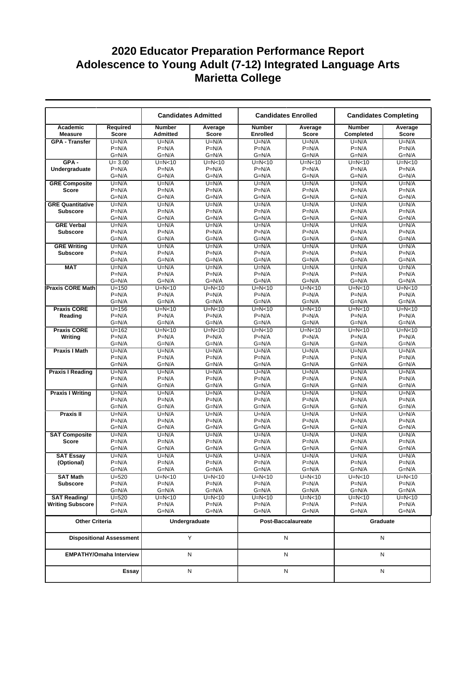|                                |                                 |                                  | <b>Candidates Admitted</b> | <b>Candidates Enrolled</b>       |                         |                            | <b>Candidates Completing</b> |
|--------------------------------|---------------------------------|----------------------------------|----------------------------|----------------------------------|-------------------------|----------------------------|------------------------------|
| Academic<br><b>Measure</b>     | Required<br><b>Score</b>        | <b>Number</b><br><b>Admitted</b> | Average<br><b>Score</b>    | <b>Number</b><br><b>Enrolled</b> | Average<br><b>Score</b> | <b>Number</b><br>Completed | Average<br><b>Score</b>      |
| <b>GPA - Transfer</b>          | $U=N/A$                         | $U=N/A$                          | $U=N/A$                    | $U=N/A$                          | $U=N/A$                 | $U=N/A$                    | $U=N/A$                      |
|                                | $P=N/A$                         | $P=N/A$                          | $P=N/A$                    | $P=N/A$                          | $P=N/A$                 | $P=N/A$                    | $P=N/A$                      |
|                                | $G=N/A$                         | $G=N/A$                          | $G=N/A$                    | $G=N/A$                          | $G=N/A$                 | $G=N/A$                    | $G=N/A$                      |
| $GPA -$                        | $U = 3.00$                      | $U=N<10$                         | $U=N<10$                   | $U=N<10$                         | $U=N<10$                | $U=N<10$                   | $U=N<10$                     |
| Undergraduate                  | $P=N/A$                         | $P=N/A$                          | $P=N/A$                    | $P=N/A$                          | $P=N/A$                 | $P=N/A$                    | $P=N/A$                      |
|                                | $G=N/A$                         | $G=N/A$                          | $G=N/A$                    | $G=N/A$                          | $G=N/A$                 | $G=N/A$                    | $G=N/A$                      |
| <b>GRE Composite</b>           | $U=N/A$                         | $U=N/A$                          | $U=N/A$                    | $U=N/A$                          | $U=N/A$                 | $U=N/A$                    | $U=N/A$                      |
| Score                          | $P=N/A$                         | $P=N/A$<br>$G=N/A$               | $P=N/A$                    | $P=N/A$<br>$G=N/A$               | $P=N/A$<br>$G=N/A$      | $P=N/A$<br>$G=N/A$         | $P=N/A$<br>$G=N/A$           |
| <b>GRE Quantitative</b>        | $G=N/A$<br>$U=N/A$              | $U=N/A$                          | $G=N/A$<br>$U=N/A$         | $U=N/A$                          | $U=N/A$                 | $U=N/A$                    | $U=N/A$                      |
| <b>Subscore</b>                | $P=N/A$                         | $P=N/A$                          | $P=N/A$                    | $P=N/A$                          | $P=N/A$                 | $P=N/A$                    | $P=N/A$                      |
|                                | $G=N/A$                         | $G=N/A$                          | $G=N/A$                    | $G=N/A$                          | $G=N/A$                 | $G=N/A$                    | $G=N/A$                      |
| <b>GRE Verbal</b>              | $U=N/A$                         | $U=N/A$                          | $U=N/A$                    | $U=N/A$                          | $U=N/A$                 | $U=N/A$                    | $U=N/A$                      |
| <b>Subscore</b>                | $P=N/A$                         | $P=N/A$                          | $P=N/A$                    | $P=N/A$                          | $P=N/A$                 | $P=N/A$                    | $P=N/A$                      |
|                                | $G=N/A$                         | $G=N/A$                          | $G=N/A$                    | $G=N/A$                          | $G=N/A$                 | $G=N/A$                    | $G=N/A$                      |
| <b>GRE Writing</b>             | $U=N/A$                         | $U=N/A$                          | $U=N/A$                    | $U=N/A$                          | $U=N/A$                 | $U=N/A$                    | $U=N/A$                      |
| <b>Subscore</b>                | $P=N/A$                         | $P=N/A$                          | $P=N/A$                    | $P=N/A$                          | $P=N/A$                 | $P=N/A$                    | $P=N/A$                      |
|                                | $G=N/A$                         | $G=N/A$                          | $G=N/A$                    | $G=N/A$                          | $G=N/A$                 | $G=N/A$                    | $G=N/A$                      |
| <b>MAT</b>                     | $U=N/A$                         | $U=N/A$                          | $U=N/A$                    | $U=N/A$                          | $U=N/A$                 | $U=N/A$                    | $U=N/A$                      |
|                                | $P=N/A$                         | $P=N/A$                          | $P=N/A$                    | $P=N/A$                          | $P=N/A$                 | $P=N/A$                    | $P=N/A$                      |
|                                | $G=N/A$                         | G=N/A                            | $G=N/A$                    | $G=N/A$                          | $G=N/A$                 | $G=N/A$                    | $G=N/A$                      |
| <b>Praxis CORE Math</b>        | $U = 150$<br>$P=N/A$            | $U=N<10$<br>$P=N/A$              | $U=N<10$<br>$P=N/A$        | $U=N<10$<br>$P=N/A$              | $U=N<10$<br>$P=N/A$     | $U=N<10$<br>$P=N/A$        | $U=N<10$<br>$P=N/A$          |
|                                | $G=N/A$                         | $G=N/A$                          | $G=N/A$                    | $G=N/A$                          | $G=N/A$                 | $G=N/A$                    | $G=N/A$                      |
| <b>Praxis CORE</b>             | $U = 156$                       | $U=N<10$                         | $U=N<10$                   | $U=N<10$                         | $U=N<10$                | $U=N<10$                   | $U=N<10$                     |
| Reading                        | $P=N/A$                         | $P=N/A$                          | $P=N/A$                    | $P=N/A$                          | $P=N/A$                 | $P=N/A$                    | $P=N/A$                      |
|                                | $G=N/A$                         | $G=N/A$                          | $G=N/A$                    | $G=N/A$                          | $G=N/A$                 | $G=N/A$                    | $G=N/A$                      |
| <b>Praxis CORE</b>             | $U = 162$                       | $U=N<10$                         | $U=N<10$                   | $U=N<10$                         | $U=N<10$                | $U=N<10$                   | $U=N<10$                     |
| Writing                        | $P=N/A$                         | $P=N/A$                          | $P=N/A$                    | $P=N/A$                          | $P=N/A$                 | $P=N/A$                    | $P=N/A$                      |
|                                | $G=N/A$                         | G=N/A                            | $G=N/A$                    | $G=N/A$                          | $G=N/A$                 | $G=N/A$                    | $G=N/A$                      |
| <b>Praxis I Math</b>           | $U=N/A$                         | $U=N/A$                          | $U=N/A$                    | $U=N/A$                          | $U=N/A$                 | $U=N/A$                    | $U=N/A$                      |
|                                | $P=N/A$                         | $P=N/A$                          | $P=N/A$                    | $P=N/A$                          | $P=N/A$                 | $P=N/A$                    | $P=N/A$                      |
|                                | $G=N/A$                         | $G=N/A$                          | $G=N/A$                    | $G=N/A$                          | $G=N/A$                 | $G=N/A$                    | $G=N/A$                      |
| <b>Praxis I Reading</b>        | $U=N/A$<br>$P=N/A$              | $U=N/A$<br>$P=N/A$               | $U=N/A$<br>$P=N/A$         | $U=N/A$<br>$P=N/A$               | $U=N/A$<br>$P=N/A$      | $U=N/A$<br>$P=N/A$         | $U=N/A$<br>$P=N/A$           |
|                                | $G=N/A$                         | G=N/A                            | $G=N/A$                    | $G=N/A$                          | $G=N/A$                 | $G=N/A$                    | $G=N/A$                      |
| <b>Praxis I Writing</b>        | $U=N/A$                         | $U=N/A$                          | $U=N/A$                    | $U=N/A$                          | $U=N/A$                 | $U=N/A$                    | $U=N/A$                      |
|                                | $P=N/A$                         | $P=N/A$                          | $P=N/A$                    | $P=N/A$                          | $P=N/A$                 | $P=N/A$                    | $P=N/A$                      |
|                                | $G=N/A$                         | $G=N/A$                          | $G=N/A$                    | $G=N/A$                          | $G=N/A$                 | $G=N/A$                    | $G=N/A$                      |
| <b>Praxis II</b>               | $U=N/A$                         | $U=N/A$                          | $U=N/A$                    | $U=N/A$                          | $U=N/A$                 | $U=N/A$                    | $U=N/A$                      |
|                                | $P=N/A$                         | $P=N/A$                          | $P=N/A$                    | $P=N/A$                          | $P=N/A$                 | $P=N/A$                    | $P=N/A$                      |
|                                | $G=N/A$                         | $G=N/A$                          | $G=N/A$                    | $G=N/A$                          | $G=N/A$                 | $G=N/A$                    | $G=N/A$                      |
| <b>SAT Composite</b>           | $U=N/A$                         | $U=N/A$                          | $U=N/A$                    | $U=N/A$                          | $U=N/A$                 | $U=N/A$                    | $U=N/A$                      |
| <b>Score</b>                   | $P=N/A$                         | $P=N/A$                          | $P=N/A$                    | $P=N/A$                          | $P=N/A$                 | $P=N/A$                    | $P=N/A$                      |
|                                | $G=N/A$                         | $G=N/A$                          | $G=N/A$                    | $G=N/A$                          | G=N/A                   | $G=N/A$                    | $G=N/A$                      |
| <b>SAT Essay</b><br>(Optional) | $U=N/A$<br>$P=N/A$              | $U=N/A$<br>$P=N/A$               | $U=N/A$<br>$P=N/A$         | $U=N/A$<br>$P=N/A$               | $U=N/A$<br>$P=N/A$      | $U=N/A$<br>$P=N/A$         | $U=N/A$<br>$P=N/A$           |
|                                | G=N/A                           | G=N/A                            | $G=N/A$                    | $G=N/A$                          | $G=N/A$                 | $G=N/A$                    | $G=N/A$                      |
| <b>SAT Math</b>                | $U = 520$                       | $U=N<10$                         | U=N<10                     | $U=N<10$                         | $U=N<10$                | U=N<10                     | $U=N<10$                     |
| <b>Subscore</b>                | $P=N/A$                         | $P=N/A$                          | $P=N/A$                    | $P=N/A$                          | $P=N/A$                 | $P=N/A$                    | $P=N/A$                      |
|                                | G=N/A                           | G=N/A                            | G=N/A                      | $G=N/A$                          | $G=N/A$                 | G=N/A                      | $G=N/A$                      |
| <b>SAT Reading/</b>            | $U = 520$                       | $U=N<10$                         | U=N<10                     | $U=N<10$                         | $U=N<10$                | U=N<10                     | $U=N<10$                     |
| <b>Writing Subscore</b>        | $P=N/A$                         | $P=N/A$                          | $P=N/A$                    | $P=N/A$                          | $P=N/A$                 | $P=N/A$                    | $P=N/A$                      |
|                                | G=N/A                           | G=N/A                            | $G=N/A$                    | $G=N/A$                          | G=N/A                   | $G=N/A$                    | $G=N/A$                      |
| <b>Other Criteria</b>          |                                 |                                  | Undergraduate              |                                  | Post-Baccalaureate      | Graduate                   |                              |
|                                | <b>Dispositional Assessment</b> |                                  | Y                          |                                  | N                       |                            | Ν                            |
|                                | <b>EMPATHY/Omaha Interview</b>  |                                  | N                          |                                  | Ν                       |                            | N                            |
|                                | Essay                           |                                  | N                          |                                  | N                       | N                          |                              |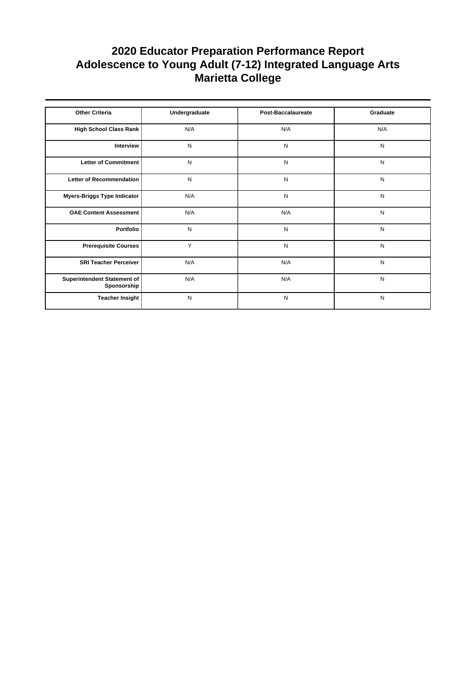| <b>Other Criteria</b>                      | Undergraduate | <b>Post-Baccalaureate</b> | Graduate  |
|--------------------------------------------|---------------|---------------------------|-----------|
| High School Class Rank                     | N/A           | N/A                       | N/A       |
| Interview                                  | N             | N                         | N         |
| Letter of Commitment                       | N             | N                         | N         |
| <b>Letter of Recommendation</b>            | N             | N                         | N         |
| Myers-Briggs Type Indicator                | N/A           | N                         | N         |
| <b>OAE Content Assessment</b>              | N/A           | N/A                       | ${\sf N}$ |
| Portfolio                                  | N             | N                         | ${\sf N}$ |
| <b>Prerequisite Courses</b>                | Y             | N                         | ${\sf N}$ |
| <b>SRI Teacher Perceiver</b>               | N/A           | N/A                       | N         |
| Superintendent Statement of<br>Sponsorship | N/A           | N/A                       | ${\sf N}$ |
| <b>Teacher Insight</b>                     | N             | N                         | N         |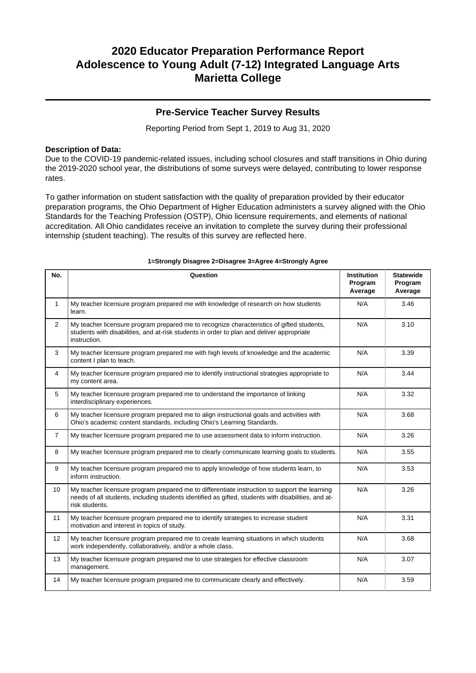### **Pre-Service Teacher Survey Results**

Reporting Period from Sept 1, 2019 to Aug 31, 2020

### **Description of Data:**

Due to the COVID-19 pandemic-related issues, including school closures and staff transitions in Ohio during the 2019-2020 school year, the distributions of some surveys were delayed, contributing to lower response rates.

To gather information on student satisfaction with the quality of preparation provided by their educator preparation programs, the Ohio Department of Higher Education administers a survey aligned with the Ohio Standards for the Teaching Profession (OSTP), Ohio licensure requirements, and elements of national accreditation. All Ohio candidates receive an invitation to complete the survey during their professional internship (student teaching). The results of this survey are reflected here.

| No.            | Question                                                                                                                                                                                                               | <b>Institution</b><br>Program<br>Average | <b>Statewide</b><br>Program<br>Average |
|----------------|------------------------------------------------------------------------------------------------------------------------------------------------------------------------------------------------------------------------|------------------------------------------|----------------------------------------|
| $\mathbf{1}$   | My teacher licensure program prepared me with knowledge of research on how students<br>learn.                                                                                                                          | N/A                                      | 3.46                                   |
| $\overline{2}$ | My teacher licensure program prepared me to recognize characteristics of gifted students,<br>students with disabilities, and at-risk students in order to plan and deliver appropriate<br>instruction.                 | N/A                                      | 3.10                                   |
| 3              | My teacher licensure program prepared me with high levels of knowledge and the academic<br>content I plan to teach.                                                                                                    | N/A                                      | 3.39                                   |
| 4              | My teacher licensure program prepared me to identify instructional strategies appropriate to<br>my content area.                                                                                                       | N/A                                      | 3.44                                   |
| 5              | My teacher licensure program prepared me to understand the importance of linking<br>interdisciplinary experiences.                                                                                                     | N/A                                      | 3.32                                   |
| 6              | My teacher licensure program prepared me to align instructional goals and activities with<br>Ohio's academic content standards, including Ohio's Learning Standards.                                                   | N/A                                      | 3.68                                   |
| $\overline{7}$ | My teacher licensure program prepared me to use assessment data to inform instruction.                                                                                                                                 | N/A                                      | 3.26                                   |
| 8              | My teacher licensure program prepared me to clearly communicate learning goals to students.                                                                                                                            | N/A                                      | 3.55                                   |
| 9              | My teacher licensure program prepared me to apply knowledge of how students learn, to<br>inform instruction.                                                                                                           | N/A                                      | 3.53                                   |
| 10             | My teacher licensure program prepared me to differentiate instruction to support the learning<br>needs of all students, including students identified as gifted, students with disabilities, and at-<br>risk students. | N/A                                      | 3.26                                   |
| 11             | My teacher licensure program prepared me to identify strategies to increase student<br>motivation and interest in topics of study.                                                                                     | N/A                                      | 3.31                                   |
| 12             | My teacher licensure program prepared me to create learning situations in which students<br>work independently, collaboratively, and/or a whole class.                                                                 | N/A                                      | 3.68                                   |
| 13             | My teacher licensure program prepared me to use strategies for effective classroom<br>management.                                                                                                                      | N/A                                      | 3.07                                   |
| 14             | My teacher licensure program prepared me to communicate clearly and effectively.                                                                                                                                       | N/A                                      | 3.59                                   |

#### **1=Strongly Disagree 2=Disagree 3=Agree 4=Strongly Agree**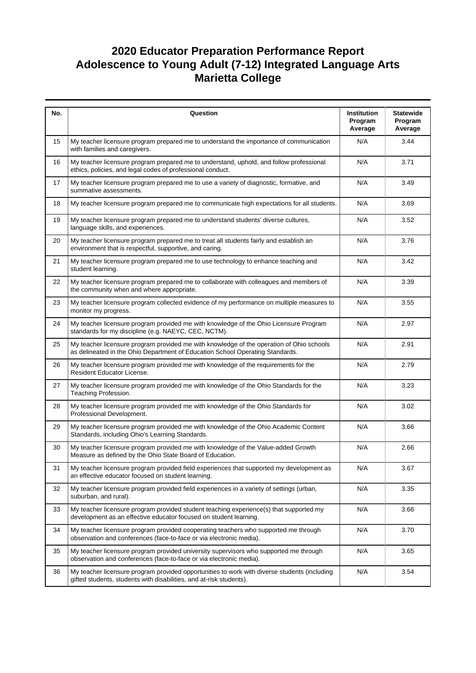| No. | Question                                                                                                                                                                  | Institution<br>Program<br>Average | <b>Statewide</b><br>Program<br>Average |
|-----|---------------------------------------------------------------------------------------------------------------------------------------------------------------------------|-----------------------------------|----------------------------------------|
| 15  | My teacher licensure program prepared me to understand the importance of communication<br>with families and caregivers.                                                   | N/A                               | 3.44                                   |
| 16  | My teacher licensure program prepared me to understand, uphold, and follow professional<br>ethics, policies, and legal codes of professional conduct.                     | N/A                               | 3.71                                   |
| 17  | My teacher licensure program prepared me to use a variety of diagnostic, formative, and<br>summative assessments.                                                         | N/A                               | 3.49                                   |
| 18  | My teacher licensure program prepared me to communicate high expectations for all students.                                                                               | N/A                               | 3.69                                   |
| 19  | My teacher licensure program prepared me to understand students' diverse cultures,<br>language skills, and experiences.                                                   | N/A                               | 3.52                                   |
| 20  | My teacher licensure program prepared me to treat all students fairly and establish an<br>environment that is respectful, supportive, and caring.                         | N/A                               | 3.76                                   |
| 21  | My teacher licensure program prepared me to use technology to enhance teaching and<br>student learning.                                                                   | N/A                               | 3.42                                   |
| 22  | My teacher licensure program prepared me to collaborate with colleagues and members of<br>the community when and where appropriate.                                       | N/A                               | 3.39                                   |
| 23  | My teacher licensure program collected evidence of my performance on multiple measures to<br>monitor my progress.                                                         | N/A                               | 3.55                                   |
| 24  | My teacher licensure program provided me with knowledge of the Ohio Licensure Program<br>standards for my discipline (e.g. NAEYC, CEC, NCTM).                             | N/A                               | 2.97                                   |
| 25  | My teacher licensure program provided me with knowledge of the operation of Ohio schools<br>as delineated in the Ohio Department of Education School Operating Standards. | N/A                               | 2.91                                   |
| 26  | My teacher licensure program provided me with knowledge of the requirements for the<br>Resident Educator License.                                                         | N/A                               | 2.79                                   |
| 27  | My teacher licensure program provided me with knowledge of the Ohio Standards for the<br>Teaching Profession.                                                             | N/A                               | 3.23                                   |
| 28  | My teacher licensure program provided me with knowledge of the Ohio Standards for<br>Professional Development.                                                            | N/A                               | 3.02                                   |
| 29  | My teacher licensure program provided me with knowledge of the Ohio Academic Content<br>Standards, including Ohio's Learning Standards.                                   | N/A                               | 3.66                                   |
| 30  | My teacher licensure program provided me with knowledge of the Value-added Growth<br>Measure as defined by the Ohio State Board of Education.                             | N/A                               | 2.66                                   |
| 31  | My teacher licensure program provided field experiences that supported my development as<br>an effective educator focused on student learning.                            | N/A                               | 3.67                                   |
| 32  | My teacher licensure program provided field experiences in a variety of settings (urban,<br>suburban, and rural).                                                         | N/A                               | 3.35                                   |
| 33  | My teacher licensure program provided student teaching experience(s) that supported my<br>development as an effective educator focused on student learning.               | N/A                               | 3.66                                   |
| 34  | My teacher licensure program provided cooperating teachers who supported me through<br>observation and conferences (face-to-face or via electronic media).                | N/A                               | 3.70                                   |
| 35  | My teacher licensure program provided university supervisors who supported me through<br>observation and conferences (face-to-face or via electronic media).              | N/A                               | 3.65                                   |
| 36  | My teacher licensure program provided opportunities to work with diverse students (including<br>gifted students, students with disabilities, and at-risk students).       | N/A                               | 3.54                                   |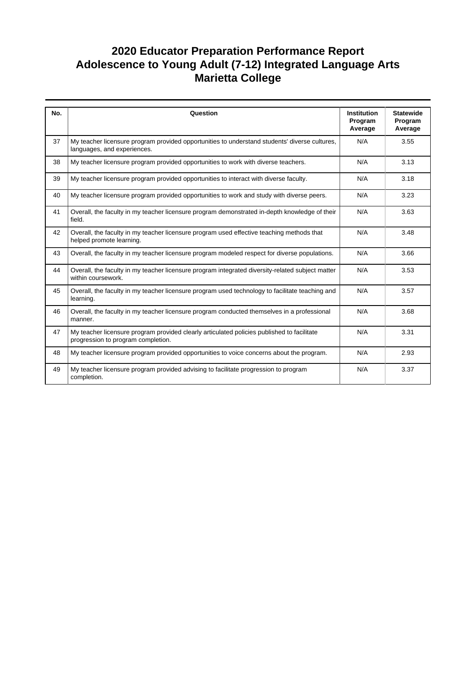| No. | Question                                                                                                                         | <b>Institution</b><br>Program<br>Average | <b>Statewide</b><br>Program<br>Average |
|-----|----------------------------------------------------------------------------------------------------------------------------------|------------------------------------------|----------------------------------------|
| 37  | My teacher licensure program provided opportunities to understand students' diverse cultures,<br>languages, and experiences.     | N/A                                      | 3.55                                   |
| 38  | My teacher licensure program provided opportunities to work with diverse teachers.                                               | N/A                                      | 3.13                                   |
| 39  | My teacher licensure program provided opportunities to interact with diverse faculty.                                            | N/A                                      | 3.18                                   |
| 40  | My teacher licensure program provided opportunities to work and study with diverse peers.                                        | N/A                                      | 3.23                                   |
| 41  | Overall, the faculty in my teacher licensure program demonstrated in-depth knowledge of their<br>field.                          | N/A                                      | 3.63                                   |
| 42  | Overall, the faculty in my teacher licensure program used effective teaching methods that<br>helped promote learning.            | N/A                                      | 3.48                                   |
| 43  | Overall, the faculty in my teacher licensure program modeled respect for diverse populations.                                    | N/A                                      | 3.66                                   |
| 44  | Overall, the faculty in my teacher licensure program integrated diversity-related subject matter<br>within coursework.           | N/A                                      | 3.53                                   |
| 45  | Overall, the faculty in my teacher licensure program used technology to facilitate teaching and<br>learning.                     | N/A                                      | 3.57                                   |
| 46  | Overall, the faculty in my teacher licensure program conducted themselves in a professional<br>manner.                           | N/A                                      | 3.68                                   |
| 47  | My teacher licensure program provided clearly articulated policies published to facilitate<br>progression to program completion. | N/A                                      | 3.31                                   |
| 48  | My teacher licensure program provided opportunities to voice concerns about the program.                                         | N/A                                      | 2.93                                   |
| 49  | My teacher licensure program provided advising to facilitate progression to program<br>completion.                               | N/A                                      | 3.37                                   |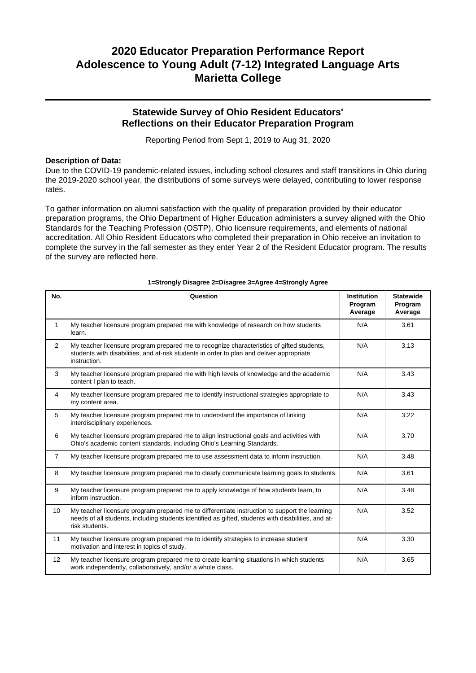## **Statewide Survey of Ohio Resident Educators' Reflections on their Educator Preparation Program**

Reporting Period from Sept 1, 2019 to Aug 31, 2020

### **Description of Data:**

Due to the COVID-19 pandemic-related issues, including school closures and staff transitions in Ohio during the 2019-2020 school year, the distributions of some surveys were delayed, contributing to lower response rates.

To gather information on alumni satisfaction with the quality of preparation provided by their educator preparation programs, the Ohio Department of Higher Education administers a survey aligned with the Ohio Standards for the Teaching Profession (OSTP), Ohio licensure requirements, and elements of national accreditation. All Ohio Resident Educators who completed their preparation in Ohio receive an invitation to complete the survey in the fall semester as they enter Year 2 of the Resident Educator program. The results of the survey are reflected here.

| No.            | Question                                                                                                                                                                                                               | <b>Institution</b><br>Program<br>Average | <b>Statewide</b><br>Program<br>Average |
|----------------|------------------------------------------------------------------------------------------------------------------------------------------------------------------------------------------------------------------------|------------------------------------------|----------------------------------------|
| 1              | My teacher licensure program prepared me with knowledge of research on how students<br>learn.                                                                                                                          | N/A                                      | 3.61                                   |
| 2              | My teacher licensure program prepared me to recognize characteristics of gifted students,<br>students with disabilities, and at-risk students in order to plan and deliver appropriate<br>instruction.                 | N/A                                      | 3.13                                   |
| 3              | My teacher licensure program prepared me with high levels of knowledge and the academic<br>content I plan to teach.                                                                                                    | N/A                                      | 3.43                                   |
| $\overline{4}$ | My teacher licensure program prepared me to identify instructional strategies appropriate to<br>my content area.                                                                                                       | N/A                                      | 3.43                                   |
| 5              | My teacher licensure program prepared me to understand the importance of linking<br>interdisciplinary experiences.                                                                                                     | N/A                                      | 3.22                                   |
| 6              | My teacher licensure program prepared me to align instructional goals and activities with<br>Ohio's academic content standards, including Ohio's Learning Standards.                                                   | N/A                                      | 3.70                                   |
| $\overline{7}$ | My teacher licensure program prepared me to use assessment data to inform instruction.                                                                                                                                 | N/A                                      | 3.48                                   |
| 8              | My teacher licensure program prepared me to clearly communicate learning goals to students.                                                                                                                            | N/A                                      | 3.61                                   |
| 9              | My teacher licensure program prepared me to apply knowledge of how students learn, to<br>inform instruction.                                                                                                           | N/A                                      | 3.48                                   |
| 10             | My teacher licensure program prepared me to differentiate instruction to support the learning<br>needs of all students, including students identified as gifted, students with disabilities, and at-<br>risk students. | N/A                                      | 3.52                                   |
| 11             | My teacher licensure program prepared me to identify strategies to increase student<br>motivation and interest in topics of study.                                                                                     | N/A                                      | 3.30                                   |
| 12             | My teacher licensure program prepared me to create learning situations in which students<br>work independently, collaboratively, and/or a whole class.                                                                 | N/A                                      | 3.65                                   |

#### **1=Strongly Disagree 2=Disagree 3=Agree 4=Strongly Agree**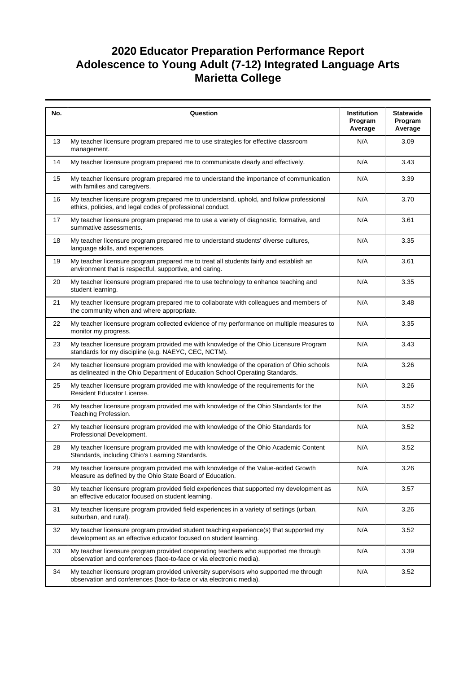| No. | Question                                                                                                                                                                  | Institution<br>Program<br>Average | <b>Statewide</b><br>Program<br>Average |
|-----|---------------------------------------------------------------------------------------------------------------------------------------------------------------------------|-----------------------------------|----------------------------------------|
| 13  | My teacher licensure program prepared me to use strategies for effective classroom<br>management.                                                                         | N/A                               | 3.09                                   |
| 14  | My teacher licensure program prepared me to communicate clearly and effectively.                                                                                          | N/A                               | 3.43                                   |
| 15  | My teacher licensure program prepared me to understand the importance of communication<br>with families and caregivers.                                                   | N/A                               | 3.39                                   |
| 16  | My teacher licensure program prepared me to understand, uphold, and follow professional<br>ethics, policies, and legal codes of professional conduct.                     | N/A                               | 3.70                                   |
| 17  | My teacher licensure program prepared me to use a variety of diagnostic, formative, and<br>summative assessments.                                                         | N/A                               | 3.61                                   |
| 18  | My teacher licensure program prepared me to understand students' diverse cultures,<br>language skills, and experiences.                                                   | N/A                               | 3.35                                   |
| 19  | My teacher licensure program prepared me to treat all students fairly and establish an<br>environment that is respectful, supportive, and caring.                         | N/A                               | 3.61                                   |
| 20  | My teacher licensure program prepared me to use technology to enhance teaching and<br>student learning.                                                                   | N/A                               | 3.35                                   |
| 21  | My teacher licensure program prepared me to collaborate with colleagues and members of<br>the community when and where appropriate.                                       | N/A                               | 3.48                                   |
| 22  | My teacher licensure program collected evidence of my performance on multiple measures to<br>monitor my progress.                                                         | N/A                               | 3.35                                   |
| 23  | My teacher licensure program provided me with knowledge of the Ohio Licensure Program<br>standards for my discipline (e.g. NAEYC, CEC, NCTM).                             | N/A                               | 3.43                                   |
| 24  | My teacher licensure program provided me with knowledge of the operation of Ohio schools<br>as delineated in the Ohio Department of Education School Operating Standards. | N/A                               | 3.26                                   |
| 25  | My teacher licensure program provided me with knowledge of the requirements for the<br>Resident Educator License.                                                         | N/A                               | 3.26                                   |
| 26  | My teacher licensure program provided me with knowledge of the Ohio Standards for the<br>Teaching Profession.                                                             | N/A                               | 3.52                                   |
| 27  | My teacher licensure program provided me with knowledge of the Ohio Standards for<br>Professional Development.                                                            | N/A                               | 3.52                                   |
| 28  | My teacher licensure program provided me with knowledge of the Ohio Academic Content<br>Standards, including Ohio's Learning Standards.                                   | N/A                               | 3.52                                   |
| 29  | My teacher licensure program provided me with knowledge of the Value-added Growth<br>Measure as defined by the Ohio State Board of Education.                             | N/A                               | 3.26                                   |
| 30  | My teacher licensure program provided field experiences that supported my development as<br>an effective educator focused on student learning.                            | N/A                               | 3.57                                   |
| 31  | My teacher licensure program provided field experiences in a variety of settings (urban,<br>suburban, and rural).                                                         | N/A                               | 3.26                                   |
| 32  | My teacher licensure program provided student teaching experience(s) that supported my<br>development as an effective educator focused on student learning.               | N/A                               | 3.52                                   |
| 33  | My teacher licensure program provided cooperating teachers who supported me through<br>observation and conferences (face-to-face or via electronic media).                | N/A                               | 3.39                                   |
| 34  | My teacher licensure program provided university supervisors who supported me through<br>observation and conferences (face-to-face or via electronic media).              | N/A                               | 3.52                                   |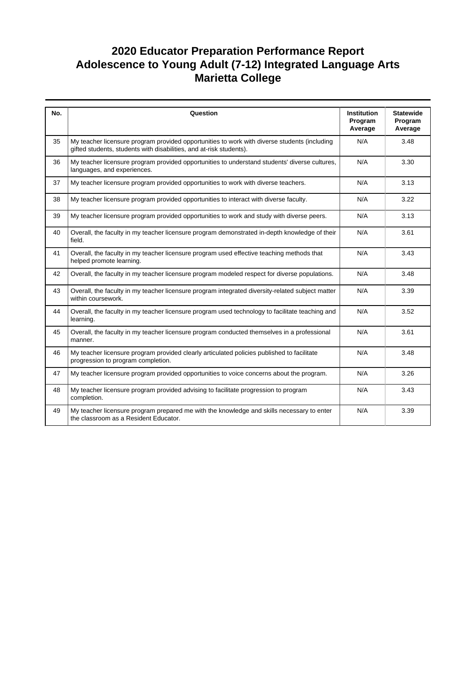| No. | Question                                                                                                                                                            | <b>Institution</b><br>Program<br>Average | <b>Statewide</b><br>Program<br>Average |
|-----|---------------------------------------------------------------------------------------------------------------------------------------------------------------------|------------------------------------------|----------------------------------------|
| 35  | My teacher licensure program provided opportunities to work with diverse students (including<br>gifted students, students with disabilities, and at-risk students). | N/A                                      | 3.48                                   |
| 36  | My teacher licensure program provided opportunities to understand students' diverse cultures,<br>languages, and experiences.                                        | N/A                                      | 3.30                                   |
| 37  | My teacher licensure program provided opportunities to work with diverse teachers.                                                                                  | N/A                                      | 3.13                                   |
| 38  | My teacher licensure program provided opportunities to interact with diverse faculty.                                                                               | N/A                                      | 3.22                                   |
| 39  | My teacher licensure program provided opportunities to work and study with diverse peers.                                                                           | N/A                                      | 3.13                                   |
| 40  | Overall, the faculty in my teacher licensure program demonstrated in-depth knowledge of their<br>field.                                                             | N/A                                      | 3.61                                   |
| 41  | Overall, the faculty in my teacher licensure program used effective teaching methods that<br>helped promote learning.                                               | N/A                                      | 3.43                                   |
| 42  | Overall, the faculty in my teacher licensure program modeled respect for diverse populations.                                                                       | N/A                                      | 3.48                                   |
| 43  | Overall, the faculty in my teacher licensure program integrated diversity-related subject matter<br>within coursework.                                              | N/A                                      | 3.39                                   |
| 44  | Overall, the faculty in my teacher licensure program used technology to facilitate teaching and<br>learning.                                                        | N/A                                      | 3.52                                   |
| 45  | Overall, the faculty in my teacher licensure program conducted themselves in a professional<br>manner.                                                              | N/A                                      | 3.61                                   |
| 46  | My teacher licensure program provided clearly articulated policies published to facilitate<br>progression to program completion.                                    | N/A                                      | 3.48                                   |
| 47  | My teacher licensure program provided opportunities to voice concerns about the program.                                                                            | N/A                                      | 3.26                                   |
| 48  | My teacher licensure program provided advising to facilitate progression to program<br>completion.                                                                  | N/A                                      | 3.43                                   |
| 49  | My teacher licensure program prepared me with the knowledge and skills necessary to enter<br>the classroom as a Resident Educator.                                  | N/A                                      | 3.39                                   |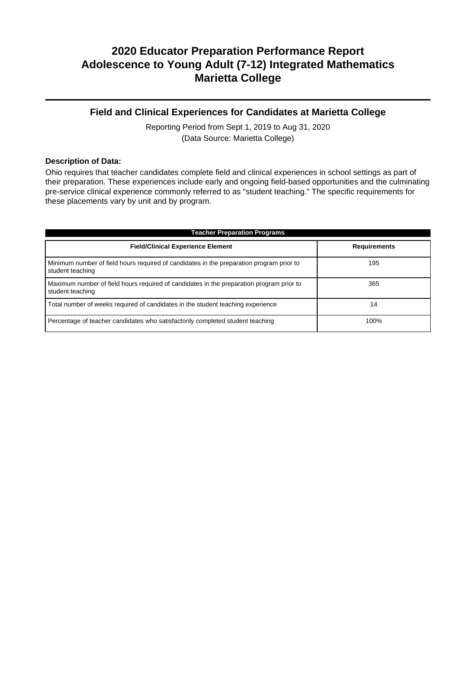## **Field and Clinical Experiences for Candidates at Marietta College**

Reporting Period from Sept 1, 2019 to Aug 31, 2020 (Data Source: Marietta College)

### **Description of Data:**

Ohio requires that teacher candidates complete field and clinical experiences in school settings as part of their preparation. These experiences include early and ongoing field-based opportunities and the culminating pre-service clinical experience commonly referred to as "student teaching." The specific requirements for these placements vary by unit and by program.

| <b>Teacher Preparation Programs</b>                                                                          |                     |  |  |  |  |
|--------------------------------------------------------------------------------------------------------------|---------------------|--|--|--|--|
| <b>Field/Clinical Experience Element</b>                                                                     | <b>Requirements</b> |  |  |  |  |
| Minimum number of field hours required of candidates in the preparation program prior to<br>student teaching | 195                 |  |  |  |  |
| Maximum number of field hours required of candidates in the preparation program prior to<br>student teaching | 365                 |  |  |  |  |
| Total number of weeks required of candidates in the student teaching experience                              | 14                  |  |  |  |  |
| Percentage of teacher candidates who satisfactorily completed student teaching                               | 100%                |  |  |  |  |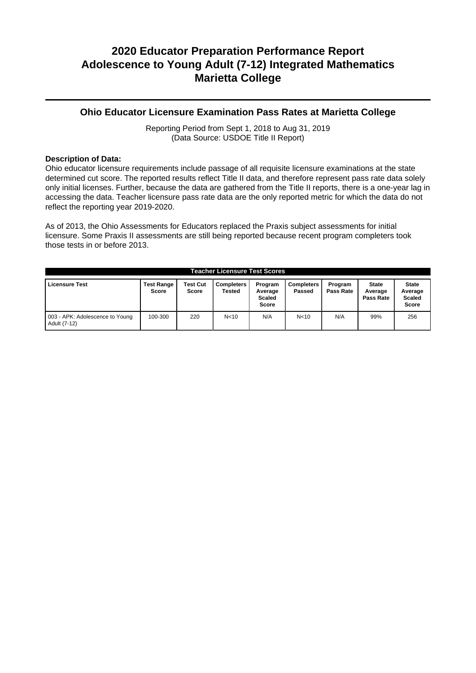### **Ohio Educator Licensure Examination Pass Rates at Marietta College**

Reporting Period from Sept 1, 2018 to Aug 31, 2019 (Data Source: USDOE Title II Report)

### **Description of Data:**

Ohio educator licensure requirements include passage of all requisite licensure examinations at the state determined cut score. The reported results reflect Title II data, and therefore represent pass rate data solely only initial licenses. Further, because the data are gathered from the Title II reports, there is a one-year lag in accessing the data. Teacher licensure pass rate data are the only reported metric for which the data do not reflect the reporting year 2019-2020.

As of 2013, the Ohio Assessments for Educators replaced the Praxis subject assessments for initial licensure. Some Praxis II assessments are still being reported because recent program completers took those tests in or before 2013.

| <b>Teacher Licensure Test Scores</b>            |                            |                          |                             |                                              |                             |                      |                                      |                                                          |
|-------------------------------------------------|----------------------------|--------------------------|-----------------------------|----------------------------------------------|-----------------------------|----------------------|--------------------------------------|----------------------------------------------------------|
| <b>Licensure Test</b>                           | <b>Test Range</b><br>Score | <b>Test Cut</b><br>Score | <b>Completers</b><br>Tested | Program<br>Average<br><b>Scaled</b><br>Score | <b>Completers</b><br>Passed | Program<br>Pass Rate | <b>State</b><br>Average<br>Pass Rate | <b>State</b><br>Average<br><b>Scaled</b><br><b>Score</b> |
| 003 - APK: Adolescence to Young<br>Adult (7-12) | 100-300                    | 220                      | N <sub>10</sub>             | N/A                                          | N <sub>10</sub>             | N/A                  | 99%                                  | 256                                                      |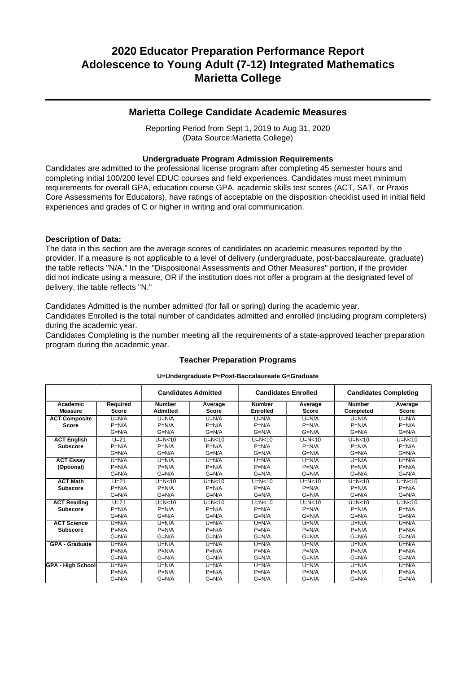### **Marietta College Candidate Academic Measures**

Reporting Period from Sept 1, 2019 to Aug 31, 2020 (Data Source:Marietta College)

### **Undergraduate Program Admission Requirements**

Candidates are admitted to the professional license program after completing 45 semester hours and completing initial 100/200 level EDUC courses and field experiences. Candidates must meet minimum requirements for overall GPA, education course GPA, academic skills test scores (ACT, SAT, or Praxis Core Assessments for Educators), have ratings of acceptable on the disposition checklist used in initial field experiences and grades of C or higher in writing and oral communication.

### **Description of Data:**

The data in this section are the average scores of candidates on academic measures reported by the provider. If a measure is not applicable to a level of delivery (undergraduate, post-baccalaureate, graduate) the table reflects "N/A." In the "Dispositional Assessments and Other Measures" portion, if the provider did not indicate using a measure, OR if the institution does not offer a program at the designated level of delivery, the table reflects "N."

Candidates Admitted is the number admitted (for fall or spring) during the academic year.

Candidates Enrolled is the total number of candidates admitted and enrolled (including program completers) during the academic year.

Candidates Completing is the number meeting all the requirements of a state-approved teacher preparation program during the academic year.

|                            |                          | <b>Candidates Admitted</b>       |                         | <b>Candidates Enrolled</b>       |                         |                            | <b>Candidates Completing</b> |
|----------------------------|--------------------------|----------------------------------|-------------------------|----------------------------------|-------------------------|----------------------------|------------------------------|
| Academic<br><b>Measure</b> | Required<br><b>Score</b> | <b>Number</b><br><b>Admitted</b> | Average<br><b>Score</b> | <b>Number</b><br><b>Enrolled</b> | Average<br><b>Score</b> | <b>Number</b><br>Completed | Average<br><b>Score</b>      |
| <b>ACT Composite</b>       | $U=N/A$                  | $U=N/A$                          | $U=N/A$                 | $U=N/A$                          | $U=N/A$                 | $U=N/A$                    | $U=N/A$                      |
| <b>Score</b>               | $P=N/A$                  | $P=N/A$                          | $P=N/A$                 | $P=N/A$                          | $P=N/A$                 | $P=N/A$                    | $P=N/A$                      |
|                            | $G=N/A$                  | $G=N/A$                          | $G=N/A$                 | $G=N/A$                          | $G=N/A$                 | $G=N/A$                    | $G=N/A$                      |
| <b>ACT English</b>         | $U=21$                   | $U=N<10$                         | $U=N<10$                | $U=N<10$                         | $U=N<10$                | $U=N<10$                   | $U=N<10$                     |
| <b>Subscore</b>            | $P=N/A$                  | $P=N/A$                          | $P=N/A$                 | $P=N/A$                          | $P=N/A$                 | $P=N/A$                    | $P=N/A$                      |
|                            | $G=N/A$                  | $G=N/A$                          | $G=N/A$                 | $G=N/A$                          | $G=N/A$                 | $G=N/A$                    | $G=N/A$                      |
| <b>ACT Essay</b>           | $U=N/A$                  | $U=N/A$                          | $U=N/A$                 | $U=N/A$                          | $U=N/A$                 | $U=N/A$                    | $U=N/A$                      |
| (Optional)                 | $P=N/A$                  | $P=N/A$                          | $P=N/A$                 | $P=N/A$                          | $P=N/A$                 | $P=N/A$                    | $P=N/A$                      |
|                            | $G=N/A$                  | $G=N/A$                          | $G=N/A$                 | $G=N/A$                          | $G=N/A$                 | $G=N/A$                    | $G=N/A$                      |
| <b>ACT Math</b>            | $U=21$                   | $U=N<10$                         | $U=N<10$                | $U=N<10$                         | $U=N<10$                | $U=N<10$                   | $U=N<10$                     |
| <b>Subscore</b>            | $P=N/A$                  | $P=N/A$                          | $P=N/A$                 | $P=N/A$                          | $P=N/A$                 | $P=N/A$                    | $P=N/A$                      |
|                            | $G=N/A$                  | $G=N/A$                          | $G=N/A$                 | $G=N/A$                          | $G=N/A$                 | $G=N/A$                    | $G=N/A$                      |
| <b>ACT Reading</b>         | $U=21$                   | $U=N<10$                         | $U=N<10$                | $U=N<10$                         | $U=N<10$                | $U=N<10$                   | $U=N<10$                     |
| <b>Subscore</b>            | $P=N/A$                  | $P=N/A$                          | $P=N/A$                 | $P=N/A$                          | $P=N/A$                 | $P=N/A$                    | $P=N/A$                      |
|                            | $G=N/A$                  | $G=N/A$                          | $G=N/A$                 | $G=N/A$                          | $G=N/A$                 | $G=N/A$                    | $G=N/A$                      |
| <b>ACT Science</b>         | $U=N/A$                  | $U=N/A$                          | $U=N/A$                 | $U=N/A$                          | $U=N/A$                 | $U=N/A$                    | $U=N/A$                      |
| <b>Subscore</b>            | $P=N/A$                  | $P=N/A$                          | $P=N/A$                 | $P=N/A$                          | $P=N/A$                 | $P=N/A$                    | $P=N/A$                      |
|                            | $G=N/A$                  | $G=N/A$                          | $G=N/A$                 | $G=N/A$                          | $G=N/A$                 | $G=N/A$                    | $G=N/A$                      |
| <b>GPA - Graduate</b>      | $U=N/A$                  | $U=N/A$                          | $U=N/A$                 | $U=N/A$                          | $U=N/A$                 | $U=N/A$                    | $U=N/A$                      |
|                            | $P=N/A$                  | $P=N/A$                          | $P=N/A$                 | $P=N/A$                          | $P=N/A$                 | $P=N/A$                    | $P=N/A$                      |
|                            | $G=N/A$                  | $G=N/A$                          | $G=N/A$                 | $G=N/A$                          | $G=N/A$                 | $G=N/A$                    | $G=N/A$                      |
| <b>GPA - High School</b>   | $U=N/A$                  | $U=N/A$                          | $U=N/A$                 | $U=N/A$                          | $U=N/A$                 | $U=N/A$                    | $U=N/A$                      |
|                            | $P=N/A$                  | $P=N/A$                          | $P=N/A$                 | $P=N/A$                          | $P=N/A$                 | $P=N/A$                    | $P=N/A$                      |
|                            | $G=N/A$                  | $G=N/A$                          | $G=N/A$                 | $G=N/A$                          | $G=N/A$                 | $G=N/A$                    | $G=N/A$                      |

## **Teacher Preparation Programs U=Undergraduate P=Post-Baccalaureate G=Graduate**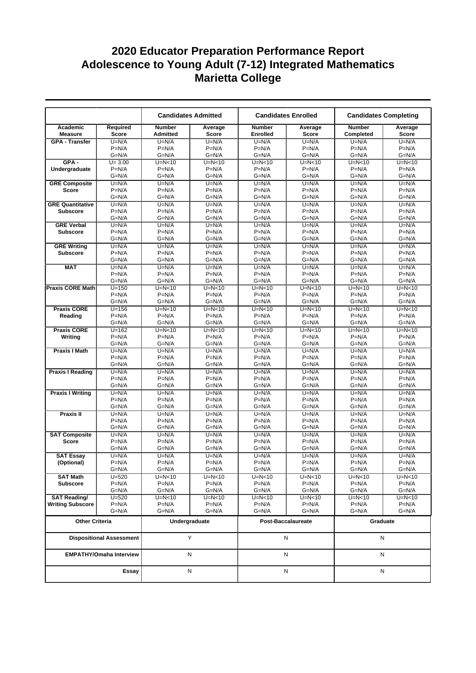|                            |                                 |                                  | <b>Candidates Admitted</b> |                           | <b>Candidates Enrolled</b> |                            | <b>Candidates Completing</b> |
|----------------------------|---------------------------------|----------------------------------|----------------------------|---------------------------|----------------------------|----------------------------|------------------------------|
| Academic<br><b>Measure</b> | Required<br><b>Score</b>        | <b>Number</b><br><b>Admitted</b> | Average<br><b>Score</b>    | <b>Number</b><br>Enrolled | Average<br><b>Score</b>    | <b>Number</b><br>Completed | Average<br><b>Score</b>      |
| <b>GPA - Transfer</b>      | $U=N/A$                         | $U=N/A$                          | $U=N/A$                    | $U=N/A$                   | $U=N/A$                    | $U=N/A$                    | $U=N/A$                      |
|                            | $P=N/A$                         | $P=N/A$                          | $P=N/A$                    | $P=N/A$                   | $P=N/A$                    | $P=N/A$                    | $P=N/A$                      |
|                            | $G=N/A$                         | $G=N/A$                          | $G=N/A$                    | $G=N/A$                   | $G=N/A$                    | $G=N/A$                    | $G=N/A$                      |
| $GPA -$                    | $U = 3.00$                      | $U=N<10$                         | $U=N<10$                   | $U=N<10$                  | $U=N<10$                   | $U=N<10$                   | $U=N<10$                     |
| Undergraduate              | $P=N/A$                         | $P=N/A$                          | $P=N/A$                    | $P=N/A$                   | $P=N/A$                    | $P=N/A$                    | $P=N/A$                      |
|                            | $G=N/A$                         | $G=N/A$                          | $G=N/A$                    | $G=N/A$                   | $G=N/A$                    | $G=N/A$                    | $G=N/A$                      |
| <b>GRE Composite</b>       | $U=N/A$                         | $U=N/A$                          | $U=N/A$                    | $U=N/A$                   | $U=N/A$                    | $U=N/A$                    | $U=N/A$                      |
| Score                      | $P=N/A$<br>$G=N/A$              | $P=N/A$<br>$G=N/A$               | $P=N/A$                    | $P=N/A$<br>$G=N/A$        | $P=N/A$<br>$G=N/A$         | $P=N/A$<br>$G=N/A$         | $P=N/A$<br>$G=N/A$           |
| <b>GRE Quantitative</b>    | $U=N/A$                         | $U=N/A$                          | $G=N/A$<br>$U=N/A$         | $U=N/A$                   | $U=N/A$                    | $U=N/A$                    | $U=N/A$                      |
| <b>Subscore</b>            | $P=N/A$                         | $P=N/A$                          | $P=N/A$                    | $P=N/A$                   | $P=N/A$                    | $P=N/A$                    | $P=N/A$                      |
|                            | $G=N/A$                         | $G=N/A$                          | $G=N/A$                    | $G=N/A$                   | $G=N/A$                    | $G=N/A$                    | $G=N/A$                      |
| <b>GRE Verbal</b>          | $U=N/A$                         | $U=N/A$                          | $U=N/A$                    | $U=N/A$                   | $U=N/A$                    | $U=N/A$                    | $U=N/A$                      |
| <b>Subscore</b>            | $P=N/A$                         | $P=N/A$                          | $P=N/A$                    | $P=N/A$                   | $P=N/A$                    | $P=N/A$                    | $P=N/A$                      |
|                            | $G=N/A$                         | $G=N/A$                          | $G=N/A$                    | $G=N/A$                   | $G=N/A$                    | $G=N/A$                    | $G=N/A$                      |
| <b>GRE Writing</b>         | $U=N/A$                         | $U=N/A$                          | $U=N/A$                    | $U=N/A$                   | $U=N/A$                    | $U=N/A$                    | $U=N/A$                      |
| <b>Subscore</b>            | $P=N/A$                         | $P=N/A$                          | $P=N/A$                    | $P=N/A$                   | $P=N/A$                    | $P=N/A$                    | $P=N/A$                      |
|                            | $G=N/A$                         | $G=N/A$                          | $G=N/A$                    | $G=N/A$                   | $G=N/A$                    | $G=N/A$                    | $G=N/A$                      |
| <b>MAT</b>                 | $U=N/A$                         | $U=N/A$                          | $U=N/A$                    | $U=N/A$                   | $U=N/A$                    | $U=N/A$                    | $U=N/A$                      |
|                            | $P=N/A$                         | $P=N/A$                          | $P=N/A$                    | $P=N/A$                   | $P=N/A$                    | $P=N/A$                    | $P=N/A$                      |
|                            | $G=N/A$                         | $G=N/A$                          | $G=N/A$                    | $G=N/A$                   | $G=N/A$                    | $G=N/A$                    | $G=N/A$                      |
| <b>Praxis CORE Math</b>    | $U = 150$<br>$P=N/A$            | $U=N<10$<br>$P=N/A$              | $U=N<10$<br>$P=N/A$        | $U=N<10$<br>$P=N/A$       | $U=N<10$<br>$P=N/A$        | $U=N<10$<br>$P=N/A$        | $U=N<10$<br>$P=N/A$          |
|                            | $G=N/A$                         | $G=N/A$                          | $G=N/A$                    | $G=N/A$                   | $G=N/A$                    | $G=N/A$                    | $G=N/A$                      |
| <b>Praxis CORE</b>         | $U = 156$                       | $U=N<10$                         | $U=N<10$                   | $U=N<10$                  | $U=N<10$                   | $U=N<10$                   | $U=N<10$                     |
| Reading                    | $P=N/A$                         | $P=N/A$                          | $P=N/A$                    | $P=N/A$                   | $P=N/A$                    | $P=N/A$                    | $P=N/A$                      |
|                            | $G=N/A$                         | $G=N/A$                          | $G=N/A$                    | $G=N/A$                   | $G=N/A$                    | $G=N/A$                    | $G=N/A$                      |
| <b>Praxis CORE</b>         | $U = 162$                       | $U=N<10$                         | $U=N<10$                   | $U=N<10$                  | $U=N<10$                   | $U=N<10$                   | $U=N<10$                     |
| Writing                    | $P=N/A$                         | $P=N/A$                          | $P=N/A$                    | $P=N/A$                   | $P=N/A$                    | $P=N/A$                    | $P=N/A$                      |
|                            | $G=N/A$                         | $G=N/A$                          | $G=N/A$                    | $G=N/A$                   | G=N/A                      | $G=N/A$                    | $G=N/A$                      |
| <b>Praxis I Math</b>       | $U=N/A$                         | $U=N/A$                          | $U=N/A$                    | $U=N/A$                   | $U=N/A$                    | $U=N/A$                    | $U=N/A$                      |
|                            | $P=N/A$                         | $P=N/A$                          | $P=N/A$                    | $P=N/A$                   | $P=N/A$                    | $P=N/A$                    | $P=N/A$                      |
|                            | $G=N/A$                         | $G=N/A$                          | $G=N/A$                    | $G=N/A$                   | $G=N/A$                    | $G=N/A$                    | $G=N/A$                      |
| <b>Praxis I Reading</b>    | $U=N/A$                         | $U=N/A$                          | $U=N/A$                    | $U=N/A$                   | $U=N/A$                    | $U=N/A$                    | $U=N/A$                      |
|                            | $P=N/A$<br>$G=N/A$              | $P=N/A$<br>$G=N/A$               | $P=N/A$<br>$G=N/A$         | $P=N/A$<br>$G=N/A$        | $P=N/A$<br>$G=N/A$         | $P=N/A$<br>$G=N/A$         | $P=N/A$<br>$G=N/A$           |
| <b>Praxis I Writing</b>    | $U=N/A$                         | $U=N/A$                          | $U=N/A$                    | $U=N/A$                   | $U=N/A$                    | $U=N/A$                    | $U=N/A$                      |
|                            | $P=N/A$                         | $P=N/A$                          | $P=N/A$                    | $P=N/A$                   | $P=N/A$                    | $P=N/A$                    | $P=N/A$                      |
|                            | $G=N/A$                         | $G=N/A$                          | $G=N/A$                    | $G=N/A$                   | $G=N/A$                    | $G=N/A$                    | $G=N/A$                      |
| <b>Praxis II</b>           | $U=N/A$                         | $U=N/A$                          | $U=N/A$                    | $U=N/A$                   | $U=N/A$                    | $U=N/A$                    | $U=N/A$                      |
|                            | $P=N/A$                         | $P=N/A$                          | $P=N/A$                    | $P=N/A$                   | $P=N/A$                    | $P=N/A$                    | $P=N/A$                      |
|                            | $G=N/A$                         | $G=N/A$                          | $G=N/A$                    | $G=N/A$                   | $G=N/A$                    | $G=N/A$                    | $G=N/A$                      |
| <b>SAT Composite</b>       | $U=N/A$                         | $U=N/A$                          | $U=N/A$                    | $U=N/A$                   | $U=N/A$                    | $U=N/A$                    | $U=N/A$                      |
| <b>Score</b>               | $P=N/A$                         | $P=N/A$                          | $P=N/A$                    | $P=N/A$                   | $P=N/A$                    | $P=N/A$                    | $P=N/A$                      |
|                            | $G=N/A$                         | $G=N/A$                          | $G=N/A$                    | $G=N/A$                   | G=N/A                      | $G=N/A$                    | $G=N/A$                      |
| <b>SAT Essay</b>           | $U=N/A$<br>$P=N/A$              | $U=N/A$<br>$P=N/A$               | $U=N/A$                    | $U=N/A$                   | $U=N/A$                    | $U=N/A$                    | $U=N/A$                      |
| (Optional)                 | $G=N/A$                         | $G=N/A$                          | $P=N/A$<br>$G=N/A$         | $P=N/A$<br>$G=N/A$        | $P=N/A$<br>$G=N/A$         | $P=N/A$<br>$G=N/A$         | $P=N/A$<br>$G=N/A$           |
| <b>SAT Math</b>            | $U = 520$                       | $U=N<10$                         | U=N<10                     | $U=N<10$                  | $U=N<10$                   | $U=N<10$                   | $U=N<10$                     |
| <b>Subscore</b>            | $P=N/A$                         | $P=N/A$                          | $P=N/A$                    | $P=N/A$                   | $P=N/A$                    | $P=N/A$                    | $P=N/A$                      |
|                            | G=N/A                           | G=N/A                            | G=N/A                      | $G=N/A$                   | G=N/A                      | G=N/A                      | $G=N/A$                      |
| <b>SAT Reading/</b>        | $U = 520$                       | $U=N<10$                         | U=N<10                     | $U=N<10$                  | U=N<10                     | U=N<10                     | $U=N<10$                     |
| <b>Writing Subscore</b>    | $P=N/A$                         | $P=N/A$                          | $P=N/A$                    | $P=N/A$                   | $P=N/A$                    | $P=N/A$                    | $P=N/A$                      |
|                            | $G=N/A$                         | G=N/A                            | $G=N/A$                    | $G=N/A$                   | G=N/A                      | $G=N/A$                    | $G=N/A$                      |
| <b>Other Criteria</b>      |                                 |                                  | Undergraduate              |                           | Post-Baccalaureate         | Graduate                   |                              |
|                            | <b>Dispositional Assessment</b> |                                  | Υ                          |                           | N                          | N                          |                              |
|                            | <b>EMPATHY/Omaha Interview</b>  |                                  | N                          |                           | N                          |                            | N                            |
|                            | Essay                           |                                  | N                          |                           | N                          |                            | N                            |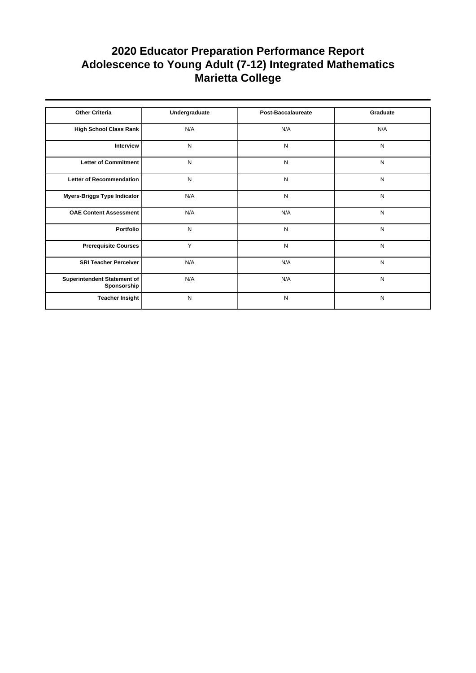| <b>Other Criteria</b>                      | Undergraduate | <b>Post-Baccalaureate</b> | Graduate  |
|--------------------------------------------|---------------|---------------------------|-----------|
| High School Class Rank                     | N/A           | N/A                       | N/A       |
| Interview                                  | N             | N                         | N         |
| Letter of Commitment                       | N             | N                         | N         |
| Letter of Recommendation                   | $\mathsf{N}$  | N                         | N         |
| Myers-Briggs Type Indicator                | N/A           | N                         | N         |
| <b>OAE Content Assessment</b>              | N/A           | N/A                       | ${\sf N}$ |
| Portfolio                                  | N             | N                         | N         |
| <b>Prerequisite Courses</b>                | Y             | N                         | N         |
| <b>SRI Teacher Perceiver</b>               | N/A           | N/A                       | N         |
| Superintendent Statement of<br>Sponsorship | N/A           | N/A                       | N         |
| <b>Teacher Insight</b>                     | N             | N                         | N         |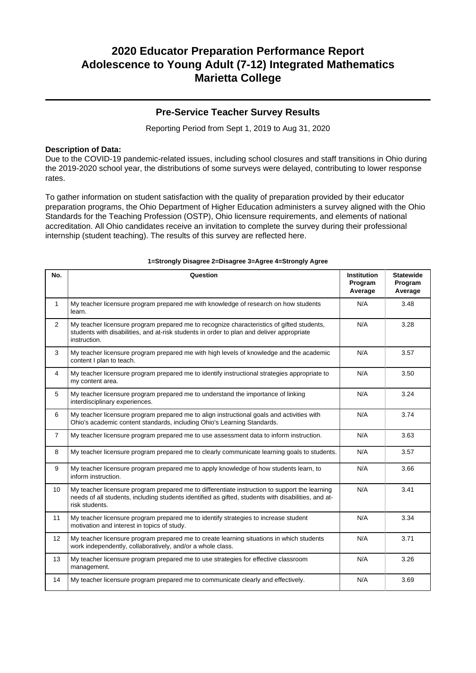### **Pre-Service Teacher Survey Results**

Reporting Period from Sept 1, 2019 to Aug 31, 2020

### **Description of Data:**

Due to the COVID-19 pandemic-related issues, including school closures and staff transitions in Ohio during the 2019-2020 school year, the distributions of some surveys were delayed, contributing to lower response rates.

To gather information on student satisfaction with the quality of preparation provided by their educator preparation programs, the Ohio Department of Higher Education administers a survey aligned with the Ohio Standards for the Teaching Profession (OSTP), Ohio licensure requirements, and elements of national accreditation. All Ohio candidates receive an invitation to complete the survey during their professional internship (student teaching). The results of this survey are reflected here.

| No.            | Question                                                                                                                                                                                                               | <b>Institution</b><br>Program<br>Average | <b>Statewide</b><br>Program<br>Average |
|----------------|------------------------------------------------------------------------------------------------------------------------------------------------------------------------------------------------------------------------|------------------------------------------|----------------------------------------|
| $\mathbf{1}$   | My teacher licensure program prepared me with knowledge of research on how students<br>learn.                                                                                                                          | N/A                                      | 3.48                                   |
| $\overline{2}$ | My teacher licensure program prepared me to recognize characteristics of gifted students,<br>students with disabilities, and at-risk students in order to plan and deliver appropriate<br>instruction.                 | N/A                                      | 3.28                                   |
| 3              | My teacher licensure program prepared me with high levels of knowledge and the academic<br>content I plan to teach.                                                                                                    | N/A                                      | 3.57                                   |
| 4              | My teacher licensure program prepared me to identify instructional strategies appropriate to<br>my content area.                                                                                                       | N/A                                      | 3.50                                   |
| 5              | My teacher licensure program prepared me to understand the importance of linking<br>interdisciplinary experiences.                                                                                                     | N/A                                      | 3.24                                   |
| 6              | My teacher licensure program prepared me to align instructional goals and activities with<br>Ohio's academic content standards, including Ohio's Learning Standards.                                                   | N/A                                      | 3.74                                   |
| $\overline{7}$ | My teacher licensure program prepared me to use assessment data to inform instruction.                                                                                                                                 | N/A                                      | 3.63                                   |
| 8              | My teacher licensure program prepared me to clearly communicate learning goals to students.                                                                                                                            | N/A                                      | 3.57                                   |
| 9              | My teacher licensure program prepared me to apply knowledge of how students learn, to<br>inform instruction.                                                                                                           | N/A                                      | 3.66                                   |
| 10             | My teacher licensure program prepared me to differentiate instruction to support the learning<br>needs of all students, including students identified as gifted, students with disabilities, and at-<br>risk students. | N/A                                      | 3.41                                   |
| 11             | My teacher licensure program prepared me to identify strategies to increase student<br>motivation and interest in topics of study.                                                                                     | N/A                                      | 3.34                                   |
| 12             | My teacher licensure program prepared me to create learning situations in which students<br>work independently, collaboratively, and/or a whole class.                                                                 | N/A                                      | 3.71                                   |
| 13             | My teacher licensure program prepared me to use strategies for effective classroom<br>management.                                                                                                                      | N/A                                      | 3.26                                   |
| 14             | My teacher licensure program prepared me to communicate clearly and effectively.                                                                                                                                       | N/A                                      | 3.69                                   |

#### **1=Strongly Disagree 2=Disagree 3=Agree 4=Strongly Agree**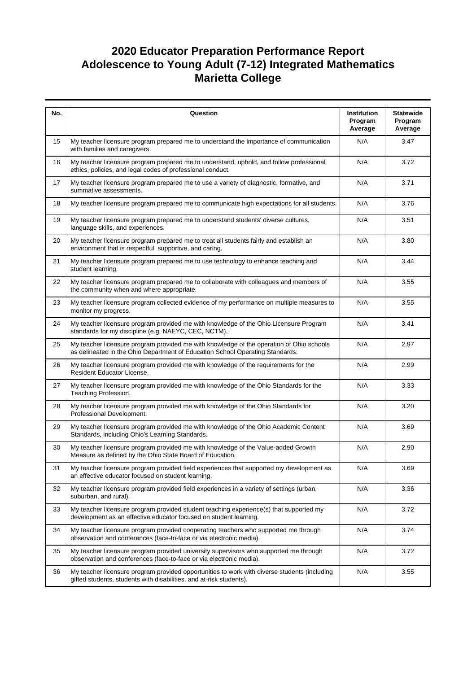| No. | Question                                                                                                                                                                  | Institution<br>Program<br>Average | <b>Statewide</b><br>Program<br>Average |
|-----|---------------------------------------------------------------------------------------------------------------------------------------------------------------------------|-----------------------------------|----------------------------------------|
| 15  | My teacher licensure program prepared me to understand the importance of communication<br>with families and caregivers.                                                   | N/A                               | 3.47                                   |
| 16  | My teacher licensure program prepared me to understand, uphold, and follow professional<br>ethics, policies, and legal codes of professional conduct.                     | N/A                               | 3.72                                   |
| 17  | My teacher licensure program prepared me to use a variety of diagnostic, formative, and<br>summative assessments.                                                         | N/A                               | 3.71                                   |
| 18  | My teacher licensure program prepared me to communicate high expectations for all students.                                                                               | N/A                               | 3.76                                   |
| 19  | My teacher licensure program prepared me to understand students' diverse cultures,<br>language skills, and experiences.                                                   | N/A                               | 3.51                                   |
| 20  | My teacher licensure program prepared me to treat all students fairly and establish an<br>environment that is respectful, supportive, and caring.                         | N/A                               | 3.80                                   |
| 21  | My teacher licensure program prepared me to use technology to enhance teaching and<br>student learning.                                                                   | N/A                               | 3.44                                   |
| 22  | My teacher licensure program prepared me to collaborate with colleagues and members of<br>the community when and where appropriate.                                       | N/A                               | 3.55                                   |
| 23  | My teacher licensure program collected evidence of my performance on multiple measures to<br>monitor my progress.                                                         | N/A                               | 3.55                                   |
| 24  | My teacher licensure program provided me with knowledge of the Ohio Licensure Program<br>standards for my discipline (e.g. NAEYC, CEC, NCTM).                             | N/A                               | 3.41                                   |
| 25  | My teacher licensure program provided me with knowledge of the operation of Ohio schools<br>as delineated in the Ohio Department of Education School Operating Standards. | N/A                               | 2.97                                   |
| 26  | My teacher licensure program provided me with knowledge of the requirements for the<br>Resident Educator License.                                                         | N/A                               | 2.99                                   |
| 27  | My teacher licensure program provided me with knowledge of the Ohio Standards for the<br>Teaching Profession.                                                             | N/A                               | 3.33                                   |
| 28  | My teacher licensure program provided me with knowledge of the Ohio Standards for<br>Professional Development.                                                            | N/A                               | 3.20                                   |
| 29  | My teacher licensure program provided me with knowledge of the Ohio Academic Content<br>Standards, including Ohio's Learning Standards.                                   | N/A                               | 3.69                                   |
| 30  | My teacher licensure program provided me with knowledge of the Value-added Growth<br>Measure as defined by the Ohio State Board of Education.                             | N/A                               | 2.90                                   |
| 31  | My teacher licensure program provided field experiences that supported my development as<br>an effective educator focused on student learning.                            | N/A                               | 3.69                                   |
| 32  | My teacher licensure program provided field experiences in a variety of settings (urban,<br>suburban, and rural).                                                         | N/A                               | 3.36                                   |
| 33  | My teacher licensure program provided student teaching experience(s) that supported my<br>development as an effective educator focused on student learning.               | N/A                               | 3.72                                   |
| 34  | My teacher licensure program provided cooperating teachers who supported me through<br>observation and conferences (face-to-face or via electronic media).                | N/A                               | 3.74                                   |
| 35  | My teacher licensure program provided university supervisors who supported me through<br>observation and conferences (face-to-face or via electronic media).              | N/A                               | 3.72                                   |
| 36  | My teacher licensure program provided opportunities to work with diverse students (including<br>gifted students, students with disabilities, and at-risk students).       | N/A                               | 3.55                                   |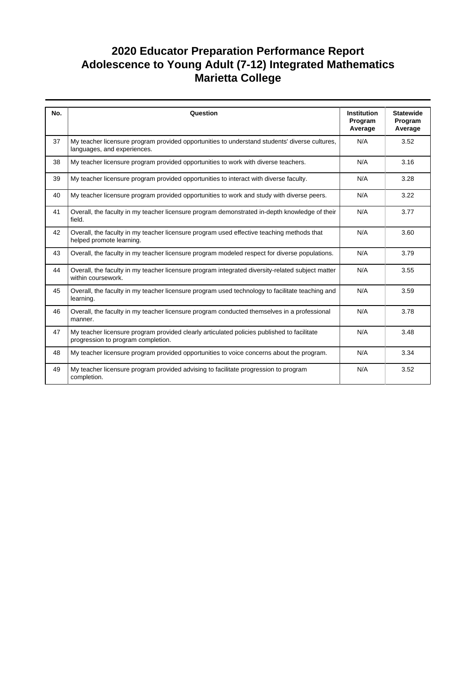| No. | Question                                                                                                                         | <b>Institution</b><br>Program<br>Average | <b>Statewide</b><br>Program<br>Average |
|-----|----------------------------------------------------------------------------------------------------------------------------------|------------------------------------------|----------------------------------------|
| 37  | My teacher licensure program provided opportunities to understand students' diverse cultures,<br>languages, and experiences.     | N/A                                      | 3.52                                   |
| 38  | My teacher licensure program provided opportunities to work with diverse teachers.                                               | N/A                                      | 3.16                                   |
| 39  | My teacher licensure program provided opportunities to interact with diverse faculty.                                            | N/A                                      | 3.28                                   |
| 40  | My teacher licensure program provided opportunities to work and study with diverse peers.                                        | N/A                                      | 3.22                                   |
| 41  | Overall, the faculty in my teacher licensure program demonstrated in-depth knowledge of their<br>field.                          | N/A                                      | 3.77                                   |
| 42  | Overall, the faculty in my teacher licensure program used effective teaching methods that<br>helped promote learning.            | N/A                                      | 3.60                                   |
| 43  | Overall, the faculty in my teacher licensure program modeled respect for diverse populations.                                    | N/A                                      | 3.79                                   |
| 44  | Overall, the faculty in my teacher licensure program integrated diversity-related subject matter<br>within coursework.           | N/A                                      | 3.55                                   |
| 45  | Overall, the faculty in my teacher licensure program used technology to facilitate teaching and<br>learning.                     | N/A                                      | 3.59                                   |
| 46  | Overall, the faculty in my teacher licensure program conducted themselves in a professional<br>manner.                           | N/A                                      | 3.78                                   |
| 47  | My teacher licensure program provided clearly articulated policies published to facilitate<br>progression to program completion. | N/A                                      | 3.48                                   |
| 48  | My teacher licensure program provided opportunities to voice concerns about the program.                                         | N/A                                      | 3.34                                   |
| 49  | My teacher licensure program provided advising to facilitate progression to program<br>completion.                               | N/A                                      | 3.52                                   |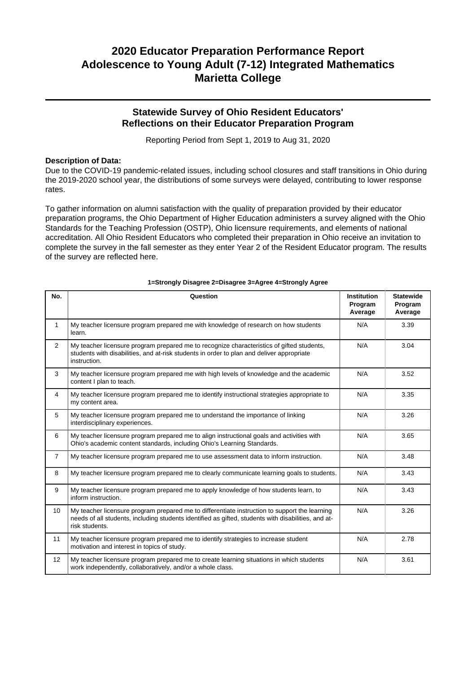## **Statewide Survey of Ohio Resident Educators' Reflections on their Educator Preparation Program**

Reporting Period from Sept 1, 2019 to Aug 31, 2020

### **Description of Data:**

Due to the COVID-19 pandemic-related issues, including school closures and staff transitions in Ohio during the 2019-2020 school year, the distributions of some surveys were delayed, contributing to lower response rates.

To gather information on alumni satisfaction with the quality of preparation provided by their educator preparation programs, the Ohio Department of Higher Education administers a survey aligned with the Ohio Standards for the Teaching Profession (OSTP), Ohio licensure requirements, and elements of national accreditation. All Ohio Resident Educators who completed their preparation in Ohio receive an invitation to complete the survey in the fall semester as they enter Year 2 of the Resident Educator program. The results of the survey are reflected here.

| No.            | Question                                                                                                                                                                                                               | <b>Institution</b><br>Program<br>Average | <b>Statewide</b><br>Program<br>Average |
|----------------|------------------------------------------------------------------------------------------------------------------------------------------------------------------------------------------------------------------------|------------------------------------------|----------------------------------------|
| 1              | My teacher licensure program prepared me with knowledge of research on how students<br>learn.                                                                                                                          | N/A                                      | 3.39                                   |
| 2              | My teacher licensure program prepared me to recognize characteristics of gifted students,<br>students with disabilities, and at-risk students in order to plan and deliver appropriate<br>instruction.                 | N/A                                      | 3.04                                   |
| 3              | My teacher licensure program prepared me with high levels of knowledge and the academic<br>content I plan to teach.                                                                                                    | N/A                                      | 3.52                                   |
| $\overline{4}$ | My teacher licensure program prepared me to identify instructional strategies appropriate to<br>my content area.                                                                                                       | N/A                                      | 3.35                                   |
| 5              | My teacher licensure program prepared me to understand the importance of linking<br>interdisciplinary experiences.                                                                                                     | N/A                                      | 3.26                                   |
| 6              | My teacher licensure program prepared me to align instructional goals and activities with<br>Ohio's academic content standards, including Ohio's Learning Standards.                                                   | N/A                                      | 3.65                                   |
| $\overline{7}$ | My teacher licensure program prepared me to use assessment data to inform instruction.                                                                                                                                 | N/A                                      | 3.48                                   |
| 8              | My teacher licensure program prepared me to clearly communicate learning goals to students.                                                                                                                            | N/A                                      | 3.43                                   |
| 9              | My teacher licensure program prepared me to apply knowledge of how students learn, to<br>inform instruction.                                                                                                           | N/A                                      | 3.43                                   |
| 10             | My teacher licensure program prepared me to differentiate instruction to support the learning<br>needs of all students, including students identified as gifted, students with disabilities, and at-<br>risk students. | N/A                                      | 3.26                                   |
| 11             | My teacher licensure program prepared me to identify strategies to increase student<br>motivation and interest in topics of study.                                                                                     | N/A                                      | 2.78                                   |
| 12             | My teacher licensure program prepared me to create learning situations in which students<br>work independently, collaboratively, and/or a whole class.                                                                 | N/A                                      | 3.61                                   |

#### **1=Strongly Disagree 2=Disagree 3=Agree 4=Strongly Agree**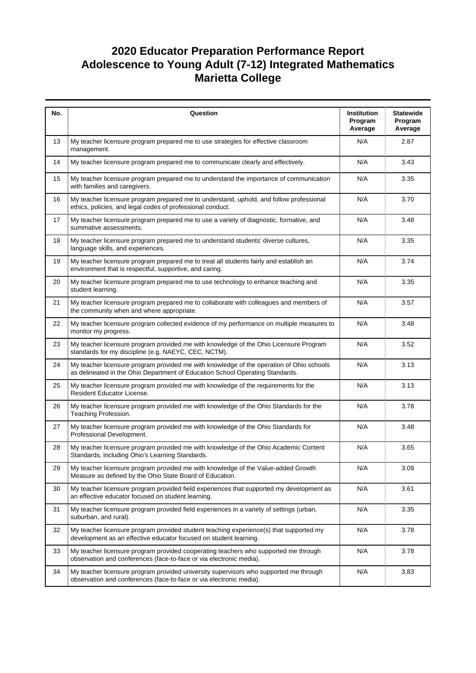| No. | Question                                                                                                                                                                  | Institution<br>Program<br>Average | <b>Statewide</b><br>Program<br>Average |
|-----|---------------------------------------------------------------------------------------------------------------------------------------------------------------------------|-----------------------------------|----------------------------------------|
| 13  | My teacher licensure program prepared me to use strategies for effective classroom<br>management.                                                                         | N/A                               | 2.87                                   |
| 14  | My teacher licensure program prepared me to communicate clearly and effectively.                                                                                          | N/A                               | 3.43                                   |
| 15  | My teacher licensure program prepared me to understand the importance of communication<br>with families and caregivers.                                                   | N/A                               | 3.35                                   |
| 16  | My teacher licensure program prepared me to understand, uphold, and follow professional<br>ethics, policies, and legal codes of professional conduct.                     | N/A                               | 3.70                                   |
| 17  | My teacher licensure program prepared me to use a variety of diagnostic, formative, and<br>summative assessments.                                                         | N/A                               | 3.48                                   |
| 18  | My teacher licensure program prepared me to understand students' diverse cultures,<br>language skills, and experiences.                                                   | N/A                               | 3.35                                   |
| 19  | My teacher licensure program prepared me to treat all students fairly and establish an<br>environment that is respectful, supportive, and caring.                         | N/A                               | 3.74                                   |
| 20  | My teacher licensure program prepared me to use technology to enhance teaching and<br>student learning.                                                                   | N/A                               | 3.35                                   |
| 21  | My teacher licensure program prepared me to collaborate with colleagues and members of<br>the community when and where appropriate.                                       | N/A                               | 3.57                                   |
| 22  | My teacher licensure program collected evidence of my performance on multiple measures to<br>monitor my progress.                                                         | N/A                               | 3.48                                   |
| 23  | My teacher licensure program provided me with knowledge of the Ohio Licensure Program<br>standards for my discipline (e.g. NAEYC, CEC, NCTM).                             | N/A                               | 3.52                                   |
| 24  | My teacher licensure program provided me with knowledge of the operation of Ohio schools<br>as delineated in the Ohio Department of Education School Operating Standards. | N/A                               | 3.13                                   |
| 25  | My teacher licensure program provided me with knowledge of the requirements for the<br>Resident Educator License.                                                         | N/A                               | 3.13                                   |
| 26  | My teacher licensure program provided me with knowledge of the Ohio Standards for the<br>Teaching Profession.                                                             | N/A                               | 3.78                                   |
| 27  | My teacher licensure program provided me with knowledge of the Ohio Standards for<br>Professional Development.                                                            | N/A                               | 3.48                                   |
| 28  | My teacher licensure program provided me with knowledge of the Ohio Academic Content<br>Standards, including Ohio's Learning Standards.                                   | N/A                               | 3.65                                   |
| 29  | My teacher licensure program provided me with knowledge of the Value-added Growth<br>Measure as defined by the Ohio State Board of Education.                             | N/A                               | 3.09                                   |
| 30  | My teacher licensure program provided field experiences that supported my development as<br>an effective educator focused on student learning.                            | N/A                               | 3.61                                   |
| 31  | My teacher licensure program provided field experiences in a variety of settings (urban,<br>suburban, and rural).                                                         | N/A                               | 3.35                                   |
| 32  | My teacher licensure program provided student teaching experience(s) that supported my<br>development as an effective educator focused on student learning.               | N/A                               | 3.78                                   |
| 33  | My teacher licensure program provided cooperating teachers who supported me through<br>observation and conferences (face-to-face or via electronic media).                | N/A                               | 3.78                                   |
| 34  | My teacher licensure program provided university supervisors who supported me through<br>observation and conferences (face-to-face or via electronic media).              | N/A                               | 3.83                                   |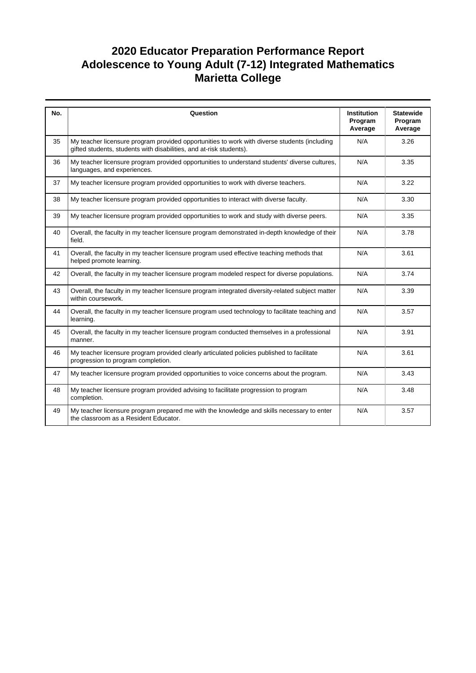| No. | Question                                                                                                                                                            | <b>Institution</b><br>Program | <b>Statewide</b><br>Program |
|-----|---------------------------------------------------------------------------------------------------------------------------------------------------------------------|-------------------------------|-----------------------------|
|     |                                                                                                                                                                     | Average                       | Average                     |
| 35  | My teacher licensure program provided opportunities to work with diverse students (including<br>gifted students, students with disabilities, and at-risk students). | N/A                           | 3.26                        |
| 36  | My teacher licensure program provided opportunities to understand students' diverse cultures,<br>languages, and experiences.                                        | N/A                           | 3.35                        |
| 37  | My teacher licensure program provided opportunities to work with diverse teachers.                                                                                  | N/A                           | 3.22                        |
| 38  | My teacher licensure program provided opportunities to interact with diverse faculty.                                                                               | N/A                           | 3.30                        |
| 39  | My teacher licensure program provided opportunities to work and study with diverse peers.                                                                           | N/A                           | 3.35                        |
| 40  | Overall, the faculty in my teacher licensure program demonstrated in-depth knowledge of their<br>field.                                                             | N/A                           | 3.78                        |
| 41  | Overall, the faculty in my teacher licensure program used effective teaching methods that<br>helped promote learning.                                               | N/A                           | 3.61                        |
| 42  | Overall, the faculty in my teacher licensure program modeled respect for diverse populations.                                                                       | N/A                           | 3.74                        |
| 43  | Overall, the faculty in my teacher licensure program integrated diversity-related subject matter<br>within coursework.                                              | N/A                           | 3.39                        |
| 44  | Overall, the faculty in my teacher licensure program used technology to facilitate teaching and<br>learning.                                                        | N/A                           | 3.57                        |
| 45  | Overall, the faculty in my teacher licensure program conducted themselves in a professional<br>manner.                                                              | N/A                           | 3.91                        |
| 46  | My teacher licensure program provided clearly articulated policies published to facilitate<br>progression to program completion.                                    | N/A                           | 3.61                        |
| 47  | My teacher licensure program provided opportunities to voice concerns about the program.                                                                            | N/A                           | 3.43                        |
| 48  | My teacher licensure program provided advising to facilitate progression to program<br>completion.                                                                  | N/A                           | 3.48                        |
| 49  | My teacher licensure program prepared me with the knowledge and skills necessary to enter<br>the classroom as a Resident Educator.                                  | N/A                           | 3.57                        |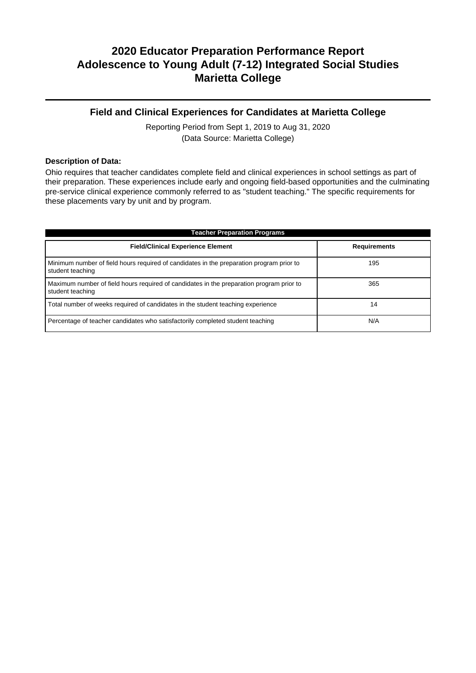## **Field and Clinical Experiences for Candidates at Marietta College**

Reporting Period from Sept 1, 2019 to Aug 31, 2020 (Data Source: Marietta College)

### **Description of Data:**

Ohio requires that teacher candidates complete field and clinical experiences in school settings as part of their preparation. These experiences include early and ongoing field-based opportunities and the culminating pre-service clinical experience commonly referred to as "student teaching." The specific requirements for these placements vary by unit and by program.

| <b>Teacher Preparation Programs</b>                                                                          |                     |  |  |  |  |
|--------------------------------------------------------------------------------------------------------------|---------------------|--|--|--|--|
| <b>Field/Clinical Experience Element</b>                                                                     | <b>Requirements</b> |  |  |  |  |
| Minimum number of field hours required of candidates in the preparation program prior to<br>student teaching | 195                 |  |  |  |  |
| Maximum number of field hours required of candidates in the preparation program prior to<br>student teaching | 365                 |  |  |  |  |
| Total number of weeks required of candidates in the student teaching experience                              | 14                  |  |  |  |  |
| Percentage of teacher candidates who satisfactorily completed student teaching                               | N/A                 |  |  |  |  |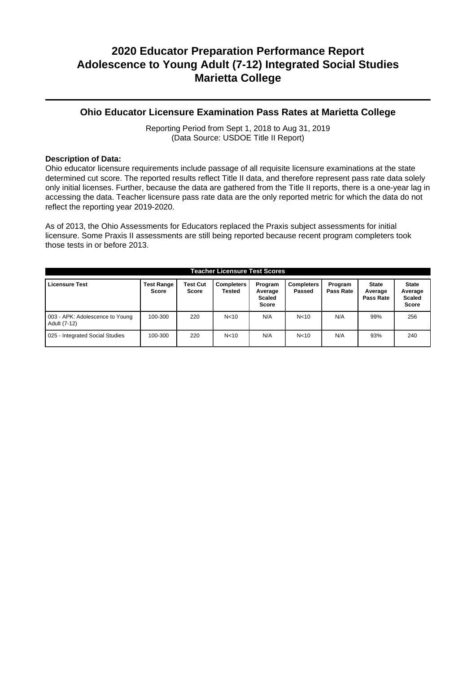### **Ohio Educator Licensure Examination Pass Rates at Marietta College**

Reporting Period from Sept 1, 2018 to Aug 31, 2019 (Data Source: USDOE Title II Report)

### **Description of Data:**

Ohio educator licensure requirements include passage of all requisite licensure examinations at the state determined cut score. The reported results reflect Title II data, and therefore represent pass rate data solely only initial licenses. Further, because the data are gathered from the Title II reports, there is a one-year lag in accessing the data. Teacher licensure pass rate data are the only reported metric for which the data do not reflect the reporting year 2019-2020.

As of 2013, the Ohio Assessments for Educators replaced the Praxis subject assessments for initial licensure. Some Praxis II assessments are still being reported because recent program completers took those tests in or before 2013.

| <b>Teacher Licensure Test Scores</b>            |                                   |                                 |                             |                                                     |                             |                      |                                      |                                                          |
|-------------------------------------------------|-----------------------------------|---------------------------------|-----------------------------|-----------------------------------------------------|-----------------------------|----------------------|--------------------------------------|----------------------------------------------------------|
| <b>Licensure Test</b>                           | <b>Test Range</b><br><b>Score</b> | <b>Test Cut</b><br><b>Score</b> | <b>Completers</b><br>Tested | Program<br>Average<br><b>Scaled</b><br><b>Score</b> | <b>Completers</b><br>Passed | Program<br>Pass Rate | <b>State</b><br>Average<br>Pass Rate | <b>State</b><br>Average<br><b>Scaled</b><br><b>Score</b> |
| 003 - APK: Adolescence to Young<br>Adult (7-12) | 100-300                           | 220                             | N <sub>10</sub>             | N/A                                                 | N <sub>10</sub>             | N/A                  | 99%                                  | 256                                                      |
| 025 - Integrated Social Studies                 | 100-300                           | 220                             | N <sub>10</sub>             | N/A                                                 | N <sub>10</sub>             | N/A                  | 93%                                  | 240                                                      |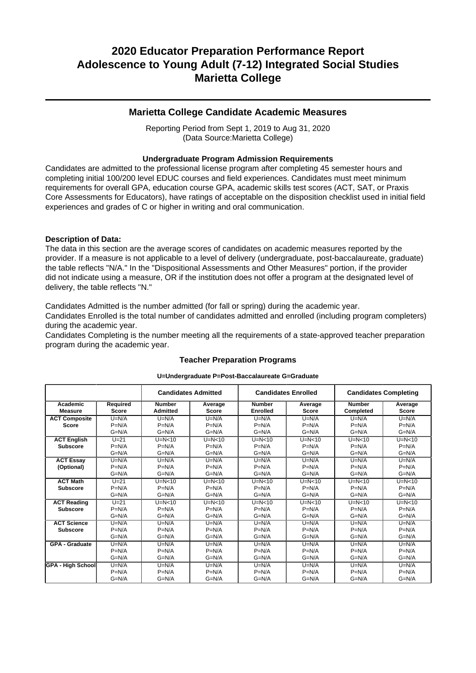### **Marietta College Candidate Academic Measures**

Reporting Period from Sept 1, 2019 to Aug 31, 2020 (Data Source:Marietta College)

### **Undergraduate Program Admission Requirements**

Candidates are admitted to the professional license program after completing 45 semester hours and completing initial 100/200 level EDUC courses and field experiences. Candidates must meet minimum requirements for overall GPA, education course GPA, academic skills test scores (ACT, SAT, or Praxis Core Assessments for Educators), have ratings of acceptable on the disposition checklist used in initial field experiences and grades of C or higher in writing and oral communication.

### **Description of Data:**

The data in this section are the average scores of candidates on academic measures reported by the provider. If a measure is not applicable to a level of delivery (undergraduate, post-baccalaureate, graduate) the table reflects "N/A." In the "Dispositional Assessments and Other Measures" portion, if the provider did not indicate using a measure, OR if the institution does not offer a program at the designated level of delivery, the table reflects "N."

Candidates Admitted is the number admitted (for fall or spring) during the academic year.

Candidates Enrolled is the total number of candidates admitted and enrolled (including program completers) during the academic year.

Candidates Completing is the number meeting all the requirements of a state-approved teacher preparation program during the academic year.

|                            |                          | <b>Candidates Admitted</b>       |                         | <b>Candidates Enrolled</b>       |                         | <b>Candidates Completing</b> |                         |  |
|----------------------------|--------------------------|----------------------------------|-------------------------|----------------------------------|-------------------------|------------------------------|-------------------------|--|
| Academic<br><b>Measure</b> | Required<br><b>Score</b> | <b>Number</b><br><b>Admitted</b> | Average<br><b>Score</b> | <b>Number</b><br><b>Enrolled</b> | Average<br><b>Score</b> | <b>Number</b><br>Completed   | Average<br><b>Score</b> |  |
| <b>ACT Composite</b>       | $U=N/A$                  | $U=N/A$                          | $U=N/A$                 | $U=N/A$                          | $U=N/A$                 | $U=N/A$                      | $U=N/A$                 |  |
| <b>Score</b>               | $P=N/A$                  | $P=N/A$                          | $P=N/A$                 | $P=N/A$                          | $P=N/A$                 | $P=N/A$                      | $P=N/A$                 |  |
|                            | $G=N/A$                  | $G=N/A$                          | $G=N/A$                 | $G=N/A$                          | $G=N/A$                 | $G=N/A$                      | $G=N/A$                 |  |
| <b>ACT English</b>         | $U=21$                   | $U=N<10$                         | $U=N<10$                | $U=N<10$                         | $U=N<10$                | $U=N<10$                     | $U=N<10$                |  |
| <b>Subscore</b>            | $P=N/A$                  | $P=N/A$                          | $P=N/A$                 | $P=N/A$                          | $P=N/A$                 | $P=N/A$                      | $P=N/A$                 |  |
|                            | $G=N/A$                  | $G=N/A$                          | $G=N/A$                 | $G=N/A$                          | $G=N/A$                 | $G=N/A$                      | $G=N/A$                 |  |
| <b>ACT Essay</b>           | $U=N/A$                  | $U=N/A$                          | $U=N/A$                 | $U=N/A$                          | $U=N/A$                 | $U=N/A$                      | $U=N/A$                 |  |
| (Optional)                 | $P=N/A$                  | $P=N/A$                          | $P=N/A$                 | $P=N/A$                          | $P=N/A$                 | $P=N/A$                      | $P=N/A$                 |  |
|                            | $G=N/A$                  | $G=N/A$                          | $G=N/A$                 | $G=N/A$                          | $G=N/A$                 | $G=N/A$                      | $G=N/A$                 |  |
| <b>ACT Math</b>            | $U=21$                   | $U=N<10$                         | $U=N<10$                | $U=N<10$                         | $U=N<10$                | $U=N<10$                     | $U=N<10$                |  |
| <b>Subscore</b>            | $P=N/A$                  | $P=N/A$                          | $P=N/A$                 | $P=N/A$                          | $P=N/A$                 | $P=N/A$                      | $P=N/A$                 |  |
|                            | $G=N/A$                  | $G=N/A$                          | $G=N/A$                 | $G=N/A$                          | $G=N/A$                 | $G=N/A$                      | $G=N/A$                 |  |
| <b>ACT Reading</b>         | $U=21$                   | $U=N<10$                         | $U=N<10$                | $U=N<10$                         | $U=N<10$                | $U=N<10$                     | $U=N<10$                |  |
| <b>Subscore</b>            | $P=N/A$                  | $P=N/A$                          | $P=N/A$                 | $P=N/A$                          | $P=N/A$                 | $P=N/A$                      | $P=N/A$                 |  |
|                            | $G=N/A$                  | $G=N/A$                          | $G=N/A$                 | $G=N/A$                          | $G=N/A$                 | $G=N/A$                      | $G=N/A$                 |  |
| <b>ACT Science</b>         | $U=N/A$                  | $U=N/A$                          | $U=N/A$                 | $U=N/A$                          | $U=N/A$                 | $U=N/A$                      | $U=N/A$                 |  |
| <b>Subscore</b>            | $P=N/A$                  | $P=N/A$                          | $P=N/A$                 | $P=N/A$                          | $P=N/A$                 | $P=N/A$                      | $P=N/A$                 |  |
|                            | $G=N/A$                  | $G=N/A$                          | $G=N/A$                 | $G=N/A$                          | $G=N/A$                 | $G=N/A$                      | $G=N/A$                 |  |
| <b>GPA - Graduate</b>      | $U=N/A$                  | $U=N/A$                          | $U=N/A$                 | $U=N/A$                          | $U=N/A$                 | $U=N/A$                      | $U=N/A$                 |  |
|                            | $P=N/A$                  | $P=N/A$                          | $P=N/A$                 | $P=N/A$                          | $P=N/A$                 | $P=N/A$                      | $P=N/A$                 |  |
|                            | $G=N/A$                  | $G=N/A$                          | $G=N/A$                 | $G=N/A$                          | $G=N/A$                 | $G=N/A$                      | $G=N/A$                 |  |
| <b>GPA - High School</b>   | $U=N/A$                  | $U=N/A$                          | $U=N/A$                 | $U=N/A$                          | $U=N/A$                 | $U=N/A$                      | $U=N/A$                 |  |
|                            | $P=N/A$                  | $P=N/A$                          | $P=N/A$                 | $P=N/A$                          | $P=N/A$                 | $P=N/A$                      | $P=N/A$                 |  |
|                            | $G=N/A$                  | $G=N/A$                          | $G=N/A$                 | $G=N/A$                          | $G=N/A$                 | $G=N/A$                      | $G=N/A$                 |  |

## **Teacher Preparation Programs U=Undergraduate P=Post-Baccalaureate G=Graduate**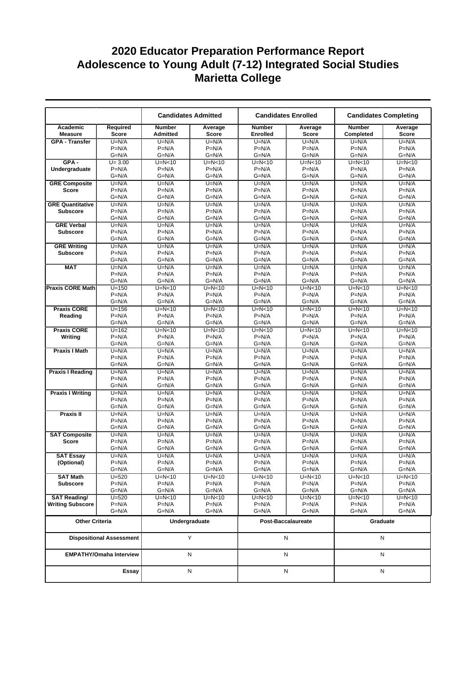|                                      |                                 |                                  | <b>Candidates Admitted</b> | <b>Candidates Enrolled</b>       |                         | <b>Candidates Completing</b> |                     |  |
|--------------------------------------|---------------------------------|----------------------------------|----------------------------|----------------------------------|-------------------------|------------------------------|---------------------|--|
| Academic<br><b>Measure</b>           | <b>Required</b><br><b>Score</b> | <b>Number</b><br><b>Admitted</b> | Average<br>Score           | <b>Number</b><br><b>Enrolled</b> | Average<br><b>Score</b> | <b>Number</b><br>Completed   | Average<br>Score    |  |
| <b>GPA - Transfer</b>                | $U=N/A$                         | $U=N/A$                          | $U=N/A$                    | $U=N/A$                          | $U=N/A$                 | $U=N/A$                      | $U=N/A$             |  |
|                                      | $P=N/A$                         | $P=N/A$                          | $P=N/A$                    | $P=N/A$                          | $P=N/A$                 | $P=N/A$                      | $P=N/A$             |  |
| $GPA -$                              | $G=N/A$<br>$U = 3.00$           | $G=N/A$<br>$U=N<10$              | $G=N/A$<br>$U=N<10$        | $G=N/A$<br>$U=N<10$              | $G=N/A$<br>$U=N<10$     | $G=N/A$<br>$U=N<10$          | $G=N/A$<br>$U=N<10$ |  |
| Undergraduate                        | $P=N/A$                         | $P=N/A$                          | $P=N/A$                    | $P=N/A$                          | $P=N/A$                 | $P=N/A$                      | $P=N/A$             |  |
|                                      | $G=N/A$                         | G=N/A                            | $G=N/A$                    | $G=N/A$                          | $G=N/A$                 | $G=N/A$                      | $G=N/A$             |  |
| <b>GRE Composite</b>                 | $U=N/A$                         | $U=N/A$                          | $U=N/A$                    | $U=N/A$                          | $U=N/A$                 | $U=N/A$                      | $U=N/A$             |  |
| Score                                | $P=N/A$                         | $P=N/A$                          | $P=N/A$                    | $P=N/A$                          | $P=N/A$                 | $P=N/A$                      | $P=N/A$             |  |
|                                      | $G=N/A$                         | $G=N/A$                          | $G=N/A$                    | $G=N/A$                          | $G=N/A$                 | $G=N/A$                      | $G=N/A$             |  |
| <b>GRE Quantitative</b>              | $U=N/A$                         | $U=N/A$                          | $U=N/A$                    | $U=N/A$                          | $U=N/A$                 | $U=N/A$                      | $U=N/A$             |  |
| <b>Subscore</b>                      | $P=N/A$                         | $P=N/A$                          | $P=N/A$                    | $P=N/A$                          | $P=N/A$                 | $P=N/A$                      | $P=N/A$             |  |
|                                      | $G=N/A$                         | $G=N/A$                          | $G=N/A$                    | $G=N/A$                          | $G=N/A$                 | $G=N/A$                      | $G=N/A$             |  |
| <b>GRE Verbal</b><br><b>Subscore</b> | $U=N/A$<br>$P=N/A$              | $U=N/A$<br>$P=N/A$               | $U=N/A$<br>$P=N/A$         | $U=N/A$<br>$P=N/A$               | $U=N/A$<br>$P=N/A$      | $U=N/A$<br>$P=N/A$           | $U=N/A$<br>$P=N/A$  |  |
|                                      | $G=N/A$                         | $G=N/A$                          | $G=N/A$                    | $G=N/A$                          | $G=N/A$                 | $G=N/A$                      | $G=N/A$             |  |
| <b>GRE Writing</b>                   | $U=N/A$                         | $U=N/A$                          | $U=N/A$                    | $U=N/A$                          | $U=N/A$                 | $U=N/A$                      | $U=N/A$             |  |
| <b>Subscore</b>                      | $P=N/A$                         | $P=N/A$                          | $P=N/A$                    | $P=N/A$                          | $P=N/A$                 | $P=N/A$                      | $P=N/A$             |  |
|                                      | $G=N/A$                         | $G=N/A$                          | $G=N/A$                    | $G=N/A$                          | $G=N/A$                 | $G=N/A$                      | $G=N/A$             |  |
| <b>MAT</b>                           | $U=N/A$                         | $U=N/A$                          | $U=N/A$                    | $U=N/A$                          | $U=N/A$                 | $U=N/A$                      | $U=N/A$             |  |
|                                      | $P=N/A$                         | $P=N/A$                          | $P=N/A$                    | $P=N/A$                          | $P=N/A$                 | $P=N/A$                      | $P=N/A$             |  |
|                                      | $G=N/A$                         | $G=N/A$                          | $G=N/A$                    | $G=N/A$                          | $G=N/A$                 | $G=N/A$                      | $G=N/A$             |  |
| <b>Praxis CORE Math</b>              | $U = 150$                       | $U=N<10$                         | $U=N<10$                   | $U=N<10$                         | $U=N<10$                | $U=N<10$                     | $U=N<10$            |  |
|                                      | $P=N/A$<br>$G=N/A$              | $P=N/A$<br>$G=N/A$               | $P=N/A$<br>$G=N/A$         | $P=N/A$<br>$G=N/A$               | $P=N/A$<br>$G=N/A$      | $P=N/A$<br>$G=N/A$           | $P=N/A$<br>$G=N/A$  |  |
| <b>Praxis CORE</b>                   | $U = 156$                       | $U=N<10$                         | $U=N<10$                   | $U=N<10$                         | $U=N<10$                | $U=N<10$                     | $U=N<10$            |  |
| Reading                              | $P=N/A$                         | $P=N/A$                          | $P=N/A$                    | $P=N/A$                          | $P=N/A$                 | $P=N/A$                      | $P=N/A$             |  |
|                                      | $G=N/A$                         | G=N/A                            | $G=N/A$                    | $G=N/A$                          | $G=N/A$                 | $G=N/A$                      | $G=N/A$             |  |
| <b>Praxis CORE</b>                   | $U=162$                         | $U=N<10$                         | $U=N0$                     | $U=N<10$                         | $U=N<10$                | $U=N<10$                     | $U=N<10$            |  |
| Writing                              | $P=N/A$                         | $P=N/A$                          | $P=N/A$                    | $P=N/A$                          | $P=N/A$                 | $P=N/A$                      | $P=N/A$             |  |
|                                      | $G=N/A$                         | G=N/A                            | $G=N/A$                    | $G=N/A$                          | $G=N/A$                 | $G=N/A$                      | $G=N/A$             |  |
| <b>Praxis I Math</b>                 | $U=N/A$                         | $U=N/A$                          | $U=N/A$                    | $U=N/A$                          | $U=N/A$                 | $U=N/A$                      | $U=N/A$             |  |
|                                      | $P=N/A$<br>$G=N/A$              | $P=N/A$<br>$G=N/A$               | $P=N/A$<br>$G=N/A$         | $P=N/A$<br>$G=N/A$               | $P=N/A$<br>$G=N/A$      | $P=N/A$<br>$G=N/A$           | $P=N/A$<br>$G=N/A$  |  |
| <b>Praxis I Reading</b>              | $U=N/A$                         | $U=N/A$                          | $U=N/A$                    | $U=N/A$                          | $U=N/A$                 | $U=N/A$                      | $U=N/A$             |  |
|                                      | $P=N/A$                         | $P=N/A$                          | $P=N/A$                    | $P=N/A$                          | $P=N/A$                 | $P=N/A$                      | $P=N/A$             |  |
|                                      | $G=N/A$                         | $G=N/A$                          | $G=N/A$                    | $G=N/A$                          | $G=N/A$                 | $G=N/A$                      | $G=N/A$             |  |
| <b>Praxis I Writing</b>              | $U=N/A$                         | $U=N/A$                          | $U=N/A$                    | $U=N/A$                          | $U=N/A$                 | $U=N/A$                      | $U=N/A$             |  |
|                                      | $P=N/A$                         | $P=N/A$                          | $P=N/A$                    | $P=N/A$                          | $P=N/A$                 | $P=N/A$                      | $P=N/A$             |  |
|                                      | $G=N/A$                         | G=N/A                            | $G=N/A$                    | $G=N/A$                          | $G=N/A$                 | $G=N/A$                      | $G=N/A$             |  |
| Praxis II                            | $U=N/A$                         | $U=N/A$                          | $U=N/A$                    | $U=N/A$                          | $U=N/A$                 | $U=N/A$                      | $U=N/A$             |  |
|                                      | $P=N/A$                         | $P=N/A$<br>$G=N/A$               | $P=N/A$                    | $P=N/A$                          | $P=N/A$                 | $P=N/A$                      | $P=N/A$<br>$G=N/A$  |  |
|                                      | $G=N/A$<br>$U=N/A$              | $U=N/A$                          | $G=N/A$<br>$U=N/A$         | $G=N/A$<br>$U=N/A$               | $G=N/A$<br>$U=N/A$      | $G=N/A$<br>$U=N/A$           | $U=N/A$             |  |
| <b>SAT Composite</b><br><b>Score</b> | $P=N/A$                         | $P=N/A$                          | $P=N/A$                    | $P=N/A$                          | $P=N/A$                 | $P=N/A$                      | $P=N/A$             |  |
|                                      | $G=N/A$                         | $G=N/A$                          | $G=N/A$                    | $G=N/A$                          | $G=N/A$                 | $G=N/A$                      | $G=N/A$             |  |
| <b>SAT Essay</b>                     | $U=N/A$                         | $U=N/A$                          | $U=N/A$                    | $U=N/A$                          | $U=N/A$                 | $U=N/A$                      | $U=N/A$             |  |
| (Optional)                           | $P=N/A$                         | $P=N/A$                          | $P=N/A$                    | P=N/A                            | $P=N/A$                 | $P=N/A$                      | $P=N/A$             |  |
|                                      | G=N/A                           | G=N/A                            | $G=N/A$                    | $G=N/A$                          | G=N/A                   | $G=N/A$                      | $G=N/A$             |  |
| <b>SAT Math</b>                      | $U = 520$                       | $U=N<10$                         | U=N<10                     | $U=N<10$                         | $U=N<10$                | $U=N<10$                     | $U=N<10$            |  |
| <b>Subscore</b>                      | $P=N/A$<br>G=N/A                | $P=N/A$<br>G=N/A                 | $P=N/A$<br>$G=N/A$         | $P=N/A$<br>$G=N/A$               | $P=N/A$<br>$G=N/A$      | $P=N/A$<br>$G=N/A$           | $P=N/A$<br>$G=N/A$  |  |
| <b>SAT Reading/</b>                  | $U = 520$                       | $U=N<10$                         | $U=N<10$                   | $U=N<10$                         | $U=N<10$                | $U=N<10$                     | $U=N<10$            |  |
| <b>Writing Subscore</b>              | $P=N/A$                         | $P=N/A$                          | $P=N/A$                    | $P=N/A$                          | $P=N/A$                 | $P=N/A$                      | $P=N/A$             |  |
|                                      | $G=N/A$                         | G=N/A                            | $G=N/A$                    | $G=N/A$                          | $G=N/A$                 | $G=N/A$                      | $G=N/A$             |  |
| <b>Other Criteria</b>                |                                 |                                  | Undergraduate              | Post-Baccalaureate               |                         | Graduate                     |                     |  |
|                                      | <b>Dispositional Assessment</b> |                                  | Υ                          | N                                |                         | Ν                            |                     |  |
|                                      | <b>EMPATHY/Omaha Interview</b>  |                                  | N                          |                                  | Ν                       | N                            |                     |  |
|                                      | Essay                           |                                  | N                          |                                  | N                       | N                            |                     |  |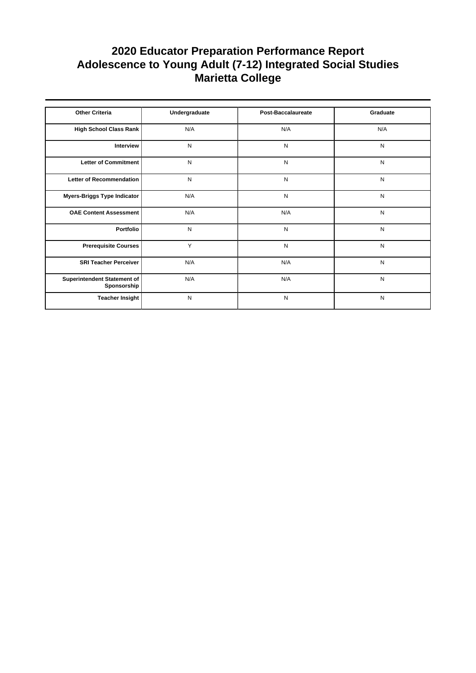| <b>Other Criteria</b>                      | Undergraduate | <b>Post-Baccalaureate</b> | Graduate  |
|--------------------------------------------|---------------|---------------------------|-----------|
|                                            |               |                           |           |
| High School Class Rank                     | N/A           | N/A                       | N/A       |
| Interview                                  | N             | N                         | N         |
| Letter of Commitment                       | N             | N                         | N         |
| Letter of Recommendation                   | N             | N                         | N         |
| Myers-Briggs Type Indicator                | N/A           | N                         | N         |
| <b>OAE Content Assessment</b>              | N/A           | N/A                       | ${\sf N}$ |
| Portfolio                                  | N             | N                         | N         |
| <b>Prerequisite Courses</b>                | Y             | N                         | N         |
| <b>SRI Teacher Perceiver</b>               | N/A           | N/A                       | N         |
| Superintendent Statement of<br>Sponsorship | N/A           | N/A                       | ${\sf N}$ |
| <b>Teacher Insight</b>                     | N             | N                         | N         |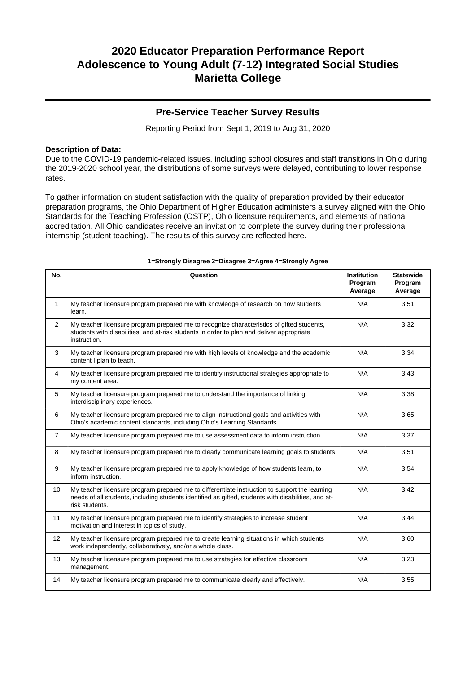### **Pre-Service Teacher Survey Results**

Reporting Period from Sept 1, 2019 to Aug 31, 2020

### **Description of Data:**

Due to the COVID-19 pandemic-related issues, including school closures and staff transitions in Ohio during the 2019-2020 school year, the distributions of some surveys were delayed, contributing to lower response rates.

To gather information on student satisfaction with the quality of preparation provided by their educator preparation programs, the Ohio Department of Higher Education administers a survey aligned with the Ohio Standards for the Teaching Profession (OSTP), Ohio licensure requirements, and elements of national accreditation. All Ohio candidates receive an invitation to complete the survey during their professional internship (student teaching). The results of this survey are reflected here.

| No.            | Question                                                                                                                                                                                                               | <b>Institution</b><br>Program<br>Average | <b>Statewide</b><br>Program<br>Average |
|----------------|------------------------------------------------------------------------------------------------------------------------------------------------------------------------------------------------------------------------|------------------------------------------|----------------------------------------|
| $\mathbf{1}$   | My teacher licensure program prepared me with knowledge of research on how students<br>learn.                                                                                                                          | N/A                                      | 3.51                                   |
| $\overline{2}$ | My teacher licensure program prepared me to recognize characteristics of gifted students,<br>students with disabilities, and at-risk students in order to plan and deliver appropriate<br>instruction.                 | N/A                                      | 3.32                                   |
| 3              | My teacher licensure program prepared me with high levels of knowledge and the academic<br>content I plan to teach.                                                                                                    | N/A                                      | 3.34                                   |
| 4              | My teacher licensure program prepared me to identify instructional strategies appropriate to<br>my content area.                                                                                                       | N/A                                      | 3.43                                   |
| 5              | My teacher licensure program prepared me to understand the importance of linking<br>interdisciplinary experiences.                                                                                                     | N/A                                      | 3.38                                   |
| 6              | My teacher licensure program prepared me to align instructional goals and activities with<br>Ohio's academic content standards, including Ohio's Learning Standards.                                                   | N/A                                      | 3.65                                   |
| $\overline{7}$ | My teacher licensure program prepared me to use assessment data to inform instruction.                                                                                                                                 | N/A                                      | 3.37                                   |
| 8              | My teacher licensure program prepared me to clearly communicate learning goals to students.                                                                                                                            | N/A                                      | 3.51                                   |
| 9              | My teacher licensure program prepared me to apply knowledge of how students learn, to<br>inform instruction.                                                                                                           | N/A                                      | 3.54                                   |
| 10             | My teacher licensure program prepared me to differentiate instruction to support the learning<br>needs of all students, including students identified as gifted, students with disabilities, and at-<br>risk students. | N/A                                      | 3.42                                   |
| 11             | My teacher licensure program prepared me to identify strategies to increase student<br>motivation and interest in topics of study.                                                                                     | N/A                                      | 3.44                                   |
| 12             | My teacher licensure program prepared me to create learning situations in which students<br>work independently, collaboratively, and/or a whole class.                                                                 | N/A                                      | 3.60                                   |
| 13             | My teacher licensure program prepared me to use strategies for effective classroom<br>management.                                                                                                                      | N/A                                      | 3.23                                   |
| 14             | My teacher licensure program prepared me to communicate clearly and effectively.                                                                                                                                       | N/A                                      | 3.55                                   |

#### **1=Strongly Disagree 2=Disagree 3=Agree 4=Strongly Agree**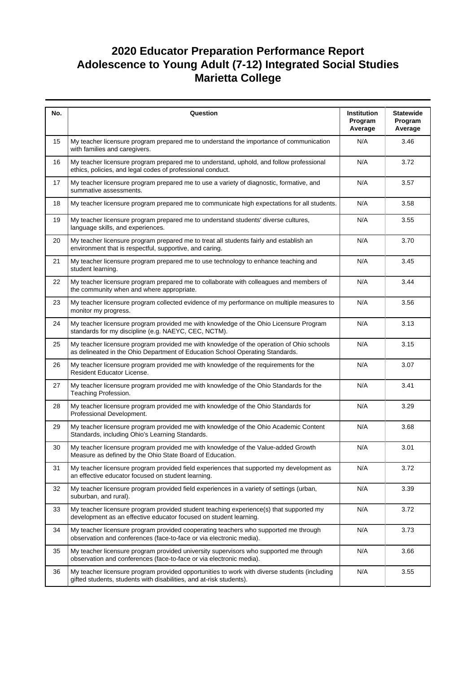| No. | Question                                                                                                                                                                  | Institution<br>Program<br>Average | <b>Statewide</b><br>Program<br>Average |
|-----|---------------------------------------------------------------------------------------------------------------------------------------------------------------------------|-----------------------------------|----------------------------------------|
| 15  | My teacher licensure program prepared me to understand the importance of communication<br>with families and caregivers.                                                   | N/A                               | 3.46                                   |
| 16  | My teacher licensure program prepared me to understand, uphold, and follow professional<br>ethics, policies, and legal codes of professional conduct.                     | N/A                               | 3.72                                   |
| 17  | My teacher licensure program prepared me to use a variety of diagnostic, formative, and<br>summative assessments.                                                         | N/A                               | 3.57                                   |
| 18  | My teacher licensure program prepared me to communicate high expectations for all students.                                                                               | N/A                               | 3.58                                   |
| 19  | My teacher licensure program prepared me to understand students' diverse cultures,<br>language skills, and experiences.                                                   | N/A                               | 3.55                                   |
| 20  | My teacher licensure program prepared me to treat all students fairly and establish an<br>environment that is respectful, supportive, and caring.                         | N/A                               | 3.70                                   |
| 21  | My teacher licensure program prepared me to use technology to enhance teaching and<br>student learning.                                                                   | N/A                               | 3.45                                   |
| 22  | My teacher licensure program prepared me to collaborate with colleagues and members of<br>the community when and where appropriate.                                       | N/A                               | 3.44                                   |
| 23  | My teacher licensure program collected evidence of my performance on multiple measures to<br>monitor my progress.                                                         | N/A                               | 3.56                                   |
| 24  | My teacher licensure program provided me with knowledge of the Ohio Licensure Program<br>standards for my discipline (e.g. NAEYC, CEC, NCTM).                             | N/A                               | 3.13                                   |
| 25  | My teacher licensure program provided me with knowledge of the operation of Ohio schools<br>as delineated in the Ohio Department of Education School Operating Standards. | N/A                               | 3.15                                   |
| 26  | My teacher licensure program provided me with knowledge of the requirements for the<br>Resident Educator License.                                                         | N/A                               | 3.07                                   |
| 27  | My teacher licensure program provided me with knowledge of the Ohio Standards for the<br>Teaching Profession.                                                             | N/A                               | 3.41                                   |
| 28  | My teacher licensure program provided me with knowledge of the Ohio Standards for<br>Professional Development.                                                            | N/A                               | 3.29                                   |
| 29  | My teacher licensure program provided me with knowledge of the Ohio Academic Content<br>Standards, including Ohio's Learning Standards.                                   | N/A                               | 3.68                                   |
| 30  | My teacher licensure program provided me with knowledge of the Value-added Growth<br>Measure as defined by the Ohio State Board of Education.                             | N/A                               | 3.01                                   |
| 31  | My teacher licensure program provided field experiences that supported my development as<br>an effective educator focused on student learning.                            | N/A                               | 3.72                                   |
| 32  | My teacher licensure program provided field experiences in a variety of settings (urban,<br>suburban, and rural).                                                         | N/A                               | 3.39                                   |
| 33  | My teacher licensure program provided student teaching experience(s) that supported my<br>development as an effective educator focused on student learning.               | N/A                               | 3.72                                   |
| 34  | My teacher licensure program provided cooperating teachers who supported me through<br>observation and conferences (face-to-face or via electronic media).                | N/A                               | 3.73                                   |
| 35  | My teacher licensure program provided university supervisors who supported me through<br>observation and conferences (face-to-face or via electronic media).              | N/A                               | 3.66                                   |
| 36  | My teacher licensure program provided opportunities to work with diverse students (including<br>gifted students, students with disabilities, and at-risk students).       | N/A                               | 3.55                                   |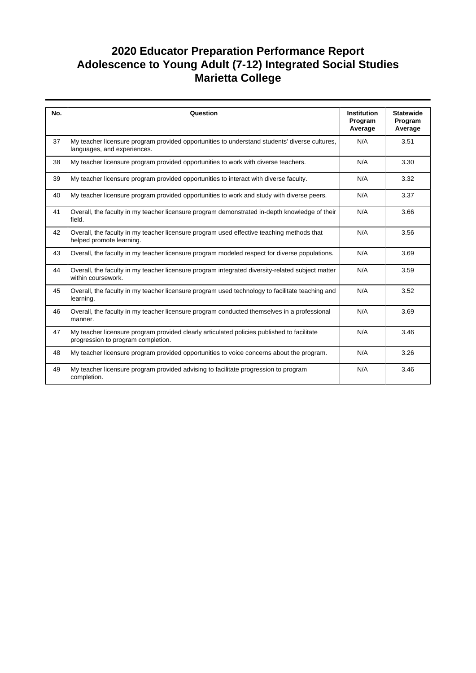| No. | Question                                                                                                                         | <b>Institution</b><br>Program<br>Average | <b>Statewide</b><br>Program<br>Average |
|-----|----------------------------------------------------------------------------------------------------------------------------------|------------------------------------------|----------------------------------------|
| 37  | My teacher licensure program provided opportunities to understand students' diverse cultures,<br>languages, and experiences.     | N/A                                      | 3.51                                   |
| 38  | My teacher licensure program provided opportunities to work with diverse teachers.                                               | N/A                                      | 3.30                                   |
| 39  | My teacher licensure program provided opportunities to interact with diverse faculty.                                            | N/A                                      | 3.32                                   |
| 40  | My teacher licensure program provided opportunities to work and study with diverse peers.                                        | N/A                                      | 3.37                                   |
| 41  | Overall, the faculty in my teacher licensure program demonstrated in-depth knowledge of their<br>field.                          | N/A                                      | 3.66                                   |
| 42  | Overall, the faculty in my teacher licensure program used effective teaching methods that<br>helped promote learning.            | N/A                                      | 3.56                                   |
| 43  | Overall, the faculty in my teacher licensure program modeled respect for diverse populations.                                    | N/A                                      | 3.69                                   |
| 44  | Overall, the faculty in my teacher licensure program integrated diversity-related subject matter<br>within coursework.           | N/A                                      | 3.59                                   |
| 45  | Overall, the faculty in my teacher licensure program used technology to facilitate teaching and<br>learning.                     | N/A                                      | 3.52                                   |
| 46  | Overall, the faculty in my teacher licensure program conducted themselves in a professional<br>manner.                           | N/A                                      | 3.69                                   |
| 47  | My teacher licensure program provided clearly articulated policies published to facilitate<br>progression to program completion. | N/A                                      | 3.46                                   |
| 48  | My teacher licensure program provided opportunities to voice concerns about the program.                                         | N/A                                      | 3.26                                   |
| 49  | My teacher licensure program provided advising to facilitate progression to program<br>completion.                               | N/A                                      | 3.46                                   |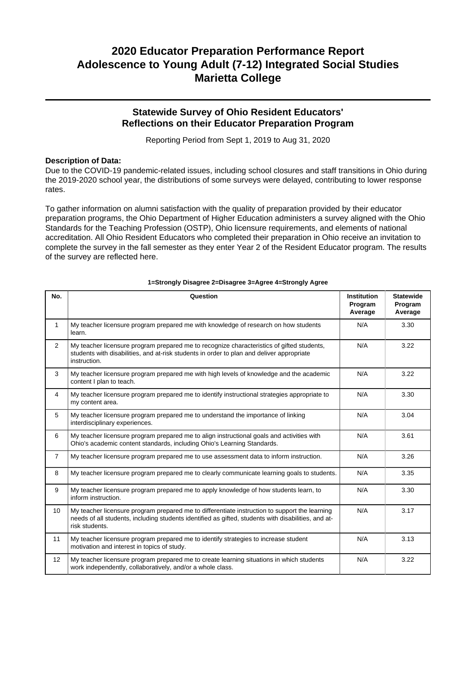## **Statewide Survey of Ohio Resident Educators' Reflections on their Educator Preparation Program**

Reporting Period from Sept 1, 2019 to Aug 31, 2020

### **Description of Data:**

Due to the COVID-19 pandemic-related issues, including school closures and staff transitions in Ohio during the 2019-2020 school year, the distributions of some surveys were delayed, contributing to lower response rates.

To gather information on alumni satisfaction with the quality of preparation provided by their educator preparation programs, the Ohio Department of Higher Education administers a survey aligned with the Ohio Standards for the Teaching Profession (OSTP), Ohio licensure requirements, and elements of national accreditation. All Ohio Resident Educators who completed their preparation in Ohio receive an invitation to complete the survey in the fall semester as they enter Year 2 of the Resident Educator program. The results of the survey are reflected here.

| No.            | Question                                                                                                                                                                                                               | <b>Institution</b><br>Program<br>Average | <b>Statewide</b><br>Program<br>Average |
|----------------|------------------------------------------------------------------------------------------------------------------------------------------------------------------------------------------------------------------------|------------------------------------------|----------------------------------------|
| 1              | My teacher licensure program prepared me with knowledge of research on how students<br>learn.                                                                                                                          | N/A                                      | 3.30                                   |
| 2              | My teacher licensure program prepared me to recognize characteristics of gifted students,<br>students with disabilities, and at-risk students in order to plan and deliver appropriate<br>instruction.                 | N/A                                      | 3.22                                   |
| 3              | My teacher licensure program prepared me with high levels of knowledge and the academic<br>content I plan to teach.                                                                                                    | N/A                                      | 3.22                                   |
| $\overline{4}$ | My teacher licensure program prepared me to identify instructional strategies appropriate to<br>my content area.                                                                                                       | N/A                                      | 3.30                                   |
| 5              | My teacher licensure program prepared me to understand the importance of linking<br>interdisciplinary experiences.                                                                                                     | N/A                                      | 3.04                                   |
| 6              | My teacher licensure program prepared me to align instructional goals and activities with<br>Ohio's academic content standards, including Ohio's Learning Standards.                                                   | N/A                                      | 3.61                                   |
| $\overline{7}$ | My teacher licensure program prepared me to use assessment data to inform instruction.                                                                                                                                 | N/A                                      | 3.26                                   |
| 8              | My teacher licensure program prepared me to clearly communicate learning goals to students.                                                                                                                            | N/A                                      | 3.35                                   |
| 9              | My teacher licensure program prepared me to apply knowledge of how students learn, to<br>inform instruction.                                                                                                           | N/A                                      | 3.30                                   |
| 10             | My teacher licensure program prepared me to differentiate instruction to support the learning<br>needs of all students, including students identified as gifted, students with disabilities, and at-<br>risk students. | N/A                                      | 3.17                                   |
| 11             | My teacher licensure program prepared me to identify strategies to increase student<br>motivation and interest in topics of study.                                                                                     | N/A                                      | 3.13                                   |
| 12             | My teacher licensure program prepared me to create learning situations in which students<br>work independently, collaboratively, and/or a whole class.                                                                 | N/A                                      | 3.22                                   |

#### **1=Strongly Disagree 2=Disagree 3=Agree 4=Strongly Agree**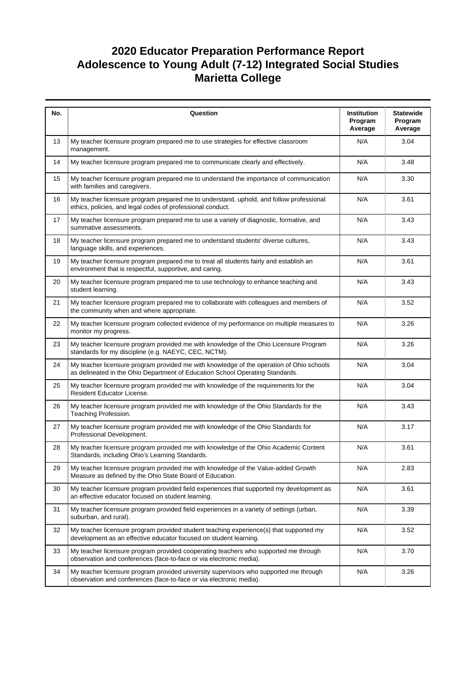| No. | Question                                                                                                                                                                  | <b>Institution</b><br>Program<br>Average | <b>Statewide</b><br>Program<br>Average |
|-----|---------------------------------------------------------------------------------------------------------------------------------------------------------------------------|------------------------------------------|----------------------------------------|
| 13  | My teacher licensure program prepared me to use strategies for effective classroom<br>management.                                                                         | N/A                                      | 3.04                                   |
| 14  | My teacher licensure program prepared me to communicate clearly and effectively.                                                                                          | N/A                                      | 3.48                                   |
| 15  | My teacher licensure program prepared me to understand the importance of communication<br>with families and caregivers.                                                   | N/A                                      | 3.30                                   |
| 16  | My teacher licensure program prepared me to understand, uphold, and follow professional<br>ethics, policies, and legal codes of professional conduct.                     | N/A                                      | 3.61                                   |
| 17  | My teacher licensure program prepared me to use a variety of diagnostic, formative, and<br>summative assessments.                                                         | N/A                                      | 3.43                                   |
| 18  | My teacher licensure program prepared me to understand students' diverse cultures,<br>language skills, and experiences.                                                   | N/A                                      | 3.43                                   |
| 19  | My teacher licensure program prepared me to treat all students fairly and establish an<br>environment that is respectful, supportive, and caring.                         | N/A                                      | 3.61                                   |
| 20  | My teacher licensure program prepared me to use technology to enhance teaching and<br>student learning.                                                                   | N/A                                      | 3.43                                   |
| 21  | My teacher licensure program prepared me to collaborate with colleagues and members of<br>the community when and where appropriate.                                       | N/A                                      | 3.52                                   |
| 22  | My teacher licensure program collected evidence of my performance on multiple measures to<br>monitor my progress.                                                         | N/A                                      | 3.26                                   |
| 23  | My teacher licensure program provided me with knowledge of the Ohio Licensure Program<br>standards for my discipline (e.g. NAEYC, CEC, NCTM).                             | N/A                                      | 3.26                                   |
| 24  | My teacher licensure program provided me with knowledge of the operation of Ohio schools<br>as delineated in the Ohio Department of Education School Operating Standards. | N/A                                      | 3.04                                   |
| 25  | My teacher licensure program provided me with knowledge of the requirements for the<br>Resident Educator License.                                                         | N/A                                      | 3.04                                   |
| 26  | My teacher licensure program provided me with knowledge of the Ohio Standards for the<br>Teaching Profession.                                                             | N/A                                      | 3.43                                   |
| 27  | My teacher licensure program provided me with knowledge of the Ohio Standards for<br>Professional Development.                                                            | N/A                                      | 3.17                                   |
| 28  | My teacher licensure program provided me with knowledge of the Ohio Academic Content<br>Standards, including Ohio's Learning Standards.                                   | N/A                                      | 3.61                                   |
| 29  | My teacher licensure program provided me with knowledge of the Value-added Growth<br>Measure as defined by the Ohio State Board of Education.                             | N/A                                      | 2.83                                   |
| 30  | My teacher licensure program provided field experiences that supported my development as<br>an effective educator focused on student learning.                            | N/A                                      | 3.61                                   |
| 31  | My teacher licensure program provided field experiences in a variety of settings (urban,<br>suburban, and rural).                                                         | N/A                                      | 3.39                                   |
| 32  | My teacher licensure program provided student teaching experience(s) that supported my<br>development as an effective educator focused on student learning.               | N/A                                      | 3.52                                   |
| 33  | My teacher licensure program provided cooperating teachers who supported me through<br>observation and conferences (face-to-face or via electronic media).                | N/A                                      | 3.70                                   |
| 34  | My teacher licensure program provided university supervisors who supported me through<br>observation and conferences (face-to-face or via electronic media).              | N/A                                      | 3.26                                   |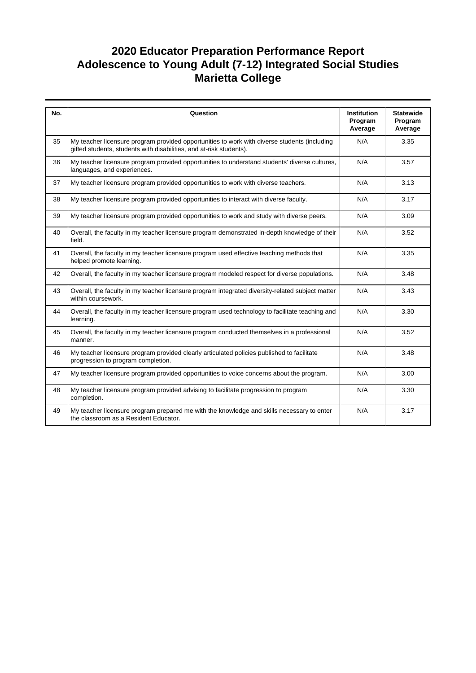| No. | Question                                                                                                                                                            | Institution<br>Program<br>Average | <b>Statewide</b><br>Program<br>Average |
|-----|---------------------------------------------------------------------------------------------------------------------------------------------------------------------|-----------------------------------|----------------------------------------|
| 35  | My teacher licensure program provided opportunities to work with diverse students (including<br>gifted students, students with disabilities, and at-risk students). | N/A                               | 3.35                                   |
| 36  | My teacher licensure program provided opportunities to understand students' diverse cultures,<br>languages, and experiences.                                        | N/A                               | 3.57                                   |
| 37  | My teacher licensure program provided opportunities to work with diverse teachers.                                                                                  | N/A                               | 3.13                                   |
| 38  | My teacher licensure program provided opportunities to interact with diverse faculty.                                                                               | N/A                               | 3.17                                   |
| 39  | My teacher licensure program provided opportunities to work and study with diverse peers.                                                                           | N/A                               | 3.09                                   |
| 40  | Overall, the faculty in my teacher licensure program demonstrated in-depth knowledge of their<br>field.                                                             | N/A                               | 3.52                                   |
| 41  | Overall, the faculty in my teacher licensure program used effective teaching methods that<br>helped promote learning.                                               | N/A                               | 3.35                                   |
| 42  | Overall, the faculty in my teacher licensure program modeled respect for diverse populations.                                                                       | N/A                               | 3.48                                   |
| 43  | Overall, the faculty in my teacher licensure program integrated diversity-related subject matter<br>within coursework.                                              | N/A                               | 3.43                                   |
| 44  | Overall, the faculty in my teacher licensure program used technology to facilitate teaching and<br>learning.                                                        | N/A                               | 3.30                                   |
| 45  | Overall, the faculty in my teacher licensure program conducted themselves in a professional<br>manner.                                                              | N/A                               | 3.52                                   |
| 46  | My teacher licensure program provided clearly articulated policies published to facilitate<br>progression to program completion.                                    | N/A                               | 3.48                                   |
| 47  | My teacher licensure program provided opportunities to voice concerns about the program.                                                                            | N/A                               | 3.00                                   |
| 48  | My teacher licensure program provided advising to facilitate progression to program<br>completion.                                                                  | N/A                               | 3.30                                   |
| 49  | My teacher licensure program prepared me with the knowledge and skills necessary to enter<br>the classroom as a Resident Educator.                                  | N/A                               | 3.17                                   |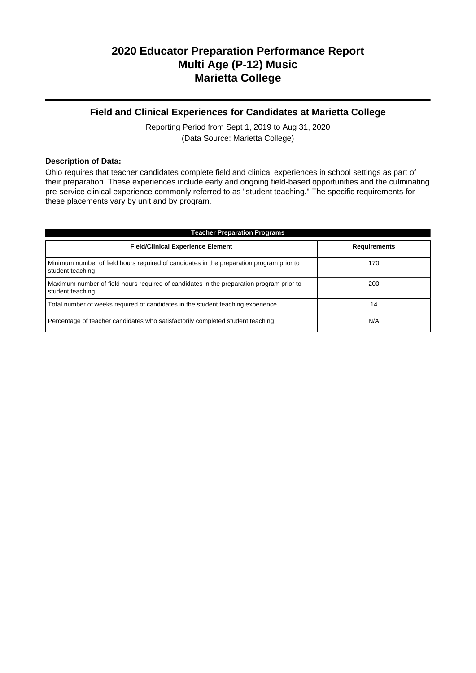## **2020 Educator Preparation Performance Report Multi Age (P-12) Music Marietta College**

## **Field and Clinical Experiences for Candidates at Marietta College**

Reporting Period from Sept 1, 2019 to Aug 31, 2020 (Data Source: Marietta College)

### **Description of Data:**

Ohio requires that teacher candidates complete field and clinical experiences in school settings as part of their preparation. These experiences include early and ongoing field-based opportunities and the culminating pre-service clinical experience commonly referred to as "student teaching." The specific requirements for these placements vary by unit and by program.

| <b>Teacher Preparation Programs</b>                                                                          |                     |  |  |  |  |  |
|--------------------------------------------------------------------------------------------------------------|---------------------|--|--|--|--|--|
| <b>Field/Clinical Experience Element</b>                                                                     | <b>Requirements</b> |  |  |  |  |  |
| Minimum number of field hours required of candidates in the preparation program prior to<br>student teaching | 170                 |  |  |  |  |  |
| Maximum number of field hours required of candidates in the preparation program prior to<br>student teaching | 200                 |  |  |  |  |  |
| Total number of weeks required of candidates in the student teaching experience                              | 14                  |  |  |  |  |  |
| Percentage of teacher candidates who satisfactorily completed student teaching                               | N/A                 |  |  |  |  |  |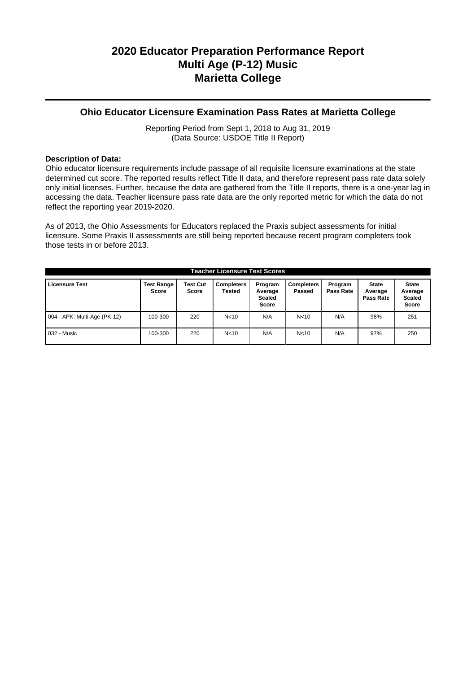## **2020 Educator Preparation Performance Report Multi Age (P-12) Music Marietta College**

### **Ohio Educator Licensure Examination Pass Rates at Marietta College**

Reporting Period from Sept 1, 2018 to Aug 31, 2019 (Data Source: USDOE Title II Report)

### **Description of Data:**

Ohio educator licensure requirements include passage of all requisite licensure examinations at the state determined cut score. The reported results reflect Title II data, and therefore represent pass rate data solely only initial licenses. Further, because the data are gathered from the Title II reports, there is a one-year lag in accessing the data. Teacher licensure pass rate data are the only reported metric for which the data do not reflect the reporting year 2019-2020.

As of 2013, the Ohio Assessments for Educators replaced the Praxis subject assessments for initial licensure. Some Praxis II assessments are still being reported because recent program completers took those tests in or before 2013.

| <b>Teacher Licensure Test Scores</b> |                            |                                 |                             |                                              |                             |                      |                                      |                                                   |
|--------------------------------------|----------------------------|---------------------------------|-----------------------------|----------------------------------------------|-----------------------------|----------------------|--------------------------------------|---------------------------------------------------|
| <b>Licensure Test</b>                | <b>Test Range</b><br>Score | <b>Test Cut</b><br><b>Score</b> | <b>Completers</b><br>Tested | Program<br>Average<br><b>Scaled</b><br>Score | <b>Completers</b><br>Passed | Program<br>Pass Rate | <b>State</b><br>Average<br>Pass Rate | <b>State</b><br>Average<br><b>Scaled</b><br>Score |
| 004 - APK: Multi-Age (PK-12)         | 100-300                    | 220                             | N <sub>10</sub>             | N/A                                          | N <sub>10</sub>             | N/A                  | 98%                                  | 251                                               |
| 032 - Music                          | 100-300                    | 220                             | N <sub>10</sub>             | N/A                                          | N <sub>10</sub>             | N/A                  | 97%                                  | 250                                               |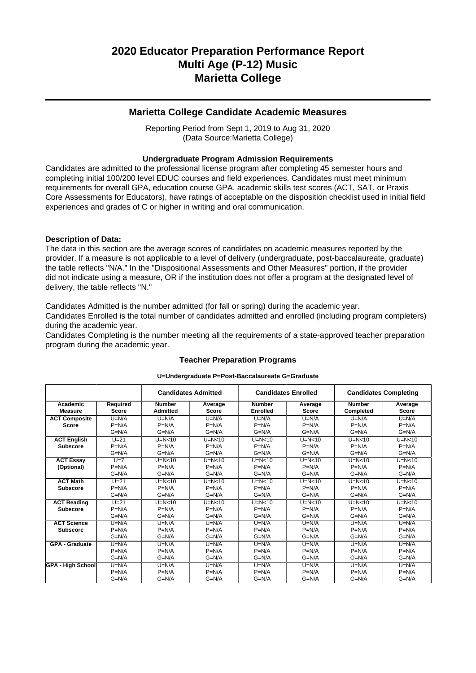## **2020 Educator Preparation Performance Report Multi Age (P-12) Music Marietta College**

### **Marietta College Candidate Academic Measures**

Reporting Period from Sept 1, 2019 to Aug 31, 2020 (Data Source:Marietta College)

### **Undergraduate Program Admission Requirements**

Candidates are admitted to the professional license program after completing 45 semester hours and completing initial 100/200 level EDUC courses and field experiences. Candidates must meet minimum requirements for overall GPA, education course GPA, academic skills test scores (ACT, SAT, or Praxis Core Assessments for Educators), have ratings of acceptable on the disposition checklist used in initial field experiences and grades of C or higher in writing and oral communication.

### **Description of Data:**

The data in this section are the average scores of candidates on academic measures reported by the provider. If a measure is not applicable to a level of delivery (undergraduate, post-baccalaureate, graduate) the table reflects "N/A." In the "Dispositional Assessments and Other Measures" portion, if the provider did not indicate using a measure, OR if the institution does not offer a program at the designated level of delivery, the table reflects "N."

Candidates Admitted is the number admitted (for fall or spring) during the academic year.

Candidates Enrolled is the total number of candidates admitted and enrolled (including program completers) during the academic year.

Candidates Completing is the number meeting all the requirements of a state-approved teacher preparation program during the academic year.

|                            |                          | <b>Candidates Admitted</b>       |                         | <b>Candidates Enrolled</b>       | <b>Candidates Completing</b> |                            |                         |
|----------------------------|--------------------------|----------------------------------|-------------------------|----------------------------------|------------------------------|----------------------------|-------------------------|
| Academic<br><b>Measure</b> | Required<br><b>Score</b> | <b>Number</b><br><b>Admitted</b> | Average<br><b>Score</b> | <b>Number</b><br><b>Enrolled</b> | Average<br><b>Score</b>      | <b>Number</b><br>Completed | Average<br><b>Score</b> |
| <b>ACT Composite</b>       | $U=N/A$                  | $U=N/A$                          | $U=N/A$                 | $U=N/A$                          | $U=N/A$                      | $U=N/A$                    | $U=N/A$                 |
| <b>Score</b>               | $P=N/A$                  | $P=N/A$                          | $P=N/A$                 | $P=N/A$                          | $P=N/A$                      | $P=N/A$                    | $P=N/A$                 |
|                            | $G=N/A$                  | $G=N/A$                          | $G=N/A$                 | $G=N/A$                          | $G=N/A$                      | $G=N/A$                    | $G=N/A$                 |
| <b>ACT English</b>         | $U=21$                   | $U=N<10$                         | $U=N<10$                | $U=N<10$                         | $U=N<10$                     | $U=N<10$                   | $U=N<10$                |
| <b>Subscore</b>            | $P=N/A$                  | $P=N/A$                          | $P=N/A$                 | $P=N/A$                          | $P=N/A$                      | $P=N/A$                    | $P=N/A$                 |
|                            | $G=N/A$                  | $G=N/A$                          | $G=N/A$                 | $G=N/A$                          | $G=N/A$                      | $G=N/A$                    | $G=N/A$                 |
| <b>ACT Essay</b>           | $U=7$                    | $U=N<10$                         | $U=N<10$                | $U=N<10$                         | $U=N<10$                     | $U=N<10$                   | $U=N<10$                |
| (Optional)                 | $P=N/A$                  | $P=N/A$                          | $P=N/A$                 | $P=N/A$                          | $P=N/A$                      | $P=N/A$                    | $P=N/A$                 |
|                            | $G=N/A$                  | $G=N/A$                          | $G=N/A$                 | $G=N/A$                          | $G=N/A$                      | $G=N/A$                    | $G=N/A$                 |
| <b>ACT Math</b>            | $U=21$                   | $U=N<10$                         | $U=N<10$                | $U=N<10$                         | $U=N<10$                     | $U=N<10$                   | $U=N<10$                |
| <b>Subscore</b>            | $P=N/A$                  | $P=N/A$                          | $P=N/A$                 | $P=N/A$                          | $P=N/A$                      | $P=N/A$                    | $P=N/A$                 |
|                            | $G=N/A$                  | $G=N/A$                          | $G=N/A$                 | $G=N/A$                          | $G=N/A$                      | $G=N/A$                    | $G=N/A$                 |
| <b>ACT Reading</b>         | $U=21$                   | $U=N<10$                         | $U=N<10$                | $U=N<10$                         | $U=N<10$                     | $U=N<10$                   | $U=N<10$                |
| <b>Subscore</b>            | $P=N/A$                  | $P=N/A$                          | $P=N/A$                 | $P=N/A$                          | $P=N/A$                      | $P=N/A$                    | $P=N/A$                 |
|                            | $G=N/A$                  | $G=N/A$                          | $G=N/A$                 | $G=N/A$                          | $G=N/A$                      | $G=N/A$                    | $G=N/A$                 |
| <b>ACT Science</b>         | $U=N/A$                  | $U=N/A$                          | $U=N/A$                 | $U=N/A$                          | $U=N/A$                      | $U=N/A$                    | $U=N/A$                 |
| <b>Subscore</b>            | $P=N/A$                  | $P=N/A$                          | $P=N/A$                 | $P=N/A$                          | $P=N/A$                      | $P=N/A$                    | $P=N/A$                 |
|                            | $G=N/A$                  | $G=N/A$                          | $G=N/A$                 | $G=N/A$                          | $G=N/A$                      | $G=N/A$                    | $G=N/A$                 |
| <b>GPA - Graduate</b>      | $U=N/A$                  | $U=N/A$                          | $U=N/A$                 | $U=N/A$                          | $U=N/A$                      | $U=N/A$                    | $U=N/A$                 |
|                            | $P=N/A$                  | $P=N/A$                          | $P=N/A$                 | $P=N/A$                          | $P=N/A$                      | $P=N/A$                    | $P=N/A$                 |
|                            | $G=N/A$                  | $G=N/A$                          | $G=N/A$                 | $G=N/A$                          | $G=N/A$                      | $G=N/A$                    | $G=N/A$                 |
| <b>GPA - High School</b>   | $U=N/A$                  | $U=N/A$                          | $U=N/A$                 | $U=N/A$                          | $U=N/A$                      | $U=N/A$                    | $U=N/A$                 |
|                            | $P=N/A$                  | $P=N/A$                          | $P=N/A$                 | $P=N/A$                          | $P=N/A$                      | $P=N/A$                    | $P=N/A$                 |
|                            | $G=N/A$                  | $G=N/A$                          | $G=N/A$                 | $G=N/A$                          | $G=N/A$                      | $G=N/A$                    | $G=N/A$                 |

## **Teacher Preparation Programs U=Undergraduate P=Post-Baccalaureate G=Graduate**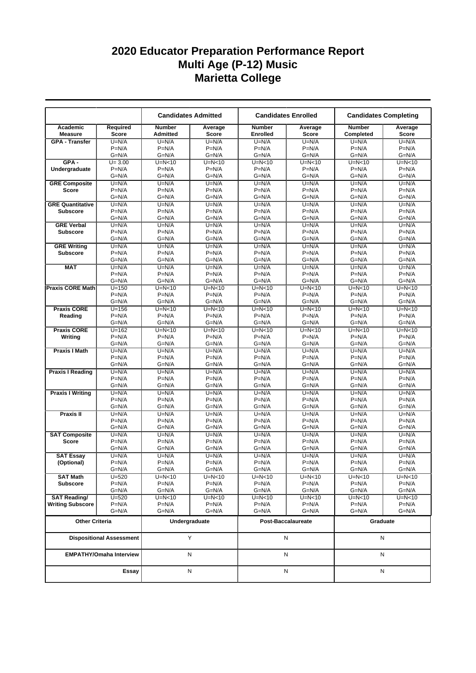|                                |                                 |                                  | <b>Candidates Admitted</b> | <b>Candidates Enrolled</b> |                         | <b>Candidates Completing</b> |                    |  |
|--------------------------------|---------------------------------|----------------------------------|----------------------------|----------------------------|-------------------------|------------------------------|--------------------|--|
| Academic<br><b>Measure</b>     | Required<br><b>Score</b>        | <b>Number</b><br><b>Admitted</b> | Average<br><b>Score</b>    | <b>Number</b><br>Enrolled  | Average<br><b>Score</b> | <b>Number</b><br>Completed   | Average<br>Score   |  |
| <b>GPA - Transfer</b>          | $U=N/A$                         | $U=N/A$                          | $U=N/A$                    | $U=N/A$                    | $U=N/A$                 | $U=N/A$                      | $U=N/A$            |  |
|                                | $P=N/A$                         | $P=N/A$                          | $P=N/A$                    | $P=N/A$                    | $P=N/A$                 | $P=N/A$                      | $P=N/A$            |  |
|                                | $G=N/A$                         | $G=N/A$                          | $G=N/A$                    | $G=N/A$                    | $G=N/A$                 | $G=N/A$                      | $G=N/A$            |  |
| $GPA -$                        | $U = 3.00$                      | $U=N<10$                         | $U=N<10$                   | $U=N<10$                   | $U=N<10$                | $U=N<10$                     | $U=N<10$           |  |
| Undergraduate                  | $P=N/A$<br>$G=N/A$              | $P=N/A$<br>$G=N/A$               | $P=N/A$<br>$G=N/A$         | $P=N/A$<br>$G=N/A$         | $P=N/A$<br>$G=N/A$      | $P=N/A$<br>$G=N/A$           | $P=N/A$<br>$G=N/A$ |  |
| <b>GRE Composite</b>           | $U=N/A$                         | $U=N/A$                          | $U=N/A$                    | $U=N/A$                    | $U=N/A$                 | $U=N/A$                      | $U=N/A$            |  |
| <b>Score</b>                   | $P=N/A$                         | $P=N/A$                          | $P=N/A$                    | $P=N/A$                    | $P=N/A$                 | $P=N/A$                      | $P=N/A$            |  |
|                                | $G=N/A$                         | $G=N/A$                          | $G=N/A$                    | $G=N/A$                    | $G=N/A$                 | $G=N/A$                      | $G=N/A$            |  |
| <b>GRE Quantitative</b>        | $U=N/A$                         | $U=N/A$                          | $U=N/A$                    | $U=N/A$                    | $U=N/A$                 | $U=N/A$                      | $U=N/A$            |  |
| <b>Subscore</b>                | $P=N/A$                         | $P=N/A$                          | $P=N/A$                    | $P=N/A$                    | $P=N/A$                 | $P=N/A$                      | $P=N/A$            |  |
|                                | $G=N/A$                         | G=N/A                            | $G=N/A$                    | $G=N/A$                    | G=N/A                   | $G=N/A$                      | $G=N/A$            |  |
| <b>GRE Verbal</b>              | $U=N/A$                         | $U=N/A$                          | $U=N/A$                    | $U=N/A$                    | $U=N/A$                 | $U=N/A$                      | $U=N/A$            |  |
| <b>Subscore</b>                | $P=N/A$                         | $P=N/A$                          | $P=N/A$                    | $P=N/A$                    | $P=N/A$                 | $P=N/A$                      | $P=N/A$            |  |
|                                | $G=N/A$                         | $G=N/A$                          | $G=N/A$                    | $G=N/A$                    | $G=N/A$                 | $G=N/A$                      | $G=N/A$            |  |
| <b>GRE Writing</b>             | $U=N/A$                         | $U=N/A$                          | $U=N/A$                    | $U=N/A$                    | $U=N/A$                 | $U=N/A$                      | $U=N/A$            |  |
| <b>Subscore</b>                | $P=N/A$                         | $P=N/A$                          | $P=N/A$                    | $P=N/A$                    | $P=N/A$                 | $P=N/A$                      | $P=N/A$            |  |
|                                | $G=N/A$                         | $G=N/A$                          | $G=N/A$                    | $G=N/A$                    | $G=N/A$                 | $G=N/A$                      | $G=N/A$            |  |
| <b>MAT</b>                     | $U=N/A$<br>$P=N/A$              | $U=N/A$<br>$P=N/A$               | $U=N/A$<br>$P=N/A$         | $U=N/A$<br>$P=N/A$         | $U=N/A$<br>$P=N/A$      | $U=N/A$<br>$P=N/A$           | $U=N/A$<br>$P=N/A$ |  |
|                                | $G=N/A$                         | $G=N/A$                          | $G=N/A$                    | $G=N/A$                    | $G=N/A$                 | $G=N/A$                      | $G=N/A$            |  |
| <b>Praxis CORE Math</b>        | $U = 150$                       | $U=N<10$                         | $U=N<10$                   | $U=N<10$                   | $U=N<10$                | $U=N<10$                     | $U=N<10$           |  |
|                                | $P=N/A$                         | $P=N/A$                          | $P=N/A$                    | $P=N/A$                    | $P=N/A$                 | $P=N/A$                      | $P=N/A$            |  |
|                                | $G=N/A$                         | $G=N/A$                          | $G=N/A$                    | $G=N/A$                    | $G=N/A$                 | $G=N/A$                      | $G=N/A$            |  |
| <b>Praxis CORE</b>             | $U = 156$                       | $U=N<10$                         | $U=N<10$                   | $U=N<10$                   | $U=N<10$                | $U=N<10$                     | $U=N<10$           |  |
| Reading                        | $P=N/A$                         | $P=N/A$                          | $P=N/A$                    | $P=N/A$                    | $P=N/A$                 | $P=N/A$                      | $P=N/A$            |  |
|                                | $G=N/A$                         | $G=N/A$                          | $G=N/A$                    | $G=N/A$                    | $G=N/A$                 | $G=N/A$                      | $G=N/A$            |  |
| <b>Praxis CORE</b>             | $U = 162$                       | $U=N<10$                         | $U=N<10$                   | $U=N<10$                   | $U=N<10$                | $U=N<10$                     | $U=N<10$           |  |
| Writing                        | $P=N/A$                         | $P=N/A$                          | $P=N/A$                    | $P=N/A$                    | $P=N/A$                 | $P=N/A$                      | $P=N/A$            |  |
|                                | $G=N/A$                         | $G=N/A$                          | $G=N/A$                    | $G=N/A$                    | $G=N/A$                 | $G=N/A$                      | $G=N/A$            |  |
| <b>Praxis I Math</b>           | $U=N/A$                         | $U=N/A$                          | $U=N/A$                    | $U=N/A$                    | $U=N/A$                 | $U=N/A$                      | $U=N/A$            |  |
|                                | $P=N/A$<br>$G=N/A$              | $P=N/A$<br>$G=N/A$               | $P=N/A$<br>$G=N/A$         | $P=N/A$<br>$G=N/A$         | $P=N/A$<br>$G=N/A$      | $P=N/A$<br>$G=N/A$           | $P=N/A$<br>$G=N/A$ |  |
| <b>Praxis I Reading</b>        | $U=N/A$                         | $U=N/A$                          | $U=N/A$                    | $U=N/A$                    | $U=N/A$                 | $U=N/A$                      | $U=N/A$            |  |
|                                | $P=N/A$                         | $P=N/A$                          | $P=N/A$                    | $P=N/A$                    | $P=N/A$                 | $P=N/A$                      | $P=N/A$            |  |
|                                | $G=N/A$                         | $G=N/A$                          | $G=N/A$                    | $G=N/A$                    | $G=N/A$                 | $G=N/A$                      | $G=N/A$            |  |
| <b>Praxis I Writing</b>        | $U=N/A$                         | $U=N/A$                          | $U=N/A$                    | $U=N/A$                    | $U=N/A$                 | $U=N/A$                      | $U=N/A$            |  |
|                                | $P=N/A$                         | $P=N/A$                          | $P=N/A$                    | $P=N/A$                    | $P=N/A$                 | $P=N/A$                      | $P=N/A$            |  |
|                                | $G=N/A$                         | $G=N/A$                          | $G=N/A$                    | $G=N/A$                    | $G=N/A$                 | $G=N/A$                      | $G=N/A$            |  |
| Praxis II                      | $U=N/A$                         | $U=N/A$                          | $U=N/A$                    | $U=N/A$                    | $U=N/A$                 | $U=N/A$                      | $U=N/A$            |  |
|                                | $P=N/A$                         | $P=N/A$                          | $P=N/A$                    | $P=N/A$                    | $P=N/A$                 | $P=N/A$                      | $P=N/A$            |  |
|                                | $G=N/A$                         | $G=N/A$                          | $G=N/A$                    | $G=N/A$                    | $G=N/A$                 | $G=N/A$                      | $G=N/A$            |  |
| <b>SAT Composite</b>           | $U=N/A$                         | $U=N/A$                          | $U=N/A$                    | $U=N/A$                    | $U=N/A$                 | $U=N/A$                      | $U=N/A$            |  |
| <b>Score</b>                   | $P=N/A$                         | $P=N/A$                          | $P=N/A$                    | $P=N/A$                    | $P=N/A$                 | $P=N/A$                      | $P=N/A$            |  |
|                                | $G=N/A$                         | G=N/A                            | $G=N/A$                    | $G=N/A$                    | G=N/A                   | $G=N/A$                      | $G=N/A$            |  |
| <b>SAT Essay</b><br>(Optional) | $U=N/A$<br>$P=N/A$              | $U=N/A$<br>$P=N/A$               | $U=N/A$<br>$P=N/A$         | $U=N/A$<br>$P=N/A$         | $U=N/A$<br>$P=N/A$      | $U=N/A$<br>$P=N/A$           | $U=N/A$<br>$P=N/A$ |  |
|                                | G=N/A                           | $G=N/A$                          | $G=N/A$                    | $G=N/A$                    | $G=N/A$                 | $G=N/A$                      | $G=N/A$            |  |
| <b>SAT Math</b>                | $U = 520$                       | $U=N<10$                         | U=N<10                     | $U=N<10$                   | $U=N<10$                | $U=N<10$                     | $U=N<10$           |  |
| <b>Subscore</b>                | $P=N/A$                         | $P=N/A$                          | $P=N/A$                    | $P=N/A$                    | $P=N/A$                 | $P=N/A$                      | $P=N/A$            |  |
|                                | G=N/A                           | $G=N/A$                          | $G=N/A$                    | $G=N/A$                    | $G=N/A$                 | $G=N/A$                      | $G=N/A$            |  |
| <b>SAT Reading/</b>            | $U = 520$                       | $U=N<10$                         | U=N<10                     | $U=N<10$                   | $U=N<10$                | $U=N<10$                     | $U=N<10$           |  |
| <b>Writing Subscore</b>        | $P=N/A$                         | $P=N/A$                          | $P=N/A$                    | $P=N/A$                    | $P=N/A$                 | $P=N/A$                      | $P=N/A$            |  |
|                                | $G=N/A$                         | G=N/A                            | $G=N/A$                    | $G=N/A$                    | G=N/A                   | $G=N/A$                      | $G=N/A$            |  |
| <b>Other Criteria</b>          |                                 |                                  | Undergraduate              | Post-Baccalaureate         |                         | Graduate                     |                    |  |
|                                | <b>Dispositional Assessment</b> |                                  | Y                          |                            | N                       |                              | N                  |  |
|                                | <b>EMPATHY/Omaha Interview</b>  |                                  | N                          |                            | N                       | Ν                            |                    |  |
|                                | Essay                           |                                  | N                          |                            | N                       |                              | N                  |  |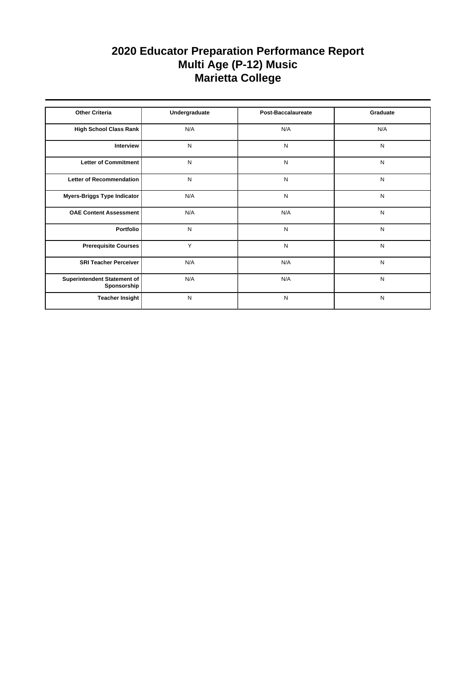| <b>Other Criteria</b>                      | Undergraduate | <b>Post-Baccalaureate</b> | Graduate  |
|--------------------------------------------|---------------|---------------------------|-----------|
| High School Class Rank                     | N/A           | N/A                       | N/A       |
| Interview                                  | N             | N                         | N         |
| Letter of Commitment                       | N             | N                         | N         |
| Letter of Recommendation                   | N             | N                         | N         |
| Myers-Briggs Type Indicator                | N/A           | N                         | N         |
| <b>OAE Content Assessment</b>              | N/A           | N/A                       | N         |
| Portfolio                                  | N             | N                         | N         |
| <b>Prerequisite Courses</b>                | Y             | N                         | N         |
| <b>SRI Teacher Perceiver</b>               | N/A           | N/A                       | N         |
| Superintendent Statement of<br>Sponsorship | N/A           | N/A                       | ${\sf N}$ |
| <b>Teacher Insight</b>                     | N             | N                         | N         |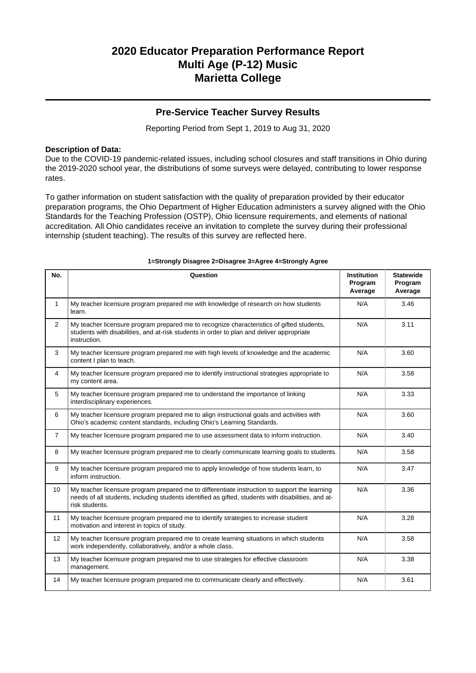### **Pre-Service Teacher Survey Results**

Reporting Period from Sept 1, 2019 to Aug 31, 2020

### **Description of Data:**

Due to the COVID-19 pandemic-related issues, including school closures and staff transitions in Ohio during the 2019-2020 school year, the distributions of some surveys were delayed, contributing to lower response rates.

To gather information on student satisfaction with the quality of preparation provided by their educator preparation programs, the Ohio Department of Higher Education administers a survey aligned with the Ohio Standards for the Teaching Profession (OSTP), Ohio licensure requirements, and elements of national accreditation. All Ohio candidates receive an invitation to complete the survey during their professional internship (student teaching). The results of this survey are reflected here.

| No.            | Question                                                                                                                                                                                                               | <b>Institution</b><br>Program<br>Average | <b>Statewide</b><br>Program<br>Average |
|----------------|------------------------------------------------------------------------------------------------------------------------------------------------------------------------------------------------------------------------|------------------------------------------|----------------------------------------|
| $\mathbf{1}$   | My teacher licensure program prepared me with knowledge of research on how students<br>learn.                                                                                                                          | N/A                                      | 3.46                                   |
| $\overline{2}$ | My teacher licensure program prepared me to recognize characteristics of gifted students,<br>students with disabilities, and at-risk students in order to plan and deliver appropriate<br>instruction.                 | N/A                                      | 3.11                                   |
| 3              | My teacher licensure program prepared me with high levels of knowledge and the academic<br>content I plan to teach.                                                                                                    | N/A                                      | 3.60                                   |
| 4              | My teacher licensure program prepared me to identify instructional strategies appropriate to<br>my content area.                                                                                                       | N/A                                      | 3.58                                   |
| 5              | My teacher licensure program prepared me to understand the importance of linking<br>interdisciplinary experiences.                                                                                                     | N/A                                      | 3.33                                   |
| 6              | My teacher licensure program prepared me to align instructional goals and activities with<br>Ohio's academic content standards, including Ohio's Learning Standards.                                                   | N/A                                      | 3.60                                   |
| $\overline{7}$ | My teacher licensure program prepared me to use assessment data to inform instruction.                                                                                                                                 | N/A                                      | 3.40                                   |
| 8              | My teacher licensure program prepared me to clearly communicate learning goals to students.                                                                                                                            | N/A                                      | 3.58                                   |
| 9              | My teacher licensure program prepared me to apply knowledge of how students learn, to<br>inform instruction.                                                                                                           | N/A                                      | 3.47                                   |
| 10             | My teacher licensure program prepared me to differentiate instruction to support the learning<br>needs of all students, including students identified as gifted, students with disabilities, and at-<br>risk students. | N/A                                      | 3.36                                   |
| 11             | My teacher licensure program prepared me to identify strategies to increase student<br>motivation and interest in topics of study.                                                                                     | N/A                                      | 3.28                                   |
| 12             | My teacher licensure program prepared me to create learning situations in which students<br>work independently, collaboratively, and/or a whole class.                                                                 | N/A                                      | 3.58                                   |
| 13             | My teacher licensure program prepared me to use strategies for effective classroom<br>management.                                                                                                                      | N/A                                      | 3.38                                   |
| 14             | My teacher licensure program prepared me to communicate clearly and effectively.                                                                                                                                       | N/A                                      | 3.61                                   |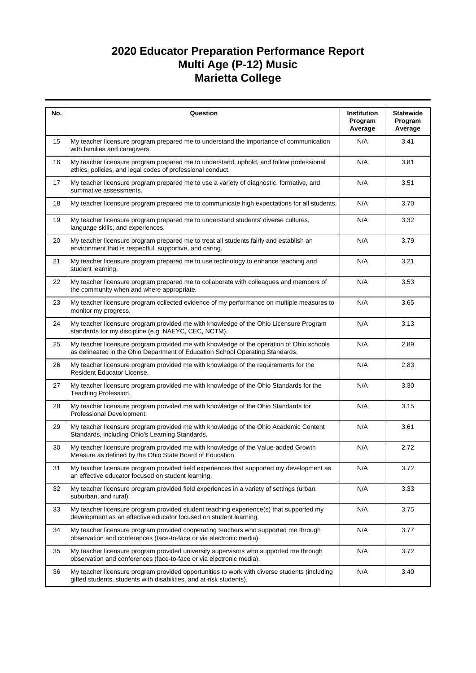| No. | Question                                                                                                                                                                  | Institution<br>Program<br>Average | <b>Statewide</b><br>Program<br>Average |
|-----|---------------------------------------------------------------------------------------------------------------------------------------------------------------------------|-----------------------------------|----------------------------------------|
| 15  | My teacher licensure program prepared me to understand the importance of communication<br>with families and caregivers.                                                   | N/A                               | 3.41                                   |
| 16  | My teacher licensure program prepared me to understand, uphold, and follow professional<br>ethics, policies, and legal codes of professional conduct.                     | N/A                               | 3.81                                   |
| 17  | My teacher licensure program prepared me to use a variety of diagnostic, formative, and<br>summative assessments.                                                         | N/A                               | 3.51                                   |
| 18  | My teacher licensure program prepared me to communicate high expectations for all students.                                                                               | N/A                               | 3.70                                   |
| 19  | My teacher licensure program prepared me to understand students' diverse cultures,<br>language skills, and experiences.                                                   | N/A                               | 3.32                                   |
| 20  | My teacher licensure program prepared me to treat all students fairly and establish an<br>environment that is respectful, supportive, and caring.                         | N/A                               | 3.79                                   |
| 21  | My teacher licensure program prepared me to use technology to enhance teaching and<br>student learning.                                                                   | N/A                               | 3.21                                   |
| 22  | My teacher licensure program prepared me to collaborate with colleagues and members of<br>the community when and where appropriate.                                       | N/A                               | 3.53                                   |
| 23  | My teacher licensure program collected evidence of my performance on multiple measures to<br>monitor my progress.                                                         | N/A                               | 3.65                                   |
| 24  | My teacher licensure program provided me with knowledge of the Ohio Licensure Program<br>standards for my discipline (e.g. NAEYC, CEC, NCTM).                             | N/A                               | 3.13                                   |
| 25  | My teacher licensure program provided me with knowledge of the operation of Ohio schools<br>as delineated in the Ohio Department of Education School Operating Standards. | N/A                               | 2.89                                   |
| 26  | My teacher licensure program provided me with knowledge of the requirements for the<br>Resident Educator License.                                                         | N/A                               | 2.83                                   |
| 27  | My teacher licensure program provided me with knowledge of the Ohio Standards for the<br>Teaching Profession.                                                             | N/A                               | 3.30                                   |
| 28  | My teacher licensure program provided me with knowledge of the Ohio Standards for<br>Professional Development.                                                            | N/A                               | 3.15                                   |
| 29  | My teacher licensure program provided me with knowledge of the Ohio Academic Content<br>Standards, including Ohio's Learning Standards.                                   | N/A                               | 3.61                                   |
| 30  | My teacher licensure program provided me with knowledge of the Value-added Growth<br>Measure as defined by the Ohio State Board of Education.                             | N/A                               | 2.72                                   |
| 31  | My teacher licensure program provided field experiences that supported my development as<br>an effective educator focused on student learning.                            | N/A                               | 3.72                                   |
| 32  | My teacher licensure program provided field experiences in a variety of settings (urban,<br>suburban, and rural).                                                         | N/A                               | 3.33                                   |
| 33  | My teacher licensure program provided student teaching experience(s) that supported my<br>development as an effective educator focused on student learning.               | N/A                               | 3.75                                   |
| 34  | My teacher licensure program provided cooperating teachers who supported me through<br>observation and conferences (face-to-face or via electronic media).                | N/A                               | 3.77                                   |
| 35  | My teacher licensure program provided university supervisors who supported me through<br>observation and conferences (face-to-face or via electronic media).              | N/A                               | 3.72                                   |
| 36  | My teacher licensure program provided opportunities to work with diverse students (including<br>gifted students, students with disabilities, and at-risk students).       | N/A                               | 3.40                                   |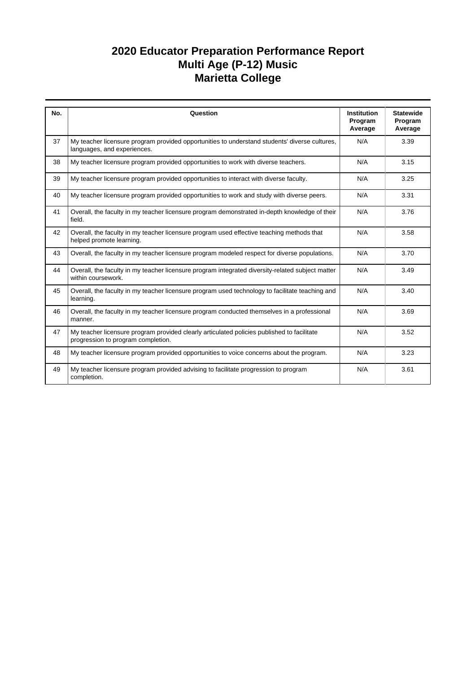| No. | Question                                                                                                                         | <b>Institution</b><br>Program<br>Average | <b>Statewide</b><br>Program<br>Average |
|-----|----------------------------------------------------------------------------------------------------------------------------------|------------------------------------------|----------------------------------------|
| 37  | My teacher licensure program provided opportunities to understand students' diverse cultures,<br>languages, and experiences.     | N/A                                      | 3.39                                   |
| 38  | My teacher licensure program provided opportunities to work with diverse teachers.                                               | N/A                                      | 3.15                                   |
| 39  | My teacher licensure program provided opportunities to interact with diverse faculty.                                            | N/A                                      | 3.25                                   |
| 40  | My teacher licensure program provided opportunities to work and study with diverse peers.                                        | N/A                                      | 3.31                                   |
| 41  | Overall, the faculty in my teacher licensure program demonstrated in-depth knowledge of their<br>field.                          | N/A                                      | 3.76                                   |
| 42  | Overall, the faculty in my teacher licensure program used effective teaching methods that<br>helped promote learning.            | N/A                                      | 3.58                                   |
| 43  | Overall, the faculty in my teacher licensure program modeled respect for diverse populations.                                    | N/A                                      | 3.70                                   |
| 44  | Overall, the faculty in my teacher licensure program integrated diversity-related subject matter<br>within coursework.           | N/A                                      | 3.49                                   |
| 45  | Overall, the faculty in my teacher licensure program used technology to facilitate teaching and<br>learning.                     | N/A                                      | 3.40                                   |
| 46  | Overall, the faculty in my teacher licensure program conducted themselves in a professional<br>manner.                           | N/A                                      | 3.69                                   |
| 47  | My teacher licensure program provided clearly articulated policies published to facilitate<br>progression to program completion. | N/A                                      | 3.52                                   |
| 48  | My teacher licensure program provided opportunities to voice concerns about the program.                                         | N/A                                      | 3.23                                   |
| 49  | My teacher licensure program provided advising to facilitate progression to program<br>completion.                               | N/A                                      | 3.61                                   |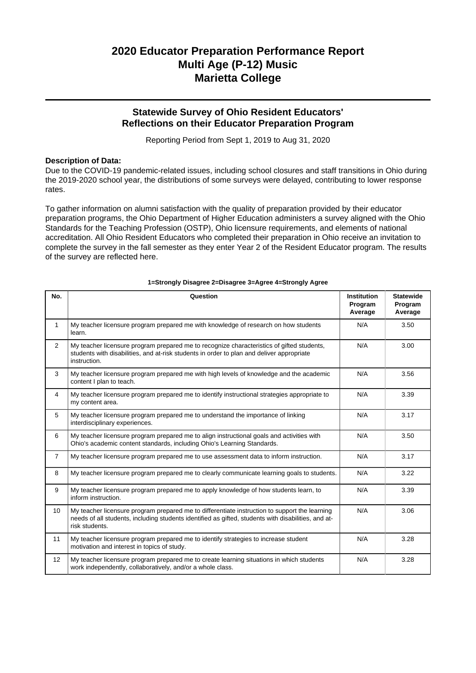### **Statewide Survey of Ohio Resident Educators' Reflections on their Educator Preparation Program**

Reporting Period from Sept 1, 2019 to Aug 31, 2020

#### **Description of Data:**

Due to the COVID-19 pandemic-related issues, including school closures and staff transitions in Ohio during the 2019-2020 school year, the distributions of some surveys were delayed, contributing to lower response rates.

To gather information on alumni satisfaction with the quality of preparation provided by their educator preparation programs, the Ohio Department of Higher Education administers a survey aligned with the Ohio Standards for the Teaching Profession (OSTP), Ohio licensure requirements, and elements of national accreditation. All Ohio Resident Educators who completed their preparation in Ohio receive an invitation to complete the survey in the fall semester as they enter Year 2 of the Resident Educator program. The results of the survey are reflected here.

| No.              | Question                                                                                                                                                                                                               | <b>Institution</b><br>Program<br>Average | <b>Statewide</b><br>Program<br>Average |
|------------------|------------------------------------------------------------------------------------------------------------------------------------------------------------------------------------------------------------------------|------------------------------------------|----------------------------------------|
| 1                | My teacher licensure program prepared me with knowledge of research on how students<br>learn.                                                                                                                          | N/A                                      | 3.50                                   |
| 2                | My teacher licensure program prepared me to recognize characteristics of gifted students,<br>students with disabilities, and at-risk students in order to plan and deliver appropriate<br>instruction.                 | N/A                                      | 3.00                                   |
| 3                | My teacher licensure program prepared me with high levels of knowledge and the academic<br>content I plan to teach.                                                                                                    | N/A                                      | 3.56                                   |
| $\overline{4}$   | My teacher licensure program prepared me to identify instructional strategies appropriate to<br>my content area.                                                                                                       | N/A                                      | 3.39                                   |
| 5                | My teacher licensure program prepared me to understand the importance of linking<br>interdisciplinary experiences.                                                                                                     | N/A                                      | 3.17                                   |
| 6                | My teacher licensure program prepared me to align instructional goals and activities with<br>Ohio's academic content standards, including Ohio's Learning Standards.                                                   | N/A                                      | 3.50                                   |
| $\overline{7}$   | My teacher licensure program prepared me to use assessment data to inform instruction.                                                                                                                                 | N/A                                      | 3.17                                   |
| 8                | My teacher licensure program prepared me to clearly communicate learning goals to students.                                                                                                                            | N/A                                      | 3.22                                   |
| 9                | My teacher licensure program prepared me to apply knowledge of how students learn, to<br>inform instruction.                                                                                                           | N/A                                      | 3.39                                   |
| 10 <sup>10</sup> | My teacher licensure program prepared me to differentiate instruction to support the learning<br>needs of all students, including students identified as gifted, students with disabilities, and at-<br>risk students. | N/A                                      | 3.06                                   |
| 11               | My teacher licensure program prepared me to identify strategies to increase student<br>motivation and interest in topics of study.                                                                                     | N/A                                      | 3.28                                   |
| 12               | My teacher licensure program prepared me to create learning situations in which students<br>work independently, collaboratively, and/or a whole class.                                                                 | N/A                                      | 3.28                                   |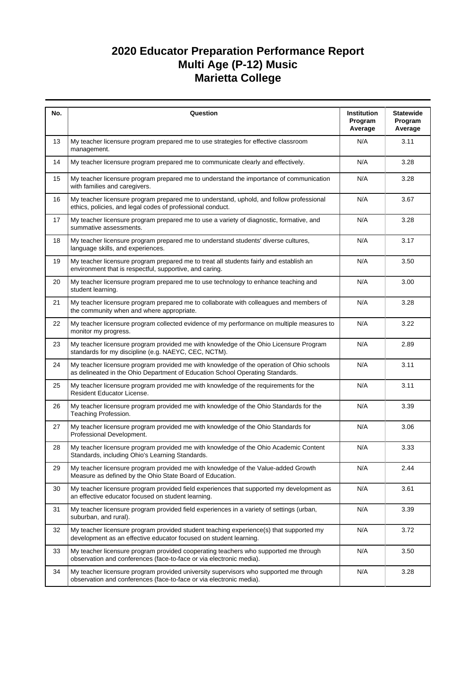| No. | Question                                                                                                                                                                  | Institution<br>Program<br>Average | <b>Statewide</b><br>Program<br>Average |
|-----|---------------------------------------------------------------------------------------------------------------------------------------------------------------------------|-----------------------------------|----------------------------------------|
| 13  | My teacher licensure program prepared me to use strategies for effective classroom<br>management.                                                                         | N/A                               | 3.11                                   |
| 14  | My teacher licensure program prepared me to communicate clearly and effectively.                                                                                          | N/A                               | 3.28                                   |
| 15  | My teacher licensure program prepared me to understand the importance of communication<br>with families and caregivers.                                                   | N/A                               | 3.28                                   |
| 16  | My teacher licensure program prepared me to understand, uphold, and follow professional<br>ethics, policies, and legal codes of professional conduct.                     | N/A                               | 3.67                                   |
| 17  | My teacher licensure program prepared me to use a variety of diagnostic, formative, and<br>summative assessments.                                                         | N/A                               | 3.28                                   |
| 18  | My teacher licensure program prepared me to understand students' diverse cultures,<br>language skills, and experiences.                                                   | N/A                               | 3.17                                   |
| 19  | My teacher licensure program prepared me to treat all students fairly and establish an<br>environment that is respectful, supportive, and caring.                         | N/A                               | 3.50                                   |
| 20  | My teacher licensure program prepared me to use technology to enhance teaching and<br>student learning.                                                                   | N/A                               | 3.00                                   |
| 21  | My teacher licensure program prepared me to collaborate with colleagues and members of<br>the community when and where appropriate.                                       | N/A                               | 3.28                                   |
| 22  | My teacher licensure program collected evidence of my performance on multiple measures to<br>monitor my progress.                                                         | N/A                               | 3.22                                   |
| 23  | My teacher licensure program provided me with knowledge of the Ohio Licensure Program<br>standards for my discipline (e.g. NAEYC, CEC, NCTM).                             | N/A                               | 2.89                                   |
| 24  | My teacher licensure program provided me with knowledge of the operation of Ohio schools<br>as delineated in the Ohio Department of Education School Operating Standards. | N/A                               | 3.11                                   |
| 25  | My teacher licensure program provided me with knowledge of the requirements for the<br>Resident Educator License.                                                         | N/A                               | 3.11                                   |
| 26  | My teacher licensure program provided me with knowledge of the Ohio Standards for the<br>Teaching Profession.                                                             | N/A                               | 3.39                                   |
| 27  | My teacher licensure program provided me with knowledge of the Ohio Standards for<br>Professional Development.                                                            | N/A                               | 3.06                                   |
| 28  | My teacher licensure program provided me with knowledge of the Ohio Academic Content<br>Standards, including Ohio's Learning Standards.                                   | N/A                               | 3.33                                   |
| 29  | My teacher licensure program provided me with knowledge of the Value-added Growth<br>Measure as defined by the Ohio State Board of Education.                             | N/A                               | 2.44                                   |
| 30  | My teacher licensure program provided field experiences that supported my development as<br>an effective educator focused on student learning.                            | N/A                               | 3.61                                   |
| 31  | My teacher licensure program provided field experiences in a variety of settings (urban,<br>suburban, and rural).                                                         | N/A                               | 3.39                                   |
| 32  | My teacher licensure program provided student teaching experience(s) that supported my<br>development as an effective educator focused on student learning.               | N/A                               | 3.72                                   |
| 33  | My teacher licensure program provided cooperating teachers who supported me through<br>observation and conferences (face-to-face or via electronic media).                | N/A                               | 3.50                                   |
| 34  | My teacher licensure program provided university supervisors who supported me through<br>observation and conferences (face-to-face or via electronic media).              | N/A                               | 3.28                                   |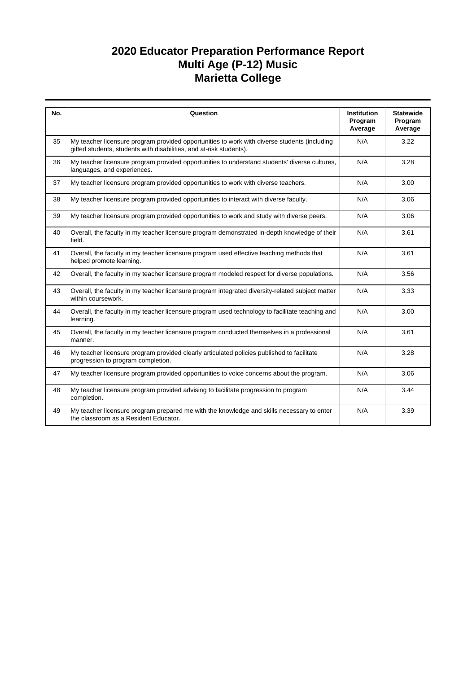| No. | Question                                                                                                                                                            | <b>Institution</b><br>Program | <b>Statewide</b><br>Program |
|-----|---------------------------------------------------------------------------------------------------------------------------------------------------------------------|-------------------------------|-----------------------------|
|     |                                                                                                                                                                     | Average                       | Average                     |
| 35  | My teacher licensure program provided opportunities to work with diverse students (including<br>gifted students, students with disabilities, and at-risk students). | N/A                           | 3.22                        |
| 36  | My teacher licensure program provided opportunities to understand students' diverse cultures,<br>languages, and experiences.                                        | N/A                           | 3.28                        |
| 37  | My teacher licensure program provided opportunities to work with diverse teachers.                                                                                  | N/A                           | 3.00                        |
| 38  | My teacher licensure program provided opportunities to interact with diverse faculty.                                                                               | N/A                           | 3.06                        |
| 39  | My teacher licensure program provided opportunities to work and study with diverse peers.                                                                           | N/A                           | 3.06                        |
| 40  | Overall, the faculty in my teacher licensure program demonstrated in-depth knowledge of their<br>field.                                                             | N/A                           | 3.61                        |
| 41  | Overall, the faculty in my teacher licensure program used effective teaching methods that<br>helped promote learning.                                               | N/A                           | 3.61                        |
| 42  | Overall, the faculty in my teacher licensure program modeled respect for diverse populations.                                                                       | N/A                           | 3.56                        |
| 43  | Overall, the faculty in my teacher licensure program integrated diversity-related subject matter<br>within coursework.                                              | N/A                           | 3.33                        |
| 44  | Overall, the faculty in my teacher licensure program used technology to facilitate teaching and<br>learning.                                                        | N/A                           | 3.00                        |
| 45  | Overall, the faculty in my teacher licensure program conducted themselves in a professional<br>manner.                                                              | N/A                           | 3.61                        |
| 46  | My teacher licensure program provided clearly articulated policies published to facilitate<br>progression to program completion.                                    | N/A                           | 3.28                        |
| 47  | My teacher licensure program provided opportunities to voice concerns about the program.                                                                            | N/A                           | 3.06                        |
| 48  | My teacher licensure program provided advising to facilitate progression to program<br>completion.                                                                  | N/A                           | 3.44                        |
| 49  | My teacher licensure program prepared me with the knowledge and skills necessary to enter<br>the classroom as a Resident Educator.                                  | N/A                           | 3.39                        |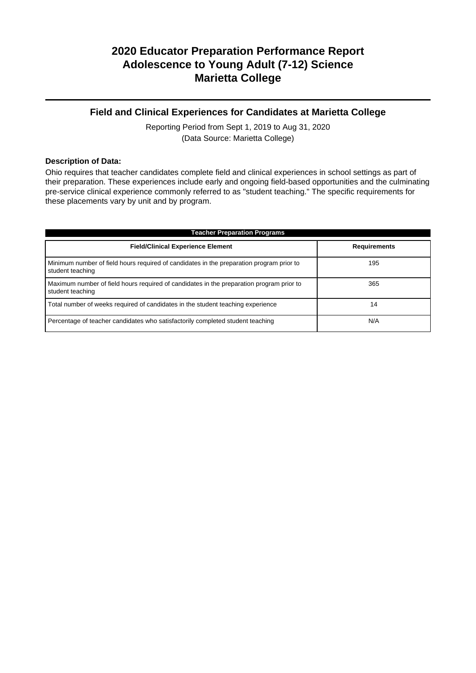### **Field and Clinical Experiences for Candidates at Marietta College**

Reporting Period from Sept 1, 2019 to Aug 31, 2020 (Data Source: Marietta College)

### **Description of Data:**

Ohio requires that teacher candidates complete field and clinical experiences in school settings as part of their preparation. These experiences include early and ongoing field-based opportunities and the culminating pre-service clinical experience commonly referred to as "student teaching." The specific requirements for these placements vary by unit and by program.

| <b>Teacher Preparation Programs</b>                                                                          |                     |  |  |  |  |  |
|--------------------------------------------------------------------------------------------------------------|---------------------|--|--|--|--|--|
| <b>Field/Clinical Experience Element</b>                                                                     | <b>Requirements</b> |  |  |  |  |  |
| Minimum number of field hours required of candidates in the preparation program prior to<br>student teaching | 195                 |  |  |  |  |  |
| Maximum number of field hours required of candidates in the preparation program prior to<br>student teaching | 365                 |  |  |  |  |  |
| Total number of weeks required of candidates in the student teaching experience                              | 14                  |  |  |  |  |  |
| Percentage of teacher candidates who satisfactorily completed student teaching                               | N/A                 |  |  |  |  |  |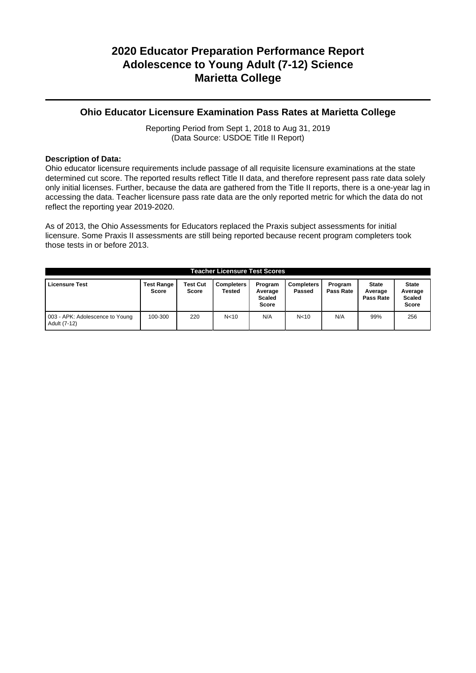### **Ohio Educator Licensure Examination Pass Rates at Marietta College**

Reporting Period from Sept 1, 2018 to Aug 31, 2019 (Data Source: USDOE Title II Report)

### **Description of Data:**

Ohio educator licensure requirements include passage of all requisite licensure examinations at the state determined cut score. The reported results reflect Title II data, and therefore represent pass rate data solely only initial licenses. Further, because the data are gathered from the Title II reports, there is a one-year lag in accessing the data. Teacher licensure pass rate data are the only reported metric for which the data do not reflect the reporting year 2019-2020.

As of 2013, the Ohio Assessments for Educators replaced the Praxis subject assessments for initial licensure. Some Praxis II assessments are still being reported because recent program completers took those tests in or before 2013.

| <b>Teacher Licensure Test Scores</b>            |                            |                                 |                             |                                                     |                             |                      |                                      |                                                          |
|-------------------------------------------------|----------------------------|---------------------------------|-----------------------------|-----------------------------------------------------|-----------------------------|----------------------|--------------------------------------|----------------------------------------------------------|
| <b>Licensure Test</b>                           | <b>Test Range</b><br>Score | <b>Test Cut</b><br><b>Score</b> | <b>Completers</b><br>Tested | Program<br>Average<br><b>Scaled</b><br><b>Score</b> | <b>Completers</b><br>Passed | Program<br>Pass Rate | <b>State</b><br>Average<br>Pass Rate | <b>State</b><br>Average<br><b>Scaled</b><br><b>Score</b> |
| 003 - APK: Adolescence to Young<br>Adult (7-12) | 100-300                    | 220                             | N <sub>10</sub>             | N/A                                                 | N <sub>10</sub>             | N/A                  | 99%                                  | 256                                                      |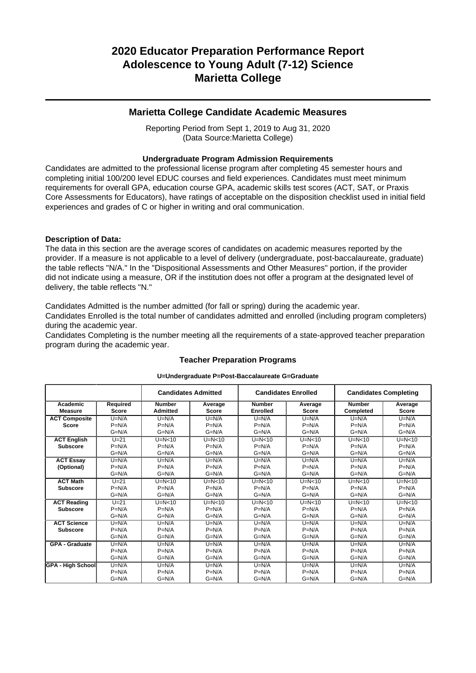### **Marietta College Candidate Academic Measures**

Reporting Period from Sept 1, 2019 to Aug 31, 2020 (Data Source:Marietta College)

### **Undergraduate Program Admission Requirements**

Candidates are admitted to the professional license program after completing 45 semester hours and completing initial 100/200 level EDUC courses and field experiences. Candidates must meet minimum requirements for overall GPA, education course GPA, academic skills test scores (ACT, SAT, or Praxis Core Assessments for Educators), have ratings of acceptable on the disposition checklist used in initial field experiences and grades of C or higher in writing and oral communication.

#### **Description of Data:**

The data in this section are the average scores of candidates on academic measures reported by the provider. If a measure is not applicable to a level of delivery (undergraduate, post-baccalaureate, graduate) the table reflects "N/A." In the "Dispositional Assessments and Other Measures" portion, if the provider did not indicate using a measure, OR if the institution does not offer a program at the designated level of delivery, the table reflects "N."

Candidates Admitted is the number admitted (for fall or spring) during the academic year.

Candidates Enrolled is the total number of candidates admitted and enrolled (including program completers) during the academic year.

Candidates Completing is the number meeting all the requirements of a state-approved teacher preparation program during the academic year.

|                          |              | <b>Candidates Admitted</b> |              | <b>Candidates Enrolled</b> |              | <b>Candidates Completing</b> |              |  |
|--------------------------|--------------|----------------------------|--------------|----------------------------|--------------|------------------------------|--------------|--|
| Academic                 | Required     | <b>Number</b>              | Average      | <b>Number</b>              | Average      | <b>Number</b>                | Average      |  |
| <b>Measure</b>           | <b>Score</b> | <b>Admitted</b>            | <b>Score</b> | <b>Enrolled</b>            | <b>Score</b> | Completed                    | <b>Score</b> |  |
| <b>ACT Composite</b>     | $U=N/A$      | $U=N/A$                    | $U=N/A$      | $U=N/A$                    | $U=N/A$      | $U=N/A$                      | $U=N/A$      |  |
| Score                    | $P=N/A$      | $P=N/A$                    | $P=N/A$      | $P=N/A$                    | $P=N/A$      | $P=N/A$                      | $P=N/A$      |  |
|                          | $G=N/A$      | $G=N/A$                    | $G=N/A$      | $G=N/A$                    | $G=N/A$      | $G=N/A$                      | $G=N/A$      |  |
| <b>ACT English</b>       | $U=21$       | $U=N<10$                   | $U=N<10$     | $U=N<10$                   | $U=N<10$     | $U=N<10$                     | $U=N<10$     |  |
| <b>Subscore</b>          | $P=N/A$      | $P=N/A$                    | $P=N/A$      | $P=N/A$                    | $P=N/A$      | $P=N/A$                      | $P=N/A$      |  |
|                          | $G=N/A$      | $G=N/A$                    | $G=N/A$      | $G=N/A$                    | $G=N/A$      | $G=N/A$                      | $G=N/A$      |  |
| <b>ACT Essay</b>         | $U=N/A$      | $U=N/A$                    | $U=N/A$      | $U=N/A$                    | $U=N/A$      | $U=N/A$                      | $U=N/A$      |  |
| (Optional)               | $P=N/A$      | $P=N/A$                    | $P=N/A$      | $P=N/A$                    | $P=N/A$      | $P=N/A$                      | $P=N/A$      |  |
|                          | $G=N/A$      | $G=N/A$                    | $G=N/A$      | $G=N/A$                    | $G=N/A$      | $G=N/A$                      | $G=N/A$      |  |
| <b>ACT Math</b>          | $U=21$       | $U=N<10$                   | $U=N<10$     | $U=N<10$                   | $U=N<10$     | $U=N<10$                     | $U=N<10$     |  |
| <b>Subscore</b>          | $P=N/A$      | $P=N/A$                    | $P=N/A$      | $P=N/A$                    | $P=N/A$      | $P=N/A$                      | $P=N/A$      |  |
|                          | $G=N/A$      | $G=N/A$                    | $G=N/A$      | $G=N/A$                    | $G=N/A$      | $G=N/A$                      | $G=N/A$      |  |
| <b>ACT Reading</b>       | $U=21$       | $U=N<10$                   | $U=N<10$     | $U=N<10$                   | $U=N<10$     | $U=N<10$                     | $U=N<10$     |  |
| <b>Subscore</b>          | $P=N/A$      | $P=N/A$                    | $P=N/A$      | $P=N/A$                    | $P=N/A$      | $P=N/A$                      | $P=N/A$      |  |
|                          | $G=N/A$      | $G=N/A$                    | $G=N/A$      | $G=N/A$                    | $G=N/A$      | $G=N/A$                      | $G=N/A$      |  |
| <b>ACT Science</b>       | $U=N/A$      | $U=N/A$                    | $U=N/A$      | $U=N/A$                    | $U=N/A$      | $U=N/A$                      | $U=N/A$      |  |
| <b>Subscore</b>          | $P=N/A$      | $P=N/A$                    | $P=N/A$      | $P=N/A$                    | $P=N/A$      | $P=N/A$                      | $P=N/A$      |  |
|                          | $G=N/A$      | $G=N/A$                    | $G=N/A$      | $G=N/A$                    | $G=N/A$      | $G=N/A$                      | $G=N/A$      |  |
| <b>GPA - Graduate</b>    | $U=N/A$      | $U=N/A$                    | $U=N/A$      | $U=N/A$                    | $U=N/A$      | $U=N/A$                      | $U=N/A$      |  |
|                          | $P=N/A$      | $P=N/A$                    | $P=N/A$      | $P=N/A$                    | $P=N/A$      | $P=N/A$                      | $P=N/A$      |  |
|                          | $G=N/A$      | $G=N/A$                    | $G=N/A$      | $G=N/A$                    | $G=N/A$      | $G=N/A$                      | $G=N/A$      |  |
| <b>GPA - High School</b> | $U=N/A$      | $U=N/A$                    | $U=N/A$      | $U=N/A$                    | $U=N/A$      | $U=N/A$                      | $U=N/A$      |  |
|                          | $P=N/A$      | $P=N/A$                    | $P=N/A$      | $P=N/A$                    | $P=N/A$      | $P=N/A$                      | $P=N/A$      |  |
|                          | $G=N/A$      | $G=N/A$                    | $G=N/A$      | $G=N/A$                    | $G=N/A$      | $G=N/A$                      | $G=N/A$      |  |

### **Teacher Preparation Programs U=Undergraduate P=Post-Baccalaureate G=Graduate**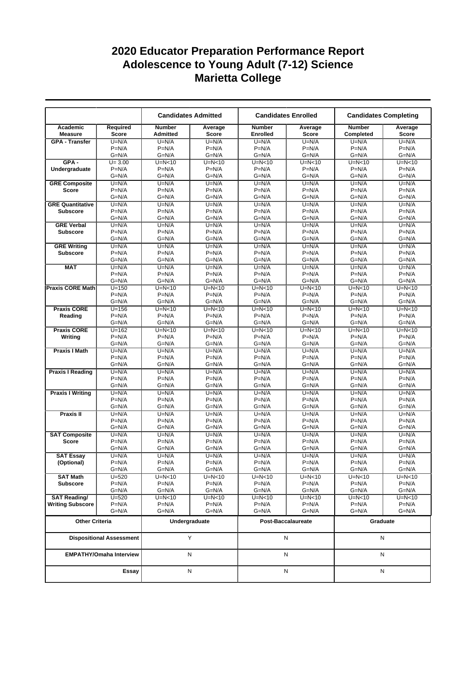|                                      |                                 |                                  | <b>Candidates Admitted</b> | <b>Candidates Enrolled</b>       |                         |                            | <b>Candidates Completing</b> |  |  |
|--------------------------------------|---------------------------------|----------------------------------|----------------------------|----------------------------------|-------------------------|----------------------------|------------------------------|--|--|
| Academic<br><b>Measure</b>           | Required<br><b>Score</b>        | <b>Number</b><br><b>Admitted</b> | Average<br><b>Score</b>    | <b>Number</b><br><b>Enrolled</b> | Average<br><b>Score</b> | <b>Number</b><br>Completed | Average<br>Score             |  |  |
| <b>GPA - Transfer</b>                | $U=N/A$                         | $U=N/A$                          | $U=N/A$                    | $U=N/A$                          | $U=N/A$                 | $U=N/A$                    | $U=N/A$                      |  |  |
|                                      | $P=N/A$                         | $P=N/A$                          | $P=N/A$                    | $P=N/A$                          | $P=N/A$                 | $P=N/A$                    | $P=N/A$                      |  |  |
|                                      | $G=N/A$                         | $G=N/A$                          | $G=N/A$                    | $G=N/A$                          | G=N/A                   | $G=N/A$                    | $G=N/A$                      |  |  |
| $GPA -$                              | $U = 3.00$                      | $U=N<10$                         | $U=N<10$                   | $U=N<10$                         | $U=N<10$                | $U=N<10$                   | $U=N<10$                     |  |  |
| Undergraduate                        | $P=N/A$                         | $P=N/A$                          | $P=N/A$                    | $P=N/A$                          | $P=N/A$                 | $P=N/A$                    | $P=N/A$                      |  |  |
|                                      | $G=N/A$                         | $G=N/A$                          | $G=N/A$                    | $G=N/A$                          | G=N/A                   | $G=N/A$                    | $G=N/A$                      |  |  |
| <b>GRE Composite</b>                 | $U=N/A$                         | $U=N/A$                          | $U=N/A$<br>$P=N/A$         | $U=N/A$                          | $U=N/A$                 | $U=N/A$                    | $U=N/A$                      |  |  |
| <b>Score</b>                         | $P=N/A$<br>$G=N/A$              | $P=N/A$<br>$G=N/A$               | $G=N/A$                    | $P=N/A$<br>$G=N/A$               | $P=N/A$<br>$G=N/A$      | $P=N/A$<br>$G=N/A$         | $P=N/A$<br>$G=N/A$           |  |  |
| <b>GRE Quantitative</b>              | $U=N/A$                         | $U=N/A$                          | $U=N/A$                    | $U=N/A$                          | $U=N/A$                 | $U=N/A$                    | $U=N/A$                      |  |  |
| <b>Subscore</b>                      | $P=N/A$                         | $P=N/A$                          | $P=N/A$                    | $P=N/A$                          | $P=N/A$                 | $P=N/A$                    | $P=N/A$                      |  |  |
|                                      | $G=N/A$                         | $G=N/A$                          | $G=N/A$                    | $G=N/A$                          | G=N/A                   | $G=N/A$                    | $G=N/A$                      |  |  |
| <b>GRE Verbal</b>                    | $U=N/A$                         | $U=N/A$                          | $U=N/A$                    | $U=N/A$                          | $U=N/A$                 | $U=N/A$                    | $U=N/A$                      |  |  |
| <b>Subscore</b>                      | $P=N/A$                         | $P=N/A$                          | $P=N/A$                    | $P=N/A$                          | $P=N/A$                 | $P=N/A$                    | $P=N/A$                      |  |  |
|                                      | $G=N/A$                         | $G=N/A$                          | $G=N/A$                    | $G=N/A$                          | $G=N/A$                 | $G=N/A$                    | $G=N/A$                      |  |  |
| <b>GRE Writing</b>                   | $U=N/A$                         | $U=N/A$                          | $U=N/A$                    | $U=N/A$                          | $U=N/A$                 | $U=N/A$                    | $U=N/A$                      |  |  |
| <b>Subscore</b>                      | $P=N/A$                         | $P=N/A$                          | $P=N/A$                    | $P=N/A$                          | $P=N/A$                 | $P=N/A$                    | $P=N/A$                      |  |  |
|                                      | $G=N/A$                         | $G=N/A$                          | $G=N/A$                    | $G=N/A$                          | $G=N/A$                 | $G=N/A$                    | $G=N/A$                      |  |  |
| <b>MAT</b>                           | $U=N/A$                         | $U=N/A$                          | $U=N/A$                    | $U=N/A$                          | $U=N/A$                 | $U=N/A$                    | $U=N/A$                      |  |  |
|                                      | $P=N/A$                         | $P=N/A$                          | $P=N/A$                    | $P=N/A$                          | $P=N/A$                 | $P=N/A$                    | $P=N/A$                      |  |  |
|                                      | $G=N/A$                         | $G=N/A$                          | $G=N/A$                    | $G=N/A$                          | $G=N/A$                 | $G=N/A$                    | $G=N/A$                      |  |  |
| <b>Praxis CORE Math</b>              | $U = 150$                       | $U=N<10$                         | $U=N<10$                   | $U=N<10$                         | $U=N<10$                | $U=N<10$                   | $U=N<10$                     |  |  |
|                                      | $P=N/A$                         | $P=N/A$                          | $P=N/A$                    | $P=N/A$                          | $P=N/A$                 | $P=N/A$                    | $P=N/A$                      |  |  |
|                                      | $G=N/A$                         | $G=N/A$                          | $G=N/A$                    | $G=N/A$                          | $G=N/A$                 | $G=N/A$                    | $G=N/A$                      |  |  |
| <b>Praxis CORE</b>                   | $U = 156$                       | $U=N<10$                         | $U=N<10$                   | $U=N<10$                         | $U=N<10$                | $U=N<10$                   | $U=N<10$                     |  |  |
| Reading                              | $P=N/A$<br>$G=N/A$              | $P=N/A$<br>$G=N/A$               | $P=N/A$<br>$G=N/A$         | $P=N/A$<br>$G=N/A$               | $P=N/A$<br>G=N/A        | $P=N/A$<br>$G=N/A$         | $P=N/A$<br>$G=N/A$           |  |  |
| <b>Praxis CORE</b>                   | $U=162$                         | $U=N<10$                         | $U=N<10$                   | $U=N<10$                         | $U=N<10$                | $U=N<10$                   | $U=N<10$                     |  |  |
| Writing                              | $P=N/A$                         | $P=N/A$                          | $P=N/A$                    | $P=N/A$                          | $P=N/A$                 | $P=N/A$                    | $P=N/A$                      |  |  |
|                                      | $G=N/A$                         | $G=N/A$                          | $G=N/A$                    | $G=N/A$                          | G=N/A                   | $G=N/A$                    | $G=N/A$                      |  |  |
| <b>Praxis I Math</b>                 | $U=N/A$                         | $U=N/A$                          | $U=N/A$                    | $U=N/A$                          | $U=N/A$                 | $U=N/A$                    | $U=N/A$                      |  |  |
|                                      | $P=N/A$                         | $P=N/A$                          | $P=N/A$                    | $P=N/A$                          | $P=N/A$                 | $P=N/A$                    | $P=N/A$                      |  |  |
|                                      | $G=N/A$                         | $G=N/A$                          | $G=N/A$                    | $G=N/A$                          | $G=N/A$                 | $G=N/A$                    | $G=N/A$                      |  |  |
| <b>Praxis I Reading</b>              | $U=N/A$                         | $U=N/A$                          | $U=N/A$                    | $U=N/A$                          | $U=N/A$                 | $U=N/A$                    | $U=N/A$                      |  |  |
|                                      | $P=N/A$                         | $P=N/A$                          | $P=N/A$                    | $P=N/A$                          | $P=N/A$                 | $P=N/A$                    | $P=N/A$                      |  |  |
|                                      | $G=N/A$                         | $G=N/A$                          | $G=N/A$                    | $G=N/A$                          | G=N/A                   | $G=N/A$                    | $G=N/A$                      |  |  |
| <b>Praxis I Writing</b>              | $U=N/A$                         | $U=N/A$                          | $U=N/A$                    | $U=N/A$                          | $U=N/A$                 | $U=N/A$                    | $U=N/A$                      |  |  |
|                                      | $P=N/A$                         | $P=N/A$                          | $P=N/A$                    | $P=N/A$                          | $P=N/A$                 | $P=N/A$                    | $P=N/A$                      |  |  |
|                                      | $G=N/A$                         | $G=N/A$                          | $G=N/A$                    | $G=N/A$                          | $G=N/A$                 | $G=N/A$                    | $G=N/A$                      |  |  |
| <b>Praxis II</b>                     | $U=N/A$                         | $U=N/A$                          | $U=N/A$                    | $U=N/A$                          | $U=N/A$                 | $U=N/A$                    | $U=N/A$                      |  |  |
|                                      | $P=N/A$<br>$G=N/A$              | $P=N/A$                          | $P=N/A$                    | $P=N/A$                          | $P=N/A$                 | $P=N/A$                    | $P=N/A$                      |  |  |
|                                      | $U=N/A$                         | $G=N/A$<br>$U=N/A$               | $G=N/A$<br>$U=N/A$         | $G=N/A$<br>$U=N/A$               | $G=N/A$<br>$U=N/A$      | $G=N/A$<br>$U=N/A$         | $G=N/A$<br>$U=N/A$           |  |  |
| <b>SAT Composite</b><br><b>Score</b> | $P=N/A$                         | $P=N/A$                          | $P=N/A$                    | $P=N/A$                          | $P=N/A$                 | $P=N/A$                    | $P=N/A$                      |  |  |
|                                      | $G=N/A$                         | $G=N/A$                          | $G=N/A$                    | $G=N/A$                          | $G=N/A$                 | $G=N/A$                    | $G=N/A$                      |  |  |
| <b>SAT Essay</b>                     | $U=N/A$                         | $U=N/A$                          | $U=N/A$                    | $U=N/A$                          | $U=N/A$                 | $U=N/A$                    | $U=N/A$                      |  |  |
| (Optional)                           | $P=N/A$                         | $P=N/A$                          | $P=N/A$                    | $P=N/A$                          | $P=N/A$                 | $P=N/A$                    | $P=N/A$                      |  |  |
|                                      | $G=N/A$                         | $G=N/A$                          | $G=N/A$                    | $G=N/A$                          | $G=N/A$                 | $G=N/A$                    | $G=N/A$                      |  |  |
| <b>SAT Math</b>                      | $U = 520$                       | $U=N<10$                         | $U=N<10$                   | $U=N<10$                         | $U=N<10$                | $U=N<10$                   | $U=N<10$                     |  |  |
| <b>Subscore</b>                      | $P=N/A$                         | $P=N/A$                          | $P=N/A$                    | $P=N/A$                          | $P=N/A$                 | $P=N/A$                    | $P=N/A$                      |  |  |
|                                      | $G=N/A$                         | $G=N/A$                          | $G=N/A$                    | $G=N/A$                          | $G=N/A$                 | $G=N/A$                    | $G=N/A$                      |  |  |
| <b>SAT Reading/</b>                  | $U = 520$                       | $U=N<10$                         | $U=N<10$                   | $U=N<10$                         | $U=N<10$                | $U=N<10$                   | $U=N<10$                     |  |  |
| <b>Writing Subscore</b>              | $P=N/A$                         | $P=N/A$                          | $P=N/A$                    | $P=N/A$                          | $P=N/A$                 | $P=N/A$                    | $P=N/A$                      |  |  |
|                                      | G=N/A                           | $G=N/A$                          | $G=N/A$                    | $G=N/A$                          | G=N/A                   | $G=N/A$                    | $G=N/A$                      |  |  |
| <b>Other Criteria</b>                |                                 |                                  | Undergraduate              |                                  | Post-Baccalaureate      | Graduate                   |                              |  |  |
|                                      | <b>Dispositional Assessment</b> |                                  | Y                          |                                  | N                       | N                          |                              |  |  |
|                                      | <b>EMPATHY/Omaha Interview</b>  |                                  | Ν                          |                                  | N                       | N                          |                              |  |  |
|                                      | Essay                           |                                  | N                          |                                  | N                       |                            | N                            |  |  |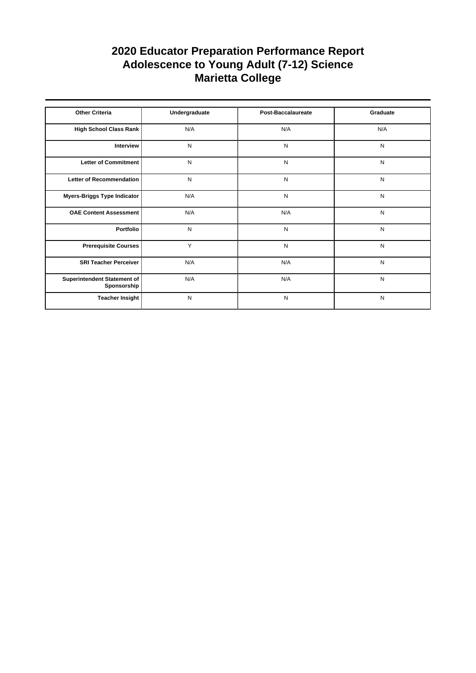| <b>Other Criteria</b>                      | Undergraduate | Post-Baccalaureate | Graduate  |
|--------------------------------------------|---------------|--------------------|-----------|
| High School Class Rank                     | N/A           | N/A                | N/A       |
| Interview                                  | N             | N                  | N         |
| Letter of Commitment                       | N             | N                  | N         |
| Letter of Recommendation                   | N             | N                  | N         |
| Myers-Briggs Type Indicator                | N/A           | N                  | N         |
| <b>OAE Content Assessment</b>              | N/A           | N/A                | N         |
| Portfolio                                  | N             | N                  | N         |
| <b>Prerequisite Courses</b>                | Y             | N                  | ${\sf N}$ |
| <b>SRI Teacher Perceiver</b>               | N/A           | N/A                | N         |
| Superintendent Statement of<br>Sponsorship | N/A           | N/A                | N         |
| <b>Teacher Insight</b>                     | N             | N                  | N         |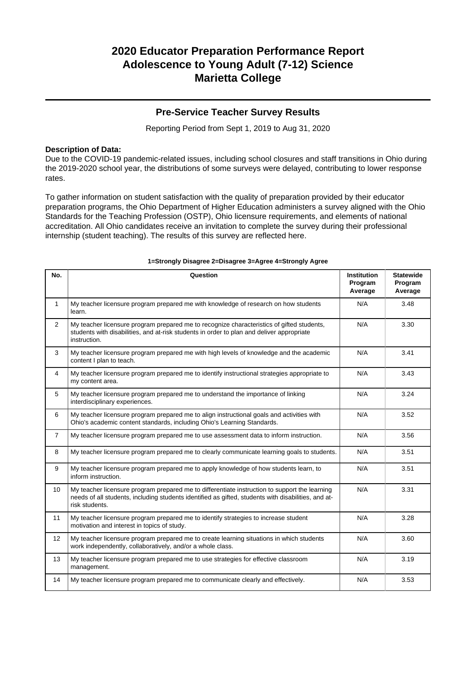### **Pre-Service Teacher Survey Results**

Reporting Period from Sept 1, 2019 to Aug 31, 2020

### **Description of Data:**

Due to the COVID-19 pandemic-related issues, including school closures and staff transitions in Ohio during the 2019-2020 school year, the distributions of some surveys were delayed, contributing to lower response rates.

To gather information on student satisfaction with the quality of preparation provided by their educator preparation programs, the Ohio Department of Higher Education administers a survey aligned with the Ohio Standards for the Teaching Profession (OSTP), Ohio licensure requirements, and elements of national accreditation. All Ohio candidates receive an invitation to complete the survey during their professional internship (student teaching). The results of this survey are reflected here.

| No.            | Question                                                                                                                                                                                                               | <b>Institution</b><br>Program<br>Average | <b>Statewide</b><br>Program<br>Average |
|----------------|------------------------------------------------------------------------------------------------------------------------------------------------------------------------------------------------------------------------|------------------------------------------|----------------------------------------|
| $\mathbf{1}$   | My teacher licensure program prepared me with knowledge of research on how students<br>learn.                                                                                                                          | N/A                                      | 3.48                                   |
| $\overline{2}$ | My teacher licensure program prepared me to recognize characteristics of gifted students,<br>students with disabilities, and at-risk students in order to plan and deliver appropriate<br>instruction.                 | N/A                                      | 3.30                                   |
| 3              | My teacher licensure program prepared me with high levels of knowledge and the academic<br>content I plan to teach.                                                                                                    | N/A                                      | 3.41                                   |
| 4              | My teacher licensure program prepared me to identify instructional strategies appropriate to<br>my content area.                                                                                                       | N/A                                      | 3.43                                   |
| 5              | My teacher licensure program prepared me to understand the importance of linking<br>interdisciplinary experiences.                                                                                                     | N/A                                      | 3.24                                   |
| 6              | My teacher licensure program prepared me to align instructional goals and activities with<br>Ohio's academic content standards, including Ohio's Learning Standards.                                                   | N/A                                      | 3.52                                   |
| $\overline{7}$ | My teacher licensure program prepared me to use assessment data to inform instruction.                                                                                                                                 | N/A                                      | 3.56                                   |
| 8              | My teacher licensure program prepared me to clearly communicate learning goals to students.                                                                                                                            | N/A                                      | 3.51                                   |
| 9              | My teacher licensure program prepared me to apply knowledge of how students learn, to<br>inform instruction.                                                                                                           | N/A                                      | 3.51                                   |
| 10             | My teacher licensure program prepared me to differentiate instruction to support the learning<br>needs of all students, including students identified as gifted, students with disabilities, and at-<br>risk students. | N/A                                      | 3.31                                   |
| 11             | My teacher licensure program prepared me to identify strategies to increase student<br>motivation and interest in topics of study.                                                                                     | N/A                                      | 3.28                                   |
| 12             | My teacher licensure program prepared me to create learning situations in which students<br>work independently, collaboratively, and/or a whole class.                                                                 | N/A                                      | 3.60                                   |
| 13             | My teacher licensure program prepared me to use strategies for effective classroom<br>management.                                                                                                                      | N/A                                      | 3.19                                   |
| 14             | My teacher licensure program prepared me to communicate clearly and effectively.                                                                                                                                       | N/A                                      | 3.53                                   |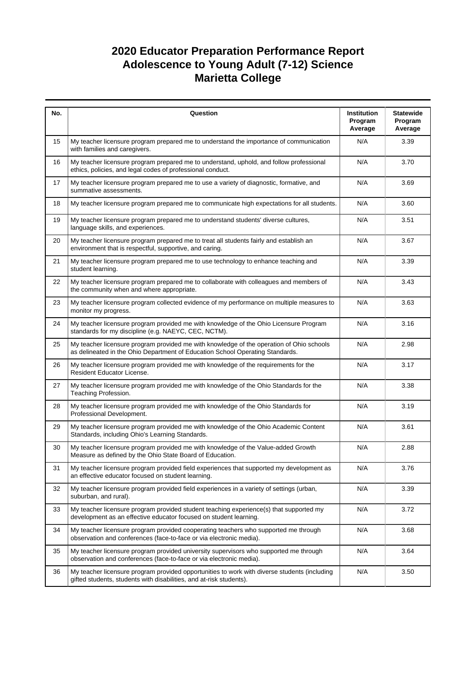| No. | Question                                                                                                                                                                  | Institution<br>Program<br>Average | <b>Statewide</b><br>Program<br>Average |
|-----|---------------------------------------------------------------------------------------------------------------------------------------------------------------------------|-----------------------------------|----------------------------------------|
| 15  | My teacher licensure program prepared me to understand the importance of communication<br>with families and caregivers.                                                   | N/A                               | 3.39                                   |
| 16  | My teacher licensure program prepared me to understand, uphold, and follow professional<br>ethics, policies, and legal codes of professional conduct.                     | N/A                               | 3.70                                   |
| 17  | My teacher licensure program prepared me to use a variety of diagnostic, formative, and<br>summative assessments.                                                         | N/A                               | 3.69                                   |
| 18  | My teacher licensure program prepared me to communicate high expectations for all students.                                                                               | N/A                               | 3.60                                   |
| 19  | My teacher licensure program prepared me to understand students' diverse cultures,<br>language skills, and experiences.                                                   | N/A                               | 3.51                                   |
| 20  | My teacher licensure program prepared me to treat all students fairly and establish an<br>environment that is respectful, supportive, and caring.                         | N/A                               | 3.67                                   |
| 21  | My teacher licensure program prepared me to use technology to enhance teaching and<br>student learning.                                                                   | N/A                               | 3.39                                   |
| 22  | My teacher licensure program prepared me to collaborate with colleagues and members of<br>the community when and where appropriate.                                       | N/A                               | 3.43                                   |
| 23  | My teacher licensure program collected evidence of my performance on multiple measures to<br>monitor my progress.                                                         | N/A                               | 3.63                                   |
| 24  | My teacher licensure program provided me with knowledge of the Ohio Licensure Program<br>standards for my discipline (e.g. NAEYC, CEC, NCTM).                             | N/A                               | 3.16                                   |
| 25  | My teacher licensure program provided me with knowledge of the operation of Ohio schools<br>as delineated in the Ohio Department of Education School Operating Standards. | N/A                               | 2.98                                   |
| 26  | My teacher licensure program provided me with knowledge of the requirements for the<br>Resident Educator License.                                                         | N/A                               | 3.17                                   |
| 27  | My teacher licensure program provided me with knowledge of the Ohio Standards for the<br>Teaching Profession.                                                             | N/A                               | 3.38                                   |
| 28  | My teacher licensure program provided me with knowledge of the Ohio Standards for<br>Professional Development.                                                            | N/A                               | 3.19                                   |
| 29  | My teacher licensure program provided me with knowledge of the Ohio Academic Content<br>Standards, including Ohio's Learning Standards.                                   | N/A                               | 3.61                                   |
| 30  | My teacher licensure program provided me with knowledge of the Value-added Growth<br>Measure as defined by the Ohio State Board of Education.                             | N/A                               | 2.88                                   |
| 31  | My teacher licensure program provided field experiences that supported my development as<br>an effective educator focused on student learning.                            | N/A                               | 3.76                                   |
| 32  | My teacher licensure program provided field experiences in a variety of settings (urban,<br>suburban, and rural).                                                         | N/A                               | 3.39                                   |
| 33  | My teacher licensure program provided student teaching experience(s) that supported my<br>development as an effective educator focused on student learning.               | N/A                               | 3.72                                   |
| 34  | My teacher licensure program provided cooperating teachers who supported me through<br>observation and conferences (face-to-face or via electronic media).                | N/A                               | 3.68                                   |
| 35  | My teacher licensure program provided university supervisors who supported me through<br>observation and conferences (face-to-face or via electronic media).              | N/A                               | 3.64                                   |
| 36  | My teacher licensure program provided opportunities to work with diverse students (including<br>gifted students, students with disabilities, and at-risk students).       | N/A                               | 3.50                                   |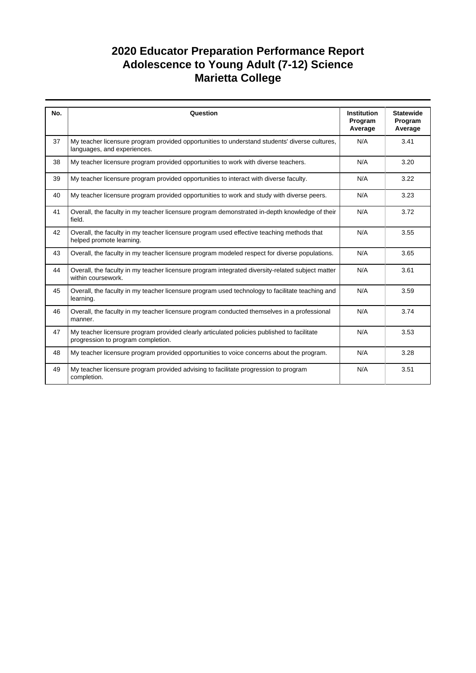| No. | Question                                                                                                                         | <b>Institution</b><br>Program | <b>Statewide</b><br>Program |
|-----|----------------------------------------------------------------------------------------------------------------------------------|-------------------------------|-----------------------------|
|     |                                                                                                                                  | Average                       | Average                     |
| 37  | My teacher licensure program provided opportunities to understand students' diverse cultures,<br>languages, and experiences.     | N/A                           | 3.41                        |
| 38  | My teacher licensure program provided opportunities to work with diverse teachers.                                               | N/A                           | 3.20                        |
| 39  | My teacher licensure program provided opportunities to interact with diverse faculty.                                            | N/A                           | 3.22                        |
| 40  | My teacher licensure program provided opportunities to work and study with diverse peers.                                        | N/A                           | 3.23                        |
| 41  | Overall, the faculty in my teacher licensure program demonstrated in-depth knowledge of their<br>field.                          | N/A                           | 3.72                        |
| 42  | Overall, the faculty in my teacher licensure program used effective teaching methods that<br>helped promote learning.            | N/A                           | 3.55                        |
| 43  | Overall, the faculty in my teacher licensure program modeled respect for diverse populations.                                    | N/A                           | 3.65                        |
| 44  | Overall, the faculty in my teacher licensure program integrated diversity-related subject matter<br>within coursework.           | N/A                           | 3.61                        |
| 45  | Overall, the faculty in my teacher licensure program used technology to facilitate teaching and<br>learning.                     | N/A                           | 3.59                        |
| 46  | Overall, the faculty in my teacher licensure program conducted themselves in a professional<br>manner.                           | N/A                           | 3.74                        |
| 47  | My teacher licensure program provided clearly articulated policies published to facilitate<br>progression to program completion. | N/A                           | 3.53                        |
| 48  | My teacher licensure program provided opportunities to voice concerns about the program.                                         | N/A                           | 3.28                        |
| 49  | My teacher licensure program provided advising to facilitate progression to program<br>completion.                               | N/A                           | 3.51                        |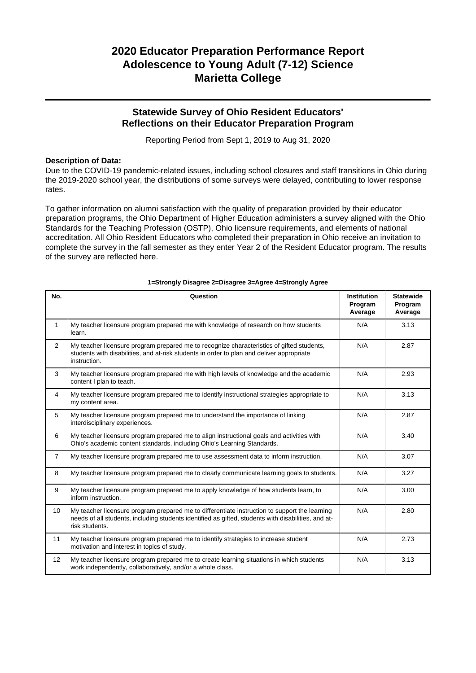### **Statewide Survey of Ohio Resident Educators' Reflections on their Educator Preparation Program**

Reporting Period from Sept 1, 2019 to Aug 31, 2020

### **Description of Data:**

Due to the COVID-19 pandemic-related issues, including school closures and staff transitions in Ohio during the 2019-2020 school year, the distributions of some surveys were delayed, contributing to lower response rates.

To gather information on alumni satisfaction with the quality of preparation provided by their educator preparation programs, the Ohio Department of Higher Education administers a survey aligned with the Ohio Standards for the Teaching Profession (OSTP), Ohio licensure requirements, and elements of national accreditation. All Ohio Resident Educators who completed their preparation in Ohio receive an invitation to complete the survey in the fall semester as they enter Year 2 of the Resident Educator program. The results of the survey are reflected here.

| No.            | Question                                                                                                                                                                                                               | <b>Institution</b><br>Program<br>Average | <b>Statewide</b><br>Program<br>Average |
|----------------|------------------------------------------------------------------------------------------------------------------------------------------------------------------------------------------------------------------------|------------------------------------------|----------------------------------------|
| 1              | My teacher licensure program prepared me with knowledge of research on how students<br>learn.                                                                                                                          | N/A                                      | 3.13                                   |
| 2              | My teacher licensure program prepared me to recognize characteristics of gifted students,<br>students with disabilities, and at-risk students in order to plan and deliver appropriate<br>instruction.                 | N/A                                      | 2.87                                   |
| 3              | My teacher licensure program prepared me with high levels of knowledge and the academic<br>content I plan to teach.                                                                                                    | N/A                                      | 2.93                                   |
| $\overline{4}$ | My teacher licensure program prepared me to identify instructional strategies appropriate to<br>my content area.                                                                                                       | N/A                                      | 3.13                                   |
| 5              | My teacher licensure program prepared me to understand the importance of linking<br>interdisciplinary experiences.                                                                                                     | N/A                                      | 2.87                                   |
| 6              | My teacher licensure program prepared me to align instructional goals and activities with<br>Ohio's academic content standards, including Ohio's Learning Standards.                                                   | N/A                                      | 3.40                                   |
| $\overline{7}$ | My teacher licensure program prepared me to use assessment data to inform instruction.                                                                                                                                 | N/A                                      | 3.07                                   |
| 8              | My teacher licensure program prepared me to clearly communicate learning goals to students.                                                                                                                            | N/A                                      | 3.27                                   |
| 9              | My teacher licensure program prepared me to apply knowledge of how students learn, to<br>inform instruction.                                                                                                           | N/A                                      | 3.00                                   |
| 10             | My teacher licensure program prepared me to differentiate instruction to support the learning<br>needs of all students, including students identified as gifted, students with disabilities, and at-<br>risk students. | N/A                                      | 2.80                                   |
| 11             | My teacher licensure program prepared me to identify strategies to increase student<br>motivation and interest in topics of study.                                                                                     | N/A                                      | 2.73                                   |
| 12             | My teacher licensure program prepared me to create learning situations in which students<br>work independently, collaboratively, and/or a whole class.                                                                 | N/A                                      | 3.13                                   |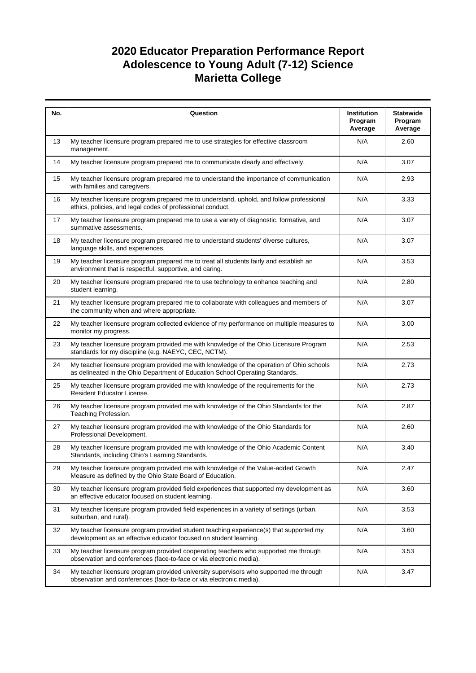| No. | Question                                                                                                                                                                  | Institution<br>Program<br>Average | <b>Statewide</b><br>Program<br>Average |
|-----|---------------------------------------------------------------------------------------------------------------------------------------------------------------------------|-----------------------------------|----------------------------------------|
| 13  | My teacher licensure program prepared me to use strategies for effective classroom<br>management.                                                                         | N/A                               | 2.60                                   |
| 14  | My teacher licensure program prepared me to communicate clearly and effectively.                                                                                          | N/A                               | 3.07                                   |
| 15  | My teacher licensure program prepared me to understand the importance of communication<br>with families and caregivers.                                                   | N/A                               | 2.93                                   |
| 16  | My teacher licensure program prepared me to understand, uphold, and follow professional<br>ethics, policies, and legal codes of professional conduct.                     | N/A                               | 3.33                                   |
| 17  | My teacher licensure program prepared me to use a variety of diagnostic, formative, and<br>summative assessments.                                                         | N/A                               | 3.07                                   |
| 18  | My teacher licensure program prepared me to understand students' diverse cultures,<br>language skills, and experiences.                                                   | N/A                               | 3.07                                   |
| 19  | My teacher licensure program prepared me to treat all students fairly and establish an<br>environment that is respectful, supportive, and caring.                         | N/A                               | 3.53                                   |
| 20  | My teacher licensure program prepared me to use technology to enhance teaching and<br>student learning.                                                                   | N/A                               | 2.80                                   |
| 21  | My teacher licensure program prepared me to collaborate with colleagues and members of<br>the community when and where appropriate.                                       | N/A                               | 3.07                                   |
| 22  | My teacher licensure program collected evidence of my performance on multiple measures to<br>monitor my progress.                                                         | N/A                               | 3.00                                   |
| 23  | My teacher licensure program provided me with knowledge of the Ohio Licensure Program<br>standards for my discipline (e.g. NAEYC, CEC, NCTM).                             | N/A                               | 2.53                                   |
| 24  | My teacher licensure program provided me with knowledge of the operation of Ohio schools<br>as delineated in the Ohio Department of Education School Operating Standards. | N/A                               | 2.73                                   |
| 25  | My teacher licensure program provided me with knowledge of the requirements for the<br>Resident Educator License.                                                         | N/A                               | 2.73                                   |
| 26  | My teacher licensure program provided me with knowledge of the Ohio Standards for the<br>Teaching Profession.                                                             | N/A                               | 2.87                                   |
| 27  | My teacher licensure program provided me with knowledge of the Ohio Standards for<br>Professional Development.                                                            | N/A                               | 2.60                                   |
| 28  | My teacher licensure program provided me with knowledge of the Ohio Academic Content<br>Standards, including Ohio's Learning Standards.                                   | N/A                               | 3.40                                   |
| 29  | My teacher licensure program provided me with knowledge of the Value-added Growth<br>Measure as defined by the Ohio State Board of Education.                             | N/A                               | 2.47                                   |
| 30  | My teacher licensure program provided field experiences that supported my development as<br>an effective educator focused on student learning.                            | N/A                               | 3.60                                   |
| 31  | My teacher licensure program provided field experiences in a variety of settings (urban,<br>suburban, and rural).                                                         | N/A                               | 3.53                                   |
| 32  | My teacher licensure program provided student teaching experience(s) that supported my<br>development as an effective educator focused on student learning.               | N/A                               | 3.60                                   |
| 33  | My teacher licensure program provided cooperating teachers who supported me through<br>observation and conferences (face-to-face or via electronic media).                | N/A                               | 3.53                                   |
| 34  | My teacher licensure program provided university supervisors who supported me through<br>observation and conferences (face-to-face or via electronic media).              | N/A                               | 3.47                                   |